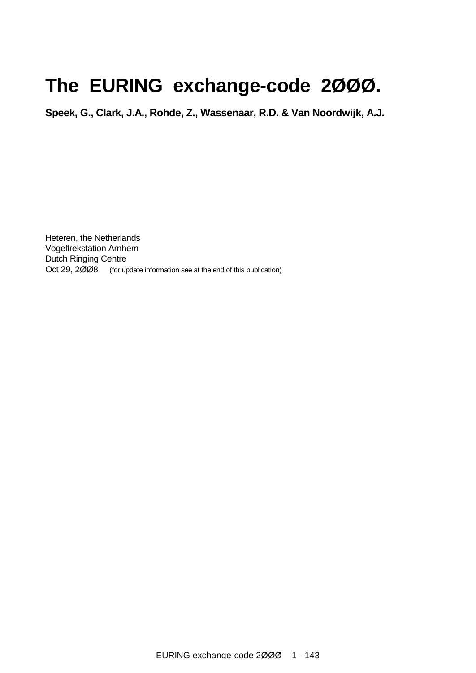# **The EURING exchange-code 2ØØØ.**

**Speek, G., Clark, J.A., Rohde, Z., Wassenaar, R.D. & Van Noordwijk, A.J.** 

Heteren, the Netherlands Vogeltrekstation Arnhem Dutch Ringing Centre Oct 29, 2008 (for update information see at the end of this publication)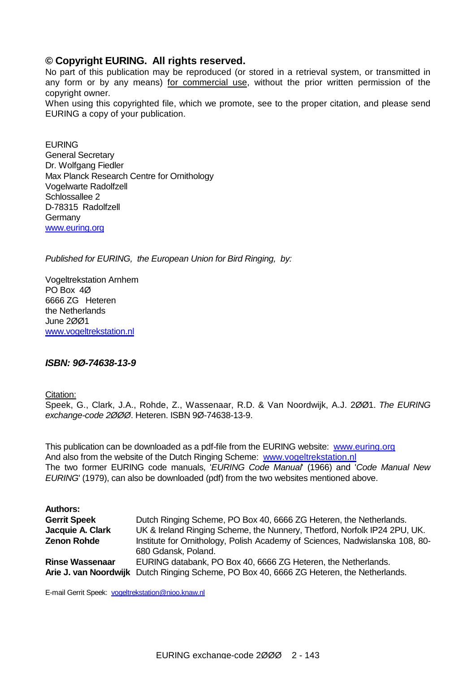### **© Copyright EURING. All rights reserved.**

No part of this publication may be reproduced (or stored in a retrieval system, or transmitted in any form or by any means) for commercial use, without the prior written permission of the copyright owner.

When using this copyrighted file, which we promote, see to the proper citation, and please send EURING a copy of your publication.

EURING General Secretary Dr. Wolfgang Fiedler Max Planck Research Centre for Ornithology Vogelwarte Radolfzell Schlossallee 2 D-78315 Radolfzell Germany [www.euring.org](http://www.euring.org)

*Published for EURING, the European Union for Bird Ringing, by:* 

Vogeltrekstation Arnhem PO Box 4Ø 6666 ZG Heteren the Netherlands June 2ØØ1 [www.vogeltrekstation.nl](http://www.vogeltrekstation.nl) 

### *ISBN: 9Ø-74638-13-9*

Citation:

Speek, G., Clark, J.A., Rohde, Z., Wassenaar, R.D. & Van Noordwijk, A.J. 2ØØ1. *The EURING exchange-code 2ØØØ*. Heteren. ISBN 9Ø-74638-13-9.

This publication can be downloaded as a pdf-file from the EURING website: [www.euring.org](http://www.euring.org) And also from the website of the Dutch Ringing Scheme: [www.vogeltrekstation.nl](http://www.vogeltrekstation.nl) The two former EURING code manuals, '*EURING Code Manual*' (1966) and '*Code Manual New EURING*' (1979), can also be downloaded (pdf) from the two websites mentioned above.

| <b>Authors:</b>        |                                                                                          |
|------------------------|------------------------------------------------------------------------------------------|
| <b>Gerrit Speek</b>    | Dutch Ringing Scheme, PO Box 40, 6666 ZG Heteren, the Netherlands.                       |
| Jacquie A. Clark       | UK & Ireland Ringing Scheme, the Nunnery, Thetford, Norfolk IP24 2PU, UK.                |
| <b>Zenon Rohde</b>     | Institute for Ornithology, Polish Academy of Sciences, Nadwislanska 108, 80-             |
|                        | 680 Gdansk, Poland.                                                                      |
| <b>Rinse Wassenaar</b> | EURING databank, PO Box 40, 6666 ZG Heteren, the Netherlands.                            |
|                        | Arie J. van Noordwijk Dutch Ringing Scheme, PO Box 40, 6666 ZG Heteren, the Netherlands. |

E-mail Gerrit Speek: [vogeltrekstation@nioo.knaw.nl](mailto:vogeltrekstation@nioo.knaw.nl)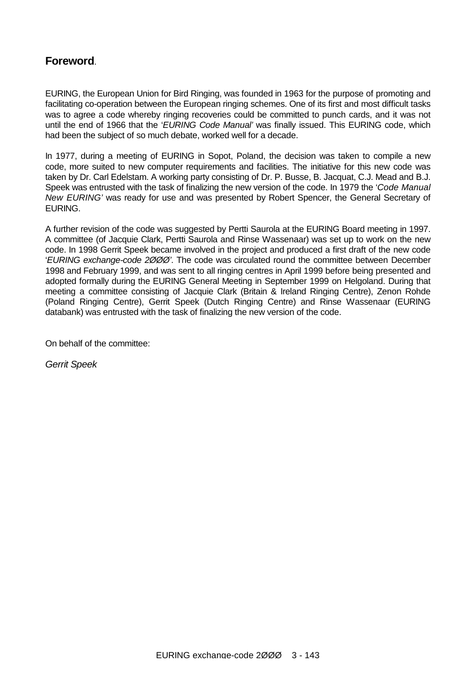### **Foreword**.

EURING, the European Union for Bird Ringing, was founded in 1963 for the purpose of promoting and facilitating co-operation between the European ringing schemes. One of its first and most difficult tasks was to agree a code whereby ringing recoveries could be committed to punch cards, and it was not until the end of 1966 that the '*EURING Code Manual'* was finally issued. This EURING code, which had been the subject of so much debate, worked well for a decade.

In 1977, during a meeting of EURING in Sopot, Poland, the decision was taken to compile a new code, more suited to new computer requirements and facilities. The initiative for this new code was taken by Dr. Carl Edelstam. A working party consisting of Dr. P. Busse, B. Jacquat, C.J. Mead and B.J. Speek was entrusted with the task of finalizing the new version of the code. In 1979 the '*Code Manual New EURING'* was ready for use and was presented by Robert Spencer, the General Secretary of EURING.

A further revision of the code was suggested by Pertti Saurola at the EURING Board meeting in 1997. A committee (of Jacquie Clark, Pertti Saurola and Rinse Wassenaar) was set up to work on the new code. In 1998 Gerrit Speek became involved in the project and produced a first draft of the new code '*EURING exchange-code 2ØØØ'*. The code was circulated round the committee between December 1998 and February 1999, and was sent to all ringing centres in April 1999 before being presented and adopted formally during the EURING General Meeting in September 1999 on Helgoland. During that meeting a committee consisting of Jacquie Clark (Britain & Ireland Ringing Centre), Zenon Rohde (Poland Ringing Centre), Gerrit Speek (Dutch Ringing Centre) and Rinse Wassenaar (EURING databank) was entrusted with the task of finalizing the new version of the code.

On behalf of the committee:

*Gerrit Speek*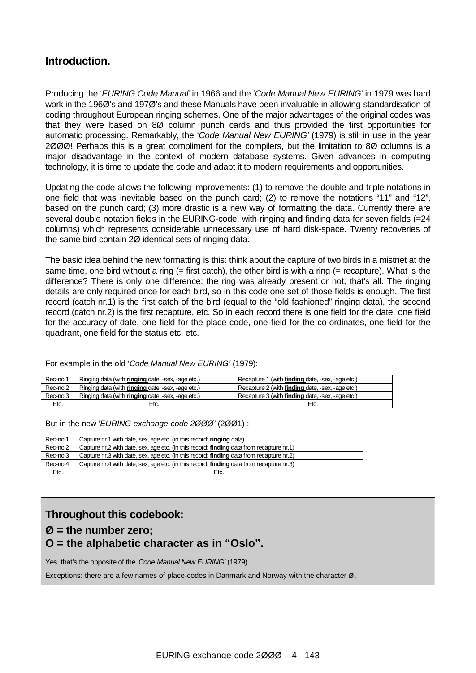### **Introduction.**

Producing the '*EURING Code Manual'* in 1966 and the '*Code Manual New EURING'* in 1979 was hard work in the 196Ø's and 197Ø's and these Manuals have been invaluable in allowing standardisation of coding throughout European ringing schemes. One of the major advantages of the original codes was that they were based on 8Ø column punch cards and thus provided the first opportunities for automatic processing. Remarkably, the '*Code Manual New EURING'* (1979) is still in use in the year 2ØØØ! Perhaps this is a great compliment for the compilers, but the limitation to 8Ø columns is a major disadvantage in the context of modern database systems. Given advances in computing technology, it is time to update the code and adapt it to modern requirements and opportunities.

Updating the code allows the following improvements: (1) to remove the double and triple notations in one field that was inevitable based on the punch card; (2) to remove the notations "11" and "12", based on the punch card; (3) more drastic is a new way of formatting the data. Currently there are several double notation fields in the EURING-code, with ringing **and** finding data for seven fields (=24 columns) which represents considerable unnecessary use of hard disk-space. Twenty recoveries of the same bird contain 2Ø identical sets of ringing data.

The basic idea behind the new formatting is this: think about the capture of two birds in a mistnet at the same time, one bird without a ring  $(=$  first catch), the other bird is with a ring  $(=$  recapture). What is the difference? There is only one difference: the ring was already present or not, that's all. The ringing details are only required once for each bird, so in this code one set of those fields is enough. The first record (catch nr.1) is the first catch of the bird (equal to the "old fashioned" ringing data), the second record (catch nr.2) is the first recapture, etc. So in each record there is one field for the date, one field for the accuracy of date, one field for the place code, one field for the co-ordinates, one field for the quadrant, one field for the status etc. etc.

For example in the old '*Code Manual New EURING'* (1979):

| Rec-no.1 | Ringing data (with <b>ringing</b> date, -sex, -age etc.) | Recapture 1 (with finding date, -sex, -age etc.)        |
|----------|----------------------------------------------------------|---------------------------------------------------------|
| Rec-no.2 | Ringing data (with ringing date, -sex, -age etc.)        | Recapture 2 (with <b>finding</b> date, -sex, -age etc.) |
| Rec-no.3 | Ringing data (with <b>ringing</b> date, -sex, -age etc.) | Recapture 3 (with finding date, -sex, -age etc.)        |
| Etc.     | Etc.                                                     | Etc.                                                    |

But in the new '*EURING exchange-code 2ØØØ'* (2ØØ1) :

| Rec-no.1 | Capture nr.1 with date, sex, age etc. (in this record: ringing data)                            |
|----------|-------------------------------------------------------------------------------------------------|
| Rec-no.2 | Capture nr.2 with date, sex, age etc. (in this record: <b>finding</b> data from recapture nr.1) |
| Rec-no.3 | Capture nr.3 with date, sex, age etc. (in this record: <b>finding</b> data from recapture nr.2) |
| Rec-no.4 | Capture nr.4 with date, sex, age etc. (in this record: <b>finding</b> data from recapture nr.3) |
| Etc.     | Etc.                                                                                            |

### **Throughout this codebook:**

### **Ø = the number zero; O = the alphabetic character as in "Oslo".**

Yes, that's the opposite of the '*Code Manual New EURING'* (1979).

Exceptions: there are a few names of place-codes in Danmark and Norway with the character  $\varnothing$ .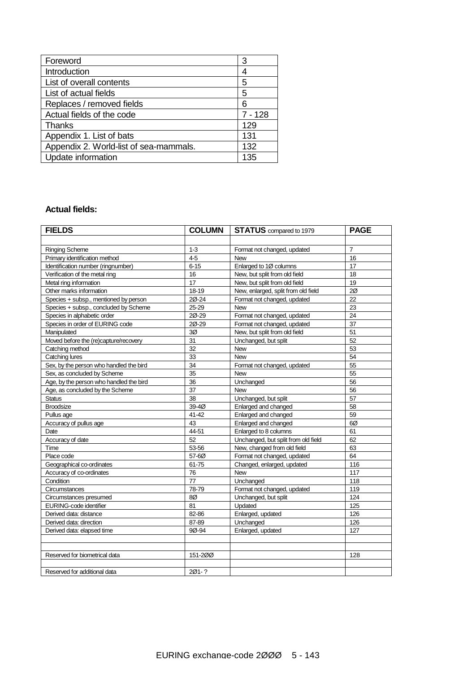| Foreword                               | 3         |
|----------------------------------------|-----------|
| Introduction                           | 4         |
| List of overall contents               | 5         |
| List of actual fields                  | 5         |
| Replaces / removed fields              | 6         |
| Actual fields of the code              | $7 - 128$ |
| Thanks                                 | 129       |
| Appendix 1. List of bats               | 131       |
| Appendix 2. World-list of sea-mammals. | 132       |
| Update information                     | 135       |

### **Actual fields:**

| <b>FIELDS</b>                           | <b>COLUMN</b> | <b>STATUS</b> compared to 1979      | <b>PAGE</b>    |
|-----------------------------------------|---------------|-------------------------------------|----------------|
|                                         |               |                                     |                |
| <b>Ringing Scheme</b>                   | $1 - 3$       | Format not changed, updated         | $\overline{7}$ |
| Primary identification method           | 4-5           | <b>New</b>                          | 16             |
| Identification number (ringnumber)      | $6 - 15$      | Enlarged to 1Ø columns              | 17             |
| Verification of the metal ring          | 16            | New, but split from old field       | 18             |
| Metal ring information                  | 17            | New, but split from old field       | 19             |
| Other marks information                 | 18-19         | New, enlarged, split from old field | $2\alpha$      |
| Species + subsp., mentioned by person   | 20-24         | Format not changed, updated         | 22             |
| Species + subsp., concluded by Scheme   | 25-29         | <b>New</b>                          | 23             |
| Species in alphabetic order             | 20-29         | Format not changed, updated         | 24             |
| Species in order of EURING code         | 20-29         | Format not changed, updated         | 37             |
| Manipulated                             | 3Ø            | New, but split from old field       | 51             |
| Moved before the (re)capture/recovery   | 31            | Unchanged, but split                | 52             |
| Catching method                         | 32            | <b>New</b>                          | 53             |
| Catching lures                          | 33            | <b>New</b>                          | 54             |
| Sex, by the person who handled the bird | 34            | Format not changed, updated         | 55             |
| Sex, as concluded by Scheme             | 35            | <b>New</b>                          | 55             |
| Age, by the person who handled the bird | 36            | Unchanged                           | 56             |
| Age, as concluded by the Scheme         | 37            | <b>New</b>                          | 56             |
| <b>Status</b>                           | 38            | Unchanged, but split                | 57             |
| <b>Broodsize</b>                        | 39-4Ø         | Enlarged and changed                | 58             |
| Pullus age                              | 41-42         | Enlarged and changed                | 59             |
| Accuracy of pullus age                  | 43            | Enlarged and changed                | 6Ø             |
| Date                                    | 44-51         | Enlarged to 8 columns               | 61             |
| Accuracy of date                        | 52            | Unchanged, but split from old field | 62             |
| Time                                    | 53-56         | New, changed from old field         | 63             |
| Place code                              | 57-60         | Format not changed, updated         | 64             |
| Geographical co-ordinates               | 61-75         | Changed, enlarged, updated          | 116            |
| Accuracy of co-ordinates                | 76            | <b>New</b>                          | 117            |
| Condition                               | 77            | Unchanged                           | 118            |
| Circumstances                           | 78-79         | Format not changed, updated         | 119            |
| Circumstances presumed                  | 8Ø            | Unchanged, but split                | 124            |
| EURING-code identifier                  | 81            | Updated                             | 125            |
| Derived data: distance                  | 82-86         | Enlarged, updated                   | 126            |
| Derived data: direction                 | 87-89         | Unchanged                           | 126            |
| Derived data: elapsed time              | 9Ø-94         | Enlarged, updated                   | 127            |
|                                         |               |                                     |                |
|                                         |               |                                     |                |
| Reserved for biometrical data           | 151-200       |                                     | 128            |
|                                         |               |                                     |                |
| Reserved for additional data            | 201-?         |                                     |                |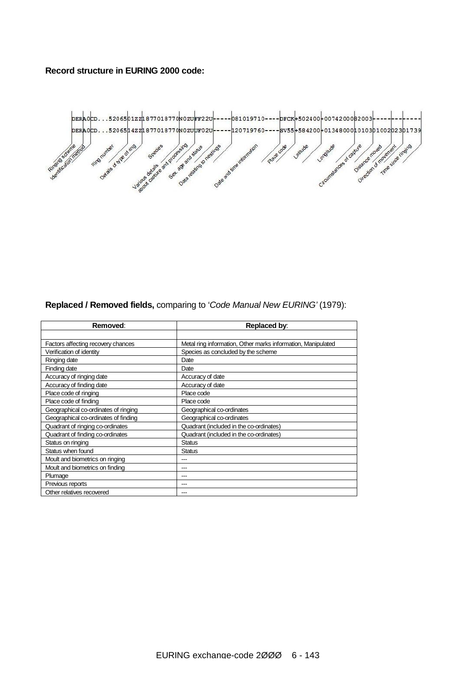#### **Record structure in EURING 2000 code:**



### **Replaced / Removed fields,** comparing to '*Code Manual New EURING'* (1979):

| Removed:                             | Replaced by:                                                 |
|--------------------------------------|--------------------------------------------------------------|
|                                      |                                                              |
| Factors affecting recovery chances   | Metal ring information, Other marks information, Manipulated |
| Verification of identity             | Species as concluded by the scheme                           |
| Ringing date                         | Date                                                         |
| Finding date                         | Date                                                         |
| Accuracy of ringing date             | Accuracy of date                                             |
| Accuracy of finding date             | Accuracy of date                                             |
| Place code of ringing                | Place code                                                   |
| Place code of finding                | Place code                                                   |
| Geographical co-ordinates of ringing | Geographical co-ordinates                                    |
| Geographical co-ordinates of finding | Geographical co-ordinates                                    |
| Quadrant of ringing co-ordinates     | Quadrant (included in the co-ordinates)                      |
| Quadrant of finding co-ordinates     | Quadrant (included in the co-ordinates)                      |
| Status on ringing                    | <b>Status</b>                                                |
| Status when found                    | Status                                                       |
| Moult and biometrics on ringing      |                                                              |
| Moult and biometrics on finding      | ---                                                          |
| Plumage                              |                                                              |
| Previous reports                     |                                                              |
| Other relatives recovered            |                                                              |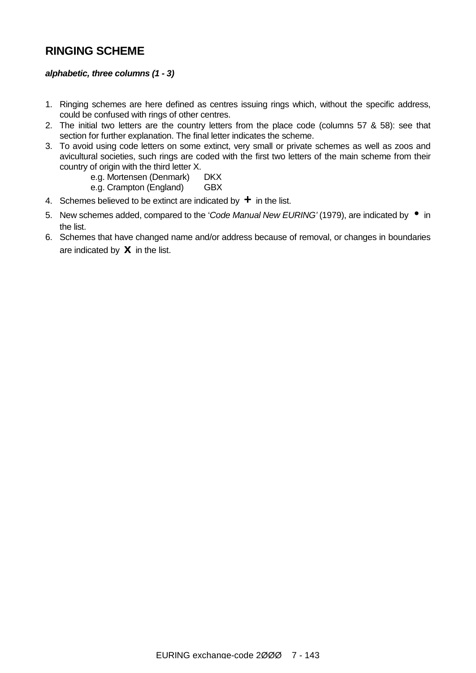### **RINGING SCHEME**

### *alphabetic, three columns (1 - 3)*

- 1. Ringing schemes are here defined as centres issuing rings which, without the specific address, could be confused with rings of other centres.
- 2. The initial two letters are the country letters from the place code (columns 57 & 58): see that section for further explanation. The final letter indicates the scheme.
- 3. To avoid using code letters on some extinct, very small or private schemes as well as zoos and avicultural societies, such rings are coded with the first two letters of the main scheme from their country of origin with the third letter X.
	- e.g. Mortensen (Denmark) DKX
	- e.g. Crampton (England) GBX
- 4. Schemes believed to be extinct are indicated by **+** in the list.
- 5. New schemes added, compared to the '*Code Manual New EURING'* (1979), are indicated by **·** in the list.
- 6. Schemes that have changed name and/or address because of removal, or changes in boundaries are indicated by **x** in the list.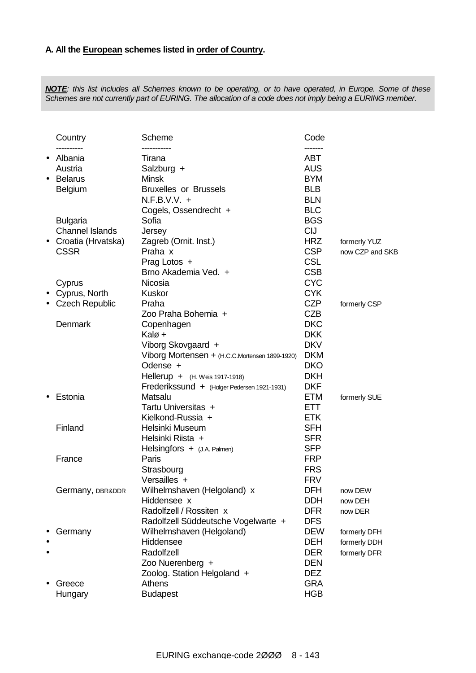NOTE: this list includes all Schemes known to be operating, or to have operated, in Europe. Some of these *Schemes are not currently part of EURING. The allocation of a code does not imply being a EURING member.* 

|           | Country                | Scheme<br>-----------                          | Code       |                 |
|-----------|------------------------|------------------------------------------------|------------|-----------------|
|           | Albania                | Tirana                                         | <b>ABT</b> |                 |
|           | Austria                | Salzburg +                                     | <b>AUS</b> |                 |
| $\bullet$ | <b>Belarus</b>         | <b>Minsk</b>                                   | <b>BYM</b> |                 |
|           | <b>Belgium</b>         | <b>Bruxelles or Brussels</b>                   | <b>BLB</b> |                 |
|           |                        | $N.F.B.V.V. +$                                 | <b>BLN</b> |                 |
|           |                        | Cogels, Ossendrecht +                          | <b>BLC</b> |                 |
|           | <b>Bulgaria</b>        | Sofia                                          | <b>BGS</b> |                 |
|           | <b>Channel Islands</b> | Jersey                                         | <b>CIJ</b> |                 |
| $\bullet$ | Croatia (Hrvatska)     | Zagreb (Ornit. Inst.)                          | <b>HRZ</b> | formerly YUZ    |
|           | <b>CSSR</b>            | Praha x                                        | <b>CSP</b> | now CZP and SKB |
|           |                        | Prag Lotos +                                   | <b>CSL</b> |                 |
|           |                        | Brno Akademia Ved. +                           | <b>CSB</b> |                 |
|           | Cyprus                 | Nicosia                                        | <b>CYC</b> |                 |
| $\bullet$ | Cyprus, North          | <b>Kuskor</b>                                  | <b>CYK</b> |                 |
|           | <b>Czech Republic</b>  | Praha                                          | <b>CZP</b> | formerly CSP    |
|           |                        | Zoo Praha Bohemia +                            | <b>CZB</b> |                 |
|           | <b>Denmark</b>         | Copenhagen                                     | <b>DKC</b> |                 |
|           |                        | Kalø +                                         | <b>DKK</b> |                 |
|           |                        | Viborg Skovgaard +                             | <b>DKV</b> |                 |
|           |                        | Viborg Mortensen + (H.C.C.Mortensen 1899-1920) | <b>DKM</b> |                 |
|           |                        | Odense +                                       | <b>DKO</b> |                 |
|           |                        | Hellerup + (H. Weis 1917-1918)                 | <b>DKH</b> |                 |
|           |                        | Frederikssund + (Holger Pedersen 1921-1931)    | <b>DKF</b> |                 |
|           | Estonia                | Matsalu                                        | <b>ETM</b> | formerly SUE    |
|           |                        | Tartu Universitas +                            | ETT.       |                 |
|           |                        | Kielkond-Russia +                              | <b>ETK</b> |                 |
|           | Finland                | Helsinki Museum                                | <b>SFH</b> |                 |
|           |                        | Helsinki Riista +                              | <b>SFR</b> |                 |
|           |                        | Helsingfors + (J.A. Palmen)                    | <b>SFP</b> |                 |
|           | France                 | Paris                                          | <b>FRP</b> |                 |
|           |                        | Strasbourg                                     | <b>FRS</b> |                 |
|           |                        | Versailles +                                   | <b>FRV</b> |                 |
|           | Germany, DBR&DDR       | Wilhelmshaven (Helgoland) x                    | <b>DFH</b> | now DEW         |
|           |                        | Hiddensee x                                    | <b>DDH</b> | now DEH         |
|           |                        | Radolfzell / Rossiten x                        | <b>DFR</b> | now DER         |
|           |                        | Radolfzell Süddeutsche Vogelwarte +            | <b>DFS</b> |                 |
|           | Germany                | Wilhelmshaven (Helgoland)                      | <b>DEW</b> | formerly DFH    |
|           |                        | Hiddensee                                      | <b>DEH</b> | formerly DDH    |
|           |                        | Radolfzell                                     | <b>DER</b> | formerly DFR    |
|           |                        | Zoo Nuerenberg +                               | <b>DEN</b> |                 |
|           |                        | Zoolog. Station Helgoland +                    | <b>DEZ</b> |                 |
|           | Greece                 | <b>Athens</b>                                  | <b>GRA</b> |                 |
|           | Hungary                | <b>Budapest</b>                                | <b>HGB</b> |                 |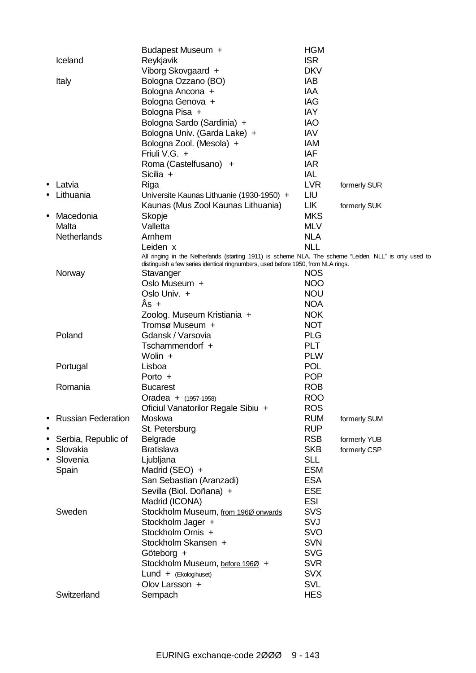|           |                           | Budapest Museum +                                                                                      | <b>HGM</b>               |              |
|-----------|---------------------------|--------------------------------------------------------------------------------------------------------|--------------------------|--------------|
|           | Iceland                   | Reykjavik                                                                                              | <b>ISR</b>               |              |
|           |                           | Viborg Skovgaard +                                                                                     | <b>DKV</b>               |              |
|           | Italy                     | Bologna Ozzano (BO)                                                                                    | IAB                      |              |
|           |                           | Bologna Ancona +                                                                                       | <b>IAA</b>               |              |
|           |                           | Bologna Genova +                                                                                       | <b>IAG</b>               |              |
|           |                           | Bologna Pisa +                                                                                         | <b>IAY</b>               |              |
|           |                           | Bologna Sardo (Sardinia) +                                                                             | <b>IAO</b>               |              |
|           |                           | Bologna Univ. (Garda Lake) +                                                                           | <b>IAV</b>               |              |
|           |                           | Bologna Zool. (Mesola) +                                                                               | <b>IAM</b>               |              |
|           |                           | Friuli V.G. +                                                                                          | <b>IAF</b>               |              |
|           |                           | Roma (Castelfusano) +                                                                                  | <b>IAR</b>               |              |
|           |                           | Sicilia +                                                                                              | IAL                      |              |
| $\bullet$ | Latvia                    | Riga                                                                                                   | <b>LVR</b>               | formerly SUR |
|           | Lithuania                 | Universite Kaunas Lithuanie (1930-1950) +                                                              | LIU                      |              |
|           |                           | Kaunas (Mus Zool Kaunas Lithuania)                                                                     | <b>LIK</b>               | formerly SUK |
| $\bullet$ | Macedonia                 | Skopje                                                                                                 | <b>MKS</b>               |              |
|           | Malta                     | Valletta                                                                                               | <b>MLV</b>               |              |
|           | Netherlands               | Arnhem                                                                                                 | <b>NLA</b>               |              |
|           |                           | Leiden x                                                                                               | <b>NLL</b>               |              |
|           |                           | All ringing in the Netherlands (starting 1911) is scheme NLA. The scheme "Leiden, NLL" is only used to |                          |              |
|           |                           | distinguish a few series identical ringnumbers, used before 1950, from NLA rings.                      |                          |              |
|           | Norway                    | Stavanger<br>Oslo Museum +                                                                             | <b>NOS</b><br><b>NOO</b> |              |
|           |                           | Oslo Univ. +                                                                                           | <b>NOU</b>               |              |
|           |                           | $As +$                                                                                                 | <b>NOA</b>               |              |
|           |                           |                                                                                                        | <b>NOK</b>               |              |
|           |                           | Zoolog. Museum Kristiania +<br>Tromsø Museum +                                                         | <b>NOT</b>               |              |
|           | Poland                    | Gdansk / Varsovia                                                                                      | <b>PLG</b>               |              |
|           |                           | Tschammendorf +                                                                                        | <b>PLT</b>               |              |
|           |                           | Wolin $+$                                                                                              | <b>PLW</b>               |              |
|           | Portugal                  | Lisboa                                                                                                 | <b>POL</b>               |              |
|           |                           | Porto $+$                                                                                              | <b>POP</b>               |              |
|           | Romania                   | <b>Bucarest</b>                                                                                        | <b>ROB</b>               |              |
|           |                           | Oradea + (1957-1958)                                                                                   | <b>ROO</b>               |              |
|           |                           | Oficiul Vanatorilor Regale Sibiu +                                                                     | <b>ROS</b>               |              |
|           | <b>Russian Federation</b> | Moskwa                                                                                                 | <b>RUM</b>               | formerly SUM |
| $\bullet$ |                           | St. Petersburg                                                                                         | <b>RUP</b>               |              |
| $\bullet$ | Serbia, Republic of       | Belgrade                                                                                               | <b>RSB</b>               | formerly YUB |
| $\bullet$ | Slovakia                  | <b>Bratislava</b>                                                                                      | <b>SKB</b>               | formerly CSP |
| $\bullet$ | Slovenia                  | Ljubljana                                                                                              | <b>SLL</b>               |              |
|           | Spain                     | Madrid (SEO) +                                                                                         | <b>ESM</b>               |              |
|           |                           | San Sebastian (Aranzadi)                                                                               | <b>ESA</b>               |              |
|           |                           | Sevilla (Biol. Doñana) +                                                                               | <b>ESE</b>               |              |
|           |                           | Madrid (ICONA)                                                                                         | <b>ESI</b>               |              |
|           | Sweden                    | Stockholm Museum, from 1960 onwards                                                                    | <b>SVS</b>               |              |
|           |                           | Stockholm Jager +                                                                                      | SVJ                      |              |
|           |                           | Stockholm Ornis +                                                                                      | SVO                      |              |
|           |                           | Stockholm Skansen +                                                                                    | <b>SVN</b>               |              |
|           |                           | Göteborg +                                                                                             | <b>SVG</b>               |              |
|           |                           | Stockholm Museum, before 1960 +                                                                        | <b>SVR</b>               |              |
|           |                           | Lund + (Ekologihuset)                                                                                  | <b>SVX</b>               |              |
|           |                           | Olov Larsson +                                                                                         | <b>SVL</b>               |              |
|           | Switzerland               | Sempach                                                                                                | <b>HES</b>               |              |
|           |                           |                                                                                                        |                          |              |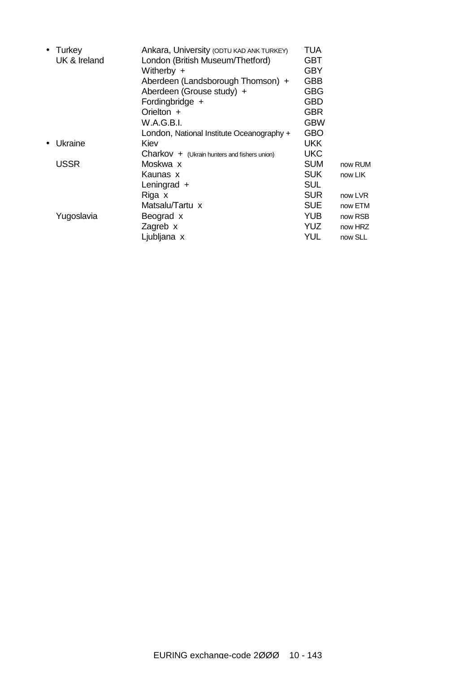| • Turkey<br>UK & Ireland | Ankara, University (ODTU KAD ANK TURKEY)<br>London (British Museum/Thetford) | TUA<br><b>GBT</b> |         |
|--------------------------|------------------------------------------------------------------------------|-------------------|---------|
|                          | Witherby +                                                                   | <b>GBY</b>        |         |
|                          | Aberdeen (Landsborough Thomson) +                                            | GBB               |         |
|                          | Aberdeen (Grouse study) +                                                    | <b>GBG</b>        |         |
|                          | Fordingbridge +                                                              | <b>GBD</b>        |         |
|                          | Orielton +                                                                   | <b>GBR</b>        |         |
|                          | W.A.G.B.I.                                                                   | <b>GBW</b>        |         |
|                          | London, National Institute Oceanography +                                    | <b>GBO</b>        |         |
| Ukraine                  | Kiev                                                                         | <b>UKK</b>        |         |
|                          | $Charkov + (Ukrain$ hunters and fishers union)                               | <b>UKC</b>        |         |
| <b>USSR</b>              | Moskwa x                                                                     | <b>SUM</b>        | now RUM |
|                          | Kaunas x                                                                     | <b>SUK</b>        | now LIK |
|                          | Leningrad $+$                                                                | <b>SUL</b>        |         |
|                          | Riga x                                                                       | <b>SUR</b>        | now LVR |
|                          | Matsalu/Tartu x                                                              | <b>SUE</b>        | now ETM |
| Yugoslavia               | Beograd x                                                                    | <b>YUB</b>        | now RSB |
|                          | Zagreb x                                                                     | YUZ.              | now HRZ |
|                          | Ljubljana x                                                                  | YUL               | now SLL |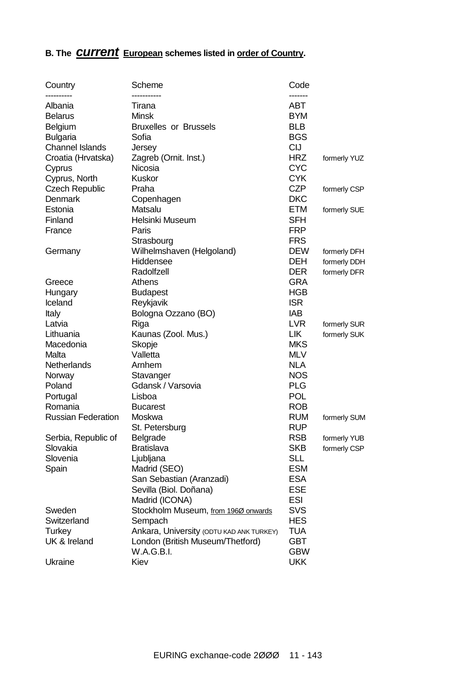## **B. The** *current* **European schemes listed in order of Country.**

| Country                   | Scheme                                   | Code                  |              |
|---------------------------|------------------------------------------|-----------------------|--------------|
| Albania                   | -----------<br>Tirana                    | -------<br><b>ABT</b> |              |
| <b>Belarus</b>            | <b>Minsk</b>                             | <b>BYM</b>            |              |
| Belgium                   | <b>Bruxelles or Brussels</b>             | <b>BLB</b>            |              |
|                           | Sofia                                    | <b>BGS</b>            |              |
| <b>Bulgaria</b>           |                                          | <b>CIJ</b>            |              |
| <b>Channel Islands</b>    | Jersey                                   |                       |              |
| Croatia (Hrvatska)        | Zagreb (Ornit. Inst.)                    | <b>HRZ</b>            | formerly YUZ |
| Cyprus                    | Nicosia                                  | <b>CYC</b>            |              |
| Cyprus, North             | <b>Kuskor</b>                            | <b>CYK</b>            |              |
| <b>Czech Republic</b>     | Praha                                    | <b>CZP</b>            | formerly CSP |
| <b>Denmark</b>            | Copenhagen                               | <b>DKC</b>            |              |
| Estonia                   | Matsalu                                  | <b>ETM</b>            | formerly SUE |
| Finland                   | Helsinki Museum                          | <b>SFH</b>            |              |
| France                    | Paris                                    | <b>FRP</b>            |              |
|                           | Strasbourg                               | <b>FRS</b>            |              |
| Germany                   | Wilhelmshaven (Helgoland)                | <b>DEW</b>            | formerly DFH |
|                           | Hiddensee                                | <b>DEH</b>            | formerly DDH |
|                           | Radolfzell                               | <b>DER</b>            | formerly DFR |
| Greece                    | Athens                                   | <b>GRA</b>            |              |
| Hungary                   | <b>Budapest</b>                          | <b>HGB</b>            |              |
| Iceland                   | Reykjavik                                | <b>ISR</b>            |              |
| Italy                     | Bologna Ozzano (BO)                      | <b>IAB</b>            |              |
| Latvia                    | Riga                                     | <b>LVR</b>            | formerly SUR |
| Lithuania                 | Kaunas (Zool. Mus.)                      | <b>LIK</b>            | formerly SUK |
| Macedonia                 | Skopje                                   | <b>MKS</b>            |              |
| Malta                     | Valletta                                 | <b>MLV</b>            |              |
| <b>Netherlands</b>        | Arnhem                                   | <b>NLA</b>            |              |
| Norway                    | Stavanger                                | <b>NOS</b>            |              |
| Poland                    | Gdansk / Varsovia                        | <b>PLG</b>            |              |
| Portugal                  | Lisboa                                   | <b>POL</b>            |              |
| Romania                   | <b>Bucarest</b>                          | <b>ROB</b>            |              |
| <b>Russian Federation</b> | Moskwa                                   | <b>RUM</b>            | formerly SUM |
|                           | St. Petersburg                           | <b>RUP</b>            |              |
| Serbia, Republic of       | Belgrade                                 | <b>RSB</b>            | formerly YUB |
|                           | <b>Bratislava</b>                        | <b>SKB</b>            |              |
| Slovakia<br>Slovenia      |                                          | <b>SLL</b>            | formerly CSP |
|                           | Ljubljana                                |                       |              |
| Spain                     | Madrid (SEO)                             | <b>ESM</b>            |              |
|                           | San Sebastian (Aranzadi)                 | <b>ESA</b>            |              |
|                           | Sevilla (Biol. Doñana)                   | <b>ESE</b>            |              |
|                           | Madrid (ICONA)                           | <b>ESI</b>            |              |
| Sweden                    | Stockholm Museum, from 1960 onwards      | <b>SVS</b>            |              |
| Switzerland               | Sempach                                  | <b>HES</b>            |              |
| Turkey                    | Ankara, University (ODTU KAD ANK TURKEY) | <b>TUA</b>            |              |
| UK & Ireland              | London (British Museum/Thetford)         | <b>GBT</b>            |              |
|                           | W.A.G.B.I.                               | <b>GBW</b>            |              |
| Ukraine                   | Kiev                                     | <b>UKK</b>            |              |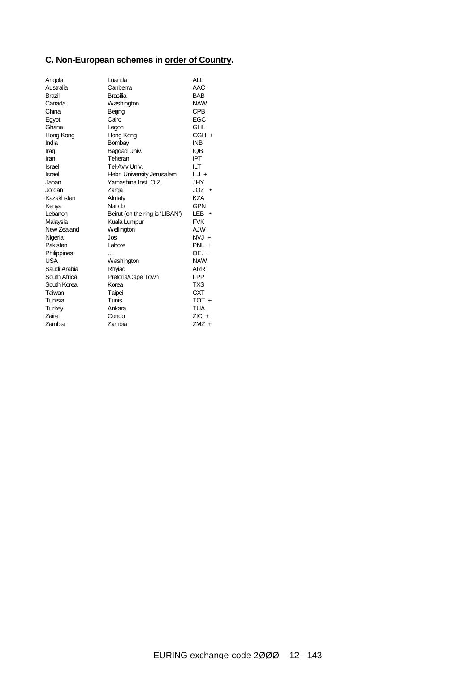### **C. Non-European schemes in order of Country.**

| Angola        | Luanda                          | ALL        |
|---------------|---------------------------------|------------|
| Australia     | Canberra                        | AAC        |
| <b>Brazil</b> | <b>Brasilia</b>                 | <b>BAB</b> |
| Canada        | Washington                      | <b>NAW</b> |
| China         | Beijing                         | <b>CPB</b> |
| Egypt         | Cairo                           | EGC        |
| Ghana         | Legon                           | GHL        |
| Hong Kong     | Hong Kong                       | $CGH +$    |
| India         | Bombay                          | <b>INB</b> |
| Iraq          | Bagdad Univ.                    | IQB        |
| Iran          | Teheran                         | IPT        |
| <b>Israel</b> | Tel-Aviv I Jniv                 | ILТ        |
| Israel        | Hebr. University Jerusalem      | ILJ +      |
| Japan         | Yamashina Inst. O.Z.            | JHY        |
| Jordan        | Zarga                           | JOZ        |
| Kazakhstan    | Almaty                          | KZA        |
| Kenya         | Nairobi                         | GPN        |
| Lebanon       | Beirut (on the ring is 'LIBAN') | LEB        |
| Malaysia      | Kuala Lumpur                    | <b>FVK</b> |
| New Zealand   | Wellington                      | AJW        |
| Nigeria       | Jos                             | $NVI +$    |
| Pakistan      | Lahore                          | $PNL +$    |
| Philippines   |                                 | OE. +      |
| <b>USA</b>    | Washington                      | <b>NAW</b> |
| Saudi Arabia  | Rhyiad                          | ARR        |
| South Africa  | Pretoria/Cape Town              | <b>FPP</b> |
| South Korea   | Korea                           | TXS        |
| Taiwan        | Taipei                          | <b>CXT</b> |
| Tunisia       | Tunis                           | TOT +      |
| Turkey        | Ankara                          | TUA        |
| <b>Zaire</b>  | Congo                           | $ZIC +$    |
| Zambia        | <b>Zambia</b>                   | ZMZ +      |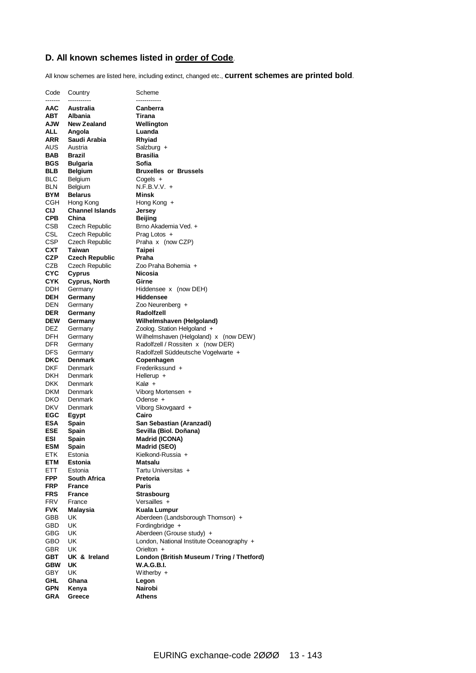### **D. All known schemes listed in order of Code**.

All know schemes are listed here, including extinct, changed etc., **current schemes are printed bold**.

| Code                     | Country                              | Scheme                                                          |
|--------------------------|--------------------------------------|-----------------------------------------------------------------|
| -------                  | -----------                          | ------------                                                    |
| AAC<br>АВТ               | Australia<br>Albania                 | Canberra<br>Tirana                                              |
| <b>NUA</b>               | <b>New Zealand</b>                   | Wellington                                                      |
| ALL.                     | Angola                               | Luanda                                                          |
| ARR                      | Saudi Arabia                         | Rhyiad                                                          |
| AUS                      | Austria                              | Salzburg +                                                      |
| BAB                      | <b>Brazil</b>                        | <b>Brasilia</b>                                                 |
| BGS                      | <b>Bulgaria</b>                      | Sofia                                                           |
| BLB                      | <b>Belgium</b>                       | <b>Bruxelles or Brussels</b>                                    |
| <b>BLC</b>               | Belgium                              | $Cogels +$                                                      |
| BLN                      | <b>Belgium</b>                       | $N.F.B.V.V. +$                                                  |
| <b>BYM</b>               | <b>Belarus</b>                       | Minsk                                                           |
| CGH                      | Hong Kong                            | Hong Kong +                                                     |
| CIJ                      | <b>Channel Islands</b>               | Jersey                                                          |
| <b>CPB</b><br>CSB        | China<br>Czech Republic              | <b>Beijing</b><br>Brno Akademia Ved. +                          |
| CSL                      | Czech Republic                       | Prag Lotos +                                                    |
| CSP                      | Czech Republic                       | Praha x (now CZP)                                               |
| <b>CXT</b>               | Taiwan                               | Taipei                                                          |
| <b>CZP</b>               | <b>Czech Republic</b>                | Praha                                                           |
| CZB                      | Czech Republic                       | Zoo Praha Bohemia +                                             |
| <b>CYC</b>               | Cyprus                               | Nicosia                                                         |
| CYK                      | Cyprus, North                        | Girne                                                           |
| DDH.                     | Germany                              | Hiddensee x (now DEH)                                           |
| <b>DEH</b>               | Germany                              | <b>Hiddensee</b>                                                |
| DEN                      | Germany                              | Zoo Neurenberg +                                                |
| <b>DER</b>               | Germany                              | Radolfzell                                                      |
| <b>DEW</b><br>DEZ        | Germany<br>Germany                   | Wilhelmshaven (Helgoland)<br>Zoolog. Station Helgoland +        |
| DFH                      | Germany                              | Wilhelmshaven (Helgoland) x (now DEW)                           |
| DFR                      | Germany                              | Radolfzell / Rossiten x (now DER)                               |
| <b>DFS</b>               | Germany                              | Radolfzell Süddeutsche Vogelwarte +                             |
| DKC                      | <b>Denmark</b>                       | Copenhagen                                                      |
| DKF                      | Denmark                              | Frederikssund +                                                 |
| DKH                      | Denmark                              | Hellerup $+$                                                    |
| <b>DKK</b>               | Denmark                              | Kalø +                                                          |
| DKM                      | Denmark                              | Viborg Mortensen +                                              |
| DKO<br><b>DKV</b>        | Denmark<br>Denmark                   | Odense +<br>Viborg Skovgaard +                                  |
| EGC                      | Egypt                                | Cairo                                                           |
| ESA                      | Spain                                | San Sebastian (Aranzadi)                                        |
| ESE                      | Spain                                | Sevilla (Biol. Doñana)                                          |
| <b>ESI</b>               | Spain                                | Madrid (ICONA)                                                  |
| <b>ESM</b>               | Spain                                | Madrid (SEO)                                                    |
| ETK                      | Estonia                              | Kielkond-Russia +                                               |
| ETM                      | Estonia                              | Matsalu                                                         |
| ETT.                     | Estonia                              | Tartu Universitas +                                             |
| <b>FPP</b><br><b>FRP</b> | <b>South Africa</b><br><b>France</b> | Pretoria                                                        |
| <b>FRS</b>               | <b>France</b>                        | Paris<br><b>Strasbourg</b>                                      |
| FRV                      | France                               | Versailles +                                                    |
| <b>FVK</b>               | Malaysia                             | <b>Kuala Lumpur</b>                                             |
| GBB                      | UK                                   | Aberdeen (Landsborough Thomson) +                               |
| GBD                      | UK                                   | Fordingbridge +                                                 |
| <b>GBG</b>               | UK                                   | Aberdeen (Grouse study) +                                       |
| GBO                      | UK                                   | London, National Institute Oceanography +                       |
| <b>GBR</b>               | UK                                   | Orielton $+$                                                    |
| <b>GBT</b><br><b>GBW</b> | UK & Ireland<br>UK                   | London (British Museum / Tring / Thetford)<br><b>W.A.G.B.I.</b> |
| GBY                      | UK                                   | Witherby $+$                                                    |
| <b>GHL</b>               | Ghana                                | Legon                                                           |
| GPN                      | Kenya                                | Nairobi                                                         |
| GRA                      | Greece                               | Athens                                                          |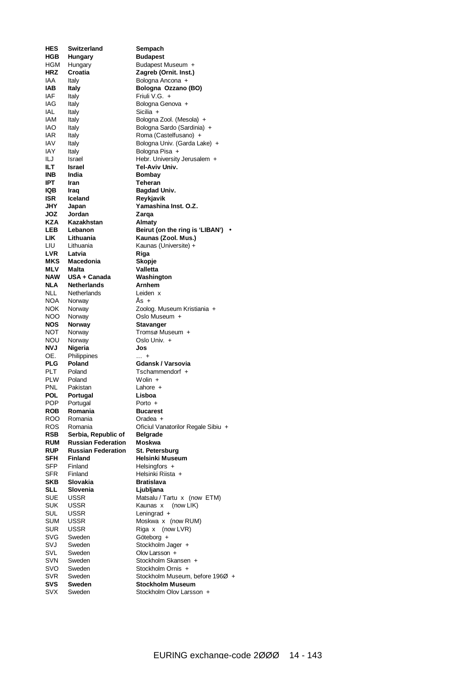| HES               | <b>Switzerland</b>        | Sempach                                             |
|-------------------|---------------------------|-----------------------------------------------------|
| <b>HGB</b>        | <b>Hungary</b>            | <b>Budapest</b>                                     |
| HGM               | Hungary                   | Budapest Museum +                                   |
| <b>HRZ</b>        | Croatia                   | Zagreb (Ornit. Inst.)                               |
| IAA               | Italy                     | Bologna Ancona +                                    |
| IAB               | Italy                     | Bologna Ozzano (BO)                                 |
| IAF               | Italy                     | Friuli V.G. +                                       |
| IAG               | Italy                     | Bologna Genova +                                    |
| IAL               | Italy                     | Sicilia +                                           |
| IAM               | Italy                     | Bologna Zool. (Mesola) +                            |
| IAO               | Italy                     | Bologna Sardo (Sardinia) +                          |
| <b>IAR</b>        |                           | Roma (Castelfusano) +                               |
|                   | Italy                     |                                                     |
| IAV               | Italy                     | Bologna Univ. (Garda Lake) +                        |
| IAY               | Italy                     | Bologna Pisa +                                      |
| ILJ               | Israel                    | Hebr. University Jerusalem +                        |
| ILТ               | Israel                    | Tel-Aviv Univ.                                      |
| <b>INB</b>        | India                     | Bombay                                              |
| IPT               | Iran                      | Teheran                                             |
| IQB               | Iraq                      | Bagdad Univ.                                        |
| <b>ISR</b>        | Iceland                   | Reykjavik                                           |
| JHY               | Japan                     | Yamashina Inst. O.Z.                                |
| JOZ               | Jordan                    | Zarga                                               |
| <b>KZA</b>        | Kazakhstan                | Almaty                                              |
| LEB               | Lebanon                   | Beirut (on the ring is 'LIBAN') .                   |
| <b>LIK</b>        | Lithuania                 | Kaunas (Zool. Mus.)                                 |
|                   |                           |                                                     |
| LIU               | Lithuania                 | Kaunas (Universite) +                               |
| <b>LVR</b>        | Latvia                    | Riga                                                |
| MKS               | Macedonia                 | Skopje                                              |
| MLV               | Malta                     | Valletta                                            |
| <b>NAW</b>        | USA + Canada              | Washington                                          |
| NLA               | <b>Netherlands</b>        | Arnhem                                              |
| <b>NLL</b>        | Netherlands               | Leiden x                                            |
| NOA               | Norway                    | As +                                                |
| NOK.              | Norway                    | Zoolog. Museum Kristiania +                         |
| <b>NOO</b>        | Norway                    | Oslo Museum +                                       |
| NOS.              | <b>Norway</b>             | Stavanger                                           |
| NOT               | Norway                    | Tromsø Museum +                                     |
| NOU               | Norway                    | Oslo Univ. +                                        |
| <b>NVJ</b>        | Nigeria                   | Jos                                                 |
|                   |                           |                                                     |
| OE.               | Philippines               | $\dots$ +                                           |
| <b>PLG</b>        | Poland                    | Gdansk / Varsovia                                   |
| PLT.              | Poland                    | Tschammendorf +                                     |
| <b>PLW</b>        | Poland                    | $Wolin +$                                           |
| <b>PNL</b>        | Pakistan                  | Lahore $+$                                          |
| POL               | Portugal                  | Lisboa                                              |
| <b>POP</b>        | Portugal                  | Porto +                                             |
| ROB               | Romania                   | <b>Bucarest</b>                                     |
| ROO.              | Romania                   | Oradea +                                            |
| ROS.              | Romania                   | Oficiul Vanatorilor Regale Sibiu +                  |
| RSB               | Serbia, Republic of       | Belgrade                                            |
| <b>RUM</b>        | <b>Russian Federation</b> | Moskwa                                              |
| <b>RUP</b>        | <b>Russian Federation</b> | St. Petersburg                                      |
| SFH               |                           |                                                     |
| SFP               |                           |                                                     |
|                   | <b>Finland</b>            | Helsinki Museum                                     |
| SFR               | Finland                   | Helsingfors +                                       |
| SKB               | Finland                   | Helsinki Riista +                                   |
|                   | Slovakia                  | <b>Bratislava</b>                                   |
| SLL               | Slovenia                  | Ljubljana                                           |
| <b>SUE</b>        | <b>USSR</b>               | Matsalu / Tartu x (now ETM)                         |
| <b>SUK</b>        | <b>USSR</b>               | Kaunas x (now LIK)                                  |
| SUL               | <b>USSR</b>               | Leningrad +                                         |
| SUM               | <b>USSR</b>               | Moskwa x (now RUM)                                  |
| <b>SUR</b>        | <b>USSR</b>               | (now LVR)<br>Riga x                                 |
|                   | Sweden                    |                                                     |
| <b>SVG</b>        |                           | Göteborg +                                          |
| SVJ               | Sweden                    | Stockholm Jager +                                   |
| <b>SVL</b>        | Sweden                    | Olov Larsson +                                      |
| SVN               | Sweden                    | Stockholm Skansen +                                 |
| svo               | Sweden                    | Stockholm Ornis +                                   |
| SVR               | Sweden                    | Stockholm Museum, before 196Ø +                     |
| SVS<br><b>SVX</b> | <b>Sweden</b><br>Sweden   | <b>Stockholm Museum</b><br>Stockholm Olov Larsson + |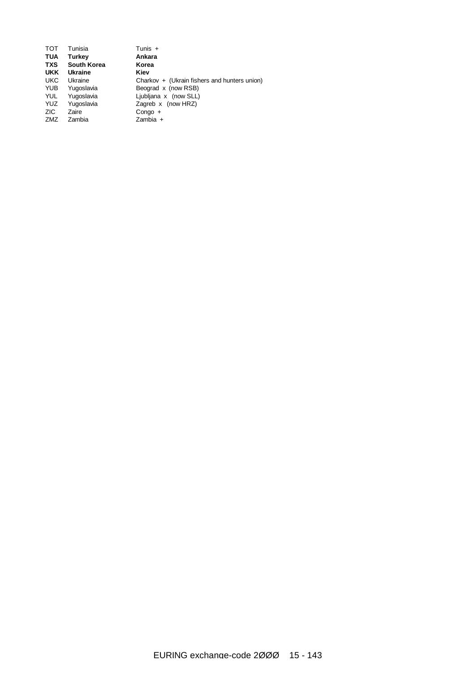| <b>TOT</b> | Tunisia            | Tunis $+$                                    |
|------------|--------------------|----------------------------------------------|
| <b>TUA</b> | Turkey             | Ankara                                       |
| <b>TXS</b> | <b>South Korea</b> | Korea                                        |
| <b>UKK</b> | <b>Ukraine</b>     | Kiev                                         |
| <b>UKC</b> | Ukraine            | Charkov + (Ukrain fishers and hunters union) |
| <b>YUB</b> | Yugoslavia         | Beograd x (now RSB)                          |
| YUL        | Yugoslavia         | Liubliana x (now SLL)                        |
| <b>YUZ</b> | Yugoslavia         | Zagreb $x$ (now HRZ)                         |
| ZIC.       | Zaire              | $Conqo +$                                    |
| ZMZ        | Zambia             | $Zambia +$                                   |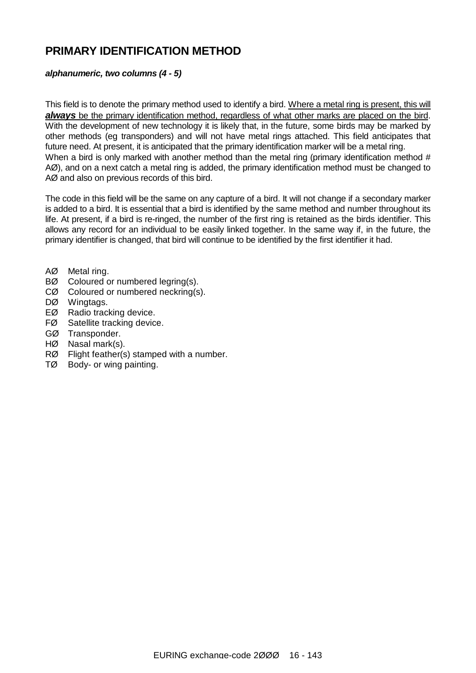### **PRIMARY IDENTIFICATION METHOD**

### *alphanumeric, two columns (4 - 5)*

This field is to denote the primary method used to identify a bird. Where a metal ring is present, this will *always* be the primary identification method, regardless of what other marks are placed on the bird. With the development of new technology it is likely that, in the future, some birds may be marked by other methods (eg transponders) and will not have metal rings attached. This field anticipates that future need. At present, it is anticipated that the primary identification marker will be a metal ring. When a bird is only marked with another method than the metal ring (primary identification method # AØ), and on a next catch a metal ring is added, the primary identification method must be changed to AØ and also on previous records of this bird.

The code in this field will be the same on any capture of a bird. It will not change if a secondary marker is added to a bird. It is essential that a bird is identified by the same method and number throughout its life. At present, if a bird is re-ringed, the number of the first ring is retained as the birds identifier. This allows any record for an individual to be easily linked together. In the same way if, in the future, the primary identifier is changed, that bird will continue to be identified by the first identifier it had.

- AØ Metal ring.
- BØ Coloured or numbered legring(s).
- CØ Coloured or numbered neckring(s).
- DØ Wingtags.
- EØ Radio tracking device.
- FØ Satellite tracking device.
- GØ Transponder.
- HØ Nasal mark(s).
- RØ Flight feather(s) stamped with a number.
- TØ Body- or wing painting.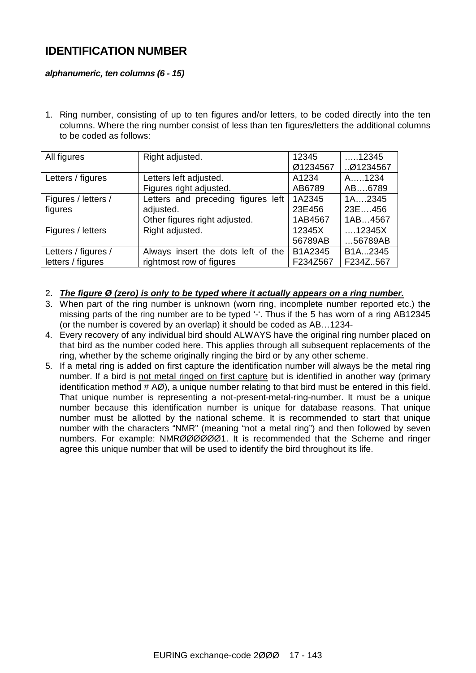### **IDENTIFICATION NUMBER**

### *alphanumeric, ten columns (6 - 15)*

1. Ring number, consisting of up to ten figures and/or letters, to be coded directly into the ten columns. Where the ring number consist of less than ten figures/letters the additional columns to be coded as follows:

| All figures         | Right adjusted.                    | 12345    | $\dots$ 12345          |
|---------------------|------------------------------------|----------|------------------------|
|                     |                                    | Ø1234567 | 01234567               |
| Letters / figures   | Letters left adjusted.             | A1234    | A1234                  |
|                     | Figures right adjusted.            | AB6789   | AB6789                 |
| Figures / letters / | Letters and preceding figures left | 1A2345   | $1A$ 2345              |
| figures             | adjusted.                          | 23E456   | 23E456                 |
|                     | Other figures right adjusted.      | 1AB4567  | 1AB4567                |
| Figures / letters   | Right adjusted.                    | 12345X   | $\dots$ 12345 $\times$ |
|                     |                                    | 56789AB  | 56789AB                |
| Letters / figures / | Always insert the dots left of the | B1A2345  | B <sub>1</sub> A2345   |
| letters / figures   | rightmost row of figures           | F234Z567 | F234Z567               |

- 2. *The figure Ø (zero) is only to be typed where it actually appears on a ring number.*
- 3. When part of the ring number is unknown (worn ring, incomplete number reported etc.) the missing parts of the ring number are to be typed '-'. Thus if the 5 has worn of a ring AB12345 (or the number is covered by an overlap) it should be coded as AB…1234-
- 4. Every recovery of any individual bird should ALWAYS have the original ring number placed on that bird as the number coded here. This applies through all subsequent replacements of the ring, whether by the scheme originally ringing the bird or by any other scheme.
- 5. If a metal ring is added on first capture the identification number will always be the metal ring number. If a bird is not metal ringed on first capture but is identified in another way (primary identification method  $# AØ$ ), a unique number relating to that bird must be entered in this field. That unique number is representing a not-present-metal-ring-number. It must be a unique number because this identification number is unique for database reasons. That unique number must be allotted by the national scheme. It is recommended to start that unique number with the characters "NMR" (meaning "not a metal ring") and then followed by seven numbers. For example: NMRØØØØØØ1. It is recommended that the Scheme and ringer agree this unique number that will be used to identify the bird throughout its life.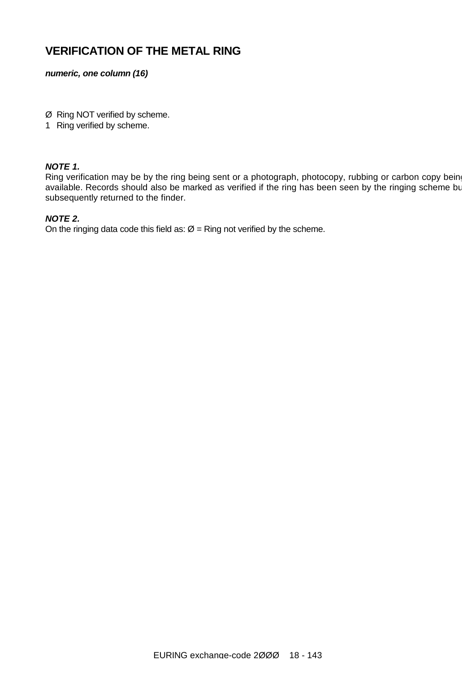### **VERIFICATION OF THE METAL RING**

*numeric, one column (16)*

Ø Ring NOT verified by scheme.

1 Ring verified by scheme.

### *NOTE 1.*

Ring verification may be by the ring being sent or a photograph, photocopy, rubbing or carbon copy being available. Records should also be marked as verified if the ring has been seen by the ringing scheme bu subsequently returned to the finder.

### *NOTE 2.*

On the ringing data code this field as:  $\varnothing$  = Ring not verified by the scheme.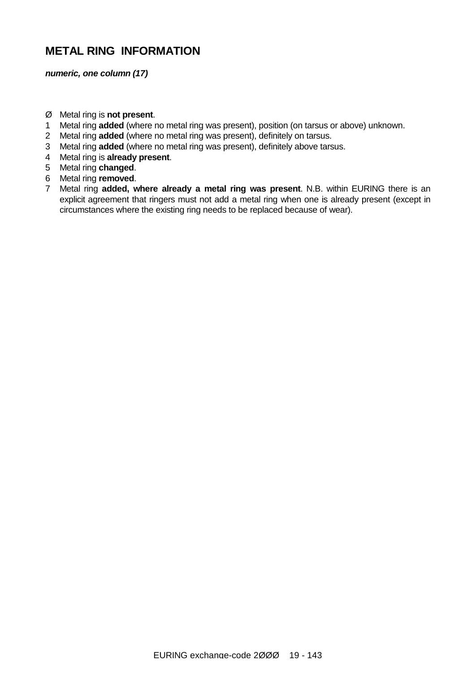### **METAL RING INFORMATION**

*numeric, one column (17)*

- Ø Metal ring is **not present**.
- 1 Metal ring **added** (where no metal ring was present), position (on tarsus or above) unknown.
- 2 Metal ring **added** (where no metal ring was present), definitely on tarsus.
- 3 Metal ring **added** (where no metal ring was present), definitely above tarsus.
- 4 Metal ring is **already present**.
- 5 Metal ring **changed**.
- 6 Metal ring **removed**.
- 7 Metal ring **added, where already a metal ring was present**. N.B. within EURING there is an explicit agreement that ringers must not add a metal ring when one is already present (except in circumstances where the existing ring needs to be replaced because of wear).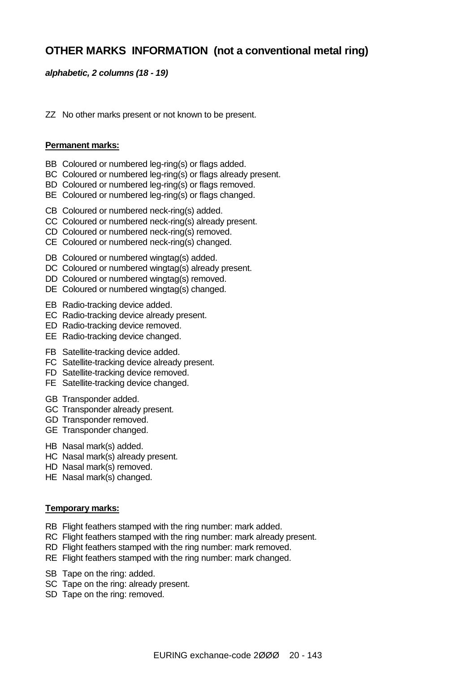### **OTHER MARKS INFORMATION (not a conventional metal ring)**

### *alphabetic, 2 columns (18 - 19)*

ZZ No other marks present or not known to be present.

#### **Permanent marks:**

- BB Coloured or numbered leg-ring(s) or flags added.
- BC Coloured or numbered leg-ring(s) or flags already present.
- BD Coloured or numbered leg-ring(s) or flags removed.
- BE Coloured or numbered leg-ring(s) or flags changed.
- CB Coloured or numbered neck-ring(s) added.
- CC Coloured or numbered neck-ring(s) already present.
- CD Coloured or numbered neck-ring(s) removed.
- CE Coloured or numbered neck-ring(s) changed.
- DB Coloured or numbered wingtag(s) added.
- DC Coloured or numbered wingtag(s) already present.
- DD Coloured or numbered wingtag(s) removed.
- DE Coloured or numbered wingtag(s) changed.
- EB Radio-tracking device added.
- EC Radio-tracking device already present.
- ED Radio-tracking device removed.
- EE Radio-tracking device changed.
- FB Satellite-tracking device added.
- FC Satellite-tracking device already present.
- FD Satellite-tracking device removed.
- FE Satellite-tracking device changed.
- GB Transponder added.
- GC Transponder already present.
- GD Transponder removed.
- GE Transponder changed.
- HB Nasal mark(s) added.
- HC Nasal mark(s) already present.
- HD Nasal mark(s) removed.
- HE Nasal mark(s) changed.

#### **Temporary marks:**

- RB Flight feathers stamped with the ring number: mark added.
- RC Flight feathers stamped with the ring number: mark already present.
- RD Flight feathers stamped with the ring number: mark removed.
- RE Flight feathers stamped with the ring number: mark changed.
- SB Tape on the ring: added.
- SC Tape on the ring: already present.
- SD Tape on the ring: removed.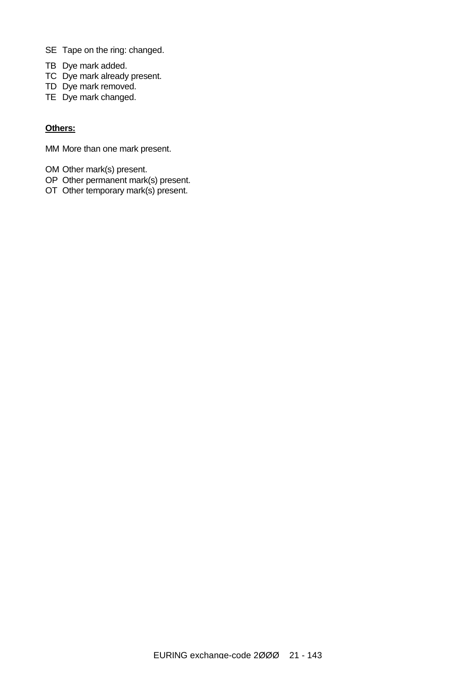- SE Tape on the ring: changed.
- TB Dye mark added.
- TC Dye mark already present.
- TD Dye mark removed.
- TE Dye mark changed.

#### **Others:**

MM More than one mark present.

- OM Other mark(s) present.
- OP Other permanent mark(s) present.
- OT Other temporary mark(s) present.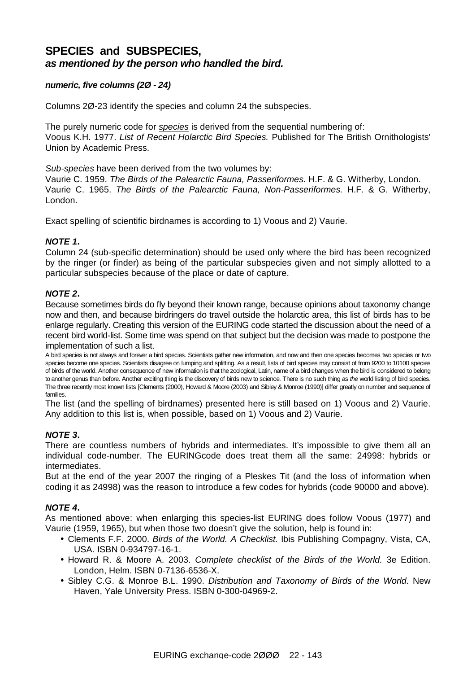### **SPECIES and SUBSPECIES,**  *as mentioned by the person who handled the bird.*

### *numeric, five columns (2Ø - 24)*

Columns 2Ø-23 identify the species and column 24 the subspecies.

The purely numeric code for *species* is derived from the sequential numbering of: Voous K.H. 1977. *List of Recent Holarctic Bird Species.* Published for The British Ornithologists' Union by Academic Press.

#### *Sub-species* have been derived from the two volumes by:

Vaurie C. 1959. *The Birds of the Palearctic Fauna, Passeriformes.* H.F. & G. Witherby, London. Vaurie C. 1965. *The Birds of the Palearctic Fauna, Non-Passeriformes.* H.F. & G. Witherby, London.

Exact spelling of scientific birdnames is according to 1) Voous and 2) Vaurie.

### *NOTE 1***.**

Column 24 (sub-specific determination) should be used only where the bird has been recognized by the ringer (or finder) as being of the particular subspecies given and not simply allotted to a particular subspecies because of the place or date of capture.

### *NOTE 2***.**

Because sometimes birds do fly beyond their known range, because opinions about taxonomy change now and then, and because birdringers do travel outside the holarctic area, this list of birds has to be enlarge regularly. Creating this version of the EURING code started the discussion about the need of a recent bird world-list. Some time was spend on that subject but the decision was made to postpone the implementation of such a list.

A bird species is not always and forever a bird species. Scientists gather new information, and now and then one species becomes two species or two species become one species. Scientists disagree on lumping and splitting. As a result, lists of bird species may consist of from 9200 to 10100 species of birds of the world. Another consequence of new information is that the zoological, Latin, name of a bird changes when the bird is considered to belong to another genus than before. Another exciting thing is the discovery of birds new to science. There is no such thing as *the* world listing of bird species. The three recently most known lists [Clements (2000), Howard & Moore (2003) and Sibley & Monroe (1990)] differ greatly on number and sequence of families.

The list (and the spelling of birdnames) presented here is still based on 1) Voous and 2) Vaurie. Any addition to this list is, when possible, based on 1) Voous and 2) Vaurie.

### *NOTE 3***.**

There are countless numbers of hybrids and intermediates. It's impossible to give them all an individual code-number. The EURINGcode does treat them all the same: 24998: hybrids or intermediates.

But at the end of the year 2007 the ringing of a Pleskes Tit (and the loss of information when coding it as 24998) was the reason to introduce a few codes for hybrids (code 90000 and above).

### *NOTE 4***.**

As mentioned above: when enlarging this species-list EURING does follow Voous (1977) and Vaurie (1959, 1965), but when those two doesn't give the solution, help is found in:

- Clements F.F. 2000. *Birds of the World. A Checklist.* Ibis Publishing Compagny, Vista, CA, USA. ISBN 0-934797-16-1.
- Howard R. & Moore A. 2003. *Complete checklist of the Birds of the World.* 3e Edition. London, Helm. ISBN 0-7136-6536-X.
- Sibley C.G. & Monroe B.L. 1990. *Distribution and Taxonomy of Birds of the World.* New Haven, Yale University Press. ISBN 0-300-04969-2.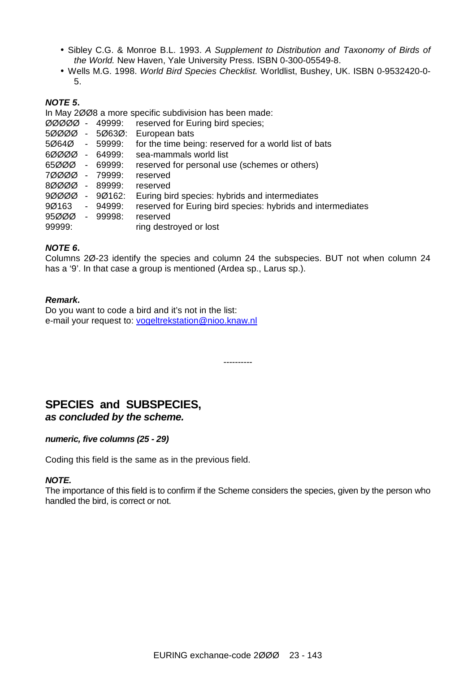- Sibley C.G. & Monroe B.L. 1993. *A Supplement to Distribution and Taxonomy of Birds of the World.* New Haven, Yale University Press. ISBN 0-300-05549-8.
- Wells M.G. 1998. *World Bird Species Checklist.* Worldlist, Bushey, UK. ISBN 0-9532420-0- 5.

### *NOTE 5***.**

In May 2ØØ8 a more specific subdivision has been made:

- ØØØØØ 49999: reserved for Euring bird species;
- 5ØØØØ 5Ø63Ø: European bats
- 5Ø64Ø 59999: for the time being: reserved for a world list of bats
- 6ØØØØ 64999: sea-mammals world list
- 65ØØØ 69999: reserved for personal use (schemes or others)
- 7ØØØØ 79999: reserved
- 8ØØØØ 89999: reserved
- 9ØØØØ 9Ø162: Euring bird species: hybrids and intermediates
- 9Ø163 94999: reserved for Euring bird species: hybrids and intermediates
- 95ØØØ 99998: reserved
- 99999: ring destroyed or lost

### *NOTE 6***.**

Columns 2Ø-23 identify the species and column 24 the subspecies. BUT not when column 24 has a '9'. In that case a group is mentioned (Ardea sp., Larus sp.).

#### *Remark.*

Do you want to code a bird and it's not in the list: e-mail your request to: [vogeltrekstation@nioo.knaw.nl](mailto:vogeltrekstation@nioo.knaw.nl)

----------

### **SPECIES and SUBSPECIES,**  *as concluded by the scheme.*

### *numeric, five columns (25 - 29)*

Coding this field is the same as in the previous field.

#### *NOTE.*

The importance of this field is to confirm if the Scheme considers the species, given by the person who handled the bird, is correct or not.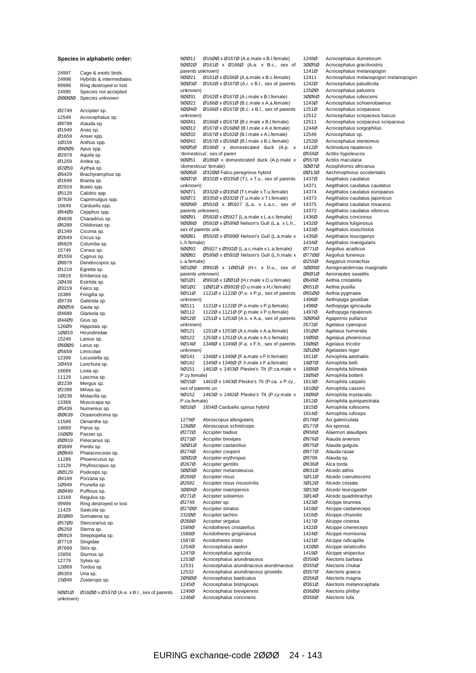#### **Species in alphabetic order:**

| 24997 | Cage & exotic birds                                                                               |
|-------|---------------------------------------------------------------------------------------------------|
| 24998 | Hybrids & intermediates                                                                           |
| 99999 | Ring destroyed or lost                                                                            |
| 24995 | Species not accepted                                                                              |
| 00000 | Species unknown                                                                                   |
|       |                                                                                                   |
| Ø2749 | Accipiter sp.                                                                                     |
| 12549 | Acrocephalus sp.                                                                                  |
| Ø9799 | Alauda sp.                                                                                        |
| Ø1949 | Anas sp.                                                                                          |
| Ø1659 | Anser spp.                                                                                        |
| 1Ø159 | Anthus spp.                                                                                       |
| 08009 | Apus spp.                                                                                         |
| Ø2979 | Aquila sp.                                                                                        |
| Ø1259 | Ardea sp.                                                                                         |
| 02059 | Aythya sp.                                                                                        |
| Ø6429 | Brachyramphus sp.                                                                                 |
| Ø1699 | Branta sp.                                                                                        |
| Ø2919 | Buteo spp.                                                                                        |
| Ø5129 | Calidris spp.                                                                                     |
| Ø7839 |                                                                                                   |
|       | Caprimulgus spp.                                                                                  |
| 16649 | Carduelis spp.                                                                                    |
| 06409 | Cepphus spp.                                                                                      |
| Ø4839 | Charadrius sp.                                                                                    |
| Ø6289 | Chlidonias sp.                                                                                    |
| Ø1349 | Ciconia sp.                                                                                       |
| Ø2649 | Circus sp.                                                                                        |
| Ø6829 | Columba sp.                                                                                       |
| 15749 | Corvus sp.                                                                                        |
| Ø1559 | Cygnus sp.                                                                                        |
| Ø8979 | Dendrocopos sp.                                                                                   |
| Ø1219 | Egretta sp.                                                                                       |
| 18819 | Emberiza sp.                                                                                      |
| 20439 | Estrilda sp.                                                                                      |
| Ø3219 | Falco sp.                                                                                         |
| 16389 | Fringilla sp.                                                                                     |
| Ø9739 | Galerida sp.                                                                                      |
| 00059 | Gavia sp.                                                                                         |
| Ø4689 | Glareola sp.                                                                                      |
| Ø44Ø9 | Grus sp.                                                                                          |
| 126Ø9 | Hippolais sp.                                                                                     |
| 10019 | Hirundinidae                                                                                      |
| 15249 | Lanius sp.                                                                                        |
| 06009 | Larus sp.                                                                                         |
| Ø5659 | Limicolae                                                                                         |
| 12399 | Locustella sp.                                                                                    |
| 2Ø459 | Lonchura sp.                                                                                      |
| 16689 | Loxia sp.                                                                                         |
| 11129 | Luscinia sp.                                                                                      |
| Ø2239 | Mergus sp.                                                                                        |
| Ø2399 | Milvus sp.                                                                                        |
| 1Ø239 | Motacilla sp.                                                                                     |
| 13369 | Muscicapa sp.                                                                                     |
| Ø5439 | Numenius sp.                                                                                      |
| ØØ639 | Oceanodroma sp.                                                                                   |
| 11589 | Oenanthe sp.                                                                                      |
| 14669 | Parus sp.                                                                                         |
| 16ØØ9 | Passer sp.                                                                                        |
| ØØ919 | Pelecanus sp.                                                                                     |
| Ø3699 | Perdix sp.                                                                                        |
| ØØ849 | Phalacrocorax sp.                                                                                 |
| 11289 | Phoenicurus sp.                                                                                   |
| 13129 |                                                                                                   |
| 00129 | Phylloscopus sp.                                                                                  |
| Ø4169 | Podiceps sp.<br>Porzana sp.                                                                       |
| 1Ø949 |                                                                                                   |
|       | Prunella sp.                                                                                      |
| ØØ499 | Puffinus sp.                                                                                      |
| 13169 | Regulus sp.                                                                                       |
| 99999 | Ring destroyed or lost                                                                            |
| 11429 | Saxicola sp.                                                                                      |
| 02089 | Somateria sp.                                                                                     |
| 05709 | Stercorarius sp.                                                                                  |
| Ø6259 | Sterna sp.                                                                                        |
| Ø6919 | Streptopelia sp.                                                                                  |
| 07719 | Strigidae                                                                                         |
| Ø7669 | Strix sp.                                                                                         |
| 15859 | Sturnus sp.                                                                                       |
| 12779 | Sylvia sp.                                                                                        |
| 12Ø69 | Turdus sp.                                                                                        |
| Ø6359 | Uria sp.                                                                                          |
| 15Ø49 | Zosterops sp.                                                                                     |
|       |                                                                                                   |
| 90010 | $\emptyset$ 16 $\emptyset$ $\emptyset$ x $\emptyset$ 167 $\emptyset$ (A.e. x B.I., sex of parents |

unknown)

9ØØ11 Ø16ØØ x Ø167Ø (A.e.male x B.l.female) Ø161Ø x Ø166Ø (A.a. x B.c., sex of parents unknown) .<br>9ØØ21 Ø161Ø x Ø166Ø (A.a.male x B.c.female) 9ØØ3Ø Ø162Ø x Ø167Ø (A.i. x B.l., sex of parents unknown) 9ØØ31 Ø162Ø x Ø167Ø (A.i.male x B.l.female) 9ØØ22 Ø166Ø x Ø161Ø (B.c.male x A.a.female)<br>9ØØ4Ø Ø166Ø x Ø167Ø (B.c. x B.L. sex of parer  $Ø166Ø \times Ø167Ø$  (B.c. x B.l., sex of parents unknown) 9ØØ41 Ø166Ø x Ø167Ø (B.c.male x B.l.female)<br>9ØØ12 Ø167Ø x Ø16ØØ (B.l.male x A.e.female) 9ØØ12 Ø167Ø x Ø16ØØ (B.I.male x A.e.female)<br>9ØØ32 Ø167Ø x Ø162Ø (B.I.male x A.i.female) 9ØØ32 Ø167Ø x Ø162Ø (B.l.male x A.i.female) 9ØØ42 Ø167Ø x Ø166Ø (B.l.male x B.c.female) 9ØØ5Ø Ø186Ø x domesticated duck (A.p. x 'domesticus', sex of paren 9ØØ51 Ø186Ø x domesticated duck (A.p.male x 'domesticus' female) 9ØØ6Ø Ø32ØØ Falco peregrinus hybrid<br>9ØØ7Ø Ø332Ø x Ø335Ø (T.t. x T.u., sex 9ØØ7Ø Ø332Ø x Ø335Ø (T.t. x T.u., sex of parents unknown) 9ØØ71 *Ø332Ø x Ø335Ø (T.t.male x T.u.female)*<br>9ØØ72 Ø335Ø x Ø332Ø (T.u.male x T.t.female) 9ØØ72 Ø335Ø x Ø332Ø (T.u.male x T.t.female) 9ØØ9Ø Ø592Ø x Ø5927 (L.a. x L.a.c., sex of parents unknown) 9ØØ91 Ø592Ø x Ø5927 (L.a.male x L.a.c.female) 9ØØ8Ø Ø592Ø x Ø599Ø Nelson's Gull (L.a. x L.h., sex of parents unk<br>90081 05920 Ø592Ø x Ø599Ø Nelson's Gull (L.a.male x L.h.female) 9ØØ92 Ø5927 x Ø592Ø (L.a.c.male x L.a.female) Ø599Ø x Ø592Ø Nelson's Gull (L.h.male x L.a.female) 9Ø1ØØ Ø992Ø x 1ØØ1Ø (H.r. x D.u., sex of parents unknown)<br>90101 09920 9Ø1Ø1 Ø992Ø x 1ØØ1Ø (H.r.male x D.u.female) 9Ø1Ø2 1ØØ1Ø x Ø992Ø (D.u.male x H.r.female) 9Ø11Ø 1121Ø x 1122Ø (P.o. x P.p., sex of parents unknown)<br>9Ø111 9Ø111 1121Ø x 1122Ø (P.o.male x P.p.female)<br>9Ø112 1122Ø x 1121Ø (P.p.male x P.o.female) 1122Ø x 1121Ø (P.p.male x P.o.female) 9Ø12Ø 1251Ø x 1253Ø (A.s. x A.a., sex of parents unknown) 9Ø121 1251Ø x 1253Ø (A.s.male x A.a.female) 9Ø122 1253Ø x 1251Ø (A.a.male x A.s.female)<br>9Ø14Ø 1348Ø x 1349Ø (F.a. x F.h., sex of pare 1348Ø x 1349Ø (F.a. x F.h., sex of parents unknown)<br>9Ø141 1348Ø x 1349Ø (F.a.male x F.h.female) 9Ø142 1349Ø x 1348Ø (F.h.male x F.a.female) 9Ø151 1462Ø x 1453Ø Pleske's Tit (P.ca.male x P.cy.female)<br>90150 14 1462Ø x 1463Ø Pleske's Tit (P.ca. x P.cy., sex of parents un 9Ø152 1463Ø x 1462Ø Pleske's Tit (P.cy.male x P.ca.female) 9Ø16Ø 1654Ø Carduelis spinus hybrid 1279Ø Abroscopus albogularis<br>128ØØ Abroscopus schisticeps Abroscopus schisticeps Ø272Ø Accipiter badius Ø273Ø Accipiter brevipes<br>30010 Accipiter castanili Accipiter castanilius Ø274Ø Accipiter cooperii Accipiter erythropus Ø267Ø Accipiter gentilis<br>30030 Accipiter melano Accipiter melanoleucus Ø269Ø Accipiter nisus Ø2692 Accipiter nisus nisosimilis<br>3ØØ4Ø Accipiter ovampensis 3ØØ4Ø Accipiter ovampensis<br>Ø271Ø Accipiter soloensis Ø271Ø Accipiter soloensis<br>Ø2749 Accipiter sp. Accipiter sp. Ø27ØØ Accipiter striatus 23200 Accipiter tachiro<br>02680 Accipiter virgatus Ø268Ø Accipiter virgatus<br>1589Ø Acridotheres crist 1589Ø Acridotheres cristatellus<br>1588Ø Acridotheres ginginianus Acridotheres ginginianus 1587Ø Acridotheres tristis<br>1254Ø Acrocenhalus aedi Acrocephalus aedon 1247Ø Acrocephalus agricola<br>1253Ø Acrocephalus arundina 1253Ø Acrocephalus arundinaceus<br>12531 Acrocephalus arundinaceus 12531 Acrocephalus arundinaceus arundinaceus<br>12532 Acrocephalus arundinaceus griseldis Acrocephalus arundinaceus griseldis 2Ø9ØØ Acrocephalus baeticatus 1245Ø Acrocephalus bistrigiceps 1249Ø Acrocephalus brevipennis 1246Ø Acrocephalus concinens

1248Ø Acrocephalus dumetorum<br>30050 Acrocephalus gracilirostris Acrocephalus gracilirostris 1241Ø Acrocephalus melanopogon 12411 Acrocephalus melanopogon melanopogon 1242Ø Acrocephalus paludicola<br>12500 Acrocephalus palustris 125ØØ Acrocephalus palustris 3ØØ6Ø Acrocephalus rufescens 1243Ø Acrocephalus schoenobaenus<br>1251Ø Acrocephalus scirpaceus Acrocephalus scirpaceus 12512 Acrocephalus scirpaceus fuscus 12511 Acrocephalus scirpaceus scirpaceus 1244Ø Acrocephalus sorgophilus<br>12549 Acrocephalus sp. Acrocephalus sp. 1252Ø Acrocephalus stentoreus 1412Ø Actinodura nipalensis Ø556Ø Actitis hypoleucos Ø557Ø Actitis macularia<br>3007Ø Actophilornis afri Actophilornis africanus ØØ13Ø Aechmophorus occidentalis<br>1437Ø Aegithalos caudatus Aegithalos caudatus 14371 Aegithalos caudatus caudatus 14374 Aegithalos caudatus europaeus<br>14373 Aegithalos caudatus iaponicus 14373 Aegithalos caudatus japonicus<br>14375 Aegithalos caudatus rosaceus 14375 Aegithalos caudatus rosaceus<br>14372 Aegithalos caudatus sibiricus Aegithalos caudatus sibiricus 1436Ø Aegithalos concinnus 1432Ø Aegithalos fuliginosus 1433Ø Aegithalos iouschistos<br>1435Ø Aegithalos leucogenys Aegithalos leucogenys 1434Ø Aegithalos niveogularis Ø771Ø Aegolius acadicus Aegolius funereus Ø255Ø Aegypius monachus 3ØØ8Ø Aenigmatolimnas marginalis<br>Ø8Ø1Ø Aeronautes saxatilis Ø8Ø1Ø Aeronautes saxatilis<br>Ø649Ø Aethia cristatella Aethia cristatella Ø651Ø Aethia pusilla<br>Ø65ØØ Aethia pygme Aethia pygmaea 1496Ø Aethopyga gouldiae 1498Ø Aethopyga ignicauda<br>1497Ø Aethopyga nipalensis Aethopyga nipalensis 3ØØ9Ø Agapornis pullarius<br>2672Ø Agelaius cyanopus Agelaius cyanopus 191ØØ Agelaius humeralis 19Ø9Ø Agelaius phoeniceus<br>19Ø8Ø Agelaius tricolor 19Ø8Ø Agelaius tricolor<br>3Ø1ØØ Agelastes niger 3Ø1ØØ Agelastes niger<br>1811Ø Aimophila aesti Aimophila aestivalis 18Ø7Ø Aimophila belli 18Ø6Ø Aimophila bilineata 18Ø9Ø Aimophila botterii<br>1813Ø Aimophila carpalis Aimophila carpalis 181ØØ Aimophila cassinii 18Ø8Ø Aimophila mystacalis<br>1812Ø Aimophila quinquestr Aimophila quinquestriata 1815Ø Aimophila rufescens<br>1814Ø Aimophila ruficens 1814Ø Aimophila ruficeps<br>Ø178Ø Aix galericulata Ø178Ø Aix galericulata<br>Ø177Ø Aix sponsa Aix sponsa Ø958Ø Alaemon alaudipes Ø976Ø Alauda arvensis Ø975Ø Alauda gulgula Ø977Ø Alauda razae<br>Ø9799 Alauda sp. Alauda sp. Ø636Ø Alca torda<br>Ø831Ø Alcedo at Alcedo atthis 3Ø11Ø Alcedo coerulescens 3Ø12Ø Alcedo cristata 3Ø13Ø Alcedo leucogaster<br>3Ø14Ø Alcedo quadribrach 3Ø14Ø Alcedo quadribrachys<br>1423Ø Alcippe brunnea Alcippe brunnea 1418Ø Alcippe castaneceps 1416Ø Alcippe chrysotis 1417Ø Alcippe cinerea<br>1422Ø Alcippe cinereic 1422Ø Alcippe cinereiceps<br>1424Ø Alcippe morrisonia Alcippe morrisonia 1421Ø Alcippe ruficapilla<br>14200 Alcippe striaticollis Alcippe striaticollis 1419Ø Alcippe vinipectus<br>Ø359Ø Alectoris barbara Ø359Ø Alectoris barbara<br>Ø355Ø Alectoris chukar Ø355Ø Alectoris chukar<br>Ø357Ø Alectoris graeca Alectoris graeca Ø356Ø Alectoris magna Ø361Ø Alectoris melanocephala Ø36ØØ Alectoris philbyi Ø358Ø Alectoris rufa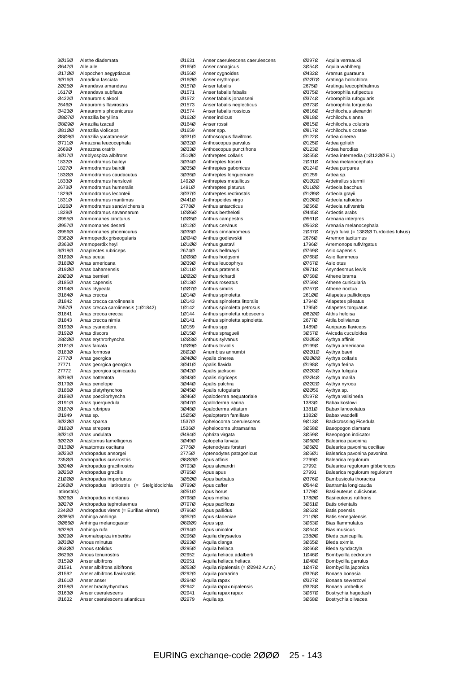| Alethe diademata                                    |
|-----------------------------------------------------|
| Alle alle                                           |
| Alopochen aegyptiacus                               |
| Amadina fasciata                                    |
| Amandava amandava                                   |
| Amandava subflava                                   |
| Amaurornis akool                                    |
| Amaurornis flavirostris                             |
| Amaurornis phoenicurus                              |
| Amazilia beryllina                                  |
| Amazilia tzacatl                                    |
| Amazilia violiceps                                  |
| Amazilia yucatanensis                               |
| Amazona leucocephala                                |
| Amazona oratrix                                     |
| Amblyospiza albifrons<br>Ammodramus baileyi         |
| Ammodramus bairdii                                  |
| Ammodramus caudacutus                               |
| Ammodramus henslowii                                |
| Ammodramus humeralis                                |
| Ammodramus leconteii                                |
| Ammodramus maritimus                                |
| Ammodramus sandwichensis                            |
| Ammodramus savannarum                               |
| Ammomanes cincturus                                 |
| Ammomanes deserti                                   |
| Ammomanes phoenicurus                               |
| Ammoperdix griseogularis                            |
| Ammoperdix heyi                                     |
| Anaplectes rubriceps                                |
| Anas acuta                                          |
| Anas americana                                      |
| Anas bahamensis                                     |
| Anas bernieri                                       |
| Anas capensis                                       |
| Anas clypeata                                       |
| Anas crecca                                         |
| Anas crecca carolinensis                            |
| Anas crecca carolinensis (=Ø1842)                   |
| Anas crecca crecca                                  |
| Anas crecca nimia                                   |
| Anas cyanoptera                                     |
| Anas discors                                        |
| Anas erythrorhyncha                                 |
| Anas falcata                                        |
| Anas formosa                                        |
| Anas georgica                                       |
| Anas georgica georgica                              |
| Anas georgica spinicauda                            |
| Anas hottentota                                     |
| Anas penelope                                       |
| Anas platyrhynchos                                  |
| Anas poecilorhyncha                                 |
| Anas querquedula                                    |
| Anas rubripes                                       |
| Anas sp.                                            |
| Anas sparsa                                         |
| Anas strepera                                       |
| Anas undulata                                       |
| Anastomus lamelligerus<br>Anastomus oscitans        |
| Andropadus ansorgei                                 |
| Andropadus curvirostris                             |
| Andropadus gracilirostris                           |
| Andropadus gracilis                                 |
| Andropadus importunus                               |
| Andropadus latirostris (= Stelgidocichla            |
| latirostris)                                        |
| Andropadus montanus                                 |
| Andropadus tephrolaemus                             |
| Andropadus virens (= Eurillas virens)               |
| Anhinga anhinga                                     |
| Anhinga melanogaster                                |
| Anhinga rufa                                        |
| Anomalospiza imberbis                               |
| Anous minutus                                       |
| Anous stolidus                                      |
| Anous tenuirostris                                  |
|                                                     |
| Anser albifrons                                     |
| Anser albifrons albifrons                           |
| Anser albifrons flavirostris                        |
| Anser anser                                         |
| Anser brachyrhynchus                                |
| Anser caerulescens<br>Anser caerulescens atlanticus |
|                                                     |

| Ø1631 | Anser caerulescens caerulescens    |
|-------|------------------------------------|
| Ø165Ø | Anser canagicus                    |
| Ø156Ø | Anser cygnoides                    |
| 01600 | Anser erythropus                   |
|       |                                    |
| Ø157Ø | Anser fabalis                      |
| Ø1571 | Anser fabalis fabalis              |
| Ø1572 | Anser fabalis jonanseni            |
| Ø1573 | Anser fabalis neglecticus          |
|       |                                    |
| Ø1574 | Anser fabalis rossicus             |
| Ø162Ø | Anser indicus                      |
| Ø164Ø | Anser rossii                       |
|       |                                    |
| Ø1659 | Anser spp.                         |
| 30310 | Anthoscopus flavifrons             |
| 30320 | Anthoscopus parvulus               |
| 30330 | Anthoscopus punctifrons            |
|       |                                    |
| 251ØØ | Anthreptes collaris                |
| 30340 | Anthreptes fraseri                 |
| 30350 | Anthreptes gabonicus               |
| 30360 | Anthreptes longuemarei             |
|       |                                    |
| 1492Ø | Anthreptes metallicus              |
| 1491Ø | Anthreptes platurus                |
| 30370 | Anthreptes rectirostris            |
| Ø441Ø | Anthropoides virgo                 |
|       |                                    |
| 2778Ø | Anthus antarcticus                 |
| 10060 | Anthus berthelotii                 |
| 10050 | Anthus campestris                  |
|       |                                    |
| 10120 | Anthus cervinus                    |
| 30380 | Anthus cinnamomeus                 |
| 10040 | Anthus godlewskii                  |
| 10100 | Anthus gustavi                     |
|       |                                    |
| 2674Ø | Anthus hellmayri                   |
| 10080 | Anthus hodgsoni                    |
| 30390 | Anthus leucophrys                  |
| 10110 | Anthus pratensis                   |
|       |                                    |
| 10020 | Anthus richardi                    |
| 10130 | Anthus roseatus                    |
| 10070 | Anthus similis                     |
|       |                                    |
| 10140 | Anthus spinoletta                  |
| 1Ø143 | Anthus spinoletta littoralis       |
| 1Ø142 | Anthus spinoletta petrosus         |
| 1Ø144 | Anthus spinoletta rubescens        |
|       |                                    |
| 1Ø141 | Anthus spinoletta spinoletta       |
| 1Ø159 | Anthus spp.                        |
| 10150 | Anthus spragueii                   |
| 10030 | Anthus sylvanus                    |
|       |                                    |
| 10090 | Anthus trivialis                   |
| 28Ø2Ø | Anumbius annumbi                   |
| 30400 | Apalis cinerea                     |
| 30410 | Apalis flavida                     |
|       |                                    |
| 30420 | Apalis jacksoni                    |
| 30430 | Apalis nigriceps                   |
| 3Ø44Ø | Apalis pulchra                     |
| 30450 | Apalis rufogularis                 |
|       |                                    |
| 30460 | Apaloderma aequatoriale            |
| 30470 | Apaloderma narina                  |
| 3Ø48Ø | Apaloderma vittatum                |
|       |                                    |
| 15050 | Apalopteron familiare              |
| 1537Ø | Aphelocoma coerulescens            |
| 1536Ø | Aphelocoma ultramarina             |
| Ø494Ø | Aphriza virgata                    |
| 30490 | Aplopelia larvata                  |
|       |                                    |
| 2776Ø | Aptenodytes forsteri               |
| 2775Ø | Aptenodytes patagonicus            |
| 08000 | Apus affinis                       |
| 07930 | Apus alexandri                     |
|       |                                    |
| Ø795Ø | Apus apus                          |
| 30500 | Apus barbatus                      |
| Ø799Ø | Apus caffer                        |
|       |                                    |
| 30510 | Apus horus                         |
| Ø798Ø | Apus melba                         |
| Ø797Ø | Apus pacificus                     |
| Ø796Ø | Apus pallidus                      |
| 30520 | Apus sladeniae                     |
|       |                                    |
| 08009 | Apus spp.                          |
| Ø794Ø | Apus unicolor                      |
| 02960 | Aquila chrysaetos                  |
|       |                                    |
| Ø293Ø | Aquila clanga                      |
| Ø295Ø | Aquila heliaca                     |
| Ø2952 | Aquila heliaca adalberti           |
| Ø2951 | Aquila heliaca heliaca             |
|       |                                    |
| 30530 | Aquila nipalensis (= Ø2942 A.r.n.) |
| Ø292Ø | Aquila pomarina                    |
| Ø294Ø | Aquila rapax                       |
| Ø2942 | Aquila rapax nipalensis            |
|       |                                    |
| Ø2941 | Aquila rapax rapax                 |
|       |                                    |
| Ø2979 | Aquila sp.                         |

Ø297Ø Aquila verreauxii<br>30540 Aquila wahlbergi Aquila wahlbergi Ø432Ø Aramus guarauna Ø7Ø7Ø Aratinga holochlora<br>2675Ø Aratinga leucophtha 2675Ø Aratinga leucophthalmus<br>Ø375Ø Arborophila rufipectus Ø375Ø Arborophila rufipectus<br>Ø374Ø Arborophila rufogularis Arborophila rufogularis Ø373Ø Arborophila torqueola Ø816Ø Archilochus alexandri<br>Ø818Ø Archilochus anna Ø818Ø Archilochus anna<br>Ø815Ø Archilochus colub Ø815Ø Archilochus colubris<br>Ø817Ø Archilochus costae Ø817Ø Archilochus costae Ø122Ø Ardea cinerea<br>Ø125Ø Ardea goliath Ardea goliath Ø123Ø Ardea herodias 3Ø55Ø Ardea intermedia (=Ø12ØØ E.i.)<br>2Ø31Ø Ardea melanocephala 2Ø31Ø Ardea melanocephala<br>Ø124Ø Ardea purpurea Ardea purpurea Ø1259 Ardea sp. Ø1Ø2Ø Ardeirallus sturmii<br>Ø11ØØ Ardeola bacchus Ø11ØØ Ardeola bacchus<br>Ø1Ø9Ø Ardeola gravii Ø1Ø9Ø Ardeola grayii<br>Ø1Ø8Ø Ardeola ralloio Ø1Ø8Ø Ardeola ralloides 3Ø56Ø Ardeola rufiventris<br>Ø445Ø Ardeotis arabs Ø445Ø Ardeotis arabs<br>Ø561Ø Arenaria intern Arenaria interpres Ø562Ø Arenaria melanocephala 2Ø37Ø Argya fulva (= 138ØØ Turdoides fulvus) 2676Ø Arremon taciturnus<br>1796Ø Arremonops rufivirg Arremonops rufivirgatus Ø769Ø Asio capensis Ø768Ø Asio flammeus<br>Ø767Ø Asio otus Ø767Ø Asio otus<br>Ø871Ø Asyndesn Ø871Ø Asyndesmus lewis<br>Ø758Ø Athene brama Ø758Ø Athene brama<br>Ø759Ø Athene cunicul Ø759Ø Athene cunicularia<br>Ø757Ø Athene noctua Athene noctua 261ØØ Atlapetes pallidiceps<br>1794Ø Atlapetes pileatus 1794Ø Atlapetes pileatus<br>1795Ø Atlapetes torquatu 1795Ø Atlapetes torquatus<br>Ø82ØØ Atthis heloisa Atthis heloisa 2677Ø Attila bolivianus 1489Ø Auriparus flaviceps<br>3Ø57Ø Aviceda cuculoides 3Ø57Ø Aviceda cuculoides<br>Ø2Ø5Ø Aythya affinis Ø2Ø5Ø Aythya affinis<br>Ø199Ø Aythya amerio Ø199Ø Aythya americana Ø2Ø1Ø Aythya baeri Aythya collaris Ø198Ø Aythya ferina Ø2Ø3Ø Aythya fuligula<br>Ø2Ø4Ø Aythya marila Ø2Ø4Ø Aythya marila Ø2Ø2Ø Aythya nyroca Aythya sp. Ø197Ø Aythya valisineria 1383Ø Babax koslowi<br>1381Ø Babax lanceola Babax lanceolatus 1382Ø Babax waddelli<br>9Ø13Ø Backcrossing F 9Ø13Ø Backcrossing Ficedula<br>3Ø58Ø Baeopogon clamans 3Ø58Ø Baeopogon clamans Baeopogon indicator 3Ø6ØØ Balearica pavonina<br>3Ø6Ø2 Balearica pavonina 3Ø6Ø2 Balearica pavonina ceciliae 3Ø6Ø1 Balearica pavonina pavonina Balearica regulorum 27992 Balearica regulorum gibbericeps 27991 Balearica regulorum regulorum<br>Ø376Ø Bambusicola thoracica Ø376Ø Bambusicola thoracica<br>Ø544Ø Bartramia longicauda Ø544Ø Bartramia longicauda<br>1779Ø Basileuterus culicivor 1779Ø Basileuterus culicivorus<br>1780Ø Basileuterus rufifrons 178ØØ Basileuterus rufifrons<br>3Ø61Ø Batis orientalis Batis orientalis 3Ø62Ø Batis poensis 211ØØ Batis senegalensis<br>3Ø63Ø Bias flammulatus 3Ø63Ø Bias flammulatus 3Ø64Ø Bias musicus<br>238ØØ Bleda canicar 238ØØ Bleda canicapilla<br>3Ø65Ø Bleda eximia<br>3Ø66Ø Bleda syndactyla Bleda eximia 3Ø66Ø Bleda syndactyla<br>1Ø46Ø Bombycilla cedro 1Ø46Ø Bombycilla cedrorum<br>1Ø48Ø Bombycilla garrulus 1Ø48Ø Bombycilla garrulus<br>1Ø47Ø Bombycilla japonica 1Ø47Ø Bombycilla japonica<br>Ø326Ø Bonasa bonasia Bonasa bonasia Ø327Ø Bonasa sewerzowi Ø328Ø Bonasa umbellus<br>3Ø67Ø Bostrychia haqeda 3Ø67Ø Bostrychia hagedash<br>3Ø68Ø Bostrychia olivacea Bostrychia olivacea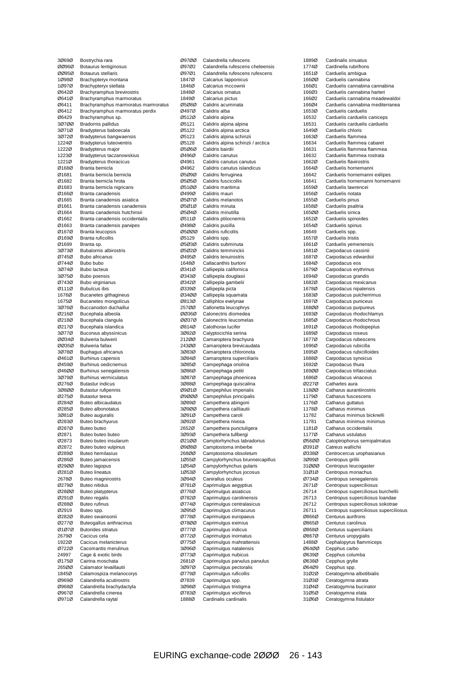|                | Bostrychia rara                                     |
|----------------|-----------------------------------------------------|
| ØØ96Ø          | Botaurus lentiginosus                               |
| 00950          | Botaurus stellaris                                  |
| 1Ø98Ø          | Brachypteryx montana                                |
| 10970          | Brachypteryx stellata                               |
| 06420          | Brachyramphus brevirostris                          |
| Ø641Ø          | Brachyramphus marmoratus                            |
| Ø6411          | Brachyramphus marmoratus marmoratus                 |
| Ø6412          | Brachyramphus marmoratus perdix                     |
| Ø6429          | Brachyramphus sp.                                   |
| 30700          | <b>Bradornis pallidus</b>                           |
| 30710          | Bradypterus baboecala                               |
| 30720          | Bradypterus bangwaensis                             |
| 1224Ø          | <b>Bradypterus luteoventris</b>                     |
| 1222Ø          | Bradypterus major                                   |
| 1223Ø          | Bradypterus taczanowskius                           |
| 1221Ø          | <b>Bradypterus thoracicus</b>                       |
| Ø168Ø          | Branta bernicla                                     |
| Ø1681          | Branta bernicla bernicla                            |
| Ø1682          | Branta bernicla hrota                               |
| Ø1683          | Branta bernicla nigricans                           |
| Ø166Ø          | Branta canadensis                                   |
| Ø1665          | Branta canadensis asiatica                          |
| Ø1661          | Branta canadensis canadensis                        |
| Ø1664          | Branta canadensis hutchinsii                        |
| Ø1662          | Branta canadensis occidentalis                      |
| Ø1663          | Branta canadensis parvipes                          |
| Ø167Ø          | Branta leucopsis                                    |
| 01690          | Branta ruficollis                                   |
| Ø1699          | Branta sp.                                          |
| 30730          | <b>Bubalornis albirostris</b>                       |
| Ø745Ø          | Bubo africanus                                      |
| Ø744Ø          | Bubo bubo                                           |
| 30740          | <b>Bubo lacteus</b>                                 |
| 30750          | <b>Bubo poensis</b>                                 |
| 07430          | Bubo virginianus                                    |
| Ø111Ø          | <b>Bubulcus ibis</b>                                |
| 1676Ø          | Bucanetes githagineus                               |
| 1675Ø          | Bucanetes mongolicus                                |
| 30760          | Buccanodon duchaillui                               |
| 02160          | Bucephala albeola                                   |
| Ø218Ø          | Bucephala clangula                                  |
| Ø217Ø<br>30770 | Bucephala islandica                                 |
| 00340          | Bucorvus abyssinicus<br>Bulweria bulwerii           |
|                | Bulweria fallax                                     |
|                |                                                     |
| 00350          |                                                     |
| 3Ø78Ø          | Buphagus africanus                                  |
| Ø461Ø          | Burhinus capensis                                   |
| Ø459Ø          | Burhinus oedicnemus                                 |
| 04600          | Burhinus senegalensis                               |
| 30790          | <b>Burhinus vermiculatus</b>                        |
| 02760          | <b>Butastur indicus</b>                             |
| 30800          | <b>Butastur rufipennis</b>                          |
| 02750          | <b>Butastur teesa</b>                               |
| Ø284Ø          | <b>Buteo albicaudatus</b>                           |
| 02850          | <b>Buteo albonotatus</b>                            |
| 30810          | Buteo auguralis                                     |
| 02830          | Buteo brachyurus                                    |
| Ø287Ø          | Buteo buteo                                         |
| 02871          | Buteo buteo buteo                                   |
| 02873<br>02872 | Buteo buteo insularum<br>Buteo buteo vulpinus       |
| Ø289Ø          |                                                     |
| Ø286Ø          | <b>Buteo hemilasius</b><br><b>Buteo jamaicensis</b> |
| 02900          |                                                     |
| 02810          | Buteo lagopus                                       |
| 2678Ø          | <b>Buteo lineatus</b><br>Buteo magnirostris         |
| 02790          | Buteo nitidus                                       |
| 02800          |                                                     |
| Ø291Ø          | Buteo platypterus<br>Buteo regalis                  |
| Ø288Ø          | Buteo rufinus                                       |
| Ø2919          | Buteo spp.                                          |
| 02820          | Buteo swainsonii                                    |
| Ø277Ø          | Buteogallus anthracinus                             |
| 01070          | <b>Butorides striatus</b>                           |
| 2679Ø          | Cacicus cela                                        |
| 1922Ø          | Cacicus melanicterus                                |
| 07220          | Cacomantis merulinus                                |
| 24997          | Cage & exotic birds                                 |
| Ø175Ø          | Cairina moschata                                    |
| 265ØØ          | Calamator levaillautii                              |
| 1845Ø          | Calamospiza melanocorys                             |
| Ø969Ø          | Calandrella acutirostris                            |
| Ø968Ø          | Calandrella brachydactyla                           |
| Ø967Ø<br>Ø971Ø | Calandrella cinerea<br>Calandrella raytal           |

| Ø97ØØ          | Calandrella rufescens                                  |
|----------------|--------------------------------------------------------|
| 09702          | Calandrella rufescens cheleensis                       |
| 09701          | Calandrella rufescens rufescens                        |
| 1847Ø          | Calcarius Iapponicus                                   |
| 1846Ø          | Calcarius mccownii                                     |
| 1848Ø<br>1849Ø | Calcarius ornatus<br>Calcarius pictus                  |
| 05080          | Calidris acuminata                                     |
| Ø497Ø          | Calidris alba                                          |
| Ø512Ø          | Calidris alpina                                        |
| Ø5121          | Calidris alpina alpina                                 |
| Ø5122          | Calidris alpina arctica                                |
| 05123          | Calidris alpina schinzii                               |
| Ø5128<br>Ø5Ø6Ø | Calidris alpina schinzii / arctica<br>Calidris bairdii |
| Ø496Ø          | Calidris canutus                                       |
| Ø4961          | Calidris canutus canutus                               |
| Ø4962          | Calidris canutus islandicus                            |
| 05090          | Calidris ferruginea                                    |
| 05050          | Calidris fuscicollis                                   |
| Ø51ØØ          | Calidris maritima                                      |
| Ø499Ø<br>Ø5Ø7Ø | Calidris mauri<br>Calidris melanotos                   |
| Ø5Ø1Ø          | Calidris minuta                                        |
| Ø5Ø4Ø          | Calidris minutilla                                     |
| Ø511Ø          | Calidris ptilocnemis                                   |
| Ø498Ø          | Calidris pusilla                                       |
| 05000          | Calidris ruficollis                                    |
| Ø5129          | Calidris spp.                                          |
| 05030<br>05020 | Calidris subminuta<br>Calidris temminckii              |
| Ø495Ø          | Calidris tenuirostris                                  |
| 1648Ø          | Callacanthis burtoni                                   |
| Ø341Ø          | Callipepla californica                                 |
| 03430          | Callipepla douglasii                                   |
| 03420          | Callipepla gambelii                                    |
| Ø339Ø          | Callipepla picta                                       |
| Ø34ØØ<br>Ø813Ø | Callipepla squamata<br>Calliphlox evelynae             |
| 257ØØ          | Callonetta leucophrys                                  |
| ØØ36Ø          | Calonectris diomedea                                   |
| ØØ37Ø          | Calonectris leucomelas                                 |
| Ø814Ø          | Calothorax lucifer                                     |
| 30820          | Calyptocichla serina                                   |
| 212ØØ          | Camaroptera brachyura                                  |
| 243ØØ<br>30830 | Camaroptera brevicaudata<br>Camaroptera chloronota     |
| 30840          | Camaroptera superciliaris                              |
| 30850          | Campephaga oriolina                                    |
| 30860          | Campephaga petiti                                      |
| 30870          | Campephaga phoenicea                                   |
| 30880          | Campephaga quiscalina                                  |
| 09010<br>09000 | Campephilus imperialis<br>Campephilus principalis      |
| 30890          | Campethera abingoni                                    |
| 30900          | Campethera cailliautii                                 |
| 3Ø91Ø          | Campethera caroli                                      |
| 30920          | Campethera nivosa                                      |
| 2652Ø          | Campethera punctuligera                                |
| 30930<br>02100 | Campethera tullbergi                                   |
| 09080          | Camptorhynchus labradorius<br>Camptostoma imberbe      |
| 268ØØ          | Camptostoma obsoletum                                  |
| 1Ø55Ø          | Campylorhynchus brunneicapillus                        |
| 10540          | Campylorhynchus gularis                                |
| 1Ø53Ø          | Campylorhynchus jocosus                                |
| 30940          | Canirallus oculeus                                     |
| Ø781Ø<br>07760 | Caprimulgus aegyptius<br>Caprimulgus asiaticus         |
| Ø782Ø          | Caprimulgus carolinensis                               |
| Ø774Ø          | Caprimulgus centralasicus                              |
| 30950          | Caprimulgus climacurus                                 |
| Ø778Ø          | Caprimulgus europaeus                                  |
| Ø78ØØ          | Caprimulgus eximius                                    |
| Ø777Ø          | Caprimulgus indicus                                    |
| Ø772Ø<br>Ø775Ø | Caprimulgus inornatus<br>Caprimulgus mahrattensis      |
| 30960          | Caprimulgus natalensis                                 |
| Ø773Ø          | Caprimulgus nubicus                                    |
| 2681Ø          | Caprimulgus parvulus parvulus                          |
| 30970          | Caprimulgus pectoralis                                 |
| Ø779Ø          | Caprimulgus ruficollis                                 |
| Ø7839          | Caprimulgus spp.                                       |
| 30980<br>Ø783Ø | Caprimulgus tristigma<br>Caprimulgus vociferus         |
| 1888Ø          | Cardinalis cardinalis                                  |
|                |                                                        |

1889Ø Cardinalis sinuatus<br>1774Ø Cardinella rubrifrons Cardinella rubrifrons 1651Ø Carduelis ambigua 166ØØ Carduelis cannabina<br>166Ø1 Carduelis cannabina 166Ø1 Carduelis cannabina cannabina<br>166Ø3 Carduelis cannabina harteri 166Ø3 Carduelis cannabina harteri<br>166Ø2 Carduelis cannabina meade Carduelis cannabina meadewaldoi 166Ø4 Carduelis cannabina mediterranea 1653Ø Carduelis carduelis<br>16532 Carduelis carduelis 16532 Carduelis carduelis caniceps<br>16531 Carduelis carduelis carduelis 16531 Carduelis carduelis carduelis<br>1649Ø Carduelis chloris 1649Ø Carduelis chloris<br>1663Ø Carduelis flamme 1663Ø Carduelis flammea<br>16634 Carduelis flammea Carduelis flammea cabaret 16631 Carduelis flammea flammea<br>16632 Carduelis flammea rostrata 16632 Carduelis flammea rostrata<br>1662Ø Carduelis flavirostris 1662Ø Carduelis flavirostris<br>1664Ø Carduelis horneman Carduelis hornemanni 16642 Carduelis hornemanni exilipes 16641 Carduelis hornemanni hornemanni 1659Ø Carduelis lawrencei<br>1656Ø Carduelis notata 1656Ø Carduelis notata<br>1655Ø Carduelis pinus 1655Ø Carduelis pinus<br>1658Ø Carduelis psaltri 1658Ø Carduelis psaltria<br>1650Ø Carduelis sinica Carduelis sinica 1652Ø Carduelis spinoides 1654Ø Carduelis spinus<br>16649 Carduelis spp. 16649 Carduelis spp.<br>1657Ø Carduelis tristi 1657Ø Carduelis tristis<br>1661Ø Carduelis yeme Carduelis yemenensis 1681Ø Carpodacus cassinii 1687Ø Carpodacus edwardsii<br>1684Ø Carpodacus eos 1684Ø Carpodacus eos<br>1679Ø Carpodacus eryt 1679Ø Carpodacus erythrinus<br>1694Ø Carpodacus grandis 1694Ø Carpodacus grandis<br>1682Ø Carpodacus mexicar 1682Ø Carpodacus mexicanus Carpodacus nipalensis 1683Ø Carpodacus pulcherrimus<br>1697Ø Carpodacus puniceus 1697Ø Carpodacus puniceus<br>168ØØ Carpodacus purpureus 168ØØ Carpodacus purpureus<br>1693Ø Carpodacus rhodochlar Carpodacus rhodochlamys 1685Ø Carpodacus rhodochrous 1691Ø Carpodacus rhodopeplus 1689Ø Carpodacus roseus 1677Ø Carpodacus rubescens<br>1696Ø Carpodacus rubicilla 1696Ø Carpodacus rubicilla<br>1695Ø Carpodacus rubicillo 1695Ø Carpodacus rubicilloides<br>1688Ø Carpodacus synoicus Carpodacus synoicus 1692Ø Carpodacus thura 169ØØ Carpodacus trifasciatus<br>1686Ø Carpodacus vinaceus 1686Ø Carpodacus vinaceus<br>Ø227Ø Cathartes aura Ø227Ø Cathartes aura Catharus aurantiirostris 1179Ø Catharus fuscescens 1176Ø Catharus guttatus<br>1178Ø Catharus minimus Catharus minimus 11782 Catharus minimus bicknelli<br>11781 Catharus minimus minimus 11781 Catharus minimus minimus<br>1181Ø Catharus occidentalis 1181Ø Catharus occidentalis<br>1177Ø Catharus ustulatus Catharus ustulatus Ø56ØØ Catoptrophorus semipalmatus<br>Ø391Ø Catreus wallichii Ø391Ø Catreus wallichii Ø338Ø Centrocercus urophasianus<br>3Ø99Ø Centropus grillii Centropus grillii 31ØØØ Centropus leucogaster 31Ø1Ø Centropus monachus<br>Ø734Ø Centropus senegalens Ø734Ø Centropus senegalensis<br>2671Ø Centropus superciliosus 2671Ø Centropus superciliosus<br>26714 Centropus superciliosus 26714 Centropus superciliosus burchellii 26713 Centropus superciliosus loandae<br>26712 Centropus superciliosus sokotrae Centropus superciliosus sokotrae 26711 Centropus superciliosus superciliosus Ø866Ø Centurus aurifrons<br>Ø865Ø Centurus carolinus Ø865Ø Centurus carolinus<br>Ø868Ø Centurus supercilia Ø868Ø Centurus superciliaris<br>Ø867Ø Centurus uropygialis Centurus uropygialis 1488Ø Cephalopyrus flammiceps<br>Ø64ØØ Cepphus carbo Cepphus carbo Ø639Ø Cepphus columba<br>Ø638Ø Cepphus grylle Ø638Ø Cepphus grylle<br>Ø64Ø9 Cepphus spp. Ø64Ø9 Cepphus spp.<br>31Ø2Ø Ceratogymna Ceratogymna albotibialis 31Ø3Ø Ceratogymna atrata 31Ø4Ø Ceratogymna bucinator<br>31Ø5Ø Ceratogymna elata 31Ø5Ø Ceratogymna elata<br>31Ø6Ø Ceratogymna fistul Ceratogymna fistulator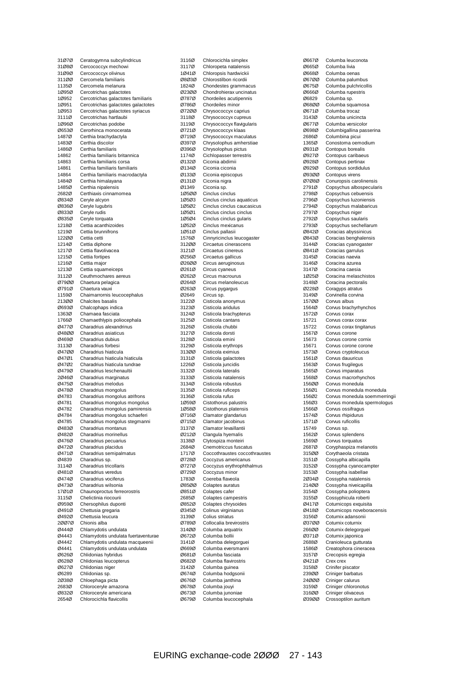| 31Ø7Ø          | Ceratogymna subcylindricus                                    |
|----------------|---------------------------------------------------------------|
| 31Ø8Ø          | Cercococcyx mechowi                                           |
| 31Ø9Ø          | Cercococcyx olivinus                                          |
| 311ØØ<br>1135Ø | Cercomela familiaris<br>Cercomela melanura                    |
| 1Ø95Ø          | Cercotrichas galactotes                                       |
| 1Ø952          | Cercotrichas galactotes familiaris                            |
| 1Ø951          | Cercotrichas galactotes galactotes                            |
| 1Ø953          | Cercotrichas galactotes syriacus                              |
| 3111Ø          | Cercotrichas hartlaubi                                        |
| 1Ø96Ø          | Cercotrichas podobe                                           |
| Ø653Ø          | Cerorhinca monocerata                                         |
| 1487Ø          | Certhia brachydactyla                                         |
| 1483Ø          | Certhia discolor                                              |
| 1486Ø          | Certhia familiaris                                            |
| 14862<br>14863 | Certhia familiaris britannica<br>Certhia familiaris corsa     |
| 14861          | Certhia familiaris familiaris                                 |
| 14864          | Certhia familiaris macrodactyla                               |
| 1484Ø          | Certhia himalayana                                            |
| 1485Ø          | Certhia nipalensis                                            |
| 2682Ø          | Certhiaxis cinnamomea                                         |
| Ø834Ø          | Ceryle alcyon                                                 |
| Ø836Ø          | Ceryle lugubris                                               |
| Ø833Ø          | Ceryle rudis                                                  |
| Ø835Ø          | Ceryle torquata                                               |
| 1218Ø          | Cettia acanthizoides                                          |
| 1219Ø          | Cettia brunnifrons                                            |
| 12200<br>1214Ø | Cettia cetti<br>Cettia diphone                                |
| 1217Ø          | Cettia flavolivacea                                           |
| 1215Ø          | Cettia fortipes                                               |
| 1216Ø          | Cettia major                                                  |
| 1213Ø          | Cettia squameiceps                                            |
| 3112Ø          | Ceuthmochares aereus                                          |
| 07900          | Chaetura pelagica                                             |
| Ø791Ø          | Chaetura vauxi                                                |
| 1159Ø<br>213ØØ | Chaimarrornis leucocephalus<br>Chalcites basalis              |
| 06930          | Chalcophaps indica                                            |
| 1363Ø          | Chamaea fasciata                                              |
| 1766Ø          | Chamaethlypis poliocephala                                    |
| Ø477Ø          | Charadrius alexandrinus                                       |
| 04800          | Charadrius asiaticus                                          |
| Ø469Ø          | Charadrius dubius                                             |
| 3113Ø<br>04700 | Charadrius forbesi<br>Charadrius hiaticula                    |
| Ø47Ø1          | Charadrius hiaticula hiaticula                                |
| Ø47Ø2          | Charadrius hiaticula tundrae                                  |
| Ø479Ø          | Charadrius leschenaultii                                      |
| 20460          | Charadrius marginatus                                         |
| 04750          | Charadrius melodus                                            |
| Ø478Ø          | Charadrius mongolus                                           |
| Ø4783<br>Ø4781 | Charadrius mongolus atrifrons<br>Charadrius mongolus mongolus |
| 04782          | Charadrius mongolus pamirensis                                |
| Ø4784          | Charadrius mongolus schaeferi                                 |
| Ø4785          | Charadrius mongolus stegmanni                                 |
| Ø483Ø          | Charadrius montanus                                           |
| Ø482Ø          | Charadrius morinellus                                         |
| Ø476Ø          | Charadrius pecuarius                                          |
| Ø472Ø          | Charadrius placidus                                           |
| Ø471Ø          | Charadrius semipalmatus                                       |
| Ø4839<br>3114Ø | Charadrius sp.<br>Charadrius tricollaris                      |
| Ø481Ø          | Charadrius veredus                                            |
| Ø474Ø          | Charadrius vociferus                                          |
| 04730          | Charadrius wilsonia                                           |
| 17Ø1Ø          | Chaunoproctus ferreorostris                                   |
| 3115Ø          | Chelictinia riocourii                                         |
| Ø959Ø<br>Ø491Ø | Chersophilus duponti<br>Chettusia gregaria                    |
| 04920          | Chettusia leucura                                             |
| 20070          | Chionis alba                                                  |
| Ø444Ø          | Chlamydotis undulata                                          |
| Ø4443          | Chlamydotis undulata fuertaventurae                           |
| Ø4442          | Chlamydotis undulata macqueenii                               |
| Ø4441          | Chlamydotis undulata undulata                                 |
| Ø626Ø<br>Ø628Ø | Chlidonias hybridus<br>Chlidonias leucopterus                 |
| Ø627Ø          | Chlidonias niger                                              |
| Ø6289          | Chlidonias sp.                                                |
| 20380          | Chloephaga picta                                              |
| 2683Ø          | Chloroceryle amazona                                          |
| Ø832Ø          | Chloroceryle americana                                        |
| 2654Ø          | Chlorocichla flavicollis                                      |

| 3116Ø          | Chlorocichla simplex                                |
|----------------|-----------------------------------------------------|
| 3117Ø          | Chloropeta natalensis                               |
| 10410          | Chloropsis hardwickii                               |
| 08030          | Chlorostilbon ricordii                              |
| 1824Ø          | Chondestes grammacus                                |
| Ø23ØØ          | Chondrohierax uncinatus                             |
| 07870          | Chordeiles acutipennis<br>Chordeiles minor          |
| Ø786Ø          |                                                     |
| 07200          | Chrysococcyx caprius                                |
| 3118Ø<br>3119Ø | Chrysococcyx cupreus                                |
| Ø721Ø          | Chrysococcyx flavigularis<br>Chrysococcyx klaas     |
| Ø719Ø          | Chrysococcyx maculatus                              |
| Ø397Ø          | Chrysolophus amherstiae                             |
| Ø396Ø          | Chrysolophus pictus                                 |
| 1174Ø          | Cichlopasser terrestris                             |
| Ø132Ø          | Ciconia abdimii                                     |
| Ø134Ø          | Ciconia ciconia                                     |
| Ø133Ø          | Ciconia episcopus                                   |
| Ø131Ø          | Ciconia nigra                                       |
| Ø1349          | Ciconia sp.                                         |
| 10500          | Cinclus cinclus                                     |
| 10503          | Cinclus cinclus aquaticus                           |
| 1Ø5Ø2          | Cinclus cinclus caucasicus                          |
| 10501          | Cinclus cinclus cinclus                             |
| 1Ø5Ø4          | Cinclus cinclus gularis                             |
| 1Ø52Ø          | Cinclus mexicanus<br>Cinclus pallasii               |
| 10510<br>1576Ø |                                                     |
| 312ØØ          | Cinnyricinclus leucogaster<br>Circaetus cinerascens |
| 3121Ø          | Circaetus cinereus                                  |
| Ø256Ø          | Circaetus gallicus                                  |
| Ø26ØØ          | Circus aeruginosus                                  |
| Ø261Ø          | Circus cyaneus                                      |
| 02620          | Circus macrourus                                    |
| Ø264Ø          | Circus melanoleucus                                 |
| Ø263Ø          | Circus pygargus                                     |
| Ø2649          | Circus sp.                                          |
| 3122Ø          | Cisticola anonymus                                  |
| 3123Ø          | Cisticola aridulus                                  |
| 3124Ø          | Cisticola brachypterus                              |
| 3125Ø          | Cisticola cantans                                   |
| 3126Ø          | Cisticola chubbi                                    |
| 3127Ø          | Cisticola dorsti                                    |
| 3128Ø          | Cisticola emini                                     |
| 3129Ø          | Cisticola erythrops                                 |
| 313ØØ<br>3131Ø | Cisticola eximius<br>Cisticola galactotes           |
| 1226Ø          | Cisticola juncidis                                  |
| 3132Ø          | Cisticola lateralis                                 |
| 3133Ø          | Cisticola natalensis                                |
| 3134Ø          | Cisticola robustus                                  |
| 3135Ø          | Cisticola ruficeps                                  |
| 3136Ø          | Cisticola rufus                                     |
| 10590          | Cistothorus palustris                               |
| 10580          | Cistothorus platensis                               |
| 07160          | Clamator glandarius                                 |
| Ø715Ø          | Clamator jacobinus                                  |
| 3137Ø          | Clamator levaillantii                               |
| Ø212Ø          | Clangula hyemalis                                   |
| 3138Ø          | Clytospiza monteiri                                 |
| 2684Ø          | Cnemotriccus fuscatus                               |
| 1717Ø          | Coccothraustes coccothraustes                       |
| Ø728Ø<br>Ø727Ø | Coccyzus americanus                                 |
| Ø729Ø          | Coccyzus erythrophthalmus<br>Coccyzus minor         |
| 1783Ø          | Coereba flaveola                                    |
| Ø85ØØ          | Colaptes auratus                                    |
| Ø851Ø          | Colaptes cafer                                      |
| 2685Ø          | Colaptes campestris                                 |
| 08520          | Colaptes chrysoides                                 |
| Ø345Ø          | Colinus virginianus                                 |
| 3139Ø          | Colius striatus                                     |
| Ø789Ø          | Collocalia brevirostris                             |
| 314ØØ          | Columba arquatrix                                   |
| Ø672Ø          | Columba bollii                                      |
| 3141Ø          | Columba delegorguei                                 |
| Ø669Ø          | Columba eversmanni                                  |
| Ø681Ø          | Columba fasciata                                    |
| Ø682Ø          | Columba flavirostris                                |
| 3142Ø          | Columba guinea                                      |
| Ø674Ø<br>Ø676Ø | Columba hodgsonii                                   |
| 06780          | Columba janthina<br>Columba jouyi                   |
| 06730          | Columba junoniae                                    |
| Ø679Ø          | Columba leucocephala                                |
|                |                                                     |

| Ø667Ø          | Columba leuconota                                |
|----------------|--------------------------------------------------|
| Ø665Ø          | Columba livia                                    |
| Ø668Ø          | Columba oenas                                    |
| 06700          | Columba palumbus                                 |
| Ø675Ø<br>Ø666Ø | Columba pulchricollis<br>Columba rupestris       |
| 06829          | Columba sp.                                      |
| Ø68ØØ          | Columba squamosa                                 |
| Ø671Ø          | Columba trocaz                                   |
| 3143Ø          | Columba unicincta                                |
| Ø677Ø          | Columba versicolor                               |
| Ø698Ø<br>2686Ø | Columbigallina passerina<br>Columbina picui      |
| 1365Ø          | Conostoma oemodium                               |
| Ø931Ø          | Contopus borealis                                |
| Ø927Ø          | Contopus caribaeus                               |
| Ø928Ø          | Contopus pertinax                                |
| Ø929Ø          | Contopus sordidulus                              |
| 09300<br>07080 | Contopus virens<br>Conuropsis carolinensis       |
| 2791Ø          | Copsychus albospecularis                         |
| 2798Ø          | Copsychus cebuensis                              |
| 2796Ø          | Copsychus luzoniensis                            |
| 2794Ø          | Copsychus malabaricus                            |
| 2797Ø          | Copsychus niger                                  |
| 2792Ø          | Copsychus saularis                               |
| 2793Ø<br>Ø842Ø | Copsychus sechellarum<br>Coracias abyssinicus    |
| Ø843Ø          | Coracias benghalensis                            |
| 3144Ø          | Coracias cyanogaster                             |
| Ø841Ø          | Coracias garrulus                                |
| 3145Ø          | Coracias naevia                                  |
| 3146Ø          | Coracina azurea                                  |
| 3147Ø<br>1Ø25Ø | Coracina caesia                                  |
| 3148Ø          | Coracina melaschistos<br>Coracina pectoralis     |
| Ø228Ø          | Coragyps atratus                                 |
| 3149Ø          | Corvinella corvina                               |
| 157ØØ          | Corvus albus                                     |
| 1564Ø          | Corvus brachyrhynchos                            |
| 1572Ø          | Corvus corax                                     |
| 15721<br>15722 | Corvus corax corax<br>Corvus corax tingitanus    |
| 1567Ø          | Corvus corone                                    |
| 15673          | Corvus corone cornix                             |
| 15671          | Corvus corone corone                             |
| 1573Ø          | Corvus cryptoleucus                              |
| 1561Ø<br>1563Ø | Corvus dauuricus<br>Corvus frugilegus            |
| 1565Ø          | Corvus imparatus                                 |
| 1568Ø          | Corvus macrorhynchos                             |
| 156ØØ          | Corvus monedula                                  |
| 156Ø1          | Corvus monedula monedula                         |
| 156Ø2          | Corvus monedula soemmerringii                    |
| 156Ø3<br>1566Ø | Corvus monedula spermologus<br>Corvus ossifragus |
| 1574Ø          | Corvus rhipidurus                                |
| 1571Ø          | Corvus ruficollis                                |
| 15749          | Corvus sp.                                       |
| 1562Ø          | Corvus splendens                                 |
| 1569Ø<br>2687Ø | Corvus torquatus<br>Coryphaspiza melanotis       |
| 315ØØ          | Corythaeola cristata                             |
| 3151Ø          | Cossypha albicapilla                             |
| 3152Ø          | Cossypha cyanocampter                            |
| 3153Ø          | Cossypha isabellae                               |
| 20340          | Cossypha natalensis                              |
| 214ØØ<br>3154Ø | Cossypha niveicapilla<br>Cossypha polioptera     |
| 3155Ø          | Cossyphicula roberti                             |
| Ø417Ø          | Coturnicops exquisita                            |
| Ø418Ø          | Coturnicops noveboracensis                       |
| 3156Ø          | Coturnix adansonii                               |
| Ø37ØØ          | Coturnix coturnix                                |
| 266ØØ<br>Ø371Ø | Coturnix delegorguei<br>Coturnix japonica        |
| 2688Ø          | Cranioleuca gutturata                            |
| 1586Ø          | Creatophora cineracea                            |
| 3157Ø          | Crecopsis egregia                                |
| Ø421Ø          | Crex crex                                        |
| 3158Ø          | Crinifer piscator                                |
| 239ØØ<br>24000 | Criniger barbatus<br>Criniger calurus            |
| 3159Ø          | Criniger chloronotus                             |
| 316ØØ          | Criniger olivaceus                               |
| Ø39ØØ          | Crossoptilon auritum                             |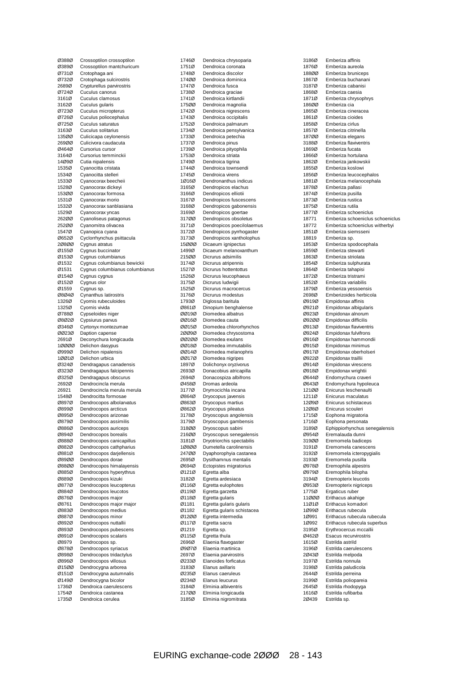| Ø388Ø          | Crossoptilon crossoptilon                        |
|----------------|--------------------------------------------------|
| Ø389Ø          | Crossoptilon mantchuricum                        |
| Ø731Ø          | Crotophaga ani                                   |
| 07320          | Crotophaga sulcirostris                          |
| 2689Ø          | Crypturellus parvirostris                        |
| Ø724Ø          | Cuculus canorus                                  |
| 3161Ø          | Cuculus clamosus                                 |
| 3162Ø          | Cuculus gularis                                  |
| 07230          | Cuculus micropterus                              |
| Ø726Ø          | Cuculus poliocephalus                            |
| Ø725Ø          | Cuculus saturatus                                |
| 3163Ø          | Cuculus solitarius                               |
| 13500          | Culicicapa ceylonensis                           |
| 269ØØ          | Culicivora caudacuta                             |
| Ø464Ø          | Cursorius cursor                                 |
| 3164Ø          | Cursorius temminckii                             |
| 14Ø9Ø          | Cutia nipalensis                                 |
| 1535Ø          | Cyanocitta cristata                              |
| 1534Ø          | Cyanocitta stelleri                              |
| 1533Ø          | Cyanocorax beecheii                              |
| 1528Ø          | Cyanocorax dickeyi                               |
| 153ØØ          | Cyanocorax formosa                               |
| 1531Ø          | Cyanocorax morio                                 |
| 1532Ø          | Cyanocorax sanblasiana                           |
| 1529Ø          | Cyanocorax yncas                                 |
| 262ØØ          | Cyanoliseus patagonus                            |
| 252ØØ<br>1547Ø | Cyanomitra olivacea                              |
|                | Cyanopica cyana                                  |
| 06520          | Cyclorrhynchus psittacula                        |
| 20800<br>Ø155Ø | Cygnus atratus<br>Cygnus buccinator              |
| Ø153Ø          | Cygnus columbianus                               |
| Ø1532          | Cygnus columbianus bewickii                      |
| Ø1531          | Cygnus columbianus columbianus                   |
| Ø154Ø          | Cygnus cygnus                                    |
| 01520          | Cygnus olor                                      |
| Ø1559          | Cygnus sp.                                       |
| 08040          | Cynanthus latirostris                            |
| 1326Ø          | Cyornis rubeculoides                             |
| 1325Ø          | Cyornis vivida                                   |
| Ø788Ø          | Cypseloides niger                                |
| 08020          | Cypsiurus parvus                                 |
|                |                                                  |
|                |                                                  |
| Ø346Ø          | Cyrtonyx montezumae                              |
| 00230          | Daption capense                                  |
| 2691Ø          | Deconychura longicauda                           |
| 10000          | Delichon dasypus                                 |
| Ø999Ø<br>10010 | Delichon nipalensis                              |
| Ø324Ø          | Delichon urbica                                  |
|                | Dendragapus canadensis                           |
| Ø323Ø<br>Ø325Ø | Dendragapus falcipennis                          |
|                | Dendragapus obscurus<br>Dendrocincla merula      |
| 2692Ø<br>26921 | Dendrocincla merula merula                       |
|                | Dendrocitta formosae                             |
| 1548Ø<br>Ø897Ø |                                                  |
| Ø899Ø          | Dendrocopos albolarvatus<br>Dendrocopos arcticus |
| Ø895Ø          |                                                  |
| 08790          | Dendrocopos arizonae<br>Dendrocopos assimilis    |
| Ø886Ø          | Dendrocopos auriceps                             |
| Ø894Ø          | Dendrocopos borealis                             |
| Ø888Ø          | Dendrocopos canicapillus                         |
| 08820          | Dendrocopos cathpharius                          |
| Ø881Ø          | Dendrocopos darjellensis                         |
| 08900          | Dendrocopos dorae                                |
| 08800          | Dendrocopos himalayensis                         |
| Ø885Ø          | Dendrocopos hyperythrus                          |
| Ø889Ø          | Dendrocopos kizuki                               |
| Ø877Ø          | Dendrocopos leucopterus                          |
| Ø884Ø          | Dendrocopos leucotos                             |
| Ø876Ø          | Dendrocopos major                                |
| Ø8761          | Dendrocopos major major                          |
| 08830          | Dendrocopos medius                               |
| Ø887Ø          | Dendrocopos minor                                |
| 08920          | Dendrocopos nuttallii                            |
| Ø893Ø          | Dendrocopos pubescens                            |
| Ø891Ø          | Dendrocopos scalaris                             |
| Ø8979          | Dendrocopos sp.                                  |
| 08780          | Dendrocopos syriacus                             |
| Ø898Ø          | Dendrocopos tridactylus                          |
| Ø896Ø          | Dendrocopos villosus                             |
| Ø15ØØ          | Dendrocygna arborea                              |
| Ø151Ø          | Dendrocygna autumnalis                           |
| Ø149Ø          | Dendrocygna bicolor                              |
| 1736Ø          | Dendroica caerulescens                           |
| 1754Ø<br>1735Ø | Dendroica castanea<br>Dendroica cerulea          |

| 1746Ø          |                                                       |
|----------------|-------------------------------------------------------|
|                | Dendroica chrysoparia                                 |
| 1751Ø          | Dendroica coronata                                    |
| 1748Ø<br>17400 | Dendroica discolor<br>Dendroica dominica              |
| 1747Ø          | Dendroica fusca                                       |
| 1738Ø          | Dendroica graciae                                     |
| 1741Ø          | Dendroica kirtlandii                                  |
| 175ØØ          | Dendroica magnolia                                    |
| 1742Ø<br>1743Ø | Dendroica nigrescens                                  |
| 1752Ø          | Dendroica occipitalis<br>Dendroica palmarum           |
| 1734Ø          | Dendroica pensylvanica                                |
| 1733Ø          | Dendroica petechia                                    |
| 1737Ø          | Dendroica pinus                                       |
| 1739Ø<br>1753Ø | Dendroica pityophila                                  |
| 1749Ø          | Dendroica striata<br>Dendroica tigrina                |
| 1744Ø          | Dendroica townsendi                                   |
| 1745Ø          | Dendroica virens                                      |
| 10160          | Dendronanthus indicus                                 |
| 3165Ø          | Dendropicos elachus                                   |
| 3166Ø<br>3167Ø | Dendropicos elliotii<br>Dendropicos fuscescens        |
| 3168Ø          | Dendropicos gabonensis                                |
| 3169Ø          | Dendropicos goertae                                   |
| 317ØØ          | Dendropicos obsoletus                                 |
| 3171Ø          | Dendropicos poecilolaemus                             |
| 3172Ø<br>3173Ø | Dendropicos pyrrhogaster<br>Dendropicos xantholophus  |
| 15ØØØ          | Dicaeum ignipectus                                    |
| 1499Ø          | Dicaeum melanoxanthum                                 |
| 215ØØ          | Dicrurus adsimilis                                    |
| 3174Ø          | Dicrurus atripennis                                   |
| 1527Ø          | Dicrurus hottentottus                                 |
| 1526Ø<br>3175Ø | Dicrurus leucophaeus<br>Dicrurus ludwigii             |
| 1525Ø          | Dicrurus macrocercus                                  |
| 3176Ø          | Dicrurus modestus                                     |
| 1793Ø          | Diglossa baritula                                     |
| Ø861Ø<br>ØØ19Ø | Dinopium benghalense<br>Diomedea albatrus             |
| ØØ16Ø          | Diomedea cauta                                        |
| ØØ15Ø          | Diomedea chlororhynchos                               |
| 20090          | Diomedea chrysostoma                                  |
| 00200          | Diomedea exulans                                      |
| ØØ18Ø<br>ØØ14Ø | Diomedea immutabilis<br>Diomedea melanophris          |
| ØØ17Ø          | Diomedea nigripes                                     |
|                | Dolichonyx oryzivorus                                 |
| 1897Ø          |                                                       |
| 2693Ø          | Donacobius atricapilla                                |
| 2694Ø          | Donacospiza albifrons                                 |
| Ø458Ø          | Dromas ardeola                                        |
| 3177Ø          | Drymocichla incana                                    |
| Ø864Ø<br>Ø863Ø | Dryocopus javensis<br>Dryocopus martius               |
| Ø862Ø          | Dryocopus pileatus                                    |
| 3178Ø          | pryoscopus angolensis                                 |
| 3179Ø          | Dryoscopus gambensis                                  |
| 318ØØ          | Dryoscopus sabini                                     |
| 216ØØ<br>3181Ø | Dryoscopus senegalensis<br>Dryotriorchis spectabilis  |
| 10800          | Dumetella carolinensis                                |
| 247ØØ          | Dyaphorophyia castanea                                |
| 2695Ø          | Dysithamnus mentalis                                  |
| Ø694Ø          | Ectopistes migratorius                                |
| Ø121Ø<br>3182Ø | Egretta alba<br>Egretta ardesiaca                     |
| Ø116Ø          | Egretta eulophotes                                    |
| Ø119Ø          | Egretta garzetta                                      |
| Ø118Ø          | Egretta gularis                                       |
| Ø1181<br>Ø1182 | Egretta gularis gularis<br>Egretta gularis schistacea |
| 01200          | Egretta intermedia                                    |
| Ø117Ø          | Egretta sacra                                         |
| Ø1219          | Egretta sp.                                           |
| Ø115Ø          | Egretta thula                                         |
| 2696Ø<br>09070 | Elaenia flavogaster<br>Elaenia martinica              |
| 2697Ø          | Elaenia parvirostris                                  |
| Ø233Ø          | Elanoides forficatus                                  |
| 3183Ø          | Elanus axillaris                                      |
| Ø235Ø          | Elanus caeruleus                                      |
| Ø234Ø<br>3184Ø | Elanus leucurus<br>Elminia albiventris                |
| 217ØØ<br>3185Ø | Elminia longicauda<br>Elminia nigromitrata            |

3186Ø Emberiza affinis<br>1876Ø Emberiza aureol Emberiza aureola 188ØØ Emberiza bruniceps 1867Ø Emberiza buchanani<br>3187Ø Emberiza cabanisi 3187Ø Emberiza cabanisi<br>1868Ø Emberiza caesia 1868Ø Emberiza caesia<br>1871Ø Emberiza chrysop Emberiza chrysophrys 186ØØ Emberiza cia 1865Ø Emberiza cineracea 1861Ø Emberiza cioides<br>1858Ø Emberiza cirlus 1858Ø Emberiza cirlus<br>1857Ø Emberiza citrine 1857Ø Emberiza citrinella<br>18700 Emberiza elegans 187ØØ Emberiza elegans<br>3188Ø Emberiza flavivent Emberiza flaviventris 1869Ø Emberiza fucata<br>1866Ø Emberiza hortula 1866Ø Emberiza hortulana<br>1862Ø Emberiza jankowsk 1862Ø Emberiza jankowskii<br>1855Ø Emberiza koslowi Emberiza koslowi 1856Ø Emberiza leucocephalos 1881Ø Emberiza melanocephala 1878Ø Emberiza pallasi<br>1874Ø Emberiza pusilla 1874Ø Emberiza pusilla<br>1873Ø Emberiza rustica 1873Ø Emberiza rustica<br>1875Ø Emberiza rutila 1875Ø Emberiza rutila<br>1877Ø Emberiza schoe Emberiza schoeniclus 18771 Emberiza schoeniclus schoeniclus 18772 Emberiza schoeniclus witherbyi<br>1851Ø Emberiza siemsseni 1851Ø Emberiza siemsseni<br>18819 Emberiza sp. 18819 Emberiza sp.<br>1853Ø Emberiza spo Emberiza spodocephala 1859Ø Emberiza stewarti 1863Ø Emberiza striolata<br>1854Ø Emberiza sulphura 1854Ø Emberiza sulphurata<br>1864Ø Emberiza tahapisi 1864Ø Emberiza tahapisi<br>1872Ø Emberiza tristrami 1872Ø Emberiza tristrami<br>1852Ø Emberiza variabilis 1852Ø Emberiza variabilis<br>1879Ø Emberiza vessoens Emberiza yessoensis 2698Ø Emberizoides herbicola<br>Ø919Ø Empidonax affinis Ø919Ø Empidonax affinis Ø921Ø Empidonax albigularis<br>Ø923Ø Empidonax alnorum Empidonax alnorum Ø92ØØ Empidonax difficilis Ø913Ø Empidonax flaviventris Ø924Ø Empidonax fulvifrons Ø916Ø Empidonax hammondii<br>Ø915Ø Empidonax minimus Ø915Ø Empidonax minimus Ø917Ø Empidonax oberholseri<br>Ø922Ø Empidonax traillii Empidonax traillii Ø914Ø Empidonax virescens Ø918Ø Empidonax wrightii<br>Ø644Ø Endomychura crave Ø644Ø Endomychura craveri Ø643Ø Endomychura hypoleuca<br>12100 Enicurus leschenaulti Enicurus leschenaulti 1211Ø Enicurus maculatus 12Ø9Ø Enicurus schistaceus<br>12Ø8Ø Enicurus scouleri Enicurus scouleri 1715Ø Eophona migratoria<br>1716Ø Eophona personata 1716Ø Eophona personata<br>3189Ø Ephippiorhynchus s 3189Ø Ephippiorhynchus senegalensis<br>Ø954Ø Eremalauda dunni Eremalauda dunni 319ØØ Eremomela badiceps<br>3191Ø Eremomela canescer 3191Ø Eremomela canescens<br>3192Ø Eremomela icteropygia 3192Ø Eremomela icteropygialis<br>3193Ø Eremomela pusilla Eremomela pusilla Ø978Ø Eremophila alpestris Ø979Ø Eremophila bilopha<br>3194Ø Eremopterix leucotis 3194Ø Eremopterix leucotis<br>Ø953Ø Eremopterix nigricep Ø953Ø Eremopterix nigriceps<br>1775Ø Ergaticus ruber 1775Ø Ergaticus ruber<br>11000 Erithacus akahi 11ØØØ Erithacus akahige<br>11Ø1Ø Erithacus komado Erithacus komadori 1Ø99Ø Erithacus rubecula 1Ø991 Erithacus rubecula rubecula<br>1Ø992 Erithacus rubecula superbus 1Ø992 Erithacus rubecula superbus<br>3195Ø Erythrocercus mccallii 3195Ø Erythrocercus mccallii<br>Ø462Ø Esacus recurvirostris Ø462Ø Esacus recurvirostris 1615Ø Estrilda astrild<br>3196Ø Estrilda caerul 3196Ø Estrilda caerulescens<br>2Ø43Ø Estrilda melpoda 2Ø43Ø Estrilda melpoda<br>3197Ø Estrilda nonnula 3197Ø Estrilda nonnula<br>3198Ø Estrilda paludico 3198Ø Estrilda paludicola<br>2644Ø Estrilda perreina Estrilda perreina 3199Ø Estrilda poliopareia 2645Ø Estrilda rhodopyga<br>1616Ø Estrilda rufibarba 1616Ø Estrilda rufibarba<br>2Ø439 Estrilda sp. Estrilda sp.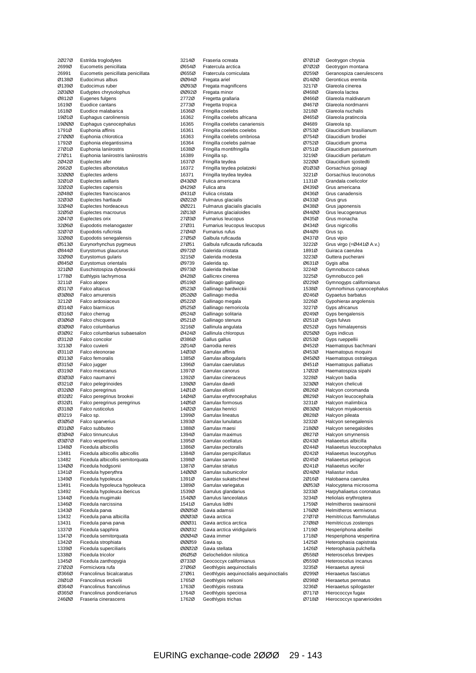| 20270          | Estrilda troglodytes                                    |
|----------------|---------------------------------------------------------|
| 2699Ø          | Eucometis penicillata                                   |
| 26991          | Eucometis penicillata penicillata                       |
| Ø138Ø<br>Ø139Ø | Eudocimus albus<br>Eudocimus ruber                      |
| 20300          | Eudyptes chrysolophus                                   |
| 08120          | Eugenes fulgens                                         |
| 1619Ø          | Euodice cantans                                         |
| 1618Ø          | Euodice malabarica                                      |
| 19Ø1Ø<br>19000 | Euphagus carolinensis<br>Euphagus cyanocephalus         |
| 1791Ø          | Euphonia affinis                                        |
| 27000          | Euphonia chlorotica                                     |
| 1792Ø          | Euphonia elegantissima                                  |
| 27Ø1Ø          | Euphonia laniirostris                                   |
| 27Ø11<br>20420 | Euphonia laniirostris laniirostris<br>Euplectes afer    |
| 2662Ø          | Euplectes albonotatus                                   |
| 32ØØØ          | Euplectes ardens                                        |
| 32Ø1Ø          | Euplectes axillaris                                     |
| 32Ø2Ø          | Euplectes capensis                                      |
| 20480<br>32Ø3Ø | Euplectes franciscanos<br>Euplectes hartlaubi           |
| 32Ø4Ø          | Euplectes hordeaceus                                    |
| 32Ø5Ø          | Euplectes macrourus                                     |
| 20470          | Euplectes orix                                          |
| 32Ø6Ø          | Eupodotis melanogaster                                  |
| 32Ø7Ø<br>32Ø8Ø | Eupodotis ruficrista                                    |
| Ø513Ø          | Eupodotis senegalensis<br>Eurynorhynchus pygmeus        |
| Ø844Ø          | Eurystomus glaucurus                                    |
| 32Ø9Ø          | Eurystomus gularis                                      |
| Ø845Ø          | Eurystomus orientalis                                   |
| 321ØØ          | Euschistospiza dybowskii                                |
| 1778Ø<br>3211Ø | Euthlypis lachrymosa<br>Falco alopex                    |
| Ø317Ø          | Falco altaicus                                          |
| 03080          | Falco amurensis                                         |
| 3212Ø          | Falco ardosiaceus                                       |
| Ø314Ø          | Falco biarmicus                                         |
| Ø316Ø<br>03060 | Falco cherrug<br>Falco chicquera                        |
| 03090          | Falco columbarius                                       |
| 03092          | Falco columbarius subaesalon                            |
| 03120          | Falco concolor                                          |
| 3213Ø          | Falco cuvierii                                          |
| Ø311Ø<br>03130 | Falco eleonorae<br>Falco femoralis                      |
| Ø315Ø          | Falco jugger                                            |
| Ø319Ø          | Falco mexicanus                                         |
| 03030          | Falco naumanni                                          |
| 03210          | Falco pelegrinoides                                     |
| 03200<br>03202 | Falco peregrinus                                        |
| 03201          | Falco peregrinus brookei<br>Falco peregrinus peregrinus |
| Ø318Ø          | Falco rusticolus                                        |
| Ø3219          | Faico sp.                                               |
| 03050          | Falco sparverius                                        |
| 03100          | Falco subbuteo                                          |
| 03040<br>Ø3Ø7Ø | Falco tinnunculus<br>Falco vespertinus                  |
| 1348Ø          | Ficedula albicollis                                     |
| 13481          | Ficedula albicollis albicollis                          |
| 13482          | Ficedula albicollis semitorquata                        |
| 13400          | Ficedula hodgsonii                                      |
| 1341Ø<br>1349Ø | Ficedula hyperythra                                     |
| 13491          | Ficedula hypoleuca<br>Ficedula hypoleuca hypoleuca      |
| 13492          | Ficedula hypoleuca ibericus                             |
| 1344Ø          | Ficedula mugimaki                                       |
| 1346Ø          | Ficedula narcissina                                     |
| 1343Ø<br>13432 | Ficedula parva<br>Ficedula parva albicilla              |
| 13431          | Ficedula parva parva                                    |
| 1337Ø          | Ficedula sapphira                                       |
| 1347Ø          | Ficedula semitorquata                                   |
| 1342Ø          | Ficedula strophiata                                     |
| 1339Ø          | Ficedula superciliaris                                  |
| 1338Ø<br>1345Ø | Ficedula tricolor<br>Ficedula zanthopygia               |
| 27Ø2Ø          | Formicivora rufa                                        |
| Ø366Ø          | Francolinus bicalcaratus                                |
| 28Ø1Ø          | Francolinus erckelii                                    |
| Ø364Ø          | Francolinus francolinus                                 |
| Ø365Ø<br>246ØØ | Francolinus pondicerianus<br>Fraseria cinerascens       |
|                |                                                         |

| 3214Ø          | Fraseria ocreata                                           |
|----------------|------------------------------------------------------------|
| Ø654Ø          | Fratercula arctica                                         |
| Ø655Ø          | Fratercula corniculata                                     |
| ØØ94Ø          | Fregata ariel                                              |
| 00930          | Fregata magnificens                                        |
| 00920          | Fregata minor                                              |
| 2772Ø          | Fregetta grallaria                                         |
| 2773Ø          | Fregetta tropica                                           |
| 1636Ø          | Fringilla coelebs                                          |
| 16362<br>16365 | Fringilla coelebs africana                                 |
| 16361          | Fringilla coelebs canariensis<br>Fringilla coelebs coelebs |
| 16363          | Fringilla coelebs ombriosa                                 |
| 16364          | Fringilla coelebs palmae                                   |
| 1638Ø          | Fringilla montifringilla                                   |
| 16389          | Fringilla sp.                                              |
| 1637Ø          | Fringilla teydea                                           |
| 16372          | Fringilla teydea polatzeki                                 |
| 16371          | Fringilla teydea teydea                                    |
| 04300          | Fulica americana                                           |
| Ø429Ø          | Fulica atra                                                |
| Ø431Ø          | Fulica cristata                                            |
| 00220          | Fulmarus glacialis                                         |
| 00221          | Fulmarus glacialis glacialis                               |
| 20130          | Fulmarus glacialoides                                      |
| 27Ø3Ø          | Furnarius leucopus                                         |
| 27Ø31<br>27Ø4Ø | Furnarius leucopus leucopus<br>Furnarius rufus             |
| 27Ø5Ø          | Galbula ruficauda                                          |
| 27Ø51          | Galbula ruficauda ruficauda                                |
| 09720          | Galerida cristata                                          |
| 3215Ø          | Galerida modesta                                           |
| Ø9739          | Galerida sp.                                               |
| 09730          | Galerida theklae                                           |
| Ø428Ø          | Gallicrex cinerea                                          |
| Ø519Ø          | Gallinago gallinago                                        |
| 05230          | Gallinago hardwickii                                       |
| Ø52ØØ          | Gallinago media                                            |
| Ø522Ø          | Gallinago megala                                           |
| Ø525Ø          | Gallinago nemoricola                                       |
| Ø524Ø          | Gallinago solitaria                                        |
| Ø521Ø          | Gallinago stenura                                          |
| 3216Ø          | Gallinula angulata                                         |
| Ø424Ø<br>Ø386Ø | Gallinula chloropus<br>Gallus gallus                       |
| 20140          | Garrodia nereis                                            |
| 14Ø3Ø          | Garrulax affinis                                           |
| 1385Ø          | Garrulax albogularis                                       |
| 1396Ø          | Garrulax caerulatus                                        |
| 1397Ø          | Garrulax canorus                                           |
| 1392Ø          | Garrulax cineraceus                                        |
| 139ØØ          | Garrulax davidi                                            |
| 14Ø1Ø          | Garrulax elliotii                                          |
| 14Ø4Ø          | Garrulax erythrocephalus                                   |
| 14Ø5Ø          | Garrulax formosus                                          |
| 14Ø2Ø          | Garrulax henrici                                           |
| 13990          | Garrulax lineatus                                          |
| 1393Ø          | Garrulax lunulatus                                         |
| 1388Ø          | Garrulax maesi                                             |
| 1394Ø<br>1395Ø | Garrulax maximus                                           |
| 1386Ø          | Garrulax ocellatus<br>Garrulax pectoralis                  |
| 1384Ø          | Garrulax perspicillatus                                    |
| 1398Ø          | Garrulax sannio                                            |
| 1387Ø          | Garrulax striatus                                          |
| 14000          | Garrulax subunicolor                                       |
| 1391Ø          | Garrulax sukatschewi                                       |
| 1389Ø          | Garrulax variegatus                                        |
| 1539Ø          | Garrulus glandarius                                        |
| 154ØØ          | Garrulus lanceolatus                                       |
| 1541Ø          | Garrulus lidthi                                            |
| 00050          | Gavia adamsii                                              |
| 00030          | Gavia arctica                                              |
| 00031          | Gavia arctica arctica                                      |
| 00032          | Gavia arctica viridigularis                                |
| 00040<br>00059 | Gavia immer                                                |
| 00020          | Gavia sp.<br>Gavia stellata                                |
| 06050          | Gelochelidon nilotica                                      |
| 07330          | Geococcyx californianus                                    |
| 27Ø6Ø          | Geothlypis aequinoctialis                                  |
| 27Ø61          | Geothlypis aequinoctialis aequinoctialis                   |
| 1765Ø          | Geothlypis nelsoni                                         |
| 1763Ø          | Geothlypis rostrata                                        |
| 1764Ø          | Geothlypis speciosa                                        |
| 1762Ø          | Geothlypis trichas                                         |

Ø7Ø1Ø Geotrygon chrysia<br>Ø7Ø2Ø Geotrygon montar Geotrygon montana Ø259Ø Geranospiza caerulescens Ø14ØØ Geronticus eremita<br>3217Ø Glareola cinerea 3217Ø Glareola cinerea<br>Ø468Ø Glareola lactea Ø468Ø Glareola lactea<br>Ø466Ø Glareola maldiv Glareola maldivarum Ø467Ø Glareola nordmanni<br>3218Ø Glareola nuchalis 3218Ø Glareola nuchalis<br>Ø465Ø Glareola pratincoli Ø465Ø Glareola pratincola<br>Ø4689 Glareola sp. Ø4689 Glareola sp.<br>Ø753Ø Glaucidium I Ø753Ø Glaucidium brasilianum Ø754Ø Glaucidium brodiei<br>Ø752Ø Glaucidium gnoma Glaucidium gnoma Ø751Ø Glaucidium passerinum<br>3219Ø Glaucidium perlatum 3219Ø Glaucidium perlatum<br>322ØØ Glaucidium sjostedti 322ØØ Glaucidium sjostedti<br>Ø1Ø3Ø Gorsachius goisagi Gorsachius goisagi 3221Ø Gorsachius leuconotus 1131Ø Grandala coelicolor<br>Ø439Ø Grus americana Ø439Ø Grus americana<br>Ø436Ø Grus canadensis Ø436Ø Grus canadensis<br>Ø433Ø Grus grus Ø433Ø Grus grus<br>Ø438Ø Grus japor Ø438Ø Grus japonensis<br>Ø4400 Grus Jeucogeran Ø44ØØ Grus leucogeranus<br>Ø435Ø Grus monacha Grus monacha Ø434Ø Grus nigricollis<br>Ø44Ø9 Grus sp. Ø44Ø9 Grus sp. Ø437Ø Grus vipio<br>3222Ø Grus virgo Grus virgo (=Ø441Ø A.v.) 1891Ø Guiraca caerulea 3223Ø Guttera pucherani<br>Ø631Ø Gygis alba Ø631Ø Gygis alba<br>3224Ø Gymnobuc 3224Ø Gymnobucco calvus<br>3225Ø Gymnobucco peli 3225Ø Gymnobucco peli<br>Ø229Ø Gymnogyps califo Ø229Ø Gymnogyps californianus Gymnorhinus cyanocephalus Ø246Ø Gypaetus barbatus<br>3226Ø Gypohierax angoler 3226Ø Gypohierax angolensis<br>3227Ø Gyps africanus 3227Ø Gyps africanus<br>Ø249Ø Gyps bengalens Gyps bengalensis Ø251Ø Gyps fulvus Ø252Ø Gyps himalayensis<br>Ø2500 Gyps indicus Ø25ØØ Gyps indicus<br>Ø253Ø Gyps rueppe Ø253Ø Gyps rueppellii Ø452Ø Haematopus bachmani Ø453Ø Haematopus moquini<br>Ø4500 Haematopus ostralegi Haematopus ostralegus Ø451Ø Haematopus palliatus 17Ø2Ø Haematospiza sipahi<br>3228Ø Halcyon badia 3228Ø Halcyon badia<br>32300 Halcyon chelic 323ØØ Halcyon chelicuti<br>Ø826Ø Halcyon coroman Halcyon coromanda Ø829Ø Halcyon leucocephala<br>3231Ø Halcyon malimbica 3231Ø Halcyon malimbica<br>Ø83ØØ Halcyon miyakoens Halcyon miyakoensis Ø828Ø Halcyon pileata<br>3232Ø Halcyon senega 3232Ø Halcyon senegalensis<br>21800 Halcyon senegaloides 218ØØ Halcyon senegaloides<br>Ø827Ø Halcyon smyrnensis Halcyon smyrnensis Ø243Ø Haliaeetus albicilla Ø244Ø Haliaeetus leucocephalus Wellist Commission Conception<br>2012 Haliaeetus leucoryphus<br>20145 Haliaeetus pelagicus Haliaeetus pelagicus Ø241Ø Haliaeetus vocifer Ø24ØØ Haliastur indus<br>2Ø16Ø Halobaena cae Halobaena caerulea ØØ53Ø Halocyptena microsoma<br>3233Ø Harpyhaliaetus coronatu 3233Ø Harpyhaliaetus coronatus<br>3234Ø Heliolais erythroptera 3234Ø Heliolais erythroptera 1759Ø Helmitheros swainsonii 176ØØ Helmitheros vermivorus 27Ø7Ø Hemitriccus flammulatus<br>27Ø8Ø Hemitriccus zosterops 27Ø8Ø Hemitriccus zosterops<br>1719Ø Hesperiphona abeillei 1719Ø Hesperiphona abeillei<br>1718Ø Hesperiphona vesperti Hesperiphona vespertina 1425Ø Heterophasia capistrata<br>1426Ø Heterophasia pulchella 1426Ø Heterophasia pulchella<br>Ø558Ø Heteroscelus brevipes Ø558Ø Heteroscelus brevipes<br>Ø559Ø Heteroscelus incanus Ø559Ø Heteroscelus incanus<br>3235Ø Hieraaetus ayresii 3235Ø Hieraaetus ayresii<br>Ø299Ø Hieraaetus fasciati Hieraaetus fasciatus Ø298Ø Hieraaetus pennatus 3236Ø Hieraaetus spilogaster<br>Ø717Ø Hierococcyx fugax Ø717Ø Hierococcyx fugax Hierococcyx sparverioides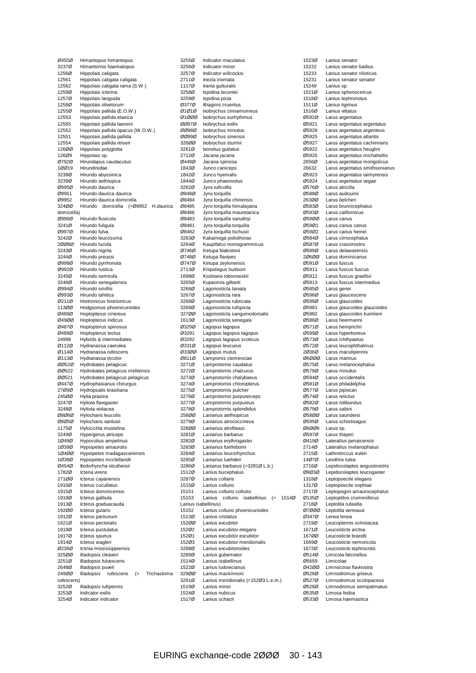Ø455Ø Himantopus himantopus<br>3237Ø Himantornis haematopus 3237Ø Himantornis haematopus 1256Ø Hippolais caligata<br>12561 Hippolais caligata 12561 Hippolais caligata caligata<br>12562 Hippolais caligata rama (S 12562 Hippolais caligata rama (S.W.)<br>1259Ø Hippolais icterina 1259Ø Hippolais icterina<br>1257Ø Hippolais languida 1257Ø Hippolais languida<br>1258Ø Hippolais olivetoru Hippolais olivetorum 1255Ø Hippolais pallida (E.O.W.)<br>12553 Hippolais pallida elaeica 12553 Hippolais pallida elaeica<br>12555 Hippolais pallida laeneni Hippolais pallida laeneni 12552 Hippolais pallida opacus (W.O.W.) 12551 Hippolais pallida pallida<br>12554 Hippolais pallida reiseri Hippolais pallida reiseri 126ØØ Hippolais polyglotta<br>126Ø9 Hippolais sp. 126Ø9 Hippolais sp.<br>Ø792Ø Hirundapus o Ø792Ø Hirundapus caudacutus<br>10019 Hirundinidae Hirundinidae 3238Ø Hirundo abyssinica 3239Ø Hirundo aethiopica<br>Ø995Ø Hirundo daurica Ø995Ø Hirundo daurica<br>Ø9951 Hirundo daurica Ø9951 Hirundo daurica daurica Hirundo daurica domicella 324ØØ Hirundo domicella (=Ø9952 H.daurica domicella) Ø996Ø Hirundo fluvicola 3241Ø Hirundo fuligula<br>Ø997Ø Hirundo fulva Ø997Ø Hirundo fulva 3242Ø Hirundo leucosoma<br>20080 Hirundo lucida Hirundo lucida 3243Ø Hirundo nigrita 3244Ø Hirundo preussi<br>Ø998Ø Hirundo pvrrhon Ø998Ø Hirundo pyrrhonota<br>Ø992Ø Hirundo rustica Ø992Ø Hirundo rustica 3245Ø Hirundo semirufa<br>3246Ø Hirundo senegale 3246Ø Hirundo senegalensis<br>Ø994Ø Hirundo smithii Hirundo smithii Ø993Ø Hirundo tahitica<br>Ø911Ø Histrionicus hist Ø211Ø Histrionicus histrionicus 113ØØ Hodgsonius phoenicuroides<br>Ø489Ø Hoplopterus cinereus Hoplopterus cinereus Ø49ØØ Hoplopterus indicus Ø487Ø Hoplopterus spinosus<br>Ø488Ø Hoplopterus tectus Hoplopterus tectus 24998 Hybrids & intermediates<br>Ø112Ø Hydranassa caerulea Ø112Ø Hydranassa caerulea Ø114Ø Hydranassa rufescens<br>Ø113Ø Hydranassa tricolor Ø113Ø Hydranassa tricolor ØØ52Ø Hydrobates pelagicus ØØ522 Hydrobates pelagicus melitensis<br>ØØ521 Hydrobates pelagicus pelagicus ØØ521 Hydrobates pelagicus pelagicus Ø447Ø Hydrophasianus chirurgus 27Ø9Ø Hydropsalis brasiliana<br>245ØØ Hylia prasina Hylia prasina 3247Ø Hyliota flavigaster<br>3248Ø Hyliota violacea Hyliota violacea Ø8Ø6Ø Hylocharis leucotis<br>Ø8Ø5Ø Hylocharis xantusii Ø8Ø5Ø Hylocharis xantusii<br>1175Ø Hylocichla mustelir 1175Ø Hylocichla mustelina<br>3249Ø Hynergerus atricens Hypergerus atriceps 1Ø49Ø Hypocolius ampelinus<br>1Ø39Ø Hypsipetes amaurotis 1Ø39Ø Hypsipetes amaurotis<br>1Ø4ØØ Hypsipetes madagasc Hypsipetes madagascariensis 1Ø38Ø Hypsipetes mcclellandii Ø454Ø Ibidorhyncha struthersii 1782Ø Icteria virens<br>27100 Icterus cavar Icterus cayanensis 1916Ø Icterus cucullatus<br>1915Ø Icterus dominicens 1915Ø Icterus dominicensis<br>1918Ø Icterus galbula 1918Ø Icterus galbula<br>1913Ø Icterus graduac Icterus graduacauda 192ØØ Icterus gularis 1912Ø Icterus parisorum<br>1921Ø Icterus pectoralis 1921Ø Icterus pectoralis<br>1919Ø Icterus pustulatus 1919Ø Icterus pustulatus<br>1917Ø Icterus spurius Icterus spurius 1914Ø Icterus wagleri<br>Ø236Ø Ictinia mississi Ictinia mississippiensis 325ØØ Illadopsis cleaveri<br>3251Ø Illadopsis fulvescer 3251Ø Illadopsis fulvescens<br>2648Ø Illadopsis puveli 2648Ø Illadopsis puveli<br>249ØØ Illadopsis rufe Illadopsis rufescens (= Trichastoma rufescens) 3252Ø Illadopsis rufipennis<br>3253Ø Indicator exilis 3253Ø Indicator exilis<br>3254Ø Indicator indica Indicator indicator

3255Ø Indicator maculatus 3256Ø Indicator minor 3257Ø Indicator willcocksi<br>2711Ø Inezia inornata 2711Ø Inezia inornata<br>1117Ø Irania gutturalis 1117Ø Irania gutturalis<br>3258Ø Ispidina leconte 3258Ø Ispidina lecontei<br>3259Ø Ispidina picta spidina picta Ø377Ø Ithaginis cruentus Ø1Ø1Ø Ixobrychus cinnamomeus<br>Ø1ØØØ Ixobrychus eurhythmus Ø1ØØØ Ixobrychus eurhythmus<br>ØØ97Ø Ixobrychus exilis Ixobrychus exilis ØØ98Ø Ixobrychus minutus ØØ99Ø Ixobrychus sinensis<br>326ØØ Ixobrychus sturmii Ixobrychus sturmii 3261Ø Ixonotus guttatus<br>2712Ø Jacana jacana 2712Ø Jacana jacana<br>Ø448Ø Jacana spinosa Ø448Ø Jacana spinosa Junco caniceps 1842Ø Junco hyemalis 1844Ø Junco phaeonotus<br>3262Ø Jvnx ruficollis 3262Ø Jynx ruficollis<br>Ø848Ø Jynx torquilla Ø848Ø Jynx torquilla Jynx torquilla chinensis Ø8485 Jynx torquilla himalayana<br>Ø8486 Jynx torquilla mauretanics Jynx torquilla mauretanica Ø8483 Jynx torquilla sarudnyi Ø8481 Jynx torquilla torquilla Ø8482 Jynx torquilla tschusii 3263Ø Kakamega poliothorax<br>3264Ø Kaupifalco monogramn Kaupifalco monogrammicus Ø746Ø Ketupa blakistoni Ø748Ø Ketupa flavipes<br>Ø747Ø Ketupa zevloner Ø747Ø Ketupa zeylonensis<br>2713Ø Knipolegus hudsoni 2713Ø Knipolegus hudsoni<br>1698Ø Kozlowia roborowski 1698Ø Kozlowia roborowskii<br>3265Ø Kupeornis gilberti 3265Ø Kupeornis gilberti<br>3266Ø Lagonosticta larva Lagonosticta larvata 3267Ø Lagonosticta rara<br>3268Ø Lagonosticta rubric 3268Ø Lagonosticta rubricata<br>3269Ø Lagonosticta rufopicta 3269Ø Lagonosticta rufopicta<br>327ØØ Lagonosticta sanguino Lagonosticta sanguinodorsalis 1613Ø Lagonosticta senegala Ø329Ø Lagopus lagopus Lagopus lagopus lagopus Ø3292 Lagopus lagopus scoticus Ø331Ø Lagopus leucurus<br>Ø330Ø Lagopus mutus Ø33ØØ Lagopus mutus<br>Ø811Ø Lampornis clem Lampornis clemenciae 3271Ø Lamprotornis caudatus 3272Ø Lamprotornis chalcurus<br>3273Ø Lamprotornis chalybaeu 3273Ø Lamprotornis chalybaeus<br>3274Ø Lamprotornis chloropterus 3274Ø Lamprotornis chloropterus<br>3275Ø Lamprotornis pulcher Lamprotornis pulcher 3276Ø Lamprotornis purpureiceps<br>3277Ø Lamprotornis purpureus 3277Ø Lamprotornis purpureus<br>3278Ø Lamprotornis splendidus Lamprotornis splendidus 256ØØ Laniarius aethiopicus<br>3279Ø Laniarius atrococcineu 3279Ø Laniarius atrococcineus<br>328ØØ Laniarius atroflavus 328ØØ Laniarius atroflavus<br>3281Ø Laniarius barbarus 3281Ø Laniarius barbarus 3282Ø Laniarius erythrogaster<br>3283Ø Laniarius fuelleborni 3283Ø Laniarius fuelleborni<br>3284Ø Laniarius leucorhync 3284Ø Laniarius leucorhynchus<br>3285Ø Laniarius luehderi Laniarius luehderi 3286Ø Laniarus barbarus (=3281Ø L.b.) 1512Ø Lanius bucephalus<br>3287Ø Lanius collaris 3287Ø Lanius collaris<br>1515Ø Lanius collurio 1515Ø Lanius collurio 15151 Lanius collurio collurio<br>15153 Lanius collurio isab Lanius collurio isabellinus (= 1514Ø Lanius isabellinus) 15152 Lanius collurio phoenicuroides 1513Ø Lanius cristatus<br>1520Ø Lanius excubitor 152ØØ Lanius excubitor<br>152Ø2 Lanius excubitor 152Ø2 Lanius excubitor elegans<br>152Ø1 – Lanius excubitor excubito Lanius excubitor excubitor 152Ø3 Lanius excubitor meridionalis<br>3288Ø Lanius excubitoroides 3288Ø Lanius excubitoroides<br>3289Ø Lanius gubernator 3289Ø Lanius gubernator<br>1514Ø Lanius isabellinus 1514Ø Lanius isabellinus<br>1522Ø Lanius ludovicianu 1522Ø Lanius ludovicianus<br>329ØØ Lanius mackinnoni Lanius mackinnoni 3291Ø Lanius meridionalis (=152Ø3 L.e.m.) 1519Ø Lanius minor<br>1524Ø Lanius nubicu 1524Ø Lanius nubicus<br>1517Ø Lanius schach Lanius schach

1523Ø Lanius senator<br>15232 Lanius senator 15232 Lanius senator badius 15233 Lanius senator niloticus<br>15231 Lanius senator senator 15231 Lanius senator senator<br>15249 Lanius sp 15249 Lanius sp.<br>1521Ø Lanius spl 1521Ø Lanius sphenocercus<br>1518Ø Lanius tephronotus Lanius tephronotus 1511Ø Lanius tigrinus 1516Ø Lanius vittatus<br>Ø592Ø Larus argentat Ø592Ø Larus argentatus<br>Ø5921 Larus argentatus Larus argentatus argentatus Ø5928 Larus argentatus argenteus Ø5925 Larus argentatus atlantis<br>Ø5927 Larus argentatus caching Larus argentatus cachinnans Ø5922 Larus argentatus heuglini Ø5926 Larus argentatus michahellis 2656Ø Larus argentatus mongolicus<br>26632 Larus argentatus smithsoniar Larus argentatus smithsonianus Ø5923 Larus argentatus taimyrensis Ø5924 Larus argentatus vegae Ø576Ø Larus atricilla<br>Ø588Ø Larus audouin Ø588Ø Larus audouinii<br>2630Ø Larus belcheri Larus belcheri  $\overline{\omega}$ 583 $\overline{\omega}$  Larus brunnicephalus<br> $\overline{\omega}$ 593 $\overline{\omega}$  Larus californicus Ø593Ø Larus californicus Ø59ØØ Larus canus Ø59Ø1 Larus canus canus<br>Ø59Ø2 Larus canus beinei Ø59Ø2 Larus canus heinei<br>Ø584Ø Larus cirrocephalus Ø584Ø Larus cirrocephalus<br>Ø587Ø Larus crassirostris Larus crassirostris Ø589Ø Larus delawarensis 2Ø6ØØ Larus dominicanus<br>Ø591Ø Larus fuscus Ø591Ø Larus fuscus<br>Ø5911 Larus fuscus Ø5911 Larus fuscus fuscus Ø5912 Larus fuscus graellsii<br>Ø5913 Larus fuscus interme  $\overline{\omega}$ 5913 Larus fuscus intermedius<br> $\overline{\omega}$ 585 $\overline{\omega}$  Larus genei Larus genei Ø596Ø Larus glaucescens<br>Ø598Ø Larus glaucoides Ø598Ø Larus glaucoides<br>Ø5981 Larus glaucoides Ø5981 Larus glaucoides glaucoides Larus glaucoides kumlieni Ø586Ø Larus heermanni Ø571Ø Larus hemprichii Ø599Ø Larus hyperboreus Ø573Ø Larus ichthyaetus<br>Ø572Ø Larus leucophthal Larus leucophthalmus 2Ø36Ø Larus maculipennis<br>Ø6ØØØ Larus marinus Larus marinus Ø575Ø Larus melanocephalus Ø578Ø Larus minutus<br>Ø594Ø Larus occident Ø594Ø Larus occidentalis<br>Ø581Ø Larus philadelphia Ø581Ø Larus philadelphia<br>Ø577Ø Larus pipixcan Ø577Ø Larus pipixcan<br>Ø574Ø Larus relictus Ø574Ø Larus relictus<br>Ø582Ø Larus ridibung Ø582Ø Larus ridibundus<br>Ø579Ø Larus sabini Larus sabini Ø58ØØ Larus saundersi<br>Ø595Ø Larus schistisag Ø595Ø Larus schistisagus<br>Ø6ØØ9 Larus sp. Ø6ØØ9 Larus sp.<br>Ø5970 Larus the Larus thayeri Ø419Ø Laterallus jamaicensis<br>2714Ø Laterallus melanophai 2714Ø Laterallus melanophaius<br>2715Ø Lathrotriccus euleri Lathrotriccus euleri 14Ø7Ø Leiothrix lutea 2716Ø Lepidocolaptes angustirostris Ø9Ø3Ø Lepidocolaptes leucogaster 1318Ø Leptopoecile elegans 1317Ø Leptopoecile sophiae<br>2717Ø Leptopogon amauroc 2717Ø Leptopogon amaurocephalus<br>Ø135Ø Leptoptilos crumeniferus Ø135Ø Leptoptilos crumeniferus<br>2718Ø Leptotila rufaxilla Leptotila rufaxilla Ø7ØØØ Leptotila verreauxi Ø347Ø Lerwa lerwa 2719Ø Leucopternis schistacea<br>1671Ø Leucosticte arctoa 1671Ø Leucosticte arctoa<br>1670Ø Leucosticte brandt Leucosticte brandti 1669Ø Leucosticte nemoricola<br>1672Ø Leucosticte tephrocotis 1672Ø Leucosticte tephrocotis<br>Ø514Ø Limicola falcinellus Ø514Ø Limicola falcinellus Ø5659 Limicolae<br>Ø42ØØ Limnocora Ø42ØØ Limnocorax flavirostra Limnodromus griseus Ø527Ø Limnodromus scolopaceus Ø528Ø Limnodromus semipalmatus<br>Ø535Ø Limosa fedoa Ø535Ø Limosa fedoa<br>Ø533Ø Limosa haem Limosa haemastica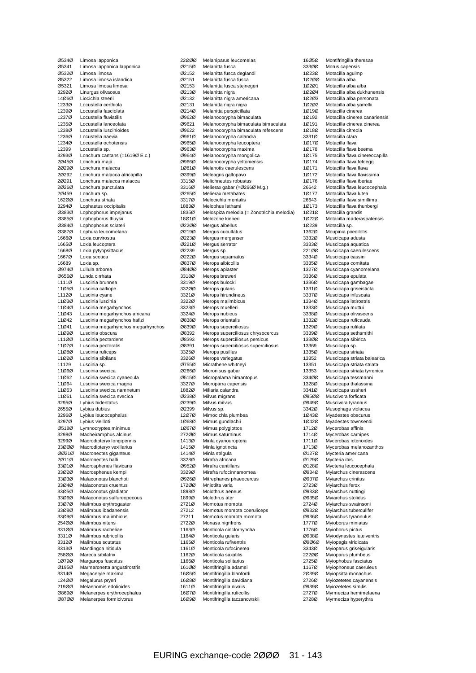| Ø534Ø          | Limosa lapponica                                    |
|----------------|-----------------------------------------------------|
| Ø5341          | Limosa lapponica lapponica                          |
| 05320          | Limosa limosa                                       |
| 05322          | Limosa limosa islandica                             |
| Ø5321          | Limosa limosa limosa                                |
| 3292Ø<br>14Ø6Ø | Linurgus olivaceus                                  |
| 1233Ø          | Liocichla steerii<br>Locustella certhiola           |
| 1239Ø          | Locustella fasciolata                               |
| 1237Ø          | Locustella fluviatilis                              |
| 1235Ø          | Locustella lanceolata                               |
| 1238Ø          | Locustella luscinioides                             |
| 1236Ø          | Locustella naevia                                   |
| 1234Ø          | Locustella ochotensis                               |
| 12399          | Locustella sp.                                      |
| 3293Ø          | Lonchura cantans (=1619Ø E.c.)                      |
| 20450          | Lonchura maja                                       |
| 20290          | Lonchura malacca                                    |
| 20292          | Lonchura malacca atricapilla                        |
| 20291          | Lonchura malacca malacca                            |
| 20260          | Lonchura punctulata                                 |
| 2Ø459          | Lonchura sp.                                        |
| 162ØØ          | Lonchura striata                                    |
| 3294Ø          | Lophaetus occipitalis                               |
| Ø383Ø          | Lophophorus impejanus                               |
| Ø385Ø          | Lophophorus Ihuysii                                 |
| Ø384Ø          | Lophophorus sclateri                                |
| Ø387Ø          | Lophura leucomelana                                 |
| 1666Ø          | Loxia curvirostra                                   |
| 1665Ø          | Loxia leucoptera                                    |
| 1668Ø          | Loxia pytyopsittacus                                |
| 1667Ø          | Loxia scotica                                       |
| 16689          | Loxia sp.                                           |
| Ø974Ø          | Lullula arborea                                     |
| 06560          | Lunda cirrhata                                      |
| 1111Ø          | Luscinia brunnea                                    |
| 11Ø5Ø          | Luscinia calliope                                   |
| 1112Ø          | Luscinia cyane                                      |
| 11Ø3Ø          | Luscinia Iuscinia                                   |
| 11Ø4Ø          | Luscinia megarhynchos                               |
| 11Ø43          | Luscinia megarhynchos africana                      |
| 11Ø42          | Luscinia megarhynchos hafizi                        |
| 11Ø41          |                                                     |
|                | Luscinia megarhynchos megarhynchos                  |
| 11Ø9Ø          | Luscinia obscura                                    |
| 111ØØ          | Luscinia pectardens                                 |
| 11Ø7Ø          | Luscinia pectoralis                                 |
| 11Ø8Ø          | Luscinia ruficeps                                   |
| 11Ø2Ø          | Luscinia sibilans                                   |
| 11129          | Luscinia sp.                                        |
| 11Ø6Ø          | Luscinia svecica                                    |
| 11Ø62          | Luscinia svecica cyanecula                          |
| 11Ø64          | Luscinia svecica magna                              |
| 11Ø63          | Luscinia svecica namnetum                           |
| 11Ø61          | Luscinia svecica svecica                            |
| 3295Ø          | Lybius bidentatus                                   |
| 2655Ø          | Lybius dubius                                       |
| 3296Ø          | Lybius leucocephalus                                |
| 3297Ø          | Lybius vieilloti                                    |
| Ø518Ø          | Lymnocryptes minimus                                |
| 3298Ø          | Macheiramphus alcinus                               |
| 3299Ø          | Macrodipteryx longipennis                           |
| 33000          | Macrodipteryx vexillarius                           |
| 00210<br>20110 | Macronectes giganteus                               |
| 33Ø1Ø          | Macronectes halli                                   |
|                | Macrosphenus flavicans                              |
| 33Ø2Ø<br>33Ø3Ø | Macrosphenus kempi                                  |
| 33Ø4Ø          | Malaconotus blanchoti                               |
| 33Ø5Ø          | Malaconotus cruentus                                |
| 33Ø6Ø          | Malaconotus gladiator<br>Malaconotus sulfureopecous |
| 33Ø7Ø          |                                                     |
| 33080          | Malimbus erythrogaster<br>Malimbus ibadanensis      |
| 33Ø9Ø          | Malimbus malimbicus                                 |
| 254ØØ          | Malimbus nitens                                     |
| 331ØØ          | Malimbus racheliae                                  |
| 3311Ø          | Malimbus rubricollis                                |
| 3312Ø          | Malimbus scutatus                                   |
| 3313Ø          | Mandingoa nitidula                                  |
| 258ØØ          | Mareca sibilatrix                                   |
| 10790          | Margarops fuscatus                                  |
| Ø195Ø          | Marmaronetta angustirostris                         |
| 3314Ø          | Megaceryle maxima                                   |
| 124ØØ          | Megalurus pryeri                                    |
| 219ØØ          | Melaenomis edolioides                               |
| Ø869Ø          | Melanerpes erythrocephalus                          |
| 08700          | Melanerpes formicivorus                             |

| 22000          | Melaniparus leucomelas                             |
|----------------|----------------------------------------------------|
| Ø215Ø          | Melanitta fusca                                    |
| Ø2152          | Melanitta fusca deglandi                           |
| Ø2151          | Melanitta fusca fusca                              |
| 02153          | Melanitta fusca stejnegeri                         |
| 02130          | Melanitta nigra                                    |
| 02132<br>Ø2131 | Melanitta nigra americana<br>Melanitta nigra nigra |
| Ø214Ø          | Melanitta perspicillata                            |
| 09620          | Melanocorypha bimaculata                           |
| Ø9621          | Melanocorypha bimaculata bimaculata                |
| 09622          | Melanocorypha bimaculata refescens                 |
| Ø961Ø          | Melanocorypha calandra                             |
| Ø965Ø          | Melanocorypha leucoptera                           |
| Ø963Ø          | Melanocorypha maxima                               |
| Ø964Ø          | Melanocorypha mongolica                            |
| Ø966Ø          | Melanocorypha yeltoniensis                         |
| 10810          | Melanotis caerulescens                             |
| Ø399Ø          | Meleagris gallopavo                                |
| 3315Ø          | Melichneutes robustus                              |
| 3316Ø          | Melierax gabar (=Ø266Ø M.g.)                       |
| Ø265Ø<br>3317Ø | Melierax metabates<br>Melocichla mentalis          |
| 1883Ø          | Melophus lathami                                   |
| 1835Ø          | Melospiza melodia (= Zonotrichia melodia)          |
| 18Ø1Ø          | Melozone kieneri                                   |
| 02200          | Mergus albellus                                    |
| Ø219Ø          | Mergus cucullatus                                  |
| Ø223Ø          | Mergus merganser                                   |
| Ø221Ø          | Mergus serrator                                    |
| 02239          | Mergus sp.                                         |
| Ø222Ø          | Mergus squamatus                                   |
| Ø837Ø          | Merops albicollis                                  |
| Ø84ØØ          | Merops apiaster                                    |
| 3318Ø          | Merops breweri                                     |
| 3319Ø<br>332ØØ | Merops bulocki                                     |
| 3321Ø          | Merops gularis<br>Merops hirundineus               |
| 3322Ø          | Merops malimbicus                                  |
| 3323Ø          | Merops muelleri                                    |
| 3324Ø          | Merops nubicus                                     |
| Ø838Ø          | Merops orientalis                                  |
| Ø839Ø          | Merops superciliosus                               |
| 08392          | Merops superciliosus chrysocercus                  |
| Ø8393          | Merops superciliosus persicus                      |
| Ø8391          | Merops superciliosus superciliosus                 |
| 3325Ø          | Merops pusillus                                    |
| 3326Ø          | Merops variegatus                                  |
| Ø755Ø          | Micrathene whitneyi                                |
| Ø266Ø<br>Ø515Ø | Micronisus gabar                                   |
| 3327Ø          | Micropalama himantopus<br>Microparra capensis      |
| 1882Ø          | Miliaria calandra                                  |
| Ø238Ø          | Milvus migrans                                     |
| Ø239Ø          | Milvus milvus                                      |
| 02399          | Milvus sp.                                         |
| 12070          | Mimocichla plumbea                                 |
| 10680          | Mimus gundlachii                                   |
| 10670          | Mimus polyglottos                                  |
| 272ØØ          | Mimus saturninus                                   |
| 1413Ø          | Minla cyanouroptera                                |
| 1415Ø          | Minla ignotincta                                   |
| 1414Ø          | Minla strigula<br>Mirafra africana                 |
| 3328Ø<br>Ø952Ø | Mirafra cantillans                                 |
| 3329Ø          | Mirafra rufocinnamomea                             |
| Ø926Ø          | Mitrephanes phaeocercus                            |
| 172ØØ          | Mniotilta varia                                    |
| 1898Ø          | Molothrus aeneus                                   |
| 1899Ø          | Molothrus ater                                     |
| 2721Ø          | Momotus momota                                     |
| 27212          | Momotus momota coeruliceps                         |
| 27211          | Momotus momota momota                              |
| 2722Ø          | Monasa nigrifrons                                  |
| 1163Ø          | Monticola cinclorhyncha                            |
| 1164Ø          | Monticola gularis                                  |
| 1165Ø          | Monticola rufiventris                              |
| 1161Ø<br>1162Ø | Monticola rufocinerea<br>Monticola saxatilis       |
| 1166Ø          | Monticola solitarius                               |
| 161ØØ          | Montifringilla adamsi                              |
| 16Ø6Ø          | Montifringilla blanfordi                           |
| 16Ø8Ø          | Montifringilla davidiana                           |
| 1611Ø          | Montifringilla nivalis                             |
| 16Ø7Ø          | Montifringilla ruficollis                          |
| 16Ø9Ø          | Montifringilla taczanowskii                        |
|                |                                                    |

16Ø5Ø Montifringilla theresae<br>333ØØ Morus capensis Morus capensis 1Ø23Ø Motacilla aguimp 1Ø2ØØ Motacilla alba 1Ø2Ø1 Motacilla alba alba 1Ø2Ø4 Motacilla alba dukhunensis<br>1Ø2Ø3 Motacilla alba personata Motacilla alba personata 1Ø2Ø2 Motacilla alba yarrellii 1Ø19Ø Motacilla cinerea 1Ø192 Motacilla cinerea canariensis<br>1Ø191 Motacilla cinerea cinerea 1Ø191 Motacilla cinerea cinerea<br>1Ø18Ø Motacilla citreola 1Ø18Ø Motacilla citreola<br>3331Ø Motacilla clara 3331Ø Motacilla clara<br>1Ø17Ø Motacilla flava Motacilla flava 1Ø178 Motacilla flava beema<br>1Ø175 Motacilla flava cinered 1Ø175 Motacilla flava cinereocapilla<br>1Ø174 Motacilla flava feldegg 1Ø174 Motacilla flava feldegg<br>1Ø171 Motacilla flava flava Motacilla flava flava 1Ø172 Motacilla flava flavissima 1Ø176 Motacilla flava iberiae 26642 Motacilla flava leucocephala<br>1Ø177 Motacilla flava lutea 1Ø177 Motacilla flava lutea<br>26643 Motacilla flava simill 26643 Motacilla flava simillima 1Ø173 Motacilla flava thunbergi<br>1Ø21Ø Motacilla grandis Motacilla grandis 1Ø22Ø Motacilla maderaspatensis 1Ø239 Motacilla sp.<br>1362Ø Moupinia poe 1362Ø Moupinia poecilotis<br>3332Ø Muscicapa adusta 3332Ø Muscicapa adusta<br>3333Ø Muscicapa aquatic Muscicapa aquatica 221ØØ Muscicapa caerulescens 3334Ø Muscicapa cassini<br>3335Ø Muscicapa comitat 3335Ø Muscicapa comitata<br>1327Ø Muscicapa cyanome 1327Ø Muscicapa cyanomelana<br>3336Ø Muscicapa epulata 3336Ø Muscicapa epulata<br>1336Ø Muscicapa gambag 1336Ø Muscicapa gambagae<br>1331Ø Muscicapa griseisticta Muscicapa griseisticta 3337Ø Muscicapa infuscata<br>1334Ø Muscicapa latirostris 1334Ø Muscicapa latirostris<br>1333Ø Muscicapa muttui 1333Ø Muscicapa muttui<br>3338Ø Muscicapa olivasc Muscicapa olivascens 1332Ø Muscicapa ruficauda 1329Ø Muscicapa rufilata<br>3339Ø Muscicapa sethsm Muscicapa sethsmithi 133ØØ Muscicapa sibirica<br>13369 Muscicapa sp. 13369 Muscicapa sp.<br>1335Ø Muscicapa stri 1335Ø Muscicapa striata Muscicapa striata balearica 13351 Muscicapa striata striata 13353 Muscicapa striata tyrrenica<br>33400 Muscicapa tessmanni 334ØØ Muscicapa tessmanni<br>1328Ø Muscicapa thalassina 1328Ø Muscicapa thalassina<br>3341Ø Muscicapa ussheri Muscicapa ussheri Ø95ØØ Muscivora forficata Ø949Ø Muscivora tyrannus 3342Ø Musophaga violacea<br>1Ø43Ø Myadestes obscurus 1Ø43Ø Myadestes obscurus<br>1Ø42Ø Myadestes townsend 1Ø42Ø Myadestes townsendi<br>1712Ø Mycerobas affinis 1712Ø Mycerobas affinis<br>1714Ø Mycerobas carnip Mycerobas carnipes 1711Ø Mycerobas icterioides<br>1713Ø Mycerobas melanozar 1713Ø Mycerobas melanozanthos<br>Ø127Ø Mycteria americana Ø127Ø Mycteria americana<br>Ø129Ø Mycteria ibis Mycteria ibis Ø128Ø Mycteria leucocephala Ø934Ø Myiarchus cinerascens<br>Ø937Ø Myiarchus crinitus Myiarchus crinitus 2723Ø Myiarchus ferox<br>Ø933Ø Myiarchus nuttir Ø933Ø Myiarchus nuttingi Ø935Ø Myiarchus stolidus 2724Ø Myiarchus swainsoni Ø932Ø Myiarchus tuberculifer Ø936Ø Myiarchus tyrannulus<br>1777Ø Myioborus miniatus 1777Ø Myioborus miniatus<br>1776Ø Myioborus pictus 1776Ø Myioborus pictus<br>Ø938Ø Myiodynastes lute Myiodynastes luteiventris Ø9Ø6Ø Myiopagis viridicata<br>3343Ø Myioparus griseigula Myioparus griseigularis 22200 Myioparus plumbeus<br>27250 Myiophobus fasciatus 2725Ø Myiophobus fasciatus<br>1167Ø Myiophoneus caeruler 1167Ø Myiophoneus caeruleus<br>2Ø39Ø Myiopsitta monachus Myiopsitta monachus 2726Ø Myiozetetes cayanensis Ø939Ø Myiozetetes similis 2727Ø Myrmeciza hemimelaena<br>2728Ø Myrmeciza hyperythra Myrmeciza hyperythra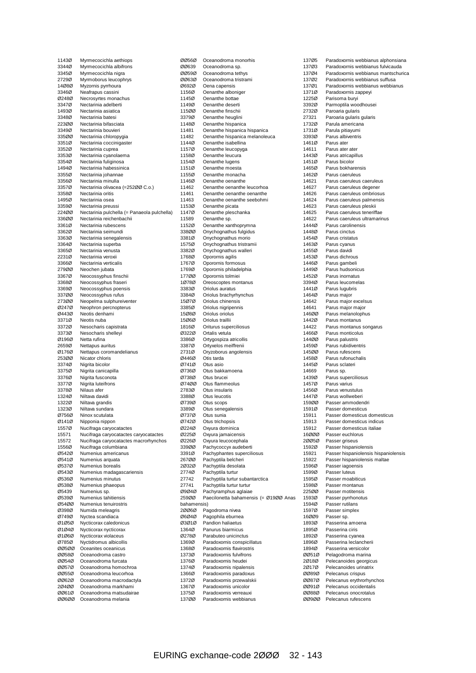| 1143Ø          | Myrmecocichla aethiops                      |
|----------------|---------------------------------------------|
| 3344Ø          | Myrmecocichla albifrons                     |
| 3345Ø          | Myrmecocichla nigra                         |
| 2729Ø          | Myrmoborus leucophrys                       |
| 14080          | Myzornis pyrrhoura                          |
| 3346Ø          | Neafrapus cassini                           |
| Ø248Ø          | Necrosyrtes monachus                        |
| 3347Ø          | Nectarinia adelberti                        |
| 1493Ø          | Nectarinia asiatica                         |
| 3348Ø          | Nectarinia batesi                           |
| 223ØØ          | Nectarinia bifasciata                       |
| 3349Ø          | Nectarinia bouvieri                         |
| 335ØØ          | Nectarinia chloropygia                      |
| 3351Ø          | Nectarinia coccinigaster                    |
| 3352Ø          | Nectarinia cuprea                           |
| 3353Ø          | Nectarinia cyanolaema                       |
| 3354Ø          | Nectarinia fuliginosa                       |
| 1494Ø          | Nectarinia habessinica                      |
| 3355Ø          | Nectarinia johannae                         |
| 3356Ø          | Nectarinia minulla                          |
| 3357Ø          | Nectarinia olivacea (=25200 C.o.)           |
| 3358Ø          | Nectarinia oritis                           |
| 1495Ø          | Nectarinia osea                             |
| 3359Ø          | Nectarinia preussi                          |
| 224ØØ          | Nectarinia pulchella (= Panaeola pulchella) |
| 336ØØ          | Nectarinia reichenbachii                    |
| 3361Ø          | Nectarinia rubescens                        |
| 3362Ø          | Nectarinia seimundi                         |
| 3363Ø          | Nectarinia senegalensis                     |
| 3364Ø          | Nectarinia superba                          |
| 3365Ø          | Nectarinia venusta                          |
| 2231Ø          | Nectarinia veroxii                          |
| 3366Ø          | Nectarinia verticalis                       |
| 279ØØ          | Neochen jubata                              |
| 3367Ø          | Neocossyphus finschii                       |
| 3368Ø          | Neocossyphus fraseri                        |
| 3369Ø          | Neocossyphus poensis                        |
| 337ØØ          | Neocossyphus rufus                          |
| 273ØØ          | Neopelma sulphureiventer                    |
| 02470          | Neophron percnopterus                       |
| Ø443Ø          | Neotis denhami                              |
| 3371Ø          | Neotis nuba                                 |
| 3372Ø<br>3373Ø | Nesocharis capistrata                       |
| Ø196Ø          | Nesocharis shelleyi<br>Netta rufina         |
| 2659Ø          | Nettapus auritus                            |
| Ø176Ø          | Nettapus coromandelianus                    |
| 253ØØ          | Nicator chloris                             |
| 3374Ø          | Nigrita bicolor                             |
| 3375Ø          | Nigrita canicapilla                         |
| 3376Ø          | Nigrita fusconota                           |
| 3377Ø          | Nigrita luteifrons                          |
| 3378Ø          | Nilaus afer                                 |
| 1324Ø          | Niltava davidi                              |
| 1322Ø          | Niltava grandis                             |
| 13230          | Niltava sundara                             |
| Ø756Ø          | Ninox scutulata                             |
| Ø141Ø          | Nipponia nippon                             |
| 1557Ø          | Nucifraga caryocatactes                     |
| 15571          | Nucifraga caryocatactes caryocatactes       |
| 15572          | Nucifraga caryocatactes macrorhynchos       |
| 1556Ø          | Nucifraga columbiana                        |
| Ø542Ø          | Numenius americanus                         |
| Ø541Ø          | Numenius arquata                            |
| Ø537Ø          | Numenius borealis                           |
| Ø543Ø          | Numenius madagascariensis                   |
| Ø536Ø          | Numenius minutus                            |
| Ø538Ø          | Numenius phaeopus                           |
| 05439          | Numenius sp.                                |
| Ø539Ø          | Numenius tahitiensis                        |
| 05400          | Numenius tenuirostris                       |
| Ø398Ø          | Numida meleagris                            |
| 07490          | Nyctea scandiaca                            |
| 01050          | Nycticorax caledonicus                      |
| Ø1Ø4Ø          | Nycticorax nycticorax                       |
| Ø1Ø6Ø          | Nycticorax violaceus                        |
| Ø785Ø          | Nyctidromus albicollis                      |
| 00500          | Oceanites oceanicus                         |
| 00580          | Oceanodroma castro                          |
| ØØ54Ø          | Oceanodroma furcata                         |
| ØØ57Ø          | Oceanodroma homochroa                       |
| ØØ55Ø          | Oceanodroma leucorhoa                       |
| 00620          | Oceanodroma macrodactyla                    |
| 20400          | Oceanodroma markhami                        |
| ØØ61Ø          | Oceanodroma matsudairae                     |
| 00600          | Oceanodroma melania                         |
|                |                                             |

| ØØ56Ø          | Oceanodroma monorhis                     |
|----------------|------------------------------------------|
| 00639          | Oceanodroma sp.                          |
| ØØ59Ø          | Oceanodroma tethys                       |
| 00630          | Oceanodroma tristrami                    |
| 06920          | Oena capensis                            |
| 1156Ø          | Oenanthe alboniger                       |
| 1145Ø          | Oenanthe bottae                          |
| 1149Ø<br>115ØØ | Oenanthe deserti                         |
| 3379Ø          | Oenanthe finschii<br>Oenanthe heuglini   |
| 1148Ø          | Oenanthe hispanica                       |
| 11481          | Oenanthe hispanica hispanica             |
| 11482          | Oenanthe hispanica melanoleuca           |
| 1144Ø          | Oenanthe isabellina                      |
| 1157Ø          | Oenanthe leucopyga                       |
| 1158Ø          | Oenanthe leucura                         |
| 1154Ø          | Oenanthe lugens                          |
| 1151Ø          | Oenanthe moesta                          |
| 1155Ø          | Oenanthe monacha                         |
| 1146Ø          | Oenanthe oenanthe                        |
| 11462          | Oenanthe oenanthe leucorhoa              |
| 11461          | Oenanthe oenanthe oenanthe               |
| 11463          | Oenanthe oenanthe seebohmi               |
| 1153Ø<br>1147Ø | Oenanthe picata                          |
| 11589          | Oenanthe pleschanka                      |
| 1152Ø          | Oenanthe sp.<br>Oenanthe xanthoprymna    |
| 338ØØ          | Onychognathus fulgidus                   |
| 3381Ø          | Onychognathus morio                      |
| 1575Ø          | Onychognathus tristramii                 |
| 3382Ø          | Onychognathus walleri                    |
| 1768Ø          | Oporomis agilis                          |
| 1767Ø          | Oporornis formosus                       |
| 1769Ø          | Oporornis philadelphia                   |
| 177ØØ          | Oporornis tolmiei                        |
| 1Ø78Ø          | Oreoscoptes montanus                     |
| 3383Ø          | Oriolus auratus                          |
| 3384Ø          | Oriolus brachyrhynchus                   |
| 15Ø7Ø          | Oriolus chinensis                        |
| 3385Ø          | Oriolus nigripennis                      |
| 15Ø8Ø          | Oriolus oriolus                          |
| 15Ø6Ø          | Oriolus traillii                         |
| 1816Ø<br>Ø322Ø | Oriturus superciliosus<br>Ortalis vetula |
| 3386Ø          | Ortygospiza atricollis                   |
| 3387Ø          | Ortyxelos meiffrenii                     |
| 2731Ø          | Oryzoborus angolensis                    |
| Ø446Ø          | Otis tarda                               |
| Ø741Ø          | Otus asio                                |
| Ø736Ø          | Otus bakkamoena                          |
| 07380          | Otus brucei                              |
| 07400          | Otus flammeolus                          |
| 2783Ø          | Otus insularis                           |
| 3388Ø          | Otus leucotis                            |
| Ø739Ø          | Otus scops                               |
| 3389Ø          | Otus senegalensis                        |
| Ø737Ø          | Otus sunia                               |
| Ø742Ø<br>Ø224Ø | Otus trichopsis                          |
| Ø225Ø          | Oxyura dominica<br>Oxyura jamaicensis    |
| Ø226Ø          | Oxyura leucocephala                      |
| 339ØØ          | Pachycoccyx audeberti                    |
| 3391Ø          | Pachyphantes superciliosus               |
| 267ØØ          | Pachyptila belcheri                      |
| 20320          | Pachyptila desolata                      |
| 2774Ø          | Pachyptila turtur                        |
| 27742          | Pachyptila turtur subantarctica          |
| 27741          | Pachyptila turtur turtur                 |
| Ø9Ø4Ø          | Pachyramphus aglaiae                     |
| 259ØØ          | Paecilonetta bahamensis (= Ø19ØØ Anas    |
| bahamensis)    |                                          |
| 20060          | Pagodroma nivea                          |
| 06040          | Pagophila eburnea                        |
| Ø3Ø1Ø<br>1364Ø | Pandion haliaetus<br>Panurus biarmicus   |
| Ø278Ø          | Parabuteo unicinctus                     |
| 1369Ø          | Paradoxornis conspicillatus              |
| 1368Ø          | Paradoxornis flavirostris                |
| 1373Ø          | Paradoxornis fulvifrons                  |
| 1376Ø          | Paradoxornis heudei                      |
| 1374Ø          | Paradoxornis nipalensis                  |
| 1366Ø          | Paradoxornis paradoxus                   |
| 1372Ø          | Paradoxornis przewalskii                 |
| 1367Ø          | Paradoxornis unicolor                    |
| 1375Ø          | Paradoxornis verreauxi                   |
| 137ØØ          | Paradoxornis webbianus                   |
|                |                                          |

137Ø5 Paradoxornis webbianus alphonsiana<br>137Ø3 Paradoxornis webbianus fulvicauda Paradoxornis webbianus fulvicauda 137Ø4 Paradoxornis webbianus mantschurica 137Ø2 Paradoxornis webbianus suffusa<br>137Ø1 Paradoxornis webbianus webbia 137Ø1 Paradoxornis webbianus webbianus<br>1371Ø Paradoxornis zappeyi 1371Ø Paradoxornis zappeyi<br>1225Ø Parisoma buryi Parisoma buryi 3392Ø Parmoptila woodhousei 2732Ø Paroaria gularis 27321 Paroaria gularis gularis 1732Ø Parula americana 1731Ø Parula pitiayumi<br>3393Ø Parus albiventris 3393Ø Parus albiventris<br>1461Ø Parus ater Parus ater 14611 Parus ater ater<br>1443Ø Parus atricapill 1443Ø Parus atricapillus<br>1451Ø Parus bicolor 1451Ø Parus bicolor<br>1465Ø Parus bokhar Parus bokharensis 1462Ø Parus caeruleus 14621 Parus caeruleus caeruleus 14627 Parus caeruleus degener<br>14626 Parus caeruleus ombriosi 14626 Parus caeruleus ombriosus<br>14624 Parus caeruleus palmensis 14624 Parus caeruleus palmensis<br>14623 Parus caeruleus pleskii 14623 Parus caeruleus pleskii<br>14625 Parus caeruleus teneriff Parus caeruleus teneriffae 14622 Parus caeruleus ultramarinus 1444Ø Parus carolinensis<br>1448Ø Parus cinctus 1448Ø Parus cinctus<br>1454Ø Parus cristatu 1454Ø Parus cristatus<br>1463Ø Parus cyanus Parus cyanus 1455Ø Parus davidi<br>1453Ø Parus dichro 1453Ø Parus dichrous<br>1446Ø Parus gambeli 1446Ø Parus gambeli<br>1449Ø Parus hudsonio 1449Ø Parus hudsonicus<br>1452Ø Parus inornatus 1452Ø Parus inornatus<br>3394Ø Parus leucomela 3394Ø Parus leucomelas<br>1441Ø Parus lugubris Parus lugubris 1464Ø Parus major<br>14642 Parus major 14642 Parus major excelsus<br>14641 Parus major major 14641 Parus major major<br>14600 Parus melanolophu Parus melanolophus 1442Ø Parus montanus 14422 Parus montanus songarus<br>1466Ø Parus monticolus Parus monticolus 144ØØ Parus palustris<br>1459Ø Parus rubidiver 1459Ø Parus rubidiventris<br>1450Ø Parus rufescens 145ØØ Parus rufescens<br>1458Ø Parus rufonuchal Parus rufonuchalis 1445Ø Parus sclateri 14669 Parus sp.<br>1439Ø Parus sur 1439Ø Parus superciliosus<br>1457Ø Parus varius eral<br>1456Ø Parus varius<br>1456Ø Parus venust Parus venustulus 1447Ø Parus wollweberi<br>1590Ø Passer ammoder 159ØØ Passer ammodendri<br>1591Ø Passer domesticus Passer domesticus 15911 Passer domesticus domesticus<br>15913 Passer domesticus indicus 15913 Passer domesticus indicus<br>15912 Passer domesticus italiae 15912 Passer domesticus italiae<br>16000 Passer euchlorus Passer euchlorus 2ØØ5Ø Passer griseus 1592Ø Passer hispaniolensis 15921 Passer hispaniolensis hispaniolensis<br>15922 Passer hispaniolensis maltae Passer hispaniolensis maltae 1596Ø Passer iagoensis 1599Ø Passer luteus<br>1595Ø Passer moabi 1595Ø Passer moabiticus<br>1598Ø Passer montanus 1598Ø Passer montanus<br>225ØØ Passer motitensis 225ØØ Passer motitensis<br>1593Ø Passer pyrrhonotu 1593Ø Passer pyrrhonotus<br>1594Ø Passer rutilans Passer rutilans 1597Ø Passer simplex 16ØØ9 Passer sp. 1893Ø Passerina amoena<br>1895Ø Passerina ciris 1895Ø Passerina ciris<br>1892Ø Passerina cyan Passerina cyanea 1896Ø Passerina leclancherii<br>1894Ø Passerina versicolor 1894Ø Passerina versicolor<br>ØØ51Ø Pelagodroma marina ØØ51Ø Pelagodroma marina<br>2Ø18Ø Pelecanoides georgio 2Ø18Ø Pelecanoides georgicus<br>2Ø17Ø Pelecanoides urinatrix 2Ø17Ø Pelecanoides urinatrix<br>ØØ89Ø Pelecanus crispus Pelecanus crispus ØØ87Ø Pelecanus erythrorhynchos ØØ91Ø Pelecanus occidentalis<br>ØØ88Ø Pelecanus onocrotalus ØØ88Ø Pelecanus onocrotalus<br>ØØ9ØØ Pelecanus rufescens Pelecanus rufescens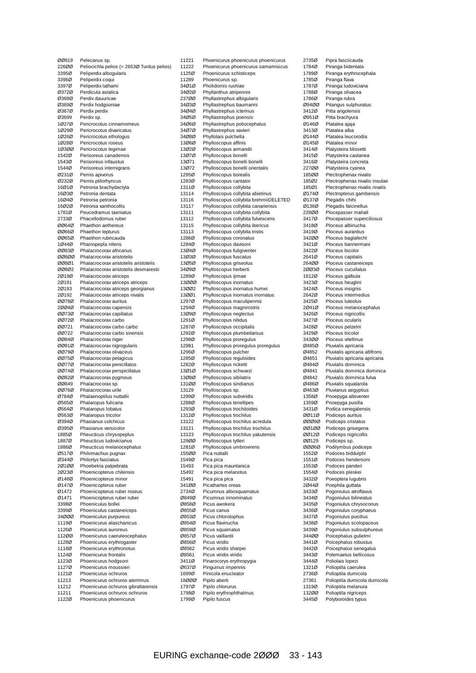| ØØ919          | Pelecanus sp.                                                       |
|----------------|---------------------------------------------------------------------|
| 226ØØ          | Peliocichla pelios (= 2653Ø Turdus pelios)                          |
| 3395Ø          | Peliperdix albogularis                                              |
| 3396Ø          | Peliperdix coqui                                                    |
| 3397Ø          | Peliperdix lathami                                                  |
| 03720          | Perdicula asiatica                                                  |
| Ø368Ø          | Perdix dauuricae                                                    |
| 03690          | Perdix hodgsoniae                                                   |
| 03670          | Perdix perdix                                                       |
| Ø3699          | Perdix sp.                                                          |
| 10270          | Pericrocotus cinnamomeus                                            |
| 1Ø29Ø          | Pericrocotus divaricatus                                            |
| 10260          | Pericrocotus ethologus                                              |
| 1Ø28Ø          | Pericrocotus roseus                                                 |
| 10300          | Pericrocotus tegimae                                                |
| 1542Ø          | Perisoreus canadensis                                               |
| 1543Ø          | Perisoreus infaustus                                                |
| 1544Ø          | Perisoreus internigrans                                             |
| 02310          | Pernis apivorus                                                     |
| 02320          | Pernis ptilorhyncus                                                 |
| 16Ø1Ø          | Petronia brachydactyla                                              |
| 16Ø3Ø          | Petronia dentata                                                    |
| 16Ø4Ø          | Petronia petronia                                                   |
| 16Ø2Ø          | Petronia xanthocollis                                               |
| 1781Ø          | Peucedramus taeniatus                                               |
| 2733Ø          | Phacellodomus ruber                                                 |
| ØØ64Ø          | Phaethon aethereus                                                  |
| 00660          | Phaethon lepturus                                                   |
| 00650          | Phaethon rubricauda                                                 |
| 10440<br>00830 | Phainopepla nitens<br>Phalacrocorax africanus                       |
|                |                                                                     |
| 00800          | Phalacrocorax aristotelis<br>Phalacrocorax aristotelis aristotelis  |
| 00801<br>00802 |                                                                     |
|                | Phalacrocorax aristotelis desmarestii                               |
| 20190          | Phalacrocorax atriceps                                              |
| 20191<br>20193 | Phalacrocorax atriceps atriceps                                     |
| 20192          | Phalacrocorax atriceps georgianus<br>Phalacrocorax atriceps nivalis |
| 00780          | Phalacrocorax auritus                                               |
| 20040          | Phalacrocorax capensis                                              |
| 00730          | Phalacrocorax capillatus                                            |
| 00720          | Phalacrocorax carbo                                                 |
| 00721          | Phalacrocorax carbo carbo                                           |
| 00722          | Phalacrocorax carbo sinensis                                        |
| ØØ84Ø          | Phalacrocorax niger                                                 |
| 00810          | Phalacrocorax nigrogularis                                          |
| 00790          | Phalacrocorax olivaceus                                             |
| 00750          | Phalacrocorax pelagicus                                             |
| ØØ77Ø          | Phalacrocorax penicillatus                                          |
| 00740          | Phalacrocorax perspicillatus                                        |
| 00820          | Phalacrocorax pygmeus                                               |
| ØØ849          | Phalacrocorax sp.                                                   |
| 00760          | Phalacrocorax urile                                                 |
| Ø784Ø          | Phalaenoptilus nuttallii                                            |
| Ø565Ø          | Phalaropus fulicaria                                                |
| Ø564Ø          | Phalaropus lobatus                                                  |
| Ø563Ø          | Phalaropus tricolor                                                 |
| Ø394Ø          | Phasianus colchicus                                                 |
| Ø395Ø          | Phasianus versicolor                                                |
| 1885Ø          | Pheucticus chrysopeplus                                             |
| 1887Ø          | Pheucticus Iudovicianus                                             |
| 1886Ø          | Pheucticus melanocephalus                                           |
| Ø517Ø          | Philomachus pugnax                                                  |
| Ø344Ø          | Philortyx fasciatus                                                 |
| 20100          | Phoebetria palpebrata                                               |
| 20230          | Phoenicopterus chilensis                                            |
| Ø148Ø          | Phoenicopterus minor                                                |
| Ø147Ø          | Phoenicopterus ruber                                                |
| Ø1472          | Phoenicopterus ruber roseus                                         |
| Ø1471          | Phoenicopterus ruber ruber                                          |
| 3398Ø          | Phoeniculus bollei                                                  |
| 3399Ø          | Phoeniculus castaneiceps                                            |
| 34ØØØ          | Phoeniculus purpureus                                               |
| 1119Ø          | Phoenicurus alaschanicus                                            |
| 1126Ø          | Phoenicurus auroreus                                                |
| 112ØØ          | Phoenicurus caeruleocephalus                                        |
| 1128Ø<br>1118Ø | Phoenicurus erythrogaster                                           |
| 1124Ø          | Phoenicurus erythronotus<br>Phoenicurus frontalis                   |
| 1123Ø          | Phoenicurus hodgsoni                                                |
| 1127Ø          | Phoenicurus moussieri                                               |
| 1121Ø          | Phoenicurus ochruros                                                |
| 11213          | Phoenicurus ochruros aterrimus                                      |
| 11212          | Phoenicurus ochruros gibraltarensis                                 |
| 11211          | Phoenicurus ochruros ochruros                                       |
| 1122Ø          | Phoenicurus phoenicurus                                             |
|                |                                                                     |

| 11221 | Phoenicurus phoenicurus phoenicurus   |
|-------|---------------------------------------|
| 11222 | Phoenicurus phoenicurus samamisicus   |
| 1125Ø | Phoenicurus schisticeps               |
| 11289 | Phoenicurus sp.                       |
| 34Ø1Ø | Pholidornis rushiae                   |
| 34Ø2Ø | Phyllanthus atripennis                |
| 237ØØ | Phyllastrephus albigularis            |
| 34Ø3Ø | Phyllastrephus baumanni               |
| 34Ø4Ø | Phyllastrephus icterinus              |
| 34Ø5Ø | Phyllastrephus poensis                |
| 34Ø6Ø | Phyllastrephus poliocephalus          |
| 34Ø7Ø | Phyllastrephus xavieri                |
| 34Ø8Ø | Phyllolais pulchella                  |
| 13Ø6Ø | Phylloscopus affinis                  |
| 13Ø2Ø | Phylloscopus armandii                 |
| 13Ø7Ø | Phylloscopus bonelli                  |
| 13Ø71 | Phylloscopus bonelli bonelli          |
| 13Ø72 |                                       |
|       | Phylloscopus bonelli orientalis       |
| 1295Ø | Phylloscopus borealis                 |
| 1283Ø | Phylloscopus cantator                 |
| 1311Ø | Phylloscopus collybita                |
| 13114 | Phylloscopus collybita abietinus      |
| 13116 | Phylloscopus collybita brehmiiDELETED |
| 13117 | Phylloscopus collybita canariensis    |
| 13111 | Phylloscopus collybita collybita      |
| 13112 | Phylloscopus collybita fulvescens     |
| 13115 | Phylloscopus collybita ibericus       |
| 13113 | Phylloscopus collybita tristis        |
| 1286Ø | Phylloscopus coronatus                |
| 1284Ø | Phylloscopus davisoni                 |
| 13Ø4Ø | Phylloscopus fuligiventer             |
| 13Ø3Ø | Phylloscopus fuscatus                 |
| 13Ø5Ø | Phylloscopus griseolus                |
| 34Ø9Ø | Phylloscopus herberti                 |
| 1289Ø | Phylloscopus ijimae                   |
| 13000 | Phylloscopus inornatus                |
| 13ØØ2 | Phylloscopus inornatus humei          |
| 13ØØ1 | Phylloscopus inornatus inornatus      |
| 1297Ø | Phylloscopus maculipennis             |
| 1294Ø | Phylloscopus magnirostris             |
| 13Ø9Ø | Phylloscopus neglectus                |
| 1291Ø | Phylloscopus nitidus                  |
| 1287Ø | Phylloscopus occipitalis              |
| 1292Ø | Phylloscopus plumbeitarsus            |
| 1298Ø | Phylloscopus proregulus               |
| 12981 | Phylloscopus proregulus proregulus    |
| 1296Ø | Phylloscopus pulcher                  |
|       |                                       |
| 1285Ø | Phylloscopus reguloides               |
| 1282Ø | Phylloscopus ricketti                 |
| 13Ø1Ø | Phylloscopus schwarzi                 |
| 13Ø8Ø | Phylloscopus sibilatrix               |
| 131ØØ | Phylloscopus sindianus                |
| 13129 | Phylloscopus sp.                      |
| 1299Ø | Phylloscopus subviridis               |
| 1288Ø | Phylloscopus tenellipes               |
| 1293Ø | Phylloscopus trochiloides             |
| 1312Ø | Phylloscopus trochilus                |
| 13122 | Phylloscopus trochilus acredula       |
| 13121 | Phylloscopus trochilus trochilus      |
| 13123 | Phylloscopus trochilus yakutensis     |
| 129ØØ | Phylloscopus tytleri                  |
| 1281Ø | Phylloscopus umbrovirens              |
| 155ØØ | Pica nuttalli                         |
| 1549Ø | Pica pica                             |
| 15493 | Pica pica mauritanica                 |
| 15492 | Pica pica melanotus                   |
| 15491 | Pica pica pica                        |
| 341ØØ | Picathartes oreas                     |
| 2734Ø | Picumnus albosquamatus                |
| Ø849Ø | Picumnus innominatus                  |
| Ø858Ø | Picus awokera                         |
| Ø855Ø | Picus canus                           |
| 08530 | Picus chlorolophus                    |
| Ø854Ø | Picus flavinucha                      |
| Ø859Ø | Picus squamatus                       |
| Ø857Ø | Picus vaillantii                      |
| Ø856Ø | Picus viridis                         |
| 08562 | Picus viridis sharpei                 |
| Ø8561 | Picus viridis viridis                 |
| 3411Ø | Pinarocorys erythropygia              |
| Ø637Ø | Pinguinus impennis                    |
| 1699Ø | Pinicola enucleator                   |
| 18000 | Pipilo aberti                         |
| 1797Ø | Pipilo chlorurus                      |
| 1798Ø |                                       |
| 1799Ø | Pipilo erythrophthalmus               |
|       | Pipilo fuscus                         |
|       |                                       |

| 2735Ø          | Pipra fasciicauda                                              |
|----------------|----------------------------------------------------------------|
| 1784Ø          | Piranga bidentata                                              |
| 1789Ø          | Piranga erythrocephala                                         |
| 1785Ø          | Piranga flava                                                  |
| 1787Ø          | Piranga ludoviciana                                            |
| 1788Ø          | Piranga olivacea                                               |
| 1786Ø          | Piranga rubra                                                  |
| Ø94ØØ          | Pitangus sulphuratus                                           |
| 3412Ø          | Pitta angolensis                                               |
| Ø951Ø          | Pitta brachyura                                                |
| Ø146Ø          | Platalea ajaja                                                 |
| 3413Ø<br>Ø144Ø | Platalea alba<br>Platalea leucorodia                           |
| Ø145Ø          | Platalea minor                                                 |
| 3414Ø          | Platysteira blissetti                                          |
| 3415Ø          | Platysteira castanea                                           |
| 3416Ø          | Platysteira concreta                                           |
| 227ØØ          | Platysteira cyanea                                             |
| 185ØØ          | Plectrophenax nivalis                                          |
| 185Ø2          | Plectrophenax nivalis insulae                                  |
| 185Ø1          | Plectrophenax nivalis nivalis                                  |
| Ø174Ø          | Plectropterus gambensis                                        |
| Ø137Ø<br>Ø136Ø | Plegadis chihi                                                 |
| 228ØØ          | Plegadis falcinellus<br>Plocepasser mahali                     |
| 3417Ø          | Plocepasser superciliosus                                      |
| 3418Ø          | Ploceus albinucha                                              |
| 3419Ø          | Ploceus aurantius                                              |
| 342ØØ          | Ploceus baglafecht                                             |
| 3421Ø          | Ploceus bannermani                                             |
| 3422Ø          | Ploceus bicolor                                                |
| 2641Ø          | Ploceus capitalis                                              |
| 264ØØ          | Ploceus castaneiceps                                           |
| 20030<br>1612Ø | Ploceus cucullatus<br>Ploceus galbula                          |
| 3423Ø          | Ploceus heuglini                                               |
| 3424Ø          | Ploceus insignis                                               |
| 2642Ø          | Ploceus intermedius                                            |
| 3425Ø          | Ploceus luteolus                                               |
| 20410          | Ploceus melanocephalus                                         |
| 3426Ø<br>3427Ø | Ploceus nigricollis<br>Ploceus ocularis                        |
| 3428Ø          | Ploceus pelzelni                                               |
| 3429Ø          | Ploceus tricolor                                               |
| 343ØØ          | Ploceus vitellinus                                             |
| Ø485Ø          | Pluvialis apricaria                                            |
| Ø4852<br>Ø4851 | Pluvialis apricaria altifrons<br>Pluvialis apricaria apricaria |
| Ø484Ø          | Pluvialis dominica                                             |
| Ø4841          | Pluvialis dominica dominica                                    |
| Ø4842          | Pluvialis dominica fulva                                       |
| Ø486Ø          | Pluvialis squatarola                                           |
| Ø463Ø          | Pluvianus aegyptius                                            |
| 1358Ø          | Pnoepyga albiventer                                            |
| 1359Ø<br>3431Ø | Pnoepyga pusilla<br>Podica senegalensis                        |
| שו ושט         | Podiceps auritus                                               |
| 00090          | Podiceps cristatus                                             |
| 00100          | Podiceps grisegena                                             |
| ØØ12Ø          | Podiceps nigricollis                                           |
| ØØ129          | Podiceps sp.                                                   |
| 00060<br>1552Ø | Podilymbus podiceps<br>Podoces biddulphi                       |
| 1551Ø          | Podoces hendersoni                                             |
| 1553Ø          | Podoces panderi                                                |
| 1554Ø          | Podoces pleskei                                                |
| 3432Ø          | Poeoptera lugubris                                             |
| 20440          | Poephila guttata                                               |
| 3433Ø          | Pogoniulus atroflavus                                          |
| 3434Ø<br>3435Ø | Pogoniulus bilineatus<br>Pogoniulus chrysoconus                |
| 3436Ø          | Pogoniulus coryphaeus                                          |
| 3437Ø          | Pogoniulus pusillus                                            |
| 3438Ø          | Pogoniulus scolopaceus                                         |
| 3439Ø          | Pogoniulus subsulphureus                                       |
| 344ØØ          | Poicephalus gulielmi                                           |
| 3441Ø          | Poicephalus robustus                                           |
| 3442Ø<br>3443Ø | Poicephalus senegalus<br>Polemaetus bellicosus                 |
| 3444Ø          | Poliolais lopezi                                               |
| 1321Ø          |                                                                |
|                | Polioptila caerulea                                            |
| 2736Ø          | Polioptila dumicola                                            |
| 27361          | Polioptila dumicola dumicola                                   |
| 1319Ø<br>13200 | Polioptila melanura<br>Polioptila nigriceps                    |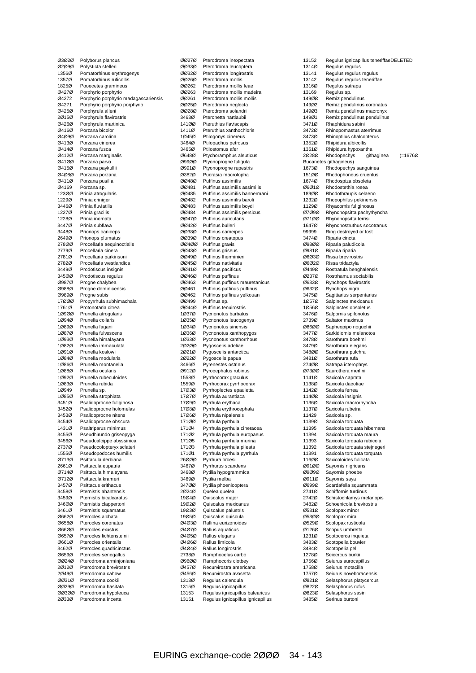|                | Polyborus plancus                          |
|----------------|--------------------------------------------|
| 02090          | Polysticta stelleri                        |
| 1356Ø          | Pomatorhinus erythrogenys                  |
| 1357Ø          | Pomatorhinus ruficollis                    |
| 1825Ø          | Pooecetes gramineus                        |
| Ø427Ø          | Porphyrio porphyrio                        |
| Ø4272          | Porphyrio porphyrio madagascariensis       |
| 04271          | Porphyrio porphyrio porphyrio              |
| Ø425Ø          | Porphyrula alleni                          |
| 20150          | Porphyrula flavirostris                    |
| Ø426Ø          | Porphyrula martinica                       |
| Ø416Ø          | Porzana bicolor                            |
| 04090          | Porzana carolina                           |
| Ø413Ø          | Porzana cinerea                            |
| 04140          | Porzana fusca                              |
| 04120          | Porzana marginalis                         |
| 04100          | Porzana parva                              |
| Ø415Ø          | Porzana paykullii                          |
| 04080          | Porzana porzana                            |
| Ø411Ø          | Porzana pusilla                            |
| Ø4169          | Porzana sp.                                |
| 12300          | Prinia atrogularis                         |
| 1229Ø          | Prinia criniger                            |
| 3446Ø          | Prinia fluviatilis                         |
| 1227Ø          | Prinia gracilis                            |
| 1228Ø          | Prinia inornata                            |
| 3447Ø          | Prinia subflava                            |
| 3448Ø          | Prionops caniceps                          |
| 2649Ø          | Prionops plumatus                          |
| 278ØØ          | Procellaria aequinoctialis                 |
| 2779Ø          | Procellaria cinera                         |
| 2781Ø          | Procellaria parkinsoni                     |
| 2782Ø          | Procellaria westlandica                    |
| 3449Ø          | Prodotiscus insignis                       |
| 345ØØ          | Prodotiscus regulus                        |
| 09870          | Progne chalybea                            |
| Ø988Ø          | Progne dominicensis                        |
| Ø989Ø          | Progne subis                               |
| 17ØØØ          | Propyrrhula subhimachala                   |
| 1761Ø          | Protonotaria citrea                        |
| 10900          | Prunella atrogularis                       |
| 1Ø94Ø          | Prunella collaris                          |
| 10890          | Prunella fagani                            |
| 10870          | Prunella fulvescens                        |
| 10930          | Prunella himalayana                        |
| 1Ø82Ø          | Prunella immaculata                        |
| 10910          | Prunella koslowi                           |
| 1Ø84Ø          | Prunella modularis                         |
| 1Ø86Ø          | Prunella montanella                        |
| 10880          | Prunella ocularis                          |
| 10920          | Prunella rubeculoides                      |
| 10830          | Prunella rubida                            |
| 1Ø949          |                                            |
|                | Prunella sp.                               |
| 10850          | Prunella strophiata                        |
| 3451Ø          | Psalidoprocne fuliginosa                   |
| 3452Ø          | Psalidoprocne holomelas                    |
| 3453Ø          | Psalidoprocne nitens                       |
| 3454Ø          | Psalidoprocne obscura                      |
| 1431Ø          | Psaltriparus minimus                       |
| 3455Ø          | Pseudhirundo griseopyga                    |
| 3456Ø          | Pseudoalcippe abyssinica                   |
| 2737Ø          | Pseudocolopteryx sclateri                  |
| 1555Ø          | Pseudopodoces humilis                      |
| Ø713Ø          | Psittacula derbiana                        |
| 2661Ø          | Psittacula eupatria                        |
| Ø714Ø          | Psittacula himalayana                      |
| Ø712Ø          | Psittacula krameri                         |
| 3457Ø          | Psittacus erithacus                        |
| 3458Ø          | Pternistis ahantensis                      |
| 3459Ø          | Pternistis bicalcaratus                    |
| 346ØØ          | Pternistis clappertoni                     |
| 3461Ø          | Pternistis squamatus                       |
| 06620          | Pterocles alchata                          |
| 06580          | Pterocles coronatus                        |
| 06600          | Pterocles exustus                          |
| Ø657Ø          | Pterocles lichtensteinii                   |
| Ø661Ø          | Pterocles orientalis                       |
| 3462Ø          | Pterocles quadricinctus                    |
| 06590          | Pterocles senegallus                       |
| ØØ24Ø          | Pterodroma arminjoniana                    |
| 20120          | Pterodroma brevirostris                    |
| 20490          | Pterodroma cahow                           |
| 00310          | Pterodroma cookii                          |
| 00290          | Pterodroma hasitata                        |
| 00300<br>20330 | Pterodroma hypoleuca<br>Pterodroma incerta |

| 00270          | Pterodroma inexpectata                                   |
|----------------|----------------------------------------------------------|
| 00330          | Pterodroma leucoptera                                    |
| 00320          | Pterodroma longirostris                                  |
| ØØ26Ø          | Pterodroma mollis                                        |
| 00262          | Pterodroma mollis feae                                   |
| 00263<br>ØØ261 | Pterodroma mollis madeira<br>Pterodroma mollis mollis    |
| 00250          | Pterodroma neglecta                                      |
| ØØ28Ø          | Pterodroma solandri                                      |
| 3463Ø          | Pteronetta hartlaubii                                    |
| 141ØØ          | Pteruthius flaviscapis                                   |
| 1411Ø          | Pteruthius xanthochloris                                 |
| 10450          | Ptilogonys cinereus                                      |
| 3464Ø          | Ptilopachus petrosus                                     |
| 3465Ø          | Ptilostomus afer                                         |
| Ø648Ø<br>Ø99ØØ | Ptychoramphus aleuticus<br>Ptyonoprogne fuligula         |
| Ø991Ø          | Ptyonoprogne rupestris                                   |
| Ø382Ø          | Pucrasia macrolopha                                      |
| ØØ48Ø          | Puffinus assimilis                                       |
| ØØ481          | Puffinus assimilis assimilis                             |
| ØØ485          | Puffinus assimilis bannermani                            |
| 00482          | Puffinus assimilis baroli                                |
| 00483          | Puffinus assimilis boydi                                 |
| ØØ484<br>00470 | Puffinus assimilis persicus<br>Puffinus auricularis      |
| 00420          | Puffinus bulleri                                         |
| 00380          | Puffinus carneipes                                       |
| 00390          | Puffinus creatopus                                       |
| 00400          | Puffinus gravis                                          |
| 00430          | Puffinus griseus                                         |
| ØØ49Ø          | Puffinus Iherminieri                                     |
| ØØ45Ø          | Puffinus nativitatis                                     |
| 00410          | Puffinus pacificus                                       |
| ØØ46Ø          | Puffinus puffinus                                        |
| 00463<br>ØØ461 | Puffinus puffinus mauretanicus                           |
| ØØ462          | Puffinus puffinus puffinus<br>Puffinus puffinus yelkouan |
| ØØ499          | Puffinus sp.                                             |
| ØØ44Ø          | Puffinus tenuirostris                                    |
| 10370          | Pycnonotus barbatus                                      |
| 10350          | Pycnonotus leucogenys                                    |
| 10340          | Pycnonotus sinensis                                      |
| 1Ø36Ø          | Pycnonotus xanthopygos                                   |
| 10330          | Pycnonotus xanthorrhous                                  |
| 20200<br>20210 | Pygoscelis adeliae<br>Pygoscelis antarctica              |
| 20220          | Pygoscelis papua                                         |
| 3466Ø          | Pyrenestes ostrinus                                      |
| 09120          | Pyrocephalus rubinus                                     |
| 1558Ø          | Pyrrhocorax graculus                                     |
| 1559Ø          | Pyrrhocorax pyrrhocorax                                  |
| 17Ø3Ø          | Pyrrhoplectes epauletta                                  |
| 17Ø7Ø          | Pyrrhula aurantiaca                                      |
| 17Ø9Ø<br>17Ø8Ø | Pyrrhula erythaca<br>Pyrrhula erythrocephala             |
| 17060          | Pvrrhula nipalensis                                      |
| 171ØØ          | Pyrrhula pyrrhula                                        |
| 171Ø4          | Pyrrhula pyrrhula cineracea                              |
| 171Ø2          | Pyrrhula pyrrhula europaeus                              |
| 171Ø5          | Pyrrhula pyrrhula murina                                 |
| 171Ø3          | Pyrrhula pyrrhula pileata                                |
| 171Ø1          | Pyrrhula pyrrhula pyrrhula                               |
| 26ØØØ          | Pyrrhura orcesi                                          |
| 3467Ø<br>3468Ø | Pyrrhurus scandens                                       |
| 3469Ø          | Pytilia hypogrammica<br>Pytilia melba                    |
| 347ØØ          | Pytilia phoenicoptera                                    |
| 20240          | Quelea quelea                                            |
| 19Ø4Ø          | Quiscalus major                                          |
| 19Ø2Ø          | Quiscalus mexicanus                                      |
| 19Ø3Ø          | Quiscalus palustris                                      |
| 19Ø5Ø          | Quiscalus quiscula                                       |
| 04030          | Rallina eurizonoides                                     |
| Ø4Ø7Ø<br>Ø4Ø5Ø | Rallus aquaticus<br>Rallus elegans                       |
| Ø4Ø6Ø          | Rallus limicola                                          |
| Ø4Ø4Ø          | Rallus longirostris                                      |
| 2738Ø          | Ramphocelus carbo                                        |
| Ø96ØØ          | Ramphocoris clotbey                                      |
| Ø457Ø          | Recurvirostra americana                                  |
| Ø456Ø          | Recurvirostra avosetta                                   |
| 1313Ø          | Regulus calendula                                        |
| 1315Ø          | Regulus ignicapillus                                     |
| 13153          | Regulus ignicapillus balearicus                          |
| 13151          | Regulus ignicapillus ignicapillus                        |

13152 Regulus ignicapillus teneriffaeDELETED<br>1314Ø Regulus regulus Regulus regulus 13141 Regulus regulus regulus 13142 Regulus regulus teneriffae<br>1316Ø Regulus satrapa 1316Ø Regulus satrapa<br>13169 Regulus sp. 13169 Regulus sp.<br>14900 Remiz pend Remiz pendulinus 149Ø2 Remiz pendulinus coronatus 149Ø3 Remiz pendulinus macronyx<br>149Ø1 Remiz pendulinus pendulinu 149Ø1 Remiz pendulinus pendulinus<br>3471Ø Rhaphidura sabini 3471Ø Rhaphidura sabini<br>3472Ø Rhinopomastus at 3472Ø Rhinopomastus aterrimus 3473Ø Rhinoptilus chalcopterus<br>1352Ø Rhipidura albicollis Rhipidura albicollis 1351Ø Rhipidura hypoxantha<br>2028Ø Rhodopechys gith 2Ø28Ø Rhodopechys githaginea (=1676Ø Bucanetes githagineus)<br>1673Ø Rhodopechys Rhodopechys sanguinea 151ØØ Rhodophoneus cruentus 1674Ø Rhodospiza obsoleta<br>Ø6Ø1Ø Rhodostethia rosea Ø6Ø1Ø Rhodostethia rosea<br>189ØØ Rhodothraupis cela 189ØØ Rhodothraupis celaeno<br>1232Ø Rhopophilus pekinensis 1232Ø Rhopophilus pekinensis<br>1129Ø Rhyacornis fuliginosus 1129Ø Rhyacornis fuliginosus<br>Ø7Ø9Ø Rhynchopsitta pachyrh Rhynchopsitta pachyrhyncha Ø71ØØ Rhynchopsitta terrisi 1647Ø Rhynchostruthus socotranus<br>99999 Ring destroyed or lost 99999 Ring destroyed or lost<br>3474Ø Riparia cincta 3474Ø Riparia cincta<br>Ø98ØØ Riparia paludi Riparia paludicola Ø981Ø Riparia riparia Ø6Ø3Ø Rissa brevirostris<br>Ø6Ø2Ø Rissa tridactyla Ø6Ø2Ø Rissa tridactyla<br>Ø449Ø Rostratula beng Ø449Ø Rostratula benghalensis Ø237Ø Rostrhamus sociabilis Ø633Ø Rynchops flavirostris<br>Ø632Ø Rynchops nigra Rynchops nigra 3475Ø Sagittarius serpentarius<br>1Ø57Ø Salpinctes mexicanus 1Ø57Ø Salpinctes mexicanus<br>1Ø56Ø Salpinctes obsoletus 1Ø56Ø Salpinctes obsoletus<br>3476Ø Salpornis spilonotus Salpornis spilonotus 2739Ø Saltator maximus Ø86ØØ Sapheopipo noguchii<br>3477Ø Sarkidiornis melanoto 3477Ø Sarkidiornis melanotos<br>3478Ø Sarothrura boehmi 3478Ø Sarothrura boehmi<br>3479Ø Sarothrura elegans 3479Ø Sarothrura elegans<br>348ØØ Sarothrura pulchra 348ØØ Sarothrura pulchra<br>3481Ø Sarothrura rufa 3481Ø Sarothrura rufa 274ØØ Satrapa icterophrys Ø73ØØ Saurothera merlini<br>1141Ø Saxicola caprata 1141Ø Saxicola caprata<br>1138Ø Saxicola dacotia 1138Ø Saxicola dacotiae<br>1142Ø Saxicola ferrea Saxicola ferrea 114ØØ Saxicola insignis<br>1136Ø Saxicola macrorh 1136Ø Saxicola macrorhyncha<br>1137Ø Saxicola rubetra Saxicola rubetra 11429 Saxicola sp.<br>1139Ø Saxicola tor 1139Ø Saxicola torquata<br>11395 Saxicola torquata 11395 Saxicola torquata hibernans<br>11394 Saxicola torquata maura Saxicola torquata maura 11393 Saxicola torquata rubicola<br>11392 Saxicola torquata stejneque 11392 Saxicola torquata stejnegeri<br>11391 Saxicola torquata torquata 11391 Saxicola torquata torquata<br>11600 Saxicoloides fulicata Saxicoloides fulicata Ø91ØØ Sayornis nigricans Ø9Ø9Ø Sayornis phoebe<br>Ø911Ø Savornis sava Ø911Ø Sayornis saya Ø699Ø Scardafella squammata<br>2741Ø Schiffornis turdinus 2741Ø Schiffornis turdinus<br>2742Ø Schistochlamys me 2742Ø Schistochlamys melanopis<br>3482Ø Schoenicola brevirostris Schoenicola brevirostris Ø531Ø Scolopax minor Ø53ØØ Scolopax mira<br>Ø529Ø Scolopax rustio Ø529Ø Scolopax rusticola<br>Ø126Ø Scopus umbretta Ø126Ø Scopus umbretta<br>1231Ø Scotocerca inquie Scotocerca inquieta 3483Ø Scotopelia bouvieri<br>3484Ø Scotopelia peli 3484Ø Scotopelia peli 1278Ø Seicercus burkii<br>1756Ø Seiurus aurocap 1756Ø Seiurus aurocapillus<br>1758Ø Seiurus motacilla 1758Ø Seiurus motacilla<br>1757Ø Seiurus novebora Seiurus noveboracensis Ø821Ø Selasphorus platycercus Ø822Ø Selasphorus rufus Ø823Ø Selasphorus sasin Serinus burtoni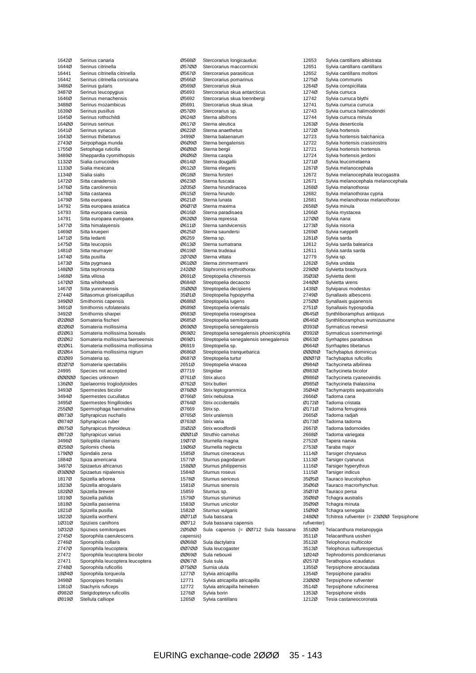| 1642Ø          | Serinus canaria                                |
|----------------|------------------------------------------------|
| 1644Ø          | Serinus citrinella                             |
| 16441          | Serinus citrinella citrinella                  |
| 16442          | Serinus citrinella corsicana                   |
| 3486Ø          | Serinus gularis                                |
| 3487Ø          | Serinus leucopygius                            |
| 1646Ø          | Serinus menachensis                            |
| 3488Ø          | Serinus mozambicus                             |
| 1639Ø          | Serinus pusillus                               |
| 1645Ø          | Serinus rothschildi                            |
| 164ØØ          | Serinus serinus                                |
| 1641Ø          | Serinus syriacus                               |
| 1643Ø          | Serinus thibetanus                             |
| 2743Ø<br>1755Ø | Serpophaga munda<br>Setophaga ruticilla        |
| 3489Ø          | Sheppardia cyornithopsis                       |
| 1132Ø          | Sialia currucoides                             |
| 1133Ø          | Sialia mexicana                                |
| 1134Ø          | Sialia sialis                                  |
| 1472Ø          | Sitta canadensis                               |
| 1476Ø          | Sitta carolinensis                             |
| 1478Ø          | Sitta castanea                                 |
| 1479Ø          | Sitta europaea                                 |
| 14792          | Sitta europaea asiatica                        |
| 14793          | Sitta europaea caesia                          |
| 14791          | Sitta europaea europaea                        |
| 1477Ø          | Sitta himalayensis                             |
| 1469Ø          | Sitta krueperi                                 |
| 1471Ø          | Sitta ledanti                                  |
| 1475Ø          | Sitta leucopsis                                |
| 1481Ø          | Sitta neumayer                                 |
| 1474Ø          | Sitta pusilla                                  |
| 1473Ø          | Sitta pygmaea                                  |
| 148ØØ          | Sitta tephronota                               |
| 1468Ø          | Sitta villosa                                  |
| 147ØØ          | Sitta whiteheadi                               |
| 1467Ø          | Sitta yunnanensis                              |
| 2744Ø          | Sittasomus griseicapillus                      |
| 349ØØ          | Smithornis capensis                            |
| 3491Ø          | Smithornis rufolateralis                       |
| 3492Ø          | Smithornis sharpei                             |
| 02080          | Somateria fischeri                             |
|                |                                                |
| 02060          | Somateria mollissima                           |
| 02063          | Somateria mollissima borealis                  |
| 02062          | Somateria mollissima faeroeensis               |
| 02061          | Somateria mollissima mollissima                |
| 02064          | Somateria mollissima nigrum                    |
| 02089          | Somateria sp.                                  |
| 02070          | Somateria spectabilis                          |
| 24995          | Species not accepted                           |
| 00000          | Species unknown                                |
| 136ØØ          | Spelaeornis troglodytoides                     |
| 3493Ø          | Spermestes bicolor                             |
| 3494Ø          | Spermestes cucullatus                          |
| 3495Ø          | Spermestes fringilloides                       |
| 255ØØ          | Spermophaga haematina                          |
| 08730          | Sphyrapicus nuchalis                           |
| Ø874Ø          | Sphyrapicus ruber                              |
| Ø875Ø          | Sphyrapicus thyroideus                         |
| Ø872Ø          | Sphyrapicus varius                             |
| 3496Ø<br>Ø258Ø | Spiloptila clamans                             |
| 179ØØ          | Spilornis cheela<br>Spindalis zena             |
| 1884Ø          | Spiza americana                                |
| 3497Ø          | Spizaetus africanus                            |
| 03000          | Spizaetus nipalensis                           |
| 1817Ø          | Spizella arborea                               |
| 1823Ø          | Spizella atrogularis                           |
| 182ØØ          | Spizella breweri                               |
| 1819Ø          | Spizella pallida                               |
| 1818Ø          | Spizella passerina                             |
| 1821Ø          | Spizella pusilla                               |
| 1822Ø          | Spizella wortheni                              |
| 10310          | Spizixos canifrons                             |
| 10320          | Spizixos semitorques                           |
| 2745Ø          | Sporophila caerulescens                        |
| 2746Ø          | Sporophila collaris                            |
| 2747Ø          | Sporophila leucoptera                          |
| 27472          | Sporophila leucoptera bicolor                  |
| 27471          | Sporophila leucoptera leucoptera               |
| 2748Ø          | Sporophila ruficollis                          |
| 18Ø4Ø          | Sporophila torqueola                           |
| 3498Ø          | Sporopipes frontalis                           |
| 1361Ø          | Stachyris ruficeps                             |
| Ø982Ø<br>Ø819Ø | Stelgidopteryx ruficollis<br>Stellula calliope |

| Ø568Ø     | Stercorarius longicaudus                |
|-----------|-----------------------------------------|
| Ø57ØØ     | Stercorarius maccormicki                |
| Ø567Ø     | Stercorarius parasiticus                |
| Ø566Ø     | Stercorarius pomarinus                  |
| Ø569Ø     | Stercorarius skua                       |
| 05693     | Stercorarius skua antarcticus           |
| 05692     | Stercorarius skua loennbergi            |
| Ø5691     | Stercorarius skua skua                  |
| 05709     | Stercorarius sp.                        |
| Ø624Ø     | Sterna albifrons                        |
| Ø617Ø     | Sterna aleutica                         |
|           |                                         |
| 06220     | Sterna anaethetus                       |
| 3499Ø     | Sterna balaenarum                       |
| 06090     | Sterna bengalensis                      |
| 06080     | Sterna bergii                           |
| 06060     | Sterna caspia                           |
| Ø614Ø     | Sterna dougallii                        |
| 06120     | Sterna elegans                          |
| Ø618Ø     | Sterna forsteri                         |
| 06230     | Sterna fuscata                          |
| 20350     | Sterna hirundinacea                     |
| Ø615Ø     | Sterna hirundo                          |
| Ø621Ø     | Sterna lunata                           |
| 06070     | Sterna maxima                           |
| Ø616Ø     | Sterna paradisaea                       |
| 06200     | Sterna repressa                         |
| Ø611Ø     | Sterna sandvicensis                     |
| Ø625Ø     | Sterna saundersi                        |
| Ø6259     | Sterna sp.                              |
|           |                                         |
| Ø613Ø     | Sterna sumatrana                        |
| Ø619Ø     | Sterna trudeaui                         |
| 20700     | Sterna vittata                          |
| 06100     | Sterna zimmermanni                      |
| 242ØØ     | Stiphrornis erythrothorax               |
| Ø691Ø     | Streptopelia chinensis                  |
| Ø684Ø     | Streptopelia decaocto                   |
| 35ØØØ     | Streptopelia decipiens                  |
| 35Ø1Ø     | Streptopelia hypopyrrha                 |
| Ø688Ø     | Streptopelia lugens                     |
| Ø689Ø     | Streptopelia orientalis                 |
| Ø683Ø     | Streptopelia roseogrisea                |
| Ø685Ø     | Streptopelia semitorquata               |
| 06900     | Streptopelia senegalensis               |
| 06902     | Streptopelia senegalensis phoenicophila |
| Ø69Ø1     | Streptopelia senegalensis senegalensis  |
| Ø6919     | Streptopelia sp.                        |
| Ø686Ø     | Streptopelia tranquebarica              |
| Ø687Ø     | Streptopelia turtur                     |
| 2651Ø     | Streptopelia vinacea                    |
| Ø7719     |                                         |
|           | Strigidae                               |
| Ø761Ø     | Strix aluco                             |
| Ø762Ø     | Strix butleri                           |
| 07600     | Strix leptogrammica                     |
| Ø766Ø     | Strix nebulosa                          |
| Ø764Ø     | Strix occidentalis                      |
| Ø7669     | Strix sp.                               |
| Ø765Ø     | Strix uralensis                         |
| Ø763Ø     | Strix varia                             |
| 35Ø2Ø     | Strix woodfordii                        |
| 00010     | Struthio camelus                        |
| 19Ø7Ø     | Sturnella magna                         |
| 19Ø6Ø     | Sturnella neglecta                      |
| 1585Ø     | Sturnus cineraceus                      |
| 1577Ø     | Sturnus pagodarum                       |
| 158ØØ     | Sturnus philippensis                    |
| 1584Ø     | Sturnus roseus                          |
|           |                                         |
| 1578Ø     | Sturnus sericeus                        |
| 1581Ø     | Sturnus sinensis                        |
| 15859     | Sturnus sp.                             |
| 1579Ø     | Sturnus sturninus                       |
| 1583Ø     | Sturnus unicolor                        |
| 1582Ø     | Sturnus vulgaris                        |
| 00710     | Sula bassana                            |
| 00712     | Sula bassana capensis                   |
| 20500     | Sula capensis (= ØØ712 Sula bassana     |
| capensis) |                                         |
| 00680     | Sula dactylatra                         |
| 00700     | Sula leucogaster                        |
| 00690     | Sula nebouxii                           |
| ØØ67Ø     | Sula sula                               |
| Ø75ØØ     | Surnia ulula                            |
| 1277Ø     | Sylvia atricapilla                      |
| 12771     | Sylvia atricapilla atricapilla          |
| 12772     | Sylvia atricapilla heineken             |
| 1276Ø     | Sylvia borin                            |
| 1265Ø     | Sylvia cantillans                       |
|           |                                         |

12653 Sylvia cantillans albistrata<br>12651 Sylvia cantillans cantillans 12651 Sylvia cantillans cantillans 12652 Sylvia cantillans moltoni<br>1275Ø Sylvia communis 1275Ø Sylvia communis<br>1264Ø Sylvia conspicilla 1264Ø Sylvia conspicillata<br>1274Ø Sylvia curruca 1274Ø Sylvia curruca<br>12742 Sylvia curruca Sylvia curruca blythi 12741 Sylvia curruca curruca<br>12743 Sylvia curruca balimod 12743 Sylvia curruca halimodendri<br>12744 Sylvia curruca minula 12744 Sylvia curruca minula<br>1263Ø Sylvia deserticola 1263Ø Sylvia deserticola<br>1272Ø Sylvia hortensis 1272Ø Sylvia hortensis<br>12723 Sylvia hortensis 12723 Sylvia hortensis balchanica<br>12722 Sylvia hortensis crassirostris Sylvia hortensis crassirostris 12721 Sylvia hortensis hortensis<br>12724 Sylvia hortensis ierdoni 12724 Sylvia hortensis jerdoni<br>1271Ø Sylvia leucomelaena 1271Ø Sylvia leucomelaena<br>1267Ø Sylvia melanocephali Sylvia melanocephala 12672 Sylvia melanocephala leucogastra 12671 Sylvia melanocephala melanocephala<br>1268Ø Sylvia melanothorax 1268Ø Sylvia melanothorax<br>12682 Sylvia melanothorax 12682 Sylvia melanothorax cypria<br>12681 Sylvia melanothorax melan 12681 Sylvia melanothorax melanothorax 2658Ø Sylvia minula<br>1266Ø Sylvia mystac Sylvia mystacea 127ØØ Sylvia nana 1273Ø Sylvia nisoria<br>1269Ø Sylvia rueppe 1269Ø Sylvia rueppelli<br>1261Ø Sylvia sarda 1261Ø Sylvia sarda<br>12612 Sylvia sarda Sylvia sarda balearica 12611 Sylvia sarda sarda 12779 Sylvia sp.<br>1262Ø Sylvia uno 1262Ø Sylvia undata<br>229ØØ Sylvietta brac 229ØØ Sylvietta brachyura<br>35Ø3Ø Sylvietta denti 35Ø3Ø Sylvietta denti<br>244ØØ Sylvietta viren: 244ØØ Sylvietta virens Sylviparus modestus 2749Ø Synallaxis albescens<br>275ØØ Synallaxis qujanensis 275ØØ Synallaxis gujanensis<br>2751Ø Synallaxis hypospodia 2751Ø Synallaxis hypospodia<br>Ø645Ø Synthliboramphus anti Synthliboramphus antiquus Ø646Ø Synthliboramphus wumizusume Ø393Ø Syrmaticus reevesii<br>Ø392Ø Syrmaticus soemme Syrmaticus soemmerringii Ø663Ø Syrrhaptes paradoxus<br>Ø664Ø Syrrhaptes tibetanus Ø664Ø Syrrhaptes tibetanus ØØØ8Ø Tachybaptus dominicus<br>ØØØ7Ø Tachybaptus ruficollis Tachybaptus ruficollis Ø984Ø Tachycineta albilinea Ø983Ø Tachycineta bicolor<br>Ø986Ø Tachycineta cyaneo Ø986Ø Tachycineta cyaneoviridis<br>Ø985Ø Tachycineta thalassina Ø985Ø Tachycineta thalassina Tachymarptis aequatorialis 2666Ø Tadorna cana<br>Ø172Ø Tadorna crista Ø172Ø Tadorna cristata<br>Ø171Ø Tadorna ferrugir Ø171Ø Tadorna ferruginea<br>2665Ø Tadorna radjah 2665Ø Tadorna radjah<br>Ø173Ø Tadorna tadorna Ø173Ø Tadorna tadorna 2667Ø Tadorna tadornoides Tadorna variegata 2752Ø Tapera naevia<br>2753Ø Taraba major 2753Ø Taraba major<br>1114Ø Tarsiger chrys 1114Ø Tarsiger chrysaeus<br>1113Ø Tarsiger cyanurus Tarsiger cyanurus 1116Ø Tarsiger hyperythrus 1115Ø Tarsiger indicus<br>35Ø5Ø Tauraco leucoloi 35Ø5Ø Tauraco leucolophus<br>35Ø6Ø Tauraco macrorhyncl 35Ø6Ø Tauraco macrorhynchus<br>35Ø7Ø Tauraco persa 35Ø7Ø Tauraco persa<br>35Ø8Ø Tchagra austra 35Ø8Ø Tchagra australis<br>35Ø9Ø Tchagra minuta Tchagra minuta 15Ø9Ø Tchagra senegala 248ØØ Tchitrea rufiventer (= 23ØØØ Terpsiphone rufiventer)<br>351ØØ 351ØØ Telacanthura melanopygia<br>3511Ø Telacanthura ussheri Telacanthura ussheri 3512Ø Telophorus multicolor<br>3513Ø Telophorus sulfureope 3513Ø Telophorus sulfureopectus<br>1Ø24Ø Tephrodornis pondicerianu 1Ø24Ø Tephrodornis pondicerianus<br>Ø257Ø Terathopius ecaudatus Ø257Ø Terathopius ecaudatus<br>1355Ø Terpsiphone atrocauda 1355Ø Terpsiphone atrocaudata<br>1354Ø Terpsiphone paradisi Terpsiphone paradisi 23ØØØ Terpsiphone rufiventer 3514Ø Terpsiphone rufocinerea<br>1353Ø Terpsiphone viridis 1353Ø Terpsiphone viridis<br>1212Ø Tesia castaneocoro Tesia castaneocoronata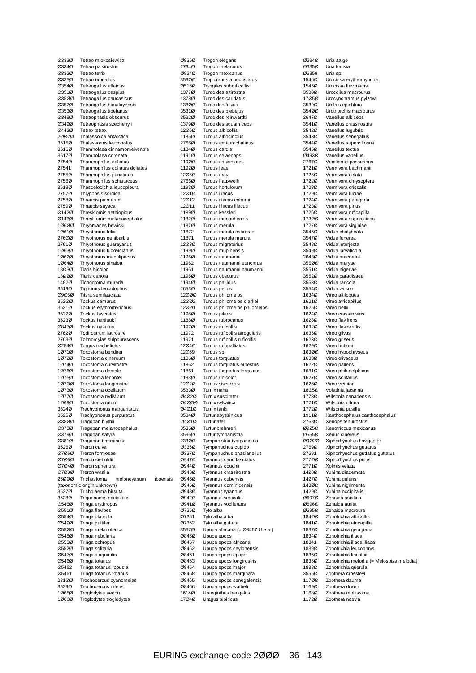| Ø333Ø          | Tetrao mlokosiewiczi                                 |          |
|----------------|------------------------------------------------------|----------|
| Ø334Ø          | Tetrao parvirostris                                  |          |
| 03320<br>Ø335Ø | Tetrao tetrix<br>Tetrao urogallus                    |          |
| Ø354Ø          | Tetraogallus altaicus                                |          |
| Ø351Ø          | Tetraogallus caspius                                 |          |
| 03500<br>Ø352Ø | Tetraogallus caucasicus<br>Tetraogallus himalayensis |          |
| Ø353Ø          | Tetraogallus tibetanus                               |          |
| Ø348Ø          | Tetraophasis obscurus                                |          |
| Ø349Ø          | Tetraophasis szechenyii                              |          |
| Ø442Ø<br>20020 | <b>Tetrax tetrax</b><br>Thalassoica antarctica       |          |
| 3515Ø          | Thalassornis leuconotus                              |          |
| 3516Ø          | Thamnolaea cinnamomeiventris                         |          |
| 3517Ø          | Thamnolaea coronata<br>Thamnophilus doliatus         |          |
| 2754Ø<br>27541 | Thamnophilus doliatus doliatus                       |          |
| 2755Ø          | Thamnophilus punctatus                               |          |
| 2756Ø          | Thamnophilus schistaceus                             |          |
| 3518Ø<br>2757Ø | Thescelocichla leucopleura<br>Thlypopsis sordida     |          |
| 2758Ø          | Thraupis palmarum                                    |          |
| 2759Ø          | Thraupis sayaca                                      |          |
| 01420          | Threskiornis aethiopicus                             |          |
| Ø143Ø<br>10600 | Threskiornis melanocephalus<br>Thryomanes bewickii   |          |
| 10610          | Thryothorus felix                                    |          |
| 276ØØ          | Thryothorus genibarbis                               |          |
| 2761Ø          | Thryothorus guarayanus                               |          |
| 10630<br>10620 | Thryothorus Iudovicianus<br>Thryothorus maculipectus |          |
| 10640          | Thryothorus sinaloa                                  |          |
| 18Ø3Ø          | Tiaris bicolor                                       |          |
| 18Ø2Ø<br>1482Ø | Tiaris canora<br>Tichodroma muraria                  |          |
| 3519Ø          | Tigriornis leucolophus                               |          |
| 09050          | Tityra semifasciata                                  |          |
| 352ØØ          | Tockus camurus                                       |          |
| 3521Ø<br>3522Ø | Tockus erythrorhynchus<br>Tockus fasciatus           |          |
| 3523Ø          | Tockus hartlaubi                                     |          |
| Ø847Ø          | <b>Tockus nasutus</b>                                |          |
| 2762Ø          | Todirostrum latirostre                               |          |
| 2763Ø<br>Ø254Ø | Tolmomyias sulphurescens<br>Torgos tracheliotus      |          |
| 10710          | Toxostoma bendirei                                   |          |
| 10720          | Toxostoma cinereum                                   |          |
| 10740<br>10760 | Toxostoma curvirostre                                |          |
| 10750          | Toxostoma dorsale<br>Toxostoma lecontei              |          |
| 10700          | Toxostoma longirostre                                |          |
| 10730          | Toxostoma ocellatum                                  |          |
| 10770<br>10690 | Toxostoma redivivum<br>Toxostoma rufum               |          |
| 3524Ø          | Trachyphonus margaritatus                            |          |
| 3525Ø          | Tracnyphonus purpuratus                              |          |
| 03800          | Tragopan blythii                                     |          |
| 03780<br>Ø379Ø | Tragopan melanocephalus<br>Tragopan satyra           |          |
| Ø381Ø          | Tragopan temminckii                                  |          |
| 3526Ø          | Treron calva                                         |          |
| 07060<br>07050 | Treron formosae                                      |          |
| 07040          | Treron sieboldii<br>Treron sphenura                  |          |
| 07030          | Treron waalia                                        |          |
| 25000          | Trichastoma<br>moloneyanum                           | iboensis |
| 3527Ø          | (taxonomic origin unknown)<br>Tricholaema hirsuta    |          |
| 3528Ø          | Trigonoceps occipitalis                              |          |
| Ø545Ø          | Tringa erythropus                                    |          |
| Ø551Ø          | <b>Tringa flavipes</b>                               |          |
| Ø554Ø<br>Ø549Ø | Tringa glareola<br>Tringa guttifer                   |          |
| Ø55ØØ          | Tringa melanoleuca                                   |          |
| Ø548Ø          | Tringa nebularia                                     |          |
| Ø553Ø          | Tringa ochropus                                      |          |
| Ø552Ø<br>Ø547Ø | Tringa solitaria<br>Tringa stagnatilis               |          |
| Ø546Ø          | Tringa totanus                                       |          |
| 05462          | Tringa totanus robusta                               |          |
| Ø5461<br>231ØØ | Tringa totanus totanus<br>Trochocercus cyanomelas    |          |
| 3529Ø          | Trochocercus nitens                                  |          |
| 10650          | Troglodytes aedon                                    |          |
| 10660          | Troglodytes troglodytes                              |          |

| Ø825Ø          | Trogon elegans                                  |
|----------------|-------------------------------------------------|
| 2764Ø          | Trogon melanurus                                |
| Ø824Ø          | Trogon mexicanus                                |
| 353ØØ          | Tropicranus albocristatus                       |
| Ø516Ø          | Tryngites subruficollis                         |
| 1377Ø          | Turdoides altirostris                           |
| 1378Ø          | Turdoides caudatus                              |
| 138ØØ          | Turdoides fulvus                                |
| 3531Ø          | Turdoides plebejus                              |
| 3532Ø          | Turdoides reinwardtii                           |
| 1379Ø          | Turdoides squamiceps                            |
| 12Ø6Ø          | Turdus albicollis                               |
| 1185Ø          | Turdus albocinctus                              |
| 2765Ø          | Turdus amaurochalinus                           |
| 1184Ø          | Turdus cardis                                   |
| 1191Ø          | Turdus celaenops                                |
| 119ØØ          | Turdus chrysolaus                               |
| 1192Ø          | Turdus feae                                     |
| 12Ø5Ø          | Turdus grayi                                    |
| 2766Ø          | Turdus hauxwelli                                |
| 1193Ø          | Turdus hortulorum                               |
| 12Ø1Ø          | <b>Turdus iliacus</b>                           |
| 12Ø12          | Turdus iliacus coburni                          |
| 12Ø11          | Turdus iliacus iliacus                          |
| 1189Ø          | Turdus kessleri                                 |
| 1182Ø          | Turdus menachensis                              |
| 1187Ø          | Turdus merula                                   |
| 11872          | Turdus merula cabrerae                          |
| 11871          | Turdus merula merula                            |
| 12Ø3Ø          | Turdus migratorius                              |
| 1199Ø<br>1196Ø | Turdus mupinensis<br>Turdus naumanni            |
| 11962          | Turdus naumanni eunomus                         |
| 11961          | Turdus naumanni naumanni                        |
| 1195Ø          | Turdus obscurus                                 |
| 1194Ø          | Turdus pallidus                                 |
| 2653Ø          | Turdus pelios                                   |
| 12000          | Turdus philomelos                               |
| 12002          | Turdus philomelos clarkei                       |
| 12ØØ1          | Turdus philomelos philomelos                    |
| 1198Ø          | Turdus pilaris                                  |
| 1188Ø          | Turdus rubrocanus                               |
| 1197Ø          | Turdus ruficollis                               |
| 11972          | Turdus ruficollis atrogularis                   |
| 11971          | Turdus ruficollis ruficollis                    |
| 12Ø4Ø          | Turdus rufopalliatus                            |
| 12Ø69          | Turdus sp.                                      |
| 1186Ø          | Turdus torquatus                                |
| 11862          | Turdus torquatus alpestris                      |
| 11861          | Turdus torquatus torquatus                      |
| 1183Ø          | Turdus unicolor                                 |
| 12020          | Turdus viscivorus                               |
| 3533Ø          | Turnix nana                                     |
| 04020          | Turnix suscitator                               |
| 04000          | Turnix sylvatica                                |
| Ø4Ø1Ø          | Turnix tanki                                    |
| 3534Ø          | Turtur abyssinicus                              |
| 20010          | Turtur afer                                     |
| 3535Ø          | Turtur brehmeri                                 |
| 3536Ø          | Turtur tympanistria                             |
| 233ØØ          | Tympanistria tympanistria                       |
| Ø336Ø          | Tympanuchus cupido                              |
| Ø337Ø          | Tympanuchus phasianellus                        |
| Ø947Ø          | Tyrannus caudifasciatus                         |
| Ø944Ø          | Tyrannus couchii                                |
| Ø943Ø          | Tyrannus crassirostris                          |
| Ø946Ø          | Tyrannus cubensis                               |
| Ø945Ø          | Tyrannus dominicensis                           |
| Ø948Ø          | Tyrannus tyrannus                               |
| Ø942Ø          | Tyrannus verticalis                             |
| Ø941Ø          | Tyrannus vociferans                             |
| Ø735Ø          | Tyto alba                                       |
| Ø7351          | Tyto alba alba                                  |
| 07352          | Tyto alba guttata                               |
| 3537Ø          | Upupa africana (= Ø8467 U.e.a.)                 |
| Ø846Ø          | Upupa epops                                     |
| Ø8467<br>Ø8462 | Upupa epops africana<br>Upupa epops ceylonensis |
| Ø8461          | Upupa epops epops                               |
| 08463          | Upupa epops longirostris                        |
| Ø8464          | Upupa epops major                               |
| Ø8468          |                                                 |
|                |                                                 |
|                | Upupa epops marginata                           |
| Ø8465          | Upupa epops senegalensis                        |
| Ø8466          | Upupa epops waibeli                             |
| 1614Ø<br>17Ø4Ø | Uraeginthus bengalus<br>Uragus sibiricus        |

Ø634Ø Uria aalge<br>Ø635Ø Uria lomvia Uria lomvia Ø6359 Uria sp.<br>1546Ø Urocissa 1546Ø Urocissa erythrorhyncha<br>1545Ø Urocissa flavirostris 1545Ø Urocissa flavirostris<br>3538Ø Urocolius macrouru 3538Ø Urocolius macrourus<br>17Ø5Ø Urocynchramus pylzo Urocynchramus pylzowi 3539Ø Urolais epichlora<br>35400 Urotriorchis macri 354ØØ Urotriorchis macrourus<br>2647Ø Vanellus albiceps 2647Ø Vanellus albiceps<br>3541Ø Vanellus crassiros 3541Ø Vanellus crassirostris<br>3542Ø Vanellus luqubris 3542Ø Vanellus lugubris<br>3543Ø Vanellus senegall 3543Ø Vanellus senegallus<br>3544Ø Vanellus supercilios Vanellus superciliosus 3545Ø Vanellus tectus<br>Ø493Ø Vanellus vanellu Ø493Ø Vanellus vanellus<br>2767Ø Veniliornis passel 2767Ø Veniliornis passerinus<br>1721Ø Vermivora bachmanii Vermivora bachmanii 1725Ø Vermivora celata 1722Ø Vermivora chrysoptera<br>1728Ø Vermivora crissalis 1728Ø Vermivora crissalis<br>1729Ø Vermivora luciae 1729Ø Vermivora luciae<br>1724Ø Vermivora peregi 1724Ø Vermivora peregrina<br>1723Ø Vermivora pinus 1723Ø Vermivora pinus<br>1726Ø Vermivora rufica Vermivora ruficapilla 173ØØ Vermivora superciliosa 1727Ø Vermivora virginiae<br>3546Ø Vidua chalybeata 3546Ø Vidua chalybeata<br>3547Ø Vidua funerea 3547Ø Vidua funerea<br>3548Ø Vidua interject Vidua interjecta 3549Ø Vidua larvaticola 2643Ø Vidua macroura<br>355ØØ Vidua maryae 355ØØ Vidua maryae<br>3551Ø Vidua nigeriae 3551Ø Vidua nigeriae<br>3552Ø Vidua paradisa 3552Ø Vidua paradisaea<br>3553Ø Vidua raricola 3553Ø Vidua raricola<br>3554Ø Vidua wilsoni 3554Ø Vidua wilsoni 1634Ø Vireo altiloquus<br>1621Ø Vireo atricapillu 1621Ø Vireo atricapillus<br>1625Ø Vireo bellii 1625Ø Vireo bellii<br>1624Ø Vireo crass Vireo crassirostris 1628Ø Vireo flavifrons 1632Ø Vireo flavoviridis<br>1635Ø Vireo gilvus Vireo gilvus 1623Ø Vireo griseus<br>1629Ø Vireo huttoni 1629Ø Vireo huttoni<br>1630Ø Vireo hypoch 163ØØ Vireo hypochryseus<br>1633Ø Vireo olivaceus Vireo olivaceus 1622Ø Vireo pallens 1631Ø Vireo philadelphicus<br>1627Ø Vireo solitarius 1627Ø Vireo solitarius<br>1626Ø Vireo vicinior 1626Ø Vireo vicinior<br>18Ø5Ø Volatinia jaca Volatinia jacarina 1773Ø Wilsonia canadensis<br>1771Ø Wilsonia citrina 1771Ø Wilsonia citrina<br>1772Ø Wilsonia pusilla Wilsonia pusilla 1911Ø Xanthocephalus xanthocephalus<br>2768Ø Xenops tenuirostris 2768Ø Xenops tenuirostris<br>Ø925Ø Xenotriccus mexica Ø925Ø Xenotriccus mexicanus<br>Ø555Ø Xenus cinereus Xenus cinereus Ø9Ø2Ø Xiphorhynchus flavigaster<br>2769Ø Xiphorhynchus quttatus 2769Ø Xiphorhynchus guttatus 27691 Xiphorhynchus guttatus guttatus<br>27700 Xiphorhynchus picus Xiphorhynchus picus 2771Ø Xolmis velata 1428Ø Yuhina diademata<br>1427Ø Yuhina gularis 1427Ø Yuhina gularis<br>1430Ø Yuhina nigrime 143ØØ Yuhina nigrimenta<br>1429Ø Yuhina occipitalis 1429Ø Yuhina occipitalis<br>Ø697Ø Zenaida asiatica Ø697Ø Zenaida asiatica Zenaida aurita Ø695Ø Zenaida macroura 184ØØ Zonotrichia albicollis<br>1841Ø Zonotrichia atricapilla 1841Ø Zonotrichia atricapilla<br>1837Ø Zonotrichia georgiana 1837Ø Zonotrichia georgiana<br>1834Ø Zonotrichia iliaca Zonotrichia iliaca 18341 Zonotrichia iliaca iliaca<br>1839Ø Zonotrichia leucophrys Zonotrichia leucophrys 1836Ø Zonotrichia lincolnii<br>1835Ø Zonotrichia melodia 1835Ø Zonotrichia melodia (= Melospiza melodia)<br>1838Ø Zonotrichia querula 1838Ø Zonotrichia querula<br>3555Ø Zoothera crossleyi Zoothera crossleyi 117ØØ Zoothera dauma 1169Ø Zoothera dixoni<br>1168Ø Zoothera mollis 1168Ø Zoothera mollissima<br>1172Ø Zoothera naevia Zoothera naevia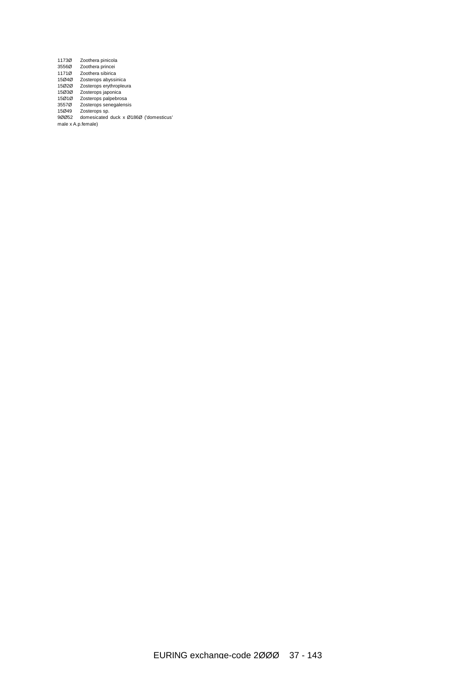| 11730              | Zoothera pinicola                      |
|--------------------|----------------------------------------|
| 3556Ø              | Zoothera princei                       |
| 1171Ø              | Zoothera sibirica                      |
| 15040              | Zosterops abyssinica                   |
| 15020              | Zosterops erythropleura                |
| 15Ø3Ø              | Zosterops japonica                     |
| 15Ø1Ø              | Zosterops palpebrosa                   |
| 35570              | Zosterops senegalensis                 |
| 15Ø49              | Zosterops sp.                          |
| 90052              | domesicated duck x Ø186Ø ('domesticus' |
| male x A.p.female) |                                        |
|                    |                                        |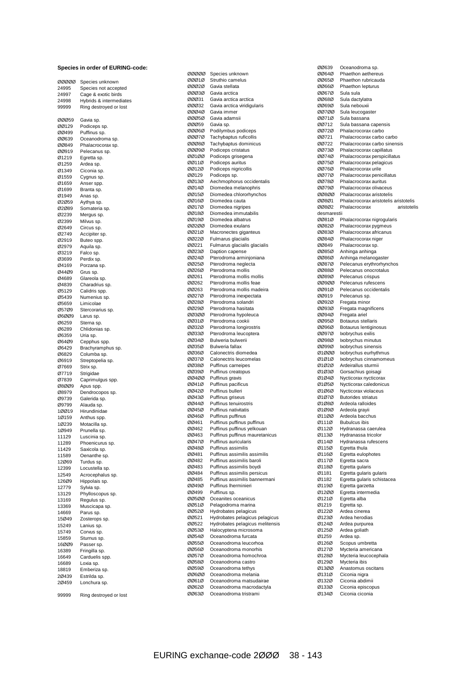#### **Species in order of EURING-code:**

| 00000          | Species unknown                                |
|----------------|------------------------------------------------|
| 24995          | Species not accepted                           |
| 24997<br>24998 | Cage & exotic birds<br>Hybrids & intermediates |
| 99999          | Ring destroyed or lost                         |
|                |                                                |
| 00059          | Gavia sp.                                      |
| 00129          | Podiceps sp.                                   |
| ØØ499          | Puffinus sp.                                   |
| ØØ639          | Oceanodroma sp.                                |
| ØØ849          | Phalacrocorax sp.                              |
| 00919          | Pelecanus sp.                                  |
| Ø1219          | Egretta sp.                                    |
| Ø1259<br>Ø1349 | Ardea sp.<br>Ciconia sp.                       |
| Ø1559          | Cygnus sp.                                     |
| Ø1659          | Anser spp.                                     |
| Ø1699          | Branta sp.                                     |
| Ø1949          | Anas sp.                                       |
| 02059          | Aythya sp.                                     |
| 02089          | Somateria sp.                                  |
| Ø2239          | Mergus sp.                                     |
| Ø2399          | Milvus sp.                                     |
| Ø2649          | Circus sp.                                     |
| Ø2749          | Accipiter sp.                                  |
| Ø2919          | Buteo spp.                                     |
| Ø2979<br>Ø3219 | Aquila sp.<br>Falco sp.                        |
| Ø3699          | Perdix sp.                                     |
| Ø4169          | Porzana sp.                                    |
| Ø44Ø9          | Grus sp.                                       |
| Ø4689          | Glareola sp.                                   |
| Ø4839          | Charadrius sp.                                 |
| Ø5129          | Calidris spp.                                  |
| Ø5439          | Numenius sp.                                   |
| 05659          | Limicolae                                      |
| Ø57Ø9          | Stercorarius sp.                               |
| 06009          | Larus sp.                                      |
| Ø6259<br>Ø6289 | Sterna sp.                                     |
| Ø6359          | Chlidonias sp.<br>Uria sp.                     |
| Ø64Ø9          | Cepphus spp.                                   |
| Ø6429          | Brachyramphus sp.                              |
| Ø6829          | Columba sp.                                    |
| Ø6919          | Streptopelia sp.                               |
| Ø7669          | Strix sp.                                      |
| Ø7719          | Strigidae                                      |
| Ø7839          | Caprimulgus spp.                               |
| 08009          | Apus spp.                                      |
| Ø8979          | Dendrocopos sp.                                |
| Ø9739          | Galerida sp.                                   |
| Ø9799<br>10019 | Alauda sp.<br>Hirundinidae                     |
| 1Ø159          | Anthus spp.                                    |
| 1Ø239          | Motacilla sp.                                  |
| 1Ø949          | Prunella sp.                                   |
| 11129          | Luscinia sp.                                   |
| 11289          | Phoenicurus sp.                                |
| 11429          | Saxicola sp.                                   |
| 11589          | Oenanthe sp.                                   |
| 12Ø69          | Turdus sp.                                     |
| 12399          | Locustella sp.                                 |
| 12549          | Acrocephalus sp.                               |
| 126Ø9          | Hippolais sp.                                  |
| 12779<br>13129 | Sylvia sp.<br>Phylloscopus sp.                 |
| 13169          | Regulus sp.                                    |
| 13369          | Muscicapa sp.                                  |
| 14669          | Parus sp.                                      |
| 15Ø49          | Zosterops sp.                                  |
| 15249          | Lanius sp.                                     |
| 15749          | Corvus sp.                                     |
| 15859          | Sturnus sp.                                    |
| 16ØØ9          | Passer sp.                                     |
| 16389          | Fringilla sp.                                  |
| 16649          | Carduelis spp.                                 |
| 16689<br>18819 | Loxia sp.                                      |
| 2Ø439          | Emberiza sp.<br>Estrilda sp.                   |
| 2Ø459          | Lonchura sp.                                   |
|                |                                                |
| 99999          | Ring destroyed or lost                         |

| 00000          | Species unknown                                          |
|----------------|----------------------------------------------------------|
| 00010          | Struthio camelus                                         |
| 00020          | Gavia stellata                                           |
| 00030<br>00031 | Gavia arctica<br>Gavia arctica arctica                   |
| 00032          | Gavia arctica viridigularis                              |
| 00040          | Gavia immer                                              |
| 00050          | Gavia adamsii                                            |
| 00059          | Gavia sp.                                                |
| ØØØ6Ø          | Podilymbus podiceps                                      |
| 00070<br>00080 | Tachybaptus ruficollis<br>Tachybaptus dominicus          |
| 00090          | Podiceps cristatus                                       |
| 00100          | Podiceps grisegena                                       |
| ØØ11Ø          | Podiceps auritus                                         |
| 00120          | Podiceps nigricollis                                     |
| 00129          | Podiceps sp.                                             |
| 00130<br>ØØ14Ø | Aechmophorus occidentalis<br>Diomedea melanophris        |
| ØØ15Ø          | Diomedea chlororhynchos                                  |
| ØØ16Ø          | Diomedea cauta                                           |
| ØØ17Ø          | Diomedea nigripes                                        |
| 00180          | Diomedea immutabilis                                     |
| ØØ19Ø          | Diomedea albatrus                                        |
| 00200<br>00210 | Diomedea exulans<br>Macronectes giganteus                |
| 00220          | Fulmarus glacialis                                       |
| ØØ221          | Fulmarus glacialis glacialis                             |
| 00230          | Daption capense                                          |
| 00240          | Pterodroma arminjoniana                                  |
| 00250          | Pterodroma neglecta                                      |
| 00260          | Pterodroma mollis                                        |
| ØØ261<br>00262 | Pterodroma mollis mollis                                 |
| 00263          | Pterodroma mollis feae<br>Pterodroma mollis madeira      |
| ØØ27Ø          | Pterodroma inexpectata                                   |
| 00280          | Pterodroma solandri                                      |
| 00290          | Pterodroma hasitata                                      |
| 00300          | Pterodroma hypoleuca                                     |
| ØØ31Ø          | Pterodroma cookii                                        |
| 00320<br>00330 | Pterodroma longirostris<br>Pterodroma leucoptera         |
| 00340          | Bulweria bulwerii                                        |
| 00350          | Bulweria fallax                                          |
| 00360          | Calonectris diomedea                                     |
| ØØ37Ø          | Calonectris leucomelas                                   |
| 00380          | Puffinus carneipes                                       |
| 00390<br>00400 | Puffinus creatopus<br>Puffinus gravis                    |
| 00410          | Puffinus pacificus                                       |
| 00420          | Puffinus bulleri                                         |
| 00430          | Puffinus griseus                                         |
| 00440          | Puffinus tenuirostris                                    |
| ØØ45Ø          | Puffinus nativitatis                                     |
| 00460<br>00461 | Puffinus puffinus                                        |
| ØØ462          | Puffinus puffinus puffinus<br>Puffinus puffinus yelkouan |
| ØØ463          | Puffinus puffinus mauretanicus                           |
| 00470          | Puffinus auricularis                                     |
| 00480          | Puffinus assimilis                                       |
| 00481          | Puffinus assimilis assimilis                             |
| ØØ482          | Puffinus assimilis baroli                                |
| ØØ483<br>ØØ484 | Puffinus assimilis boydi<br>Puffinus assimilis persicus  |
| ØØ485          | Puffinus assimilis bannermani                            |
| 00490          | Puffinus Iherminieri                                     |
| ØØ499          | Puffinus sp.                                             |
| 00500          | Oceanites oceanicus                                      |
| 00510          | Pelagodroma marina                                       |
| 00520<br>ØØ521 | Hydrobates pelagicus<br>Hydrobates pelagicus pelagicus   |
| ØØ522          | Hydrobates pelagicus melitensis                          |
| 00530          | Halocyptena microsoma                                    |
| 00540          | Oceanodroma furcata                                      |
| 00550          | Oceanodroma leucorhoa                                    |
| 00560          | Oceanodroma monorhis                                     |
| 00570          | Oceanodroma homochroa                                    |
| 00580<br>ØØ59Ø | Oceanodroma castro<br>Oceanodroma tethys                 |
| 00600          | Oceanodroma melania                                      |
| ØØ61Ø          | Oceanodroma matsudairae                                  |
| 00620          | Oceanodroma macrodactyla                                 |
| 00630          | Oceanodroma tristrami                                    |

| ØØ639                | Oceanodroma sp.                                          |
|----------------------|----------------------------------------------------------|
| ØØ64Ø                | Phaethon aethereus                                       |
| 00650                | Phaethon rubricauda                                      |
| ØØ66Ø<br>ØØ67Ø       | Phaethon lepturus<br>Sula sula                           |
| 00680                | Sula dactylatra                                          |
| ØØ69Ø                | Sula nebouxii                                            |
| 00700                | Sula leucogaster                                         |
| ØØ71Ø                | Sula bassana                                             |
| 00712                | Sula bassana capensis                                    |
| 00720                | Phalacrocorax carbo                                      |
| 00721                | Phalacrocorax carbo carbo                                |
| 00722<br>00730       | Phalacrocorax carbo sinensis<br>Phalacrocorax capillatus |
| 00740                | Phalacrocorax perspicillatus                             |
| ØØ75Ø                | Phalacrocorax pelagicus                                  |
| ØØ76Ø                | Phalacrocorax urile                                      |
| ØØ77Ø                | Phalacrocorax penicillatus                               |
| 00780                | Phalacrocorax auritus                                    |
| 00790                | Phalacrocorax olivaceus                                  |
| 00800                | Phalacrocorax aristotelis                                |
| 00801                | Phalacrocorax aristotelis aristotelis                    |
| 00802<br>desmarestii | Phalacrocorax<br>aristotelis                             |
| 00810                | Phalacrocorax nigrogularis                               |
| ØØ82Ø                | Phalacrocorax pygmeus                                    |
| 00830                | Phalacrocorax africanus                                  |
| 00840                | Phalacrocorax niger                                      |
| ØØ849                | Phalacrocorax sp.                                        |
| ØØ85Ø                | Anhinga anhinga                                          |
| 00860<br>00870       | Anhinga melanogaster                                     |
| 00880                | Pelecanus erythrorhynchos<br>Pelecanus onocrotalus       |
| ØØ89Ø                | Pelecanus crispus                                        |
| 00900                | Pelecanus rufescens                                      |
| ØØ91Ø                | Pelecanus occidentalis                                   |
| ØØ919                | Pelecanus sp.                                            |
| ØØ92Ø                | Fregata minor                                            |
| 00930                | Fregata magnificens                                      |
| ØØ94Ø                | Fregata ariel                                            |
| ØØ95Ø<br>00960       | Botaurus stellaris<br>Botaurus lentiginosus              |
| 00970                | Ixobrychus exilis                                        |
| 00980                | Ixobrychus minutus                                       |
| ØØ99Ø                | Ixobrychus sinensis                                      |
| 01000                | Ixobrychus eurhythmus                                    |
| Ø1Ø1Ø                | Ixobrychus cinnamomeus                                   |
| 01020                | Ardeirallus sturmii                                      |
| 01030                | Gorsachius goisagi                                       |
| Ø1Ø4Ø<br>Ø1Ø5Ø       | Nycticorax nycticorax                                    |
| Ø1Ø6Ø                | Nycticorax caledonicus<br>Nycticorax violaceus           |
| 01070                | <b>Butorides striatus</b>                                |
| Ø1Ø8Ø                | Ardeola ralloides                                        |
| Ø1Ø9Ø                | Ardeola grayii                                           |
| 01100                | Ardeola bacchus                                          |
| Ø111Ø                | <b>Bubulcus ibis</b>                                     |
| Ø112Ø                | Hydranassa caerulea                                      |
| Ø113Ø                | Hydranassa tricolor                                      |
| Ø114Ø<br>Ø115Ø       | Hydranassa rufescens<br>Egretta thula                    |
| Ø116Ø                | Egretta eulophotes                                       |
| Ø117Ø                | Egretta sacra                                            |
| Ø118Ø                | Egretta gularis                                          |
| Ø1181                | Egretta gularis gularis                                  |
| Ø1182                | Egretta gularis schistacea                               |
| Ø119Ø                | Egretta garzetta                                         |
| 01200<br>01210       | Egretta intermedia<br>Egretta alba                       |
| Ø1219                | Egretta sp.                                              |
| 01220                | Ardea cinerea                                            |
| Ø123Ø                | Ardea herodias                                           |
| Ø124Ø                | Ardea purpurea                                           |
| Ø125Ø                | Ardea goliath                                            |
| Ø1259                | Ardea sp.                                                |
| Ø126Ø                | Scopus umbretta                                          |
| Ø127Ø                | Mycteria americana                                       |
| Ø128Ø<br>Ø129Ø       | Mycteria leucocephala<br>Mycteria ibis                   |
| Ø13ØØ                | Anastomus oscitans                                       |
| Ø131Ø                | Ciconia nigra                                            |
| Ø132Ø                | Ciconia abdimii                                          |
| Ø133Ø                | Ciconia episcopus                                        |
| Ø134Ø                | Ciconia ciconia                                          |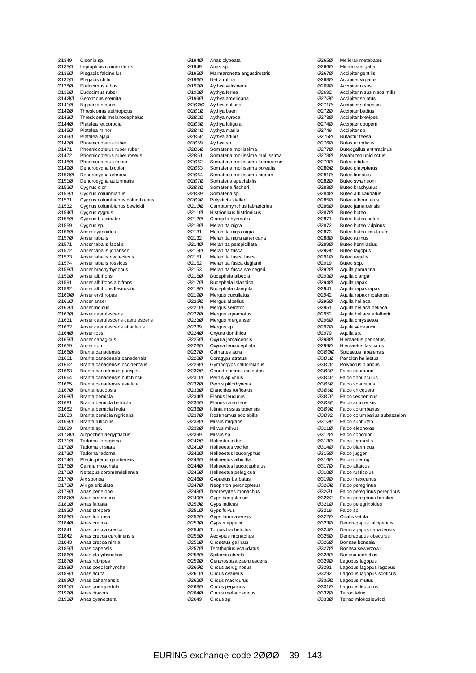| Ø1349          | Ciconia sp.                            |
|----------------|----------------------------------------|
| Ø135Ø          | Leptoptilos crumeniferus               |
| Ø136Ø          | Plegadis falcinellus                   |
| Ø137Ø          | Plegadis chihi                         |
| Ø138Ø          | Eudocimus albus                        |
| Ø139Ø          | Eudocimus ruber                        |
| 01400          | Geronticus eremita                     |
| Ø141Ø          | Nipponia nippon                        |
| Ø142Ø          | Threskiornis aethiopicus               |
| Ø143Ø          | Threskiornis melanocephalus            |
| Ø144Ø          | Platalea leucorodia                    |
| Ø145Ø          | Platalea minor                         |
| Ø146Ø          | Platalea ajaja                         |
| Ø147Ø          | Phoenicopterus ruber                   |
| Ø1471          | Phoenicopterus ruber ruber             |
| Ø1472          | Phoenicopterus ruber roseus            |
| 01480          | Phoenicopterus minor                   |
| Ø149Ø          | Dendrocygna bicolor                    |
| 01500          | Dendrocygna arborea                    |
| Ø151Ø          | Dendrocygna autumnalis                 |
| Ø152Ø          | Cygnus olor                            |
| Ø153Ø          | Cygnus columbianus                     |
| Ø1531          | Cygnus columbianus columbianus         |
| Ø1532          | Cygnus columbianus bewickii            |
| Ø154Ø          | Cygnus cygnus                          |
| Ø155Ø          | Cygnus buccinator                      |
| Ø1559          | Cygnus sp.                             |
| Ø156Ø          | Anser cygnoides                        |
| Ø157Ø          | Anser fabalis                          |
| Ø1571          | Anser fabalis fabalis                  |
| Ø1572          | Anser fabalis jonanseni                |
| Ø1573          | Anser fabalis neglecticus              |
| Ø1574          | Anser fabalis rossicus                 |
| Ø158Ø          | Anser brachyrhynchus                   |
|                |                                        |
| Ø159Ø          | Anser albifrons                        |
| Ø1591          | Anser albifrons albifrons              |
| Ø1592          | Anser albifrons flavirostris           |
| 01600          | Anser erythropus                       |
| Ø161Ø          | Anser anser                            |
| 01620          | Anser indicus                          |
| Ø163Ø          | Anser caerulescens                     |
| Ø1631          | Anser caerulescens caerulescens        |
| Ø1632          | Anser caerulescens atlanticus          |
| Ø164Ø          | Anser rossii                           |
| Ø165Ø          | Anser canagicus                        |
| Ø1659          | Anser spp.                             |
| Ø166Ø          | Branta canadensis                      |
| Ø1661          | Branta canadensis canadensis           |
| Ø1662          | Branta canadensis occidentalis         |
| Ø1663          | Branta canadensis parvipes             |
| Ø1664          | Branta canadensis hutchinsii           |
| Ø1665          | Branta canadensis asiatica             |
| 01670          | Branta leucopsis                       |
| Ø168Ø          | Branta bernicla                        |
| Ø1681          | Branta bernicla bernicla               |
| Ø1682          | Branta bernicla hrota                  |
| Ø1683          | Branta bernicla nigricans              |
| Ø169Ø          |                                        |
| Ø1699          | Branta ruficollis                      |
|                | Branta sp.                             |
| 01700          | Alopochen aegyptiacus                  |
| Ø171Ø          | Tadorna ferruginea                     |
| Ø172Ø          | Tadorna cristata                       |
| Ø173Ø          | Tadorna tadorna                        |
| Ø174Ø          | Plectropterus gambensis                |
| Ø175Ø          | Cairina moschata                       |
| 01760          |                                        |
| Ø177Ø          | Nettapus coromandelianus<br>Aix sponsa |
|                |                                        |
| Ø178Ø<br>Ø179Ø | Aix galericulata                       |
| 01800          | Anas penelope<br>Anas americana        |
| Ø181Ø          | Anas falcata                           |
| Ø182Ø          | Anas strepera                          |
| Ø183Ø          | Anas formosa                           |
|                |                                        |
| Ø184Ø          | Anas crecca                            |
| Ø1841          | Anas crecca crecca                     |
| Ø1842          | Anas crecca carolinensis               |
| Ø1843          | Anas crecca nimia                      |
| Ø185Ø          | Anas capensis                          |
| Ø186Ø          | Anas platyrhynchos                     |
| Ø187Ø          | Anas rubripes                          |
| Ø188Ø          | Anas poecilorhyncha                    |
| Ø189Ø          | Anas acuta                             |
| Ø19ØØ          | Anas bahamensis                        |
| Ø191Ø          | Anas querquedula                       |
| Ø192Ø<br>Ø193Ø | Anas discors<br>Anas cyanoptera        |

| Ø194Ø          | Anas clypeata                                        |
|----------------|------------------------------------------------------|
| Ø1949          | Anas sp.                                             |
| Ø195Ø<br>Ø196Ø | Marmaronetta angustirostris<br>Netta rufina          |
| Ø197Ø          | Aythya valisineria                                   |
| Ø198Ø          | Aythya ferina                                        |
| Ø199Ø          | Aythya americana                                     |
| 02000<br>02010 | Aythya collaris<br>Aythya baeri                      |
| 02020          | Aythya nyroca                                        |
| 02030          | Aythya fuligula                                      |
| 02040          | Aythya marila                                        |
| 02050          | Aythya affinis<br>Aythya sp.                         |
| 02059<br>02060 | Somateria mollissima                                 |
| 02061          | Somateria mollissima mollissima                      |
| 02062          | Somateria mollissima faeroeensis                     |
| 02063          | Somateria mollissima borealis                        |
| 02064<br>02070 | Somateria mollissima nigrum<br>Somateria spectabilis |
| 02080          | Somateria fischeri                                   |
| 02089          | Somateria sp.                                        |
| 02090          | Polysticta stelleri                                  |
| Ø21ØØ          | Camptorhynchus labradorius                           |
| Ø211Ø<br>Ø212Ø | Histrionicus histrionicus<br>Clangula hyemalis       |
| 02130          | Melanitta nigra                                      |
| 02131          | Melanitta nigra nigra                                |
| 02132          | Melanitta nigra americana                            |
| Ø214Ø          | Melanitta perspicillata                              |
| Ø215Ø<br>Ø2151 | Melanitta fusca<br>Melanitta fusca fusca             |
| Ø2152          | Melanitta fusca deglandi                             |
| Ø2153          | Melanitta fusca stejnegeri                           |
| 02160          | Bucephala albeola                                    |
| Ø217Ø          | Bucephala islandica                                  |
| Ø218Ø<br>Ø219Ø | Bucephala clangula<br>Mergus cucullatus              |
| 02200          | Mergus albellus                                      |
| Ø221Ø          | Mergus serrator                                      |
| 02220          | Mergus squamatus                                     |
| 02230          | Mergus merganser                                     |
| Ø2239<br>Ø224Ø | Mergus sp.<br>Oxyura dominica                        |
| 02250          | Oxyura jamaicensis                                   |
| Ø226Ø          | Oxyura leucocephala                                  |
| Ø227Ø          | Cathartes aura                                       |
| Ø228Ø<br>02290 | Coragyps atratus                                     |
| 02300          | Gymnogyps californianus<br>Chondrohierax uncinatus   |
| 02310          | Pernis apivorus                                      |
| 02320          | Pernis ptilorhyncus                                  |
| 02330          | Elanoides forficatus                                 |
| Ø234Ø<br>02350 | Elanus leucurus<br>Elanus caeruleus                  |
| Ø236Ø          | Ictinia mississippiensis                             |
| 02370          | Rostrhamus sociabilis                                |
| Ø238Ø          | Milvus migrans                                       |
| Ø239Ø          | Milvus milvus                                        |
| Ø2399<br>02400 | Milvus sp.<br>Haliastur indus                        |
| Ø241Ø          | Haliaeetus vocifer                                   |
| 02420          | Haliaeetus leucoryphus                               |
| 02430          | Haliaeetus albicilla                                 |
| Ø244Ø          | Haliaeetus leucocephalus                             |
| Ø245Ø<br>Ø246Ø | Haliaeetus pelagicus<br>Gypaetus barbatus            |
| Ø247Ø          | Neophron percnopterus                                |
| Ø248Ø          | Necrosyrtes monachus                                 |
| Ø249Ø          | Gyps bengalensis                                     |
| 02500          | Gyps indicus                                         |
| Ø251Ø<br>Ø252Ø | Gyps fulvus<br>Gyps himalayensis                     |
| Ø253Ø          | Gyps rueppellii                                      |
| Ø254Ø          | Torgos tracheliotus                                  |
| Ø255Ø          | Aegypius monachus                                    |
| Ø256Ø          | Circaetus gallicus                                   |
| Ø257Ø<br>Ø258Ø | Terathopius ecaudatus<br>Spilornis cheela            |
| Ø259Ø          | Geranospiza caerulescens                             |
| 02600          | Circus aeruginosus                                   |
| Ø261Ø          | Circus cyaneus                                       |
| 02620<br>Ø263Ø | Circus macrourus                                     |
| Ø264Ø          | Circus pygargus<br>Circus melanoleucus               |
| Ø2649          | Circus sp.                                           |
|                |                                                      |

| Ø265Ø          | Melierax metabates                                  |
|----------------|-----------------------------------------------------|
| Ø266Ø          | Micronisus gabar                                    |
| Ø267Ø          | Accipiter gentilis                                  |
| Ø268Ø          | Accipiter virgatus                                  |
| Ø269Ø<br>02692 | Accipiter nisus<br>Accipiter nisus nisosimilis      |
| 02700          | Accipiter striatus                                  |
| Ø271Ø          | Accipiter soloensis                                 |
| 02720          | Accipiter badius                                    |
| 02730          | Accipiter brevipes                                  |
| Ø274Ø          | Accipiter cooperii                                  |
| Ø2749          | Accipiter sp.                                       |
| 02750          | <b>Butastur teesa</b>                               |
| Ø276Ø<br>Ø277Ø | <b>Butastur indicus</b><br>Buteogallus anthracinus  |
| 02780          | Parabuteo unicinctus                                |
| Ø279Ø          | Buteo nitidus                                       |
| Ø28ØØ          | Buteo platypterus                                   |
| Ø281Ø          | <b>Buteo lineatus</b>                               |
| 02820          | Buteo swainsonii                                    |
| 02830          | Buteo brachyurus                                    |
| Ø284Ø<br>Ø285Ø | Buteo albicaudatus<br>Buteo albonotatus             |
| Ø286Ø          | Buteo jamaicensis                                   |
| Ø287Ø          | Buteo buteo                                         |
| 02871          | Buteo buteo buteo                                   |
| 02872          | Buteo buteo vulpinus                                |
| 02873          | Buteo buteo insularum                               |
| Ø288Ø          | Buteo rufinus                                       |
| Ø289Ø<br>02900 | <b>Buteo hemilasius</b><br>Buteo lagopus            |
| Ø291Ø          | Buteo regalis                                       |
| Ø2919          | Buteo spp.                                          |
| 02920          | Aquila pomarina                                     |
| 02930          | Aquila clanga                                       |
| Ø294Ø          | Aquila rapax                                        |
| Ø2941          | Aquila rapax rapax                                  |
| Ø2942<br>Ø295Ø | Aquila rapax nipalensis<br>Aquila heliaca           |
| Ø2951          | Aquila heliaca heliaca                              |
| Ø2952          | Aquila heliaca adalberti                            |
| Ø296Ø          | Aquila chrysaetos                                   |
| Ø297Ø          | Aquila verreauxii                                   |
| Ø2979          | Aquila sp.                                          |
| Ø298Ø          | Hieraaetus pennatus                                 |
| Ø299Ø<br>03000 | Hieraaetus fasciatus<br>Spizaetus nipalensis        |
| Ø3Ø1Ø          | Pandion haliaetus                                   |
| 03020          | Polyborus plancus                                   |
| 03030          | Falco naumanni                                      |
| Ø3Ø4Ø          | Falco tinnunculus                                   |
| Ø3Ø5Ø          | Falco sparverius                                    |
| 03060          | Falco chicquera                                     |
| Ø3Ø7Ø<br>03080 | Falco vespertinus<br>Falco amurensis                |
| 03090          | Falco columbarius                                   |
| 03092          | Falco columbarius subaesalon                        |
| Ø31ØØ          | Falco subbuteo                                      |
| Ø311Ø          | Falco eleonorae                                     |
| Ø312Ø          | Falco concolor                                      |
| Ø313Ø          | Falco femoralis                                     |
| Ø314Ø<br>Ø315Ø | Falco biarmicus<br>Falco jugger                     |
| Ø316Ø          | Falco cherrug                                       |
| Ø317Ø          | Falco altaicus                                      |
| Ø318Ø          | Falco rusticolus                                    |
| Ø319Ø          | Falco mexicanus                                     |
| Ø32ØØ          | Falco peregrinus                                    |
| 03201          | Falco peregrinus peregrinus                         |
| 03202<br>Ø321Ø | Falco peregrinus brookei<br>Falco pelegrinoides     |
| Ø3219          | Falco sp.                                           |
| Ø322Ø          | Ortalis vetula                                      |
| Ø323Ø          | Dendragapus falcipennis                             |
| Ø324Ø          | Dendragapus canadensis                              |
| Ø325Ø          | Dendragapus obscurus                                |
| Ø326Ø          | Bonasa bonasia                                      |
| Ø327Ø<br>Ø328Ø | Bonasa sewerzowi<br>Bonasa umbellus                 |
| Ø329Ø          | Lagopus lagopus                                     |
| Ø3291          |                                                     |
|                |                                                     |
|                | Lagopus lagopus lagopus<br>Lagopus lagopus scoticus |
| Ø3292<br>Ø33ØØ | Lagopus mutus                                       |
| Ø331Ø          | Lagopus leucurus                                    |
| Ø332Ø<br>Ø333Ø | Tetrao tetrix<br>Tetrao mlokosiewiczi               |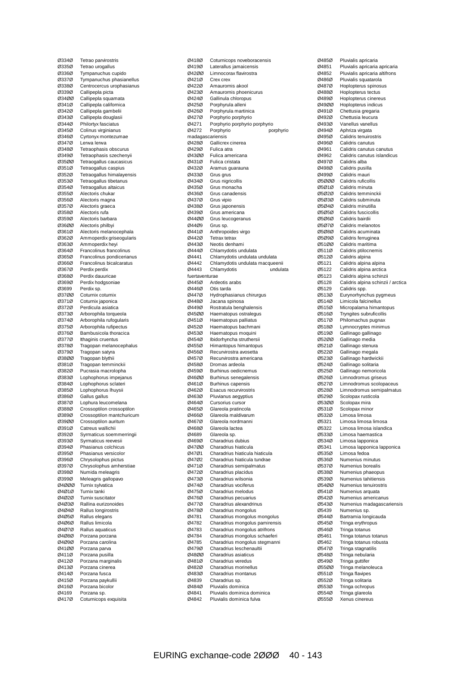Ø334Ø Tetrao parvirostris<br>Ø335Ø Tetrao urogallus Tetrao urogallus Ø336Ø Tympanuchus cupido **Ø337Ø** Tympanuchus phasianellus<br>Ø338Ø Centrocercus urophasianus Ø338Ø Centrocercus urophasianus Ø339Ø Callipepla picta<br>Ø34ØØ Callipepla squa Callipepla squamata Ø341Ø Callipepla californica Ø342Ø Callipepla gambelii<br>Ø343Ø Callipepla douglasii Ø343Ø Callipepla douglasii<br>Ø344Ø Philortyx fasciatus Philortyx fasciatus Ø345Ø Colinus virginianus Ø346Ø Cyrtonyx montezumae Lerwa lerwa Ø348Ø Tetraophasis obscurus<br>Ø349Ø Tetraophasis szecheny Ø349Ø Tetraophasis szechenyii<br>Ø35ØØ Tetraogallus caucasicus Ø35ØØ Tetraogallus caucasicus Tetraogallus caspius Ø352Ø Tetraogallus himalayensis Ø353Ø Tetraogallus tibetanus<br>Ø354Ø Tetraogallus altaicus Ø354Ø Tetraogallus altaicus<br>Ø355Ø Alectoris chukar Ø355Ø Alectoris chukar<br>Ø356Ø Alectoris magna Alectoris magna Ø357Ø Alectoris graeca Alectoris rufa Ø359Ø Alectoris barbara Ø36ØØ Alectoris philbyi<br>Ø361Ø Alectoris melan Ø361Ø Alectoris melanocephala<br>Ø362Ø Ammoperdix griseogulari Ø362Ø Ammoperdix griseogularis<br>Ø363Ø Ammoperdix hevi Ammoperdix heyi Ø364Ø Francolinus francolinus<br>Ø365Ø Francolinus pondiceriar Ø365Ø Francolinus pondicerianus<br>Ø366Ø Francolinus bicalcaratus Ø366Ø Francolinus bicalcaratus<br>Ø367Ø Perdix perdix Ø367Ø Perdix perdix<br>Ø368Ø Perdix dauuri Ø368Ø Perdix dauuricae<br>Ø369Ø Perdix hodgsoni Ø369Ø Perdix hodgsoniae<br>Ø3699 Perdix sn Perdix sp. Ø37ØØ Coturnix coturnix Ø371Ø Coturnix japonica<br>Ø372Ø Perdicula asiatica Ø372Ø Perdicula asiatica Arborophila torqueola Ø374Ø Arborophila rufogularis Ø375Ø Arborophila rufipectus<br>Ø376Ø Bambusicola thoracica Bambusicola thoracica Ø377Ø Ithaginis cruentus<br>Ø378Ø Tragopan melanoo Tragopan melanocephalus Ø379Ø Tragopan satyra<br>Ø380Ø Tragopan blythii Tragopan blythii Ø381Ø Tragopan temminckii Ø382Ø Pucrasia macrolopha<br>Ø383Ø Lophophorus impejar Ø383Ø Lophophorus impejanus<br>Ø384Ø Lophophorus sclateri Ø384Ø Lophophorus sclateri Lophophorus lhuysii Ø386Ø Gallus gallus Ø387Ø Lophura leucomelana<br>Ø388Ø Crossoptilon crossopt Crossoptilon crossoptilon Ø389Ø Crossoptilon mantchuricum<br>Ø39ØØ Crossoptilon auritum Ø39ØØ Crossoptilon auritum<br>Ø391Ø Catreus wallichii Ø391Ø Catreus wallichii<br>Ø392Ø Svrmaticus soen Syrmaticus soemmerringii Ø393Ø Syrmaticus reevesii<br>Ø394Ø Phasianus colchicus Ø394Ø Phasianus colchicus<br>Ø395Ø Phasianus versicolor Phasianus versicolor Ø396Ø Chrysolophus pictus Ø397Ø Chrysolophus amherstiae Ø398Ø Numida meleagris<br>Ø399Ø Meleagris gallopay Ø399Ø Meleagris gallopavo<br>Ø4ØØØ Turnix sylvatica Ø4ØØØ Turnix sylvatica<br>Ø4Ø1Ø Turnix tanki Ø4Ø1Ø Turnix tanki Ø4Ø2Ø Turnix suscitator<br>Ø4Ø3Ø Rallina eurizong Ø4Ø3Ø Rallina eurizonoides Ø4Ø4Ø Rallus longirostris Ø4Ø5Ø Rallus elegans<br>Ø4Ø6Ø Rallus limicola Ø4Ø6Ø Rallus limicola Ø4Ø7Ø Rallus aquaticus Porzana porzana Ø4Ø9Ø Porzana carolina Ø41ØØ Porzana parva<br>Ø411Ø Porzana pusilla Ø411Ø Porzana pusilla Ø412Ø Porzana marginalis Ø413Ø Porzana cinerea Porzana fusca Ø415Ø Porzana paykullii Ø416Ø Porzana bicolor Ø4169 Porzana sp.<br>Ø417Ø Coturnicops Coturnicops exquisita

 $\overline{\omega}$ 418 $\overline{\omega}$  Coturnicops noveboracensis<br> $\overline{\omega}$ 419 $\overline{\omega}$  Laterallus iamaicensis Laterallus jamaicensis Ø42ØØ Limnocorax flavirostra Ø421Ø Crex crex<br>Ø422Ø Amaurorn Ø422Ø Amaurornis akool Ø423Ø Amaurornis phoenicurus<br>Ø424Ø Gallinula chloropus Gallinula chloropus Ø425Ø Porphyrula alleni Ø426Ø Porphyrula martinica Ø427Ø Porphyrio porphyrio Porphyrio porphyrio porphyrio Ø4272 Porphyrio porphyrio madagascariensis<br>Ø428Ø Gallicre Gallicrex cinerea Ø429Ø Fulica atra<br>Ø43ØØ Fulica ame Ø43ØØ Fulica americana<br>Ø431Ø Fulica cristata Ø431Ø Fulica cristata<br>Ø432Ø Aramus quara Aramus guarauna Ø433Ø Grus grus Ø434Ø Grus nigricollis Ø435Ø Grus monacha<br>Ø436Ø Grus canadens Ø436Ø Grus canadensis<br>Ø437Ø Grus vipio Ø437Ø Grus vipio<br>Ø438Ø Grus japor Ø438Ø Grus japonensis Grus americana Ø44ØØ Grus leucogeranus  $\overline{0}44\overline{0}9$  Grus sp.<br> $\overline{0}441\overline{0}$  Anthrono Ø441Ø Anthropoides virgo Ø442Ø Tetrax tetrax Neotis denhami Ø444Ø Chlamydotis undulata Ø4441 Chlamydotis undulata undulata Ø4442 Chlamydotis undulata macqueenii Chlamydotis fuertaventurae<br>Ø445Ø Arde Ø445Ø Ardeotis arabs<br>Ø446Ø Otis tarda Otis tarda Ø447Ø Hydrophasianus chirurgus<br>Ø448Ø Jacana spinosa Ø448Ø Jacana spinosa Ø449Ø Rostratula benghalensis Haematopus ostralegus Ø451Ø Haematopus palliatus Ø452Ø Haematopus bachmani<br>Ø453Ø Haematopus moguini Haematopus moquini Ø454Ø Ibidorhyncha struthersii<br>Ø455Ø Himantopus himantopu Ø455Ø Himantopus himantopus Ø456Ø Recurvirostra avosetta<br>Ø457Ø Recurvirostra america Ø457Ø Recurvirostra americana Ø458Ø Dromas ardeola Ø459Ø Burhinus oedicnemus<br>Ø46ØØ Burhinus senegalensis Ø46ØØ Burhinus senegalensis<br>Ø461Ø Burhinus capensis Ø461Ø Burhinus capensis Esacus recurvirostris Ø463Ø Pluvianus aegyptius Ø464Ø Cursorius cursor<br>Ø465Ø Glareola pratinco Glareola pratincola Ø466Ø Glareola maldivarum<br>Ø467Ø Glareola nordmanni Ø467Ø Glareola nordmanni<br>Ø468Ø Glareola lactea Ø468Ø Glareola lactea<br>Ø4689 Glareola sn Glareola sp. Ø469Ø Charadrius dubius Ø47ØØ Charadrius hiaticula<br>Ø47Ø1 Charadrius hiaticula Ø47Ø1 Charadrius hiaticula hiaticula Charadrius hiaticula tundrae Ø471Ø Charadrius semipalmatus Ø472Ø Charadrius placidus<br>Ø473Ø Charadrius wilsonia Ø473Ø Charadrius wilsonia<br>Ø474Ø Charadrius vociferus Ø474Ø Charadrius vociferus<br>Ø475Ø Charadrius melodus Ø475Ø Charadrius melodus<br>Ø476Ø Charadrius pecuariu Ø476Ø Charadrius pecuarius<br>Ø477Ø Charadrius alexandrin Charadrius alexandrinus Ø478Ø Charadrius mongolus Ø4781 Charadrius mongolus mongolus<br>Ø4782 Charadrius mongolus pamirensis Ø4782 Charadrius mongolus pamirensis<br>Ø4783 Charadrius mongolus atrifrons Ø4783 Charadrius mongolus atrifrons<br>Ø4784 Charadrius mongolus schaefer Charadrius mongolus schaeferi Ø4785 Charadrius mongolus stegmanni<br>Ø479Ø Charadrius leschenaultii Charadrius leschenaultii Ø48ØØ Charadrius asiaticus<br>Ø481Ø Charadrius veredus Ø481Ø Charadrius veredus<br>Ø482Ø Charadrius morinell Ø482Ø Charadrius morinellus<br>Ø483Ø Charadrius montanus Charadrius montanus Ø4839 Charadrius sp. Ø484Ø Pluvialis dominica<br>Ø4841 Pluvialis dominica Ø4841 Pluvialis dominica dominica Pluvialis dominica fulva

Ø485Ø Pluvialis apricaria<br>Ø4851 Pluvialis apricaria Pluvialis apricaria apricaria  $\emptyset$ 4852 Pluvialis apricaria altifrons<br> $\emptyset$ 486 $\emptyset$  Pluvialis squatarola Ø486Ø Pluvialis squatarola Ø487Ø Hoplopterus spinosus Ø488Ø Hoplopterus tectus Hoplopterus cinereus Ø49ØØ Hoplopterus indicus Ø491Ø Chettusia gregaria<br>Ø492Ø Chettusia leucura Ø492Ø Chettusia leucura<br>Ø493Ø Vanellus vanellus Vanellus vanellus Ø494Ø Aphriza virgata Ø495Ø Calidris tenuirostris<br>Ø496Ø Calidris canutus Calidris canutus Ø4961 Calidris canutus canutus Ø4962 Calidris canutus islandicus<br>Ø497Ø Calidris alba Ø497Ø Calidris alba<br>Ø498Ø Calidris pusil Calidris pusilla Ø499Ø Calidris mauri Ø5ØØØ Calidris ruficollis Ø5Ø1Ø Calidris minuta<br>Ø5Ø2Ø Calidris temmin Ø5Ø2Ø Calidris temminckii<br>Ø5Ø3Ø Calidris subminuta Ø5Ø3Ø Calidris subminuta<br>Ø5Ø4Ø Calidris minutilla Ø5Ø4Ø Calidris minutilla<br>Ø5Ø5Ø Calidris fuscicolli Calidris fuscicollis Ø5Ø6Ø Calidris bairdii Ø5Ø7Ø Calidris melanotos<br>Ø5Ø8Ø Calidris acuminata Ø5Ø8Ø Calidris acuminata<br>Ø5Ø9Ø Calidris ferruginea Ø5Ø9Ø Calidris ferruginea<br>Ø51ØØ Calidris maritima Calidris maritima Ø511Ø Calidris ptilocnemis Ø512Ø Calidris alpina Ø5121 Calidris alpina alpina<br>Ø5122 Calidris alpina arctica Ø5122 Calidris alpina arctica Calidris alpina schinzii  $\emptyset$ 5128 Calidris alpina schinzii / arctica<br> $\emptyset$ 5129 Calidris spp. Calidris spp. Ø513Ø Eurynorhynchus pygmeus<br>Ø514Ø Limicola falcinellus Ø514Ø Limicola falcinellus Ø515Ø Micropalama himantopus<br>Ø516Ø Tryngites subruficollis Tryngites subruficollis Ø517Ø Philomachus pugnax Ø518Ø Lymnocryptes minimus<br>Ø519Ø Gallinago gallinago Gallinago gallinago Ø52ØØ Gallinago media<br>Ø521Ø Gallinago stenur Gallinago stenura Ø522Ø Gallinago megala<br>Ø523Ø Gallinago hardwig Gallinago hardwickii Ø524Ø Gallinago solitaria Ø525Ø Gallinago nemoricola<br>Ø526Ø Limnodromus griseus Ø526Ø Limnodromus griseus Ø527Ø Limnodromus scolopaceus Limnodromus semipalmatus Ø529Ø Scolopax rusticola<br>Ø53ØØ Scolopax mira Ø53ØØ Scolopax mira<br>Ø531Ø Scolopax mino Scolopax minor Ø532Ø Limosa limosa<br>Ø5321 Limosa limosa Limosa limosa limosa Ø5322 Limosa limosa islandica<br>Ø533Ø Limosa baemastica Ø533Ø Limosa haemastica Ø534Ø Limosa lapponica<br>Ø5341 Limosa lapponica Ø5341 Limosa lapponica lapponica<br>Ø535Ø Limosa fedoa Limosa fedoa Ø536Ø Numenius minutus Ø537Ø Numenius borealis Ø538Ø Numenius phaeopus<br>Ø539Ø Numenius tahitiensis Ø539Ø Numenius tahitiensis<br>Ø54ØØ Numenius tenuirostri Ø54ØØ Numenius tenuirostris<br>Ø541Ø Numenius arquata Ø541Ø Numenius arquata<br>Ø542Ø Numenius america Ø542Ø Numenius americanus<br>Ø543Ø Numenius madagasca Numenius madagascariensis Ø5439 Numenius sp. Ø544Ø Bartramia longicauda<br>Ø545Ø Tringa ervthropus Ø545Ø Tringa erythropus<br>Ø546Ø Tringa totanus Ø546Ø Tringa totanus Tringa totanus totanus Ø5462 Tringa totanus robusta<br>Ø547Ø Tringa stagnatilis Tringa stagnatilis Ø548Ø Tringa nebularia<br>Ø549Ø Tringa guttifer Ø549Ø Tringa guttifer<br>Ø55ØØ Tringa meland Ø55ØØ Tringa melanoleuca<br>Ø551Ø Tringa flavipes **Tringa flavipes** Ø552Ø Tringa solitaria Ø553Ø Tringa ochropus<br>Ø554Ø Tringa glareola Ø554Ø Tringa glareola Ø555Ø Xenus cinereus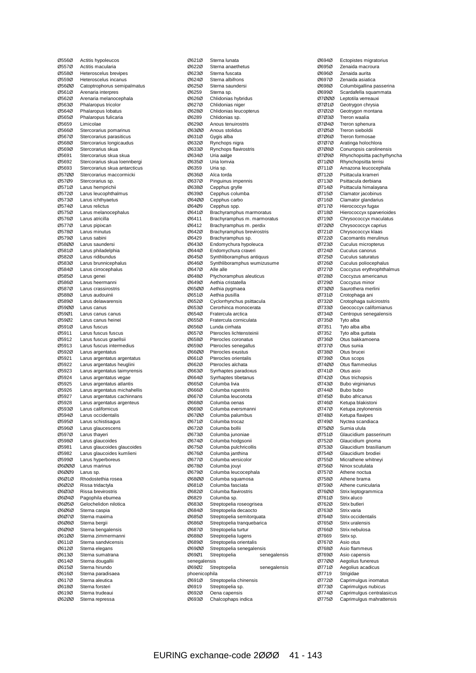| Ø556Ø          | Actitis hypoleucos                             |
|----------------|------------------------------------------------|
| Ø557Ø          | Actitis macularia                              |
| Ø558Ø          | Heteroscelus brevipes                          |
| Ø559Ø          | Heteroscelus incanus                           |
| 05600          | Catoptrophorus semipalmatus                    |
| Ø561Ø          | Arenaria interpres                             |
| Ø562Ø          | Arenaria melanocephala                         |
| Ø563Ø          | Phalaropus tricolor                            |
| Ø564Ø          | Phalaropus lobatus                             |
| Ø565Ø          | Phalaropus fulicaria                           |
| Ø5659          | Limicolae                                      |
| Ø566Ø          | Stercorarius pomarinus                         |
| 05670          | Stercorarius parasiticus                       |
| Ø568Ø          | Stercorarius longicaudus                       |
| Ø569Ø          | Stercorarius skua                              |
| Ø5691          | Stercorarius skua skua                         |
| 05692          | Stercorarius skua loennbergi                   |
| Ø5693          | Stercorarius skua antarcticus                  |
| 05700          | Stercorarius maccormicki                       |
| Ø57Ø9          | Stercorarius sp.                               |
| Ø571Ø          | Larus hemprichii                               |
| 05720          | Larus leucophthalmus                           |
| 05730          | Larus ichthyaetus                              |
| Ø574Ø          | Larus relictus                                 |
| Ø575Ø<br>05760 | Larus melanocephalus                           |
| Ø577Ø          | Larus atricilla                                |
| Ø578Ø          | Larus pipixcan<br>Larus minutus                |
| 05790          | Larus sabini                                   |
| 05800          | Larus saundersi                                |
| Ø581Ø          | Larus philadelphia                             |
| 05820          | Larus ridibundus                               |
| Ø583Ø          | Larus brunnicephalus                           |
| Ø584Ø          | Larus cirrocephalus                            |
| Ø585Ø          | Larus genei                                    |
| Ø586Ø          | Larus heermanni                                |
| Ø587Ø          | Larus crassirostris                            |
| Ø588Ø          | Larus audouinii                                |
| Ø589Ø          | Larus delawarensis                             |
| 05900          | Larus canus                                    |
| 05901          | Larus canus canus                              |
| Ø59Ø2          | Larus canus heinei                             |
| Ø591Ø          | Larus fuscus                                   |
| Ø5911          | Larus fuscus fuscus                            |
| Ø5912          | Larus fuscus graellsii                         |
| Ø5913          | Larus fuscus intermedius                       |
| Ø592Ø          | Larus argentatus                               |
| Ø5921          | Larus argentatus argentatus                    |
| Ø5922          | Larus argentatus heuglini                      |
| Ø5923          | Larus argentatus taimyrensis                   |
| Ø5924          | Larus argentatus vegae                         |
| Ø5925          | Larus argentatus atlantis                      |
| Ø5926          | Larus argentatus michahellis                   |
| Ø5927          | Larus argentatus cachinnans                    |
| Ø5928          | Larus argentatus argenteus                     |
| Ø593Ø          | Larus californicus                             |
| Ø594Ø          | Larus occidentalis                             |
| Ø595Ø          | Larus schistisagus                             |
| Ø596Ø          | Larus glaucescens                              |
| Ø597Ø          | Larus thayeri                                  |
| Ø598Ø<br>Ø5981 | Larus glaucoides                               |
| Ø5982          | Larus glaucoides glaucoides                    |
| Ø599Ø          | Larus glaucoides kumlieni<br>Larus hyperboreus |
| Ø6ØØØ          | Larus marinus                                  |
| 06009          | Larus sp.                                      |
| 06010          | Rhodostethia rosea                             |
| 06020          | Rissa tridactyla                               |
| 06030          | Rissa brevirostris                             |
| 06040          | Pagophila eburnea                              |
| 06050          | Gelochelidon nilotica                          |
| 06060          | Sterna caspia                                  |
| 06070          | Sterna maxima                                  |
| 06080          | Sterna bergii                                  |
| 06090          | Sterna bengalensis                             |
| 06100          | Sterna zimmermanni                             |
| Ø611Ø          | Sterna sandvicensis                            |
| 06120          | Sterna elegans                                 |
| 06130          | Sterna sumatrana                               |
| Ø614Ø          | Sterna dougallii                               |
| Ø615Ø          | Sterna hirundo                                 |
| Ø616Ø          | Sterna paradisaea                              |
| Ø617Ø          | Sterna aleutica                                |
| 06180          | Sterna forsteri                                |
| 06190          | Sterna trudeaui                                |
| 06200          | Sterna repressa                                |

| 06210          | Sterna lunata                                      |
|----------------|----------------------------------------------------|
| 06220          | Sterna anaethetus                                  |
| 06230          | Sterna fuscata                                     |
| Ø624Ø          | Sterna albifrons                                   |
| 06250          | Sterna saundersi                                   |
| Ø6259          | Sterna sp.                                         |
| Ø626Ø          | Chlidonias hybridus                                |
| Ø627Ø          | Chlidonias niger                                   |
| 06280          | Chlidonias leucopterus                             |
| 06289          | Chlidonias sp.                                     |
| 06290          | Anous tenuirostris                                 |
| 06300          | Anous stolidus                                     |
| Ø631Ø          | Gygis alba                                         |
| Ø632Ø          | Rynchops nigra                                     |
| Ø633Ø          | Rynchops flavirostris                              |
| Ø634Ø          | Uria aalge                                         |
| Ø635Ø          | Uria lomvia                                        |
| 06359          | Uria sp.                                           |
| 06360          | Alca torda                                         |
| Ø637Ø          | Pinguinus impennis                                 |
| 06380          | Cepphus grylle                                     |
| Ø639Ø          | Cepphus columba                                    |
| 06400          | Cepphus carbo                                      |
| 06409<br>Ø641Ø | Cepphus spp.                                       |
|                | Brachyramphus marmoratus                           |
| Ø6411          | Brachyramphus m. marmoratus                        |
| Ø6412          | Brachyramphus m. perdix                            |
| 06420<br>Ø6429 | Brachyramphus brevirostris                         |
| 06430          | Brachyramphus sp.<br>Endomychura hypoleuca         |
| Ø644Ø          |                                                    |
| Ø645Ø          | Endomychura craveri<br>Synthliboramphus antiquus   |
| Ø646Ø          | Synthliboramphus wumizusume                        |
| Ø647Ø          | Alle alle                                          |
| Ø648Ø          | Ptychoramphus aleuticus                            |
| Ø649Ø          | Aethia cristatella                                 |
| 06500          | Aethia pygmaea                                     |
| Ø651Ø          | Aethia pusilla                                     |
| 06520          | Cyclorrhynchus psittacula                          |
| 06530          | Cerorhinca monocerata                              |
| Ø654Ø          | Fratercula arctica                                 |
| Ø655Ø          | Fratercula corniculata                             |
| 06560          | Lunda cirrhata                                     |
| Ø657Ø          | Pterocles lichtensteinii                           |
| Ø658Ø          | Pterocles coronatus                                |
| 06590          | Pterocles senegallus                               |
| 06600          | Pterocles exustus                                  |
| 06610          | Pterocles orientalis                               |
| 06620          | Pterocles alchata                                  |
| 06630          | Syrrhaptes paradoxus                               |
| Ø664Ø          | Syrrhaptes tibetanus                               |
| 06650          | Columba livia                                      |
| 06660          | Columba rupestris                                  |
| Ø667Ø          | Columba leuconota                                  |
| 06680          | Columba oenas                                      |
| Ø669Ø          | Columba eversmanni                                 |
| 06700          | Columba palumbus                                   |
| 06710          | Columba trocaz                                     |
| 06720          | Columba bollii                                     |
| 06730          | Columba junoniae                                   |
| Ø674Ø          | Columba hodgsonii                                  |
| Ø675Ø          | Columba pulchricollis                              |
| 06760          | Columba janthina                                   |
| Ø677Ø          | Columba versicolor                                 |
| 06780          | Columba jouyi                                      |
| 06790          | Columba leucocephala                               |
| 06800          | Columba squamosa                                   |
| Ø681Ø          | Columba fasciata                                   |
| 06820          | Columba flavirostris                               |
| Ø6829          | Columba sp.                                        |
| 06830          | Streptopelia roseogrisea                           |
| Ø684Ø          | Streptopelia decaocto<br>Streptopelia semitorquata |
| Ø685Ø<br>Ø686Ø | Streptopelia tranquebarica                         |
|                |                                                    |
| Ø687Ø<br>06880 | Streptopelia turtur                                |
| Ø689Ø          | Streptopelia lugens<br>Streptopelia orientalis     |
| 06900          | Streptopelia senegalensis                          |
| Ø69Ø1          | Streptopelia<br>senegalensis                       |
| senegalensis   |                                                    |
| 06902          | Streptopelia<br>senegalensis                       |
| phoenicophila  |                                                    |
| Ø691Ø          | Streptopelia chinensis                             |
| Ø6919          | Streptopelia sp.                                   |
| 06920          | Oena capensis                                      |
| 06930          | Chalcophaps indica                                 |

| Ø694Ø          | Ectopistes migratorius                             |
|----------------|----------------------------------------------------|
| Ø695Ø          | Zenaida macroura                                   |
| Ø696Ø          | Zenaida aurita                                     |
| Ø697Ø          | Zenaida asiatica                                   |
| Ø698Ø          | Columbigallina passerina                           |
| Ø699Ø<br>07000 | Scardafella squammata<br>Leptotila verreauxi       |
| Ø7Ø1Ø          | Geotrygon chrysia                                  |
| 07020          | Geotrygon montana                                  |
| 07030          | Treron waalia                                      |
| Ø7Ø4Ø          | Treron sphenura                                    |
| Ø7Ø5Ø          | Treron sieboldii                                   |
| Ø7Ø6Ø          | Treron formosae                                    |
| Ø7Ø7Ø<br>07080 | Aratinga holochlora<br>Conuropsis carolinensis     |
| Ø7Ø9Ø          | Rhynchopsitta pachyrhyncha                         |
| 07100          | Rhynchopsitta terrisi                              |
| Ø711Ø          | Amazona leucocephala                               |
| 07120          | Psittacula krameri                                 |
| 07130          | Psittacula derbiana                                |
| Ø714Ø          | Psittacula himalayana                              |
| Ø715Ø<br>Ø716Ø | Clamator jacobinus<br>Clamator glandarius          |
| Ø717Ø          | Hierococcyx fugax                                  |
| Ø718Ø          | Hierococcyx sparverioides                          |
| Ø719Ø          | Chrysococcyx maculatus                             |
| 07200          | Chrysococcyx caprius                               |
| Ø721Ø          | Chrysococcyx klaas                                 |
| Ø722Ø          | Cacomantis merulinus                               |
| Ø723Ø          | Cuculus micropterus                                |
| Ø724Ø<br>Ø725Ø | Cuculus canorus<br>Cuculus saturatus               |
| Ø726Ø          | Cuculus poliocephalus                              |
| 07270          | Coccyzus erythrophthalmus                          |
| Ø728Ø          | Coccyzus americanus                                |
| Ø729Ø          | Coccyzus minor                                     |
| Ø73ØØ          | Saurothera merlini                                 |
| Ø731Ø          | Crotophaga ani                                     |
| Ø732Ø<br>Ø733Ø | Crotophaga sulcirostris<br>Geococcyx californianus |
| Ø734Ø          | Centropus senegalensis                             |
| Ø735Ø          | Tyto alba                                          |
| Ø7351          | Tyto alba alba                                     |
| Ø7352          | Tyto alba guttata                                  |
| Ø736Ø          | Otus bakkamoena                                    |
| Ø737Ø          | Otus sunia                                         |
| Ø738Ø<br>Ø739Ø | Otus brucei<br>Otus scops                          |
| Ø74ØØ          | Otus flammeolus                                    |
| Ø741Ø          | Otus asio                                          |
| 07420          | Otus trichopsis                                    |
| 07430          | Bubo virginianus                                   |
| Ø744Ø          | Bubo bubo                                          |
| Ø745Ø          | Bubo africanus                                     |
| Ø746Ø<br>07470 | Ketupa blakistoni<br>Ketupa zeylonensis            |
| Ø748Ø          | Ketupa flavipes                                    |
| Ø749Ø          | Nyctea scandiaca                                   |
| 07500          | Surnia ulula                                       |
| Ø751Ø          | Glaucidium passerinum                              |
| Ø752Ø          | Glaucidium gnoma                                   |
| 07530          | Glaucidium brasilianum                             |
| Ø754Ø<br>Ø755Ø | Glaucidium brodiei<br>Micrathene whitneyi          |
| Ø756Ø          | Ninox scutulata                                    |
| Ø757Ø          | Athene noctua                                      |
| Ø758Ø          | Athene brama                                       |
| Ø759Ø          | Athene cunicularia                                 |
| Ø76ØØ          | Strix leptogrammica                                |
| Ø761Ø          | Strix aluco                                        |
| Ø762Ø          | Strix butleri                                      |
| Ø763Ø<br>Ø764Ø | Strix varia<br>Strix occidentalis                  |
| Ø765Ø          | Strix uralensis                                    |
| Ø766Ø          | Strix nebulosa                                     |
| Ø7669          | Strix sp.                                          |
| Ø767Ø          | Asio otus                                          |
| Ø768Ø          | Asio flammeus                                      |
| Ø769Ø          | Asio capensis                                      |
| Ø77ØØ<br>Ø771Ø | Aegolius funereus<br>Aegolius acadicus             |
| Ø7719          | Strigidae                                          |
| Ø772Ø          | Caprimulgus inornatus                              |
| Ø773Ø          | Caprimulgus nubicus                                |
| Ø774Ø          | Caprimulgus centralasicus                          |
| Ø775Ø          | Caprimulgus mahrattensis                           |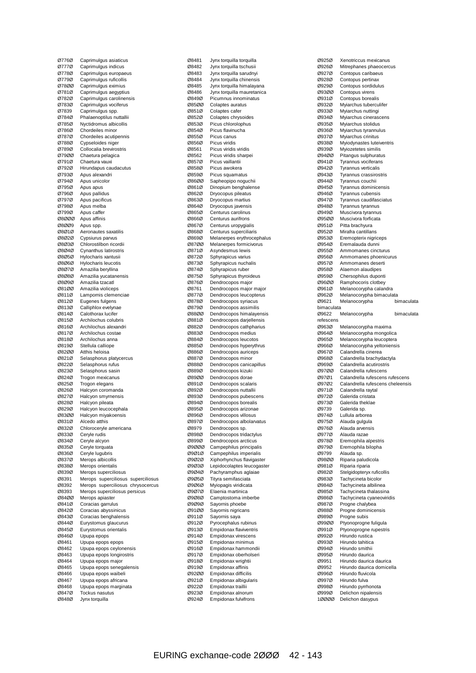| Ø776Ø          | Caprimulgus asiaticus              |
|----------------|------------------------------------|
|                |                                    |
| Ø777Ø          | Caprimulgus indicus                |
| Ø778Ø          | Caprimulgus europaeus              |
| 07790          | Caprimulgus ruficollis             |
| 07800          | Caprimulgus eximius                |
| Ø781Ø          | Caprimulgus aegyptius              |
| 07820          | Caprimulgus carolinensis           |
| 07830          | Caprimulgus vociferus              |
| Ø7839          | Caprimulgus spp.                   |
| Ø784Ø          | Phalaenoptilus nuttallii           |
| Ø785Ø          | Nyctidromus albicollis             |
| Ø786Ø          | Chordeiles minor                   |
| 07870          | Chordeiles acutipennis             |
| 07880          | Cypseloides niger                  |
| Ø789Ø          | Collocalia brevirostris            |
| 07900          | Chaetura pelagica                  |
| 07910          | Chaetura vauxi                     |
| 07920          | Hirundapus caudacutus              |
| Ø793Ø          | Apus alexandri                     |
| Ø794Ø          | Apus unicolor                      |
| Ø795Ø          | Apus apus                          |
| Ø796Ø          | Apus pallidus                      |
| Ø797Ø          | Apus pacificus                     |
| Ø798Ø          | Apus melba                         |
| Ø799Ø          | Apus caffer                        |
| 08000          | Apus affinis                       |
| 08009          | Apus spp.                          |
| 08010          | Aeronautes saxatilis               |
| 08020          | Cypsiurus parvus                   |
| 08030          | Chlorostilbon ricordii             |
| 08040          | Cynanthus latirostris              |
| 08050          | Hylocharis xantusii                |
| 08060          | <b>Hylocharis leucotis</b>         |
| 08070          | Amazilia beryllina                 |
| 08080          | Amazilia yucatanensis              |
| 08090          | Amazilia tzacatl                   |
| 08100          | Amazilia violiceps                 |
| Ø811Ø          | Lampornis clemenciae               |
| Ø812Ø          | Eugenes fulgens                    |
| Ø813Ø          | Calliphlox evelynae                |
| Ø814Ø          | Calothorax lucifer                 |
| Ø815Ø          | Archilochus colubris               |
| Ø816Ø          | Archilochus alexandri              |
| Ø817Ø          | Archilochus costae                 |
| Ø818Ø          | Archilochus anna                   |
| Ø819Ø          | Stellula calliope                  |
| 08200          | Atthis heloisa                     |
| Ø821Ø          | Selasphorus platycercus            |
| Ø822Ø          | Selasphorus rufus                  |
| Ø823Ø          | Selasphorus sasin                  |
| Ø824Ø          | Trogon mexicanus                   |
| Ø825Ø          | Trogon elegans                     |
| Ø826Ø          | Halcyon coromanda                  |
| Ø827Ø          | Halcyon smyrnensis                 |
| Ø828Ø          | Halcyon pileata                    |
| Ø829Ø          | Halcyon leucocephala               |
| 08300          | Halcyon miyakoensis                |
| Ø831Ø          | Alcedo atthis                      |
| Ø832Ø          | Chloroceryle americana             |
| Ø833Ø          | Ceryle rudis                       |
| Ø834Ø          | Ceryle alcyon                      |
| Ø835Ø          | Ceryle torquata                    |
| Ø836Ø          | Ceryle lugubris                    |
| Ø837Ø          | Merops albicollis                  |
| Ø838Ø          | Merops orientalis                  |
| Ø839Ø          | Merops superciliosus               |
| Ø8391          | Merops superciliosus superciliosus |
| Ø8392          | Merops superciliosus chrysocercus  |
| Ø8393          | Merops superciliosus persicus      |
| 08400          |                                    |
| Ø841Ø          | Merops apiaster                    |
| Ø842Ø          | Coracias garrulus                  |
|                | Coracias abyssinicus               |
| Ø843Ø          | Coracias benghalensis              |
| Ø844Ø          | Eurystomus glaucurus               |
| Ø845Ø          | Eurystomus orientalis              |
| Ø846Ø          | Upupa epops                        |
| Ø8461          | Upupa epops epops                  |
| Ø8462          | Upupa epops ceylonensis            |
| Ø8463          | Upupa epops longirostris           |
| Ø8464          | Upupa epops major                  |
| Ø8465          | Upupa epops senegalensis           |
| Ø8466          | Upupa epops waibeli                |
| Ø8467          | Upupa epops africana               |
| Ø8468          | Upupa epops marginata              |
| Ø847Ø<br>Ø848Ø | Tockus nasutus<br>Jynx torquilla   |

| Ø8481          | Jynx torquilla torquilla                         |
|----------------|--------------------------------------------------|
| Ø8482          | Jynx torquilla tschusii                          |
| Ø8483          | Jynx torquilla sarudnyi                          |
| Ø8484          | Jynx torquilla chinensis                         |
| Ø8485          | Jynx torquilla himalayana                        |
| Ø8486          | Jynx torquilla mauretanica                       |
| Ø849Ø          | Picumnus innominatus                             |
| 08500          | Colaptes auratus                                 |
| Ø851Ø          | Colaptes cafer                                   |
| Ø852Ø          | Colaptes chrysoides                              |
| Ø853Ø          | Picus chlorolophus                               |
| Ø854Ø          | Picus flavinucha                                 |
| Ø855Ø          | Picus canus                                      |
| Ø856Ø          | Picus viridis                                    |
| Ø8561          | Picus viridis viridis                            |
|                |                                                  |
| Ø8562          | Picus viridis sharpei                            |
| Ø857Ø          | Picus vaillantii                                 |
| Ø858Ø          | Picus awokera                                    |
| Ø859Ø          | Picus squamatus                                  |
| Ø86ØØ          | Sapheopipo noguchii                              |
| Ø861Ø          | Dinopium benghalense                             |
| Ø862Ø          | Dryocopus pileatus                               |
| Ø863Ø          | Dryocopus martius                                |
| Ø864Ø          | Dryocopus javensis                               |
| Ø865Ø          | Centurus carolinus                               |
| Ø866Ø          | Centurus aurifrons                               |
| Ø867Ø          | Centurus uropygialis                             |
| Ø868Ø          | Centurus superciliaris                           |
| Ø869Ø          | Melanerpes erythrocephalus                       |
| Ø87ØØ          | Melanerpes formicivorus                          |
| 08710          | Asyndesmus lewis                                 |
| Ø872Ø          | Sphyrapicus varius                               |
| 08730          | Sphyrapicus nuchalis                             |
| Ø874Ø          | Sphyrapicus ruber                                |
| Ø875Ø          | Sphyrapicus thyroideus                           |
| Ø876Ø          | Dendrocopos major                                |
| Ø8761          | Dendrocopos major major                          |
| Ø877Ø          | Dendrocopos leucopterus                          |
| Ø878Ø          | Dendrocopos syriacus                             |
| Ø879Ø          | Dendrocopos assimilis                            |
| Ø88ØØ          | Dendrocopos himalayensis                         |
| Ø881Ø          | Dendrocopos darjellensis                         |
| Ø882Ø          | Dendrocopos cathpharius                          |
| Ø883Ø          | Dendrocopos medius                               |
| Ø884Ø          | Dendrocopos leucotos                             |
| Ø885Ø          | Dendrocopos hyperythrus                          |
| Ø886Ø          | Dendrocopos auriceps                             |
| Ø887Ø          | Dendrocopos minor                                |
| Ø888Ø          | Dendrocopos canicapillus                         |
| 08890          | Dendrocopos kizuki                               |
| Ø89ØØ          | Dendrocopos dorae                                |
| Ø891Ø          | Dendrocopos scalaris                             |
| Ø892Ø          | Dendrocopos nuttallii                            |
| Ø893Ø          | Dendrocopos pubescens                            |
| Ø894Ø          | Dendrocopos borealis                             |
| Ø895Ø          | Dendrocopos arizonae                             |
| Ø896Ø          | Dendrocopos villosus                             |
|                |                                                  |
| Ø897Ø          | Dendrocopos albolarvatus                         |
| Ø8979          | Dendrocopos sp.                                  |
| Ø898Ø          | Dendrocopos tridactylus                          |
| Ø899Ø          | Dendrocopos arcticus                             |
| 09000          | Campephilus principalis                          |
| Ø9Ø1Ø          | Campephilus imperialis                           |
| Ø9Ø2Ø          | Xiphorhynchus flavigaster                        |
| 09030          | Lepidocolaptes leucogaster                       |
| Ø9Ø4Ø          | Pachyramphus aglaiae                             |
| Ø9Ø5Ø          | Tityra semifasciata                              |
| Ø9Ø6Ø          | Myiopagis viridicata                             |
| Ø9Ø7Ø          | Elaenia martinica                                |
| Ø9Ø8Ø          | Camptostoma imberbe                              |
| Ø9Ø9Ø          | Sayornis phoebe                                  |
| Ø91ØØ          | Sayornis nigricans                               |
| Ø911Ø          | Sayornis saya                                    |
| Ø912Ø          | Pyrocephalus rubinus                             |
| Ø913Ø          | Empidonax flaviventris                           |
| Ø914Ø          | Empidonax virescens                              |
| Ø915Ø          | Empidonax minimus                                |
| Ø916Ø          | Empidonax hammondii                              |
| Ø917Ø          | Empidonax oberholseri                            |
| Ø918Ø          | Empidonax wrightii                               |
| Ø919Ø          | Empidonax affinis                                |
| Ø92ØØ          | Empidonax difficilis                             |
| Ø921Ø<br>Ø922Ø | Empidonax albigularis                            |
|                |                                                  |
|                | Empidonax traillii                               |
| Ø923Ø<br>Ø924Ø | Empidonax alnorum<br><b>Empidonax fulvifrons</b> |

| Ø925Ø          | Xenotriccus mexicanus                                               |            |
|----------------|---------------------------------------------------------------------|------------|
| Ø926Ø          | Mitrephanes phaeocercus                                             |            |
| Ø927Ø          | Contopus caribaeus                                                  |            |
| Ø928Ø          | Contopus pertinax                                                   |            |
| Ø929Ø          | Contopus sordidulus                                                 |            |
| Ø93ØØ<br>Ø931Ø | Contopus virens<br>Contopus borealis                                |            |
| Ø932Ø          | Myiarchus tuberculifer                                              |            |
| 09330          | Myiarchus nuttingi                                                  |            |
| Ø934Ø          | Myiarchus cinerascens                                               |            |
| Ø935Ø          | Myiarchus stolidus                                                  |            |
| Ø936Ø          | Myiarchus tyrannulus                                                |            |
| Ø937Ø          | Myiarchus crinitus                                                  |            |
| Ø938Ø          | Myiodynastes luteiventris                                           |            |
| Ø939Ø          | Myiozetetes similis                                                 |            |
| Ø94ØØ<br>Ø941Ø | Pitangus sulphuratus                                                |            |
| Ø942Ø          | Tyrannus vociferans<br>Tyrannus verticalis                          |            |
| Ø943Ø          | Tyrannus crassirostris                                              |            |
| Ø944Ø          | Tyrannus couchii                                                    |            |
| Ø945Ø          | Tyrannus dominicensis                                               |            |
| Ø946Ø          | Tyrannus cubensis                                                   |            |
| Ø947Ø          | Tyrannus caudifasciatus                                             |            |
| Ø948Ø          | Tyrannus tyrannus                                                   |            |
| Ø949Ø          | Muscivora tyrannus                                                  |            |
| 09500          | Muscivora forficata                                                 |            |
| Ø951Ø<br>09520 | Pitta brachyura<br>Mirafra cantillans                               |            |
| Ø953Ø          | Eremopterix nigriceps                                               |            |
| Ø954Ø          | Eremalauda dunni                                                    |            |
| Ø955Ø          | Ammomanes cincturus                                                 |            |
| Ø956Ø          | Ammomanes phoenicurus                                               |            |
| Ø957Ø          | Ammomanes deserti                                                   |            |
| Ø958Ø          | Alaemon alaudipes                                                   |            |
| Ø959Ø          | Chersophilus duponti                                                |            |
| Ø96ØØ          | Ramphocoris clotbey                                                 |            |
| Ø961Ø<br>Ø962Ø | Melanocorypha calandra<br>Melanocorypha bimaculata                  |            |
| Ø9621          | Melanocorypha                                                       | bimaculata |
| bimaculata     |                                                                     |            |
| 09622          | Melanocorypha                                                       | bimaculata |
|                |                                                                     |            |
| refescens      |                                                                     |            |
| Ø963Ø          | Melanocorypha maxima                                                |            |
| Ø964Ø          | Melanocorypha mongolica                                             |            |
| Ø965Ø          | Melanocorypha leucoptera                                            |            |
| Ø966Ø          | Melanocorypha yeltoniensis                                          |            |
| Ø967Ø          | Calandrella cinerea                                                 |            |
| Ø968Ø          | Calandrella brachydactyla                                           |            |
| Ø969Ø          | Calandrella acutirostris                                            |            |
| 09700<br>09701 | Calandrella rufescens                                               |            |
| 09702          | Calandrella rufescens rufescens<br>Calandrella rufescens cheleensis |            |
| Ø971Ø          | Calandrella raytal                                                  |            |
| 09720          | Galerida cristata                                                   |            |
| 09730          | Galerida theklae                                                    |            |
| Ø9739          | Galerida sp.                                                        |            |
| Ø974Ø          | Lullula arborea                                                     |            |
| Ø975Ø          | Alauda gulgula                                                      |            |
| Ø976Ø          | Alauda arvensis                                                     |            |
| Ø977Ø          | Alauda razae                                                        |            |
| Ø978Ø<br>Ø979Ø | Eremophila alpestris<br>Eremophila bilopha                          |            |
| Ø9799          | Alauda sp.                                                          |            |
| Ø98ØØ          | Riparia paludicola                                                  |            |
| Ø981Ø          | Riparia riparia                                                     |            |
| 09820          | Stelgidopteryx ruficollis                                           |            |
| Ø983Ø          | Tachycineta bicolor                                                 |            |
| Ø984Ø          | Tachycineta albilinea                                               |            |
| Ø985Ø          | Tachycineta thalassina                                              |            |
| Ø986Ø          | Tachycineta cyaneoviridis                                           |            |
| Ø987Ø          | Progne chalybea                                                     |            |
| Ø988Ø<br>Ø989Ø | Progne dominicensis<br>Progne subis                                 |            |
| Ø99ØØ          | Ptyonoprogne fuligula                                               |            |
| Ø991Ø          | Ptyonoprogne rupestris                                              |            |
| Ø992Ø          | Hirundo rustica                                                     |            |
| Ø993Ø          | Hirundo tahitica                                                    |            |
| Ø994Ø          | Hirundo smithii                                                     |            |
| Ø995Ø          | Hirundo daurica                                                     |            |
| 09951          | Hirundo daurica daurica                                             |            |
| Ø9952          | Hirundo daurica domicella                                           |            |
| Ø996Ø<br>Ø997Ø | Hirundo fluvicola<br>Hirundo fulva                                  |            |
| Ø998Ø          | Hirundo pyrrhonota                                                  |            |
| Ø999Ø          | Delichon nipalensis                                                 |            |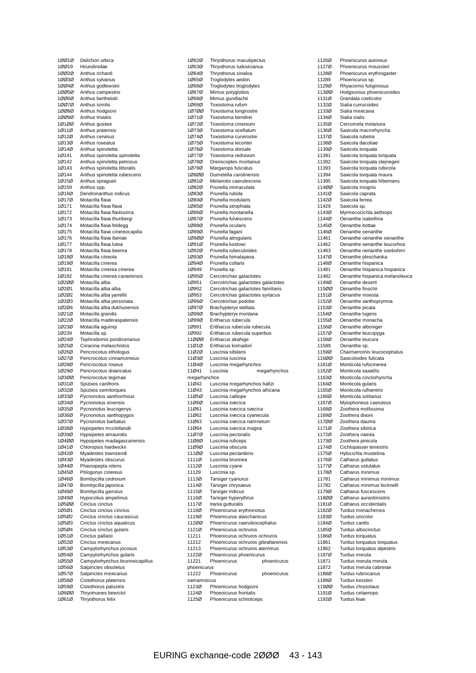| 10010          | Delichon urbica                                            |
|----------------|------------------------------------------------------------|
| 10019<br>10020 | Hirundinidae                                               |
| 10030          | Anthus richardi<br>Anthus sylvanus                         |
| 10040          | Anthus godlewskii                                          |
| 10050          | Anthus campestris                                          |
| 10060          | Anthus berthelotii                                         |
| 10070          | Anthus similis                                             |
| 10080          | Anthus hodgsoni                                            |
| 10090          | Anthus trivialis                                           |
| 10100          | Anthus gustavi                                             |
| 10110          | Anthus pratensis                                           |
| 10120          | Anthus cervinus                                            |
| 1Ø13Ø          | Anthus roseatus                                            |
| 10140<br>1Ø141 | Anthus spinoletta                                          |
| 1Ø142          | Anthus spinoletta spinoletta<br>Anthus spinoletta petrosus |
| 1Ø143          | Anthus spinoletta littoralis                               |
| 1Ø144          | Anthus spinoletta rubescens                                |
| 10150          | Anthus spragueii                                           |
| 1Ø159          | Anthus spp.                                                |
| 1Ø16Ø          | Dendronanthus indicus                                      |
| 10170          | Motacilla flava                                            |
| 1Ø171          | Motacilla flava flava                                      |
| 1Ø172          | Motacilla flava flavissima                                 |
| 10173          | Motacilla flava thunbergi                                  |
| 1Ø174          | Motacilla flava feldegg                                    |
| 1Ø175<br>1Ø176 | Motacilla flava cinereocapilla<br>Motacilla flava iberiae  |
| 1Ø177          | Motacilla flava lutea                                      |
| 1Ø178          | Motacilla flava beema                                      |
| 1Ø18Ø          | Motacilla citreola                                         |
| 10190          | Motacilla cinerea                                          |
| 1Ø191          | Motacilla cinerea cinerea                                  |
| 1Ø192          | Motacilla cinerea canariensis                              |
| 10200          | Motacilla alba                                             |
| 10201          | Motacilla alba alba                                        |
| 10202          | Motacilla alba yarrellii                                   |
| 1Ø2Ø3          | Motacilla alba personata                                   |
| 1Ø2Ø4<br>10210 | Motacilla alba dukhunensis                                 |
| 10220          | Motacilla grandis<br>Motacilla maderaspatensis             |
| 10230          | Motacilla aguimp                                           |
| 1Ø239          | Motacilla sp.                                              |
| 10240          | Tephrodornis pondicerianus                                 |
| 1Ø25Ø          | Coracina melaschistos                                      |
| 1Ø26Ø          | Pericrocotus ethologus                                     |
| 10270          | Pericrocotus cinnamomeus<br>Pericrocotus roseus            |
| 10280<br>1Ø29Ø | Pericrocotus divaricatus                                   |
| 10300          | Pericrocotus tegimae                                       |
| 10310          | Spizixos canifrons                                         |
| 1Ø32Ø          | Spizixos semitorques                                       |
| 10330          | Pycnonotus xanthorrhous                                    |
| 10340          | Pycnonotus sinensis                                        |
| 10350          | Pycnonotus leucogenys                                      |
| 1Ø36Ø          | Pycnonotus xanthopygos                                     |
| 10370          | Pycnonotus barbatus                                        |
| 10380<br>1Ø39Ø | Hypsipetes mcclellandii                                    |
| 10400          | Hypsipetes amaurotis<br>Hypsipetes madagascariensis        |
| 10410          | Chloropsis hardwickii                                      |
| 10420          | Myadestes townsendi                                        |
| 10430          | Myadestes obscurus                                         |
| 10440          | Phainopepla nitens                                         |
| 10450          | Ptilogonys cinereus                                        |
| 1Ø46Ø          | Bombycilla cedrorum                                        |
| 10470          | Bombycilla japonica                                        |
| 10480          | Bombycilla garrulus                                        |
| 1Ø49Ø<br>10500 | Hypocolius ampelinus<br>Cinclus cinclus                    |
| 10501          | Cinclus cinclus cinclus                                    |
| 1Ø5Ø2          | Cinclus cinclus caucasicus                                 |
| 1Ø5Ø3          | Cinclus cinclus aquaticus                                  |
| 1Ø5Ø4          | Cinclus cinclus gularis                                    |
| 10510          | Cinclus pallasii                                           |
| 10520          | Cinclus mexicanus                                          |
| 1Ø53Ø          | Campylorhynchus jocosus                                    |
| 1Ø54Ø          | Campylorhynchus gularis                                    |
| 10550<br>10560 | Campylorhynchus brunneicapillus<br>Salpinctes obsoletus    |
| 10570          | Salpinctes mexicanus                                       |
| 1Ø58Ø          | Cistothorus platensis                                      |
| 10590          | Cistothorus palustris                                      |
| 10600          | Thryomanes bewickii                                        |
| 10610          | Thryothorus felix                                          |
|                |                                                            |

| 1Ø62Ø                 | Thryothorus maculipectus                                               |
|-----------------------|------------------------------------------------------------------------|
| 1Ø63Ø                 | Thryothorus Iudovicianus                                               |
| 10640<br>10650        | Thryothorus sinaloa<br>Troglodytes aedon                               |
| 10660                 | Troglodytes troglodytes                                                |
| 10670                 | Mimus polyglottos                                                      |
| 10680                 | Mimus gundlachii                                                       |
| 10690<br>10700        | Toxostoma rufum<br>Toxostoma longirostre                               |
| 10710                 | Toxostoma bendirei                                                     |
| 10720                 | Toxostoma cinereum                                                     |
| 10730                 | Toxostoma ocellatum                                                    |
| 10740<br>10750        | Toxostoma curvirostre<br>Toxostoma lecontei                            |
| 10760                 | Toxostoma dorsale                                                      |
| 10770                 | Toxostoma redivivum                                                    |
| 1Ø78Ø                 | Oreoscoptes montanus                                                   |
| 10790<br>10800        | Margarops fuscatus<br>Dumetella carolinensis                           |
| 10810                 | Melanotis caerulescens                                                 |
| 10820                 | Prunella immaculata                                                    |
| 1Ø83Ø<br>1Ø84Ø        | Prunella rubida<br>Prunella modularis                                  |
| 1Ø85Ø                 | Prunella strophiata                                                    |
| 1Ø86Ø                 | Prunella montanella                                                    |
| 10870                 | Prunella fulvescens                                                    |
| 10880<br>1Ø89Ø        | Prunella ocularis<br>Prunella fagani                                   |
| 10900                 | Prunella atroqularis                                                   |
| 10910                 | Prunella koslowi                                                       |
| 1Ø92Ø                 | Prunella rubeculoides                                                  |
| 10930<br>1Ø94Ø        | Prunella himalayana<br>Prunella collaris                               |
| 1Ø949                 | Prunella sp.                                                           |
| 10950                 | Cercotrichas galactotes                                                |
| 1Ø951                 | Cercotrichas galactotes galactotes                                     |
| 1Ø952<br>1Ø953        | Cercotrichas galactotes familiaris<br>Cercotrichas galactotes syriacus |
| 1Ø96Ø                 | Cercotrichas podobe                                                    |
| 10970                 | Brachypteryx stellata                                                  |
| 10980                 | Brachypteryx montana                                                   |
| 1Ø99Ø<br>1Ø991        | Erithacus rubecula<br>Erithacus rubecula rubecula                      |
| 1Ø992                 | Erithacus rubecula superbus                                            |
| 11ØØØ                 | Erithacus akahige                                                      |
|                       | Erithacus komadori                                                     |
| 11Ø1Ø                 |                                                                        |
| 11Ø2Ø<br>11Ø3Ø        | Luscinia sibilans<br>Luscinia Iuscinia                                 |
| 11Ø4Ø                 | Luscinia megarhynchos                                                  |
| 11Ø41                 | Luscinia<br>megarhynchos                                               |
| megarhynchos<br>11Ø42 | Luscinia megarhynchos hafizi                                           |
| 11Ø43                 | Luscinia megarhynchos africana                                         |
| 11Ø5Ø                 | Luscinia calliope                                                      |
| 11Ø6Ø<br>11Ø61        | Luscinia svecica<br>Luscinia svecica svecica                           |
| 11Ø62                 | Luscinia svecica cyanecula                                             |
| 11Ø63                 | Luscinia svecica namnetum                                              |
| 11Ø64                 | Luscinia svecica magna                                                 |
| 11Ø7Ø<br>11Ø8Ø        | Luscinia pectoralis<br>Luscinia ruficeps                               |
| 11Ø9Ø                 | Luscinia obscura                                                       |
| 111ØØ                 | Luscinia pectardens                                                    |
| 1111Ø                 | Luscinia brunnea                                                       |
| 1112Ø<br>11129        | Luscinia cyane<br>Luscinia sp.                                         |
| 1113Ø                 | Tarsiger cyanurus                                                      |
| 1114Ø                 | Tarsiger chrysaeus                                                     |
| 1115Ø                 | Tarsiger indicus                                                       |
| 1116Ø<br>1117Ø        | Tarsiger hyperythrus<br>Irania gutturalis                              |
| 1118Ø                 | Phoenicurus erythronotus                                               |
| 1119Ø                 | Phoenicurus alaschanicus                                               |
| 112ØØ                 | Phoenicurus caeruleocephalus                                           |
| 1121Ø<br>11211        | Phoenicurus ochruros<br>Phoenicurus ochruros ochruros                  |
| 11212                 | Phoenicurus ochruros gibraltarensis                                    |
| 11213                 | Phoenicurus ochruros aterrimus                                         |
| 1122Ø<br>11221        | Phoenicurus phoenicurus<br>Phoenicurus<br>phoenicurus                  |
| phoenicurus           |                                                                        |
| 11222                 | Phoenicurus<br>phoenicurus                                             |
| samamisicus<br>1123Ø  | Phoenicurus hodgsoni                                                   |
| 1124Ø<br>1125Ø        | Phoenicurus frontalis<br>Phoenicurus schisticeps                       |

|                | Phoenicurus auroreus                          |
|----------------|-----------------------------------------------|
| 1126Ø<br>1127Ø | Phoenicurus moussieri                         |
| 1128Ø          | Phoenicurus erythrogaster                     |
| 11289          | Phoenicurus sp.                               |
| 1129Ø          | Rhyacornis fuliginosus                        |
| 113ØØ          | Hodgsonius phoenicuroides                     |
| 1131Ø          | Grandala coelicolor                           |
| 1132Ø          | Sialia currucoides                            |
| 1133Ø          | Sialia mexicana                               |
| 1134Ø          | Sialia sialis                                 |
| 1135Ø          | Cercomela melanura                            |
| 1136Ø          | Saxicola macrorhyncha                         |
| 1137Ø          | Saxicola rubetra                              |
| 1138Ø          | Saxicola dacotiae                             |
| 1139Ø          | Saxicola torquata                             |
| 11391          | Saxicola torquata torquata                    |
| 11392          | Saxicola torquata stejnegeri                  |
| 11393          | Saxicola torquata rubicola                    |
| 11394          | Saxicola torquata maura                       |
| 11395          | Saxicola torquata hibernans                   |
| 114ØØ          | Saxicola insignis                             |
| 1141Ø          | Saxicola caprata                              |
| 1142Ø          | Saxicola ferrea                               |
| 11429          | Saxicola sp.                                  |
| 1143Ø          | Myrmecocichla aethiops<br>Oenanthe isabellina |
| 1144Ø<br>1145Ø | Oenanthe bottae                               |
| 1146Ø          | Oenanthe oenanthe                             |
| 11461          | Oenanthe oenanthe oenanthe                    |
| 11462          | Oenanthe oenanthe leucorhoa                   |
| 11463          | Oenanthe oenanthe seebohmi                    |
| 1147Ø          | Oenanthe pleschanka                           |
| 1148Ø          | Oenanthe hispanica                            |
| 11481          | Oenanthe hispanica hispanica                  |
| 11482          | Oenanthe hispanica melanoleuca                |
| 1149Ø          | Oenanthe deserti                              |
| 115ØØ          | Oenanthe finschii                             |
| 1151Ø          | Oenanthe moesta                               |
| 1152Ø          | Oenanthe xanthoprymna                         |
| 1153Ø          | Oenanthe picata                               |
| 1154Ø          | Oenanthe lugens                               |
| 1155Ø          | Oenanthe monacha                              |
| 1156Ø          | Oenanthe alboniger                            |
| 1157Ø          | Oenanthe leucopyga                            |
| 1158Ø          | Oenanthe leucura                              |
| 11589          | Oenanthe sp.                                  |
| 1159Ø          | Chaimarrornis leucocephalus                   |
|                | Saxicoloides fulicata                         |
| 116ØØ          |                                               |
| 1161Ø          | Monticola rufocinerea                         |
| 1162Ø          | Monticola saxatilis                           |
| 1163Ø          | Monticola cinclorhyncha                       |
| 1164Ø          | Monticola gularis                             |
| 1165Ø          | Monticola rufiventris                         |
| 1166Ø          | Monticola solitarius                          |
| 1167Ø          | Myiophoneus caeruleus                         |
| 1168Ø          | Zoothera mollissima                           |
| 1169Ø          | Zoothera dixoni                               |
| 117ØØ          | Zoothera dauma                                |
| 1171Ø<br>1172Ø | Zoothera sibirica<br>Zoothera naevia          |
| 1173Ø          | Zoothera pinicola                             |
| 1174Ø          | Cichlopasser terrestris                       |
| 1175Ø          | Hylocichla mustelina                          |
| 1176Ø          | Catharus guttatus                             |
| 1177Ø          | Catharus ustulatus                            |
| 1178Ø          | Catharus minimus                              |
| 11781          | Catharus minimus minimus                      |
| 11782          | Catharus minimus bicknelli                    |
| 1179Ø          | Catharus fuscescens                           |
| 118ØØ          | Catharus aurantiirostris                      |
| 1181Ø          | Catharus occidentalis                         |
| 1182Ø          | Turdus menachensis                            |
| 1183Ø          | Turdus unicolor                               |
| 1184Ø          | Turdus cardis                                 |
| 1185Ø          | Turdus albocinctus                            |
| 1186Ø          | Turdus torquatus                              |
| 11861          | Turdus torquatus torquatus                    |
| 11862          | Turdus torquatus alpestris                    |
| 1187Ø<br>11871 | Turdus merula<br>Turdus merula merula         |
| 11872          | Turdus merula cabrerae                        |
| 1188Ø          | Turdus rubrocanus                             |
| 1189Ø          | Turdus kessleri                               |
| 119ØØ          | Turdus chrysolaus                             |
| 1191Ø<br>1192Ø | Turdus celaenops<br>Turdus feae               |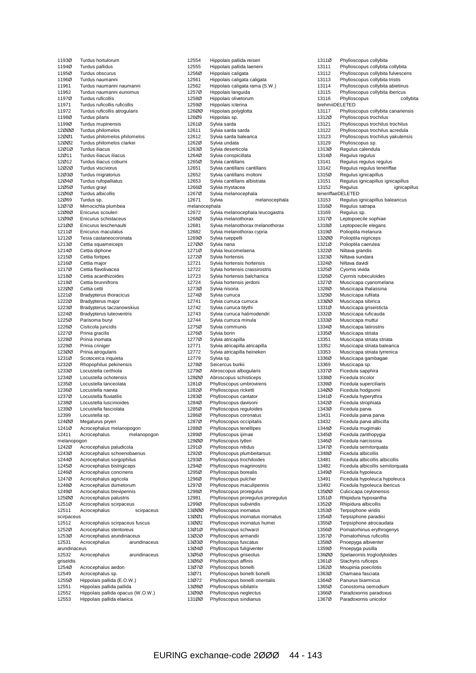| 1193Ø               | Turdus hortulorum                                              |
|---------------------|----------------------------------------------------------------|
| 1194Ø               | Turdus pallidus                                                |
| 1195Ø<br>1196Ø      | Turdus obscurus<br>Turdus naumanni                             |
| 11961               | Turdus naumanni naumanni                                       |
| 11962               | Turdus naumanni eunomus                                        |
| 1197Ø               | Turdus ruficollis                                              |
| 11971               | Turdus ruficollis ruficollis                                   |
| 11972               | Turdus ruficollis atroqularis                                  |
| 1198Ø               | Turdus pilaris                                                 |
| 1199Ø               | Turdus mupinensis                                              |
| 12000               | Turdus philomelos                                              |
| 12ØØ1               | Turdus philomelos philomelos                                   |
| 12002               | Turdus philomelos clarkei                                      |
| 12010               | Turdus iliacus                                                 |
| 12Ø11<br>12Ø12      | Turdus iliacus iliacus<br>Turdus iliacus coburni               |
| 12Ø2Ø               | Turdus viscivorus                                              |
| 12Ø3Ø               | Turdus migratorius                                             |
| 12Ø4Ø               | Turdus rufopalliatus                                           |
| 12Ø5Ø               | Turdus grayi                                                   |
| 12060               | Turdus albicollis                                              |
| 12Ø69               | Turdus sp.                                                     |
| 12070               | Mimocichla plumbea                                             |
| 12Ø8Ø               | Enicurus scouleri                                              |
| 12090               | Enicurus schistaceus                                           |
| 121ØØ               | Enicurus leschenaulti                                          |
| 1211Ø<br>1212Ø      | Enicurus maculatus<br>Tesia castaneocoronata                   |
| 1213Ø               | Cettia squameiceps                                             |
| 1214Ø               | Cettia diphone                                                 |
| 1215Ø               | Cettia fortipes                                                |
| 1216Ø               | Cettia major                                                   |
| 1217Ø               | Cettia flavolivacea                                            |
| 1218Ø               | Cettia acanthizoides                                           |
| 1219Ø               | Cettia brunnifrons                                             |
| 12200<br>1221Ø      | Cettia cetti<br><b>Bradypterus thoracicus</b>                  |
| 1222Ø               | Bradypterus major                                              |
| 1223Ø               | Bradypterus taczanowskius                                      |
| 1224Ø               | <b>Bradypterus luteoventris</b>                                |
| 1225Ø               | Parisoma buryi                                                 |
| 1226Ø               | Cisticola juncidis                                             |
| 1227Ø               | Prinia gracilis                                                |
| 1228Ø<br>1229Ø      | Prinia inornata<br>Prinia criniger                             |
| 12300               | Prinia atrogularis                                             |
| 1231Ø               | Scotocerca inquieta                                            |
| 1232Ø               | Rhopophilus pekinensis                                         |
| 1233Ø               | Locustella certhiola                                           |
| 1234Ø               | Locustella ochotensis                                          |
| 1235Ø               | Locustella lanceolata                                          |
| 1236Ø<br>1237Ø      | Locustella naevia<br>Locustella fluviatilis                    |
| 1238Ø               | Locustella luscinioides                                        |
| 1239Ø               | Locustella fasciolata                                          |
| 12399               | Locustella sp.                                                 |
| 124ØØ               |                                                                |
|                     |                                                                |
| 1241Ø               | Megalurus pryeri<br>Acrocephalus melanopogon                   |
| 12411               | Acrocephalus<br>melanopogon                                    |
| melanopogon         |                                                                |
| 1242Ø               | Acrocephalus paludicola                                        |
| 1243Ø               | Acrocephalus schoenobaenus                                     |
| 1244Ø               | Acrocephalus sorgophilus                                       |
| 1245Ø               | Acrocephalus bistrigiceps                                      |
| 1246Ø<br>1247Ø      | Acrocephalus concinens                                         |
| 1248Ø               | Acrocephalus agricola<br>Acrocephalus dumetorum                |
| 1249Ø               | Acrocephalus brevipennis                                       |
| 125ØØ               | Acrocephalus palustris                                         |
| 1251Ø               | Acrocephalus scirpaceus                                        |
| 12511               | Acrocephalus<br>scirpaceus                                     |
| scirpaceus<br>12512 | Acrocephalus scirpaceus fuscus                                 |
| 1252Ø               | Acrocephalus stentoreus                                        |
| 1253Ø               | Acrocephalus arundinaceus                                      |
| 12531               | Acrocephalus<br>arundinaceus                                   |
| arundinaceus        |                                                                |
| 12532               | Acrocephalus<br>arundinaceus                                   |
| griseldis           |                                                                |
| 1254Ø<br>12549      | Acrocephalus aedon<br>Acrocephalus sp.                         |
| 1255Ø               | Hippolais pallida (E.O.W.)                                     |
| 12551               | Hippolais pallida pallida                                      |
| 12552<br>12553      | Hippolais pallida opacus (W.O.W.)<br>Hippolais pallida elaeica |

| 12554                  | Hippolais pallida reiseri                               |
|------------------------|---------------------------------------------------------|
| 12555                  | Hippolais pallida laeneni                               |
| 1256Ø                  | Hippolais caligata                                      |
| 12561                  | Hippolais caligata caligata                             |
| 12562                  | Hippolais caligata rama (S.W.)                          |
| 1257Ø                  | Hippolais languida                                      |
| 1258Ø                  | Hippolais olivetorum                                    |
| 1259Ø<br>126ØØ         | Hippolais icterina<br>Hippolais polyglotta              |
| 126Ø9                  | Hippolais sp.                                           |
| 1261Ø                  | Sylvia sarda                                            |
| 12611                  | Sylvia sarda sarda                                      |
| 12612                  | Sylvia sarda balearica                                  |
| 1262Ø                  | Sylvia undata                                           |
| 1263Ø                  | Sylvia deserticola                                      |
| 1264Ø<br>1265Ø         | Sylvia conspicillata<br>Sylvia cantillans               |
| 12651                  | Sylvia cantillans cantillans                            |
| 12652                  | Sylvia cantillans moltoni                               |
| 12653                  | Sylvia cantillans albistrata                            |
| 1266Ø                  | Sylvia mystacea                                         |
| 1267Ø                  | Sylvia melanocephala                                    |
| 12671                  | Sylvia<br>melanocephala                                 |
| melanocephala<br>12672 | Sylvia melanocephala leucogastra                        |
| 1268Ø                  | Sylvia melanothorax                                     |
| 12681                  | Sylvia melanothorax melanothorax                        |
| 12682                  | Sylvia melanothorax cypria                              |
| 1269Ø                  | Sylvia rueppelli                                        |
| 127ØØ                  | Sylvia nana                                             |
| 1271Ø                  | Sylvia leucomelaena                                     |
| 1272Ø<br>12721         | Sylvia hortensis<br>Sylvia hortensis hortensis          |
| 12722                  | Sylvia hortensis crassirostris                          |
| 12723                  | Sylvia hortensis balchanica                             |
| 12724                  | Sylvia hortensis jerdoni                                |
| 1273Ø                  | Sylvia nisoria                                          |
| 1274Ø                  | Sylvia curruca                                          |
| 12741                  | Sylvia curruca curruca                                  |
| 12742<br>12743         | Sylvia curruca blythi<br>Sylvia curruca halimodendri    |
| 12744                  | Sylvia curruca minula                                   |
| 1275Ø                  | Sylvia communis                                         |
| 1276Ø                  | Sylvia borin                                            |
| 1277Ø                  | Sylvia atricapilla                                      |
| 12771                  | Sylvia atricapilla atricapilla                          |
| 12772                  | Sylvia atricapilla heineken                             |
| 12779<br>1278Ø         | Sylvia sp.<br>Seicercus burkii                          |
| 1279Ø                  | Abroscopus albogularis                                  |
| 128ØØ                  | Abroscopus schisticeps                                  |
| 1281Ø                  | Phylloscopus umbrovirens                                |
| 1282Ø                  | Phylloscopus ricketti                                   |
| 1283Ø                  | Phylloscopus cantator                                   |
| 1284Ø<br>1285Ø         | Phylloscopus davisoni<br>Phylloscopus reguloides        |
| 1286Ø                  | Phylloscopus coronatus                                  |
| 1287Ø                  | Phylloscopus occipitalis                                |
| 1288Ø                  | Phylloscopus tenellipes                                 |
| 1289Ø                  | Phylloscopus ijimae                                     |
| 129ØØ                  | Phylloscopus tytleri                                    |
| 1291Ø                  | Phylloscopus nitidus                                    |
| 1292Ø<br>1293Ø         | Phylloscopus plumbeitarsus<br>Phylloscopus trochiloides |
| 1294Ø                  | Phylloscopus magnirostris                               |
| 1295Ø                  | Phylloscopus borealis                                   |
| 1296Ø                  | Phylloscopus pulcher                                    |
| 1297Ø                  | Phylloscopus maculipennis                               |
| 1298Ø                  | Phylloscopus proregulus                                 |
| 12981                  | Phylloscopus proregulus proregulus                      |
| 1299Ø<br>13000         | Phylloscopus subviridis<br>Phylloscopus inornatus       |
| 13001                  | Phylloscopus inornatus inornatus                        |
| 13002                  | Phylloscopus inornatus humei                            |
| 13Ø1Ø                  | Phylloscopus schwarzi                                   |
| 13Ø2Ø                  | Phylloscopus armandii                                   |
| 13Ø3Ø                  | Phylloscopus fuscatus                                   |
| 13Ø4Ø<br>13Ø5Ø         | Phylloscopus fuligiventer<br>Phylloscopus griseolus     |
| 13Ø6Ø                  | Phylloscopus affinis                                    |
| 13Ø7Ø                  | Phylloscopus bonelli                                    |
| 13Ø71                  | Phylloscopus bonelli bonelli                            |
| 13Ø72                  | Phylloscopus bonelli orientalis                         |
| 13Ø8Ø                  | Phylloscopus sibilatrix                                 |
| 13Ø9Ø<br>131ØØ         | Phylloscopus neglectus<br>Phylloscopus sindianus        |
|                        |                                                         |

| 1311Ø             | Phylloscopus collybita                                       |
|-------------------|--------------------------------------------------------------|
| 13111             | Phylloscopus collybita collybita                             |
| 13112             | Phylloscopus collybita fulvescens                            |
| 13113             | Phylloscopus collybita tristis                               |
| 13114             | Phylloscopus collybita abietinus                             |
| 13115<br>13116    | Phylloscopus collybita ibericus<br>Phylloscopus<br>collybita |
| brehmiiDELETED    |                                                              |
| 13117             | Phylloscopus collybita canariensis                           |
| 1312Ø             | Phylloscopus trochilus                                       |
| 13121             | Phylloscopus trochilus trochilus                             |
| 13122             | Phylloscopus trochilus acredula                              |
| 13123             | Phylloscopus trochilus yakutensis                            |
| 13129             | Phylloscopus sp.                                             |
| 1313Ø<br>1314Ø    | Regulus calendula<br>Regulus regulus                         |
| 13141             | Regulus regulus regulus                                      |
| 13142             | Regulus regulus teneriffae                                   |
| 1315Ø             | Regulus ignicapillus                                         |
| 13151             | Regulus ignicapillus ignicapillus                            |
| 13152             | ignicapillus<br>Regulus                                      |
| teneriffaeDELETED |                                                              |
| 13153<br>1316Ø    | Regulus ignicapillus balearicus<br>Regulus satrapa           |
| 13169             | Regulus sp.                                                  |
| 1317Ø             | Leptopoecile sophiae                                         |
| 1318Ø             | Leptopoecile elegans                                         |
| 1319Ø             | Polioptila melanura                                          |
| 13200             | Polioptila nigriceps                                         |
| 1321Ø             | Polioptila caerulea                                          |
| 1322Ø<br>1323Ø    | Niltava grandis<br>Niltava sundara                           |
| 1324Ø             | Niltava davidi                                               |
| 1325Ø             | Cyornis vivida                                               |
| 1326Ø             | Cyornis rubeculoides                                         |
| 1327Ø             | Muscicapa cyanomelana                                        |
| 1328Ø             | Muscicapa thalassina                                         |
| 1329Ø             | Muscicapa rufilata                                           |
| 13300<br>1331Ø    | Muscicapa sibirica<br>Muscicapa griseisticta                 |
| 1332Ø             | Muscicapa ruficauda                                          |
| 1333Ø             | Muscicapa muttui                                             |
| 1334Ø             | Muscicapa latirostris                                        |
| 1335Ø             | Muscicapa striata                                            |
| 13351             | Muscicapa striata striata                                    |
| 13352             | Muscicapa striata balearica                                  |
| 13353             | Muscicapa striata tyrrenica                                  |
| 1336Ø<br>13369    | Muscicapa gambagae<br>Muscicapa sp.                          |
| 1337Ø             | Ficedula sapphira                                            |
| 1338Ø             | Ficedula tricolor                                            |
| 1339Ø             | Ficedula superciliaris                                       |
| 134ØØ             | Ficedula hodgsonii                                           |
| 1341Ø             | Ficedula hyperythra                                          |
| 1342Ø<br>1343Ø    | Ficedula strophiata<br>Ficedula parva                        |
| 13431             | Ficedula parva parva                                         |
| 13432             | Ficedula parva albicilla                                     |
| 1344Ø             | Ficedula mugimaki                                            |
| 1345Ø             | Ficedula zanthopygia                                         |
| 1346Ø             | Ficedula narcissina                                          |
| 1347Ø             | Ficedula semitorquata                                        |
| 1348Ø<br>13481    | Ficedula albicollis<br>Ficedula albicollis albicollis        |
| 13482             | Ficedula albicollis semitorquata                             |
| 1349Ø             | Ficedula hypoleuca                                           |
| 13491             | Ficedula hypoleuca hypoleuca                                 |
| 13492             | Ficedula hypoleuca ibericus                                  |
| 135ØØ             | Culicicapa ceylonensis                                       |
| 1351Ø             | Rhipidura hypoxantha                                         |
| 1352Ø             | Rhipidura albicollis                                         |
| 1353Ø<br>1354Ø    | Terpsiphone viridis<br>Terpsiphone paradisi                  |
| 1355Ø             | Terpsiphone atrocaudata                                      |
| 1356Ø             | Pomatorhinus erythrogenys                                    |
| 1357Ø             | Pomatorhinus ruficollis                                      |
| 1358Ø             | Pnoepyga albiventer                                          |
| 1359Ø             | Pnoepyga pusilla                                             |
| 136ØØ             | Spelaeornis troglodytoides                                   |
| 1361Ø             | Stachyris ruficeps                                           |
| 1362Ø<br>1363Ø    | Moupinia poecilotis<br>Chamaea fasciata                      |
| 1364Ø             | Panurus biarmicus                                            |
| 1365Ø             | Conostoma oemodium                                           |
| 1366Ø             | Paradoxornis paradoxus                                       |
| 1367Ø             | Paradoxornis unicolor                                        |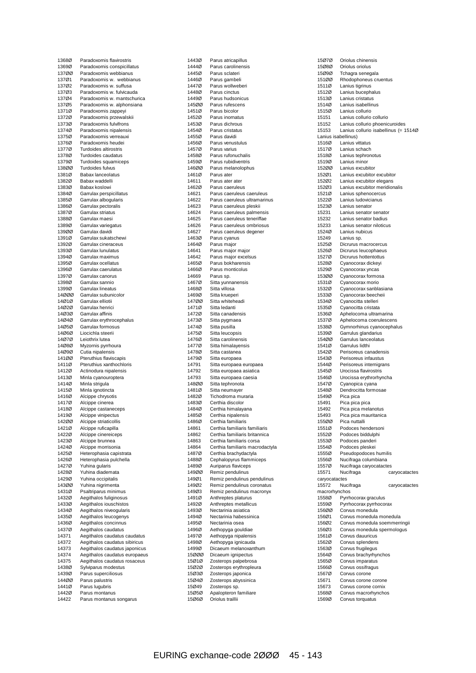| 1368Ø          | Paradoxornis flavirostris                 |
|----------------|-------------------------------------------|
|                |                                           |
| 1369Ø          | Paradoxornis conspicillatus               |
| 137ØØ          | Paradoxornis webbianus                    |
| 137Ø1          | Paradoxornis w. webbianus                 |
|                |                                           |
| 137Ø2          | Paradoxornis w. suffusa                   |
| 137Ø3          | Paradoxornis w. fulvicauda                |
| 137Ø4          | Paradoxornis w. mantschurica              |
| 137Ø5          | Paradoxornis w. alphonsiana               |
| 1371Ø          |                                           |
|                | Paradoxornis zappeyi                      |
| 1372Ø          | Paradoxornis przewalskii                  |
| 1373Ø          | Paradoxornis fulvifrons                   |
| 1374Ø          | Paradoxornis nipalensis                   |
| 1375Ø          | Paradoxornis verreauxi                    |
| 1376Ø          | Paradoxornis heudei                       |
|                |                                           |
| 1377Ø          | Turdoides altirostris                     |
| 1378Ø          | Turdoides caudatus                        |
| 1379Ø          | Turdoides squamiceps                      |
| 138ØØ          | Turdoides fulvus                          |
| 1381Ø          | <b>Babax lanceolatus</b>                  |
| 1382Ø          | Babax waddelli                            |
|                |                                           |
| 1383Ø          | Babax koslowi                             |
| 1384Ø          | Garrulax perspicillatus                   |
| 1385Ø          | Garrulax albogularis                      |
| 1386Ø          | Garrulax pectoralis                       |
| 1387Ø          | Garrulax striatus                         |
|                |                                           |
| 1388Ø          | Garrulax maesi                            |
| 1389Ø          | Garrulax variegatus                       |
| 139ØØ          | Garrulax davidi                           |
| 1391Ø          | Garrulax sukatschewi                      |
| 1392Ø          | Garrulax cineraceus                       |
|                |                                           |
| 1393Ø          | Garrulax lunulatus                        |
| 1394Ø          | Garrulax maximus                          |
| 1395Ø          | Garrulax ocellatus                        |
| 1396Ø          | Garrulax caerulatus                       |
| 1397Ø          | Garrulax canorus                          |
| 1398Ø          | Garrulax sannio                           |
| 1399Ø          | Garrulax lineatus                         |
|                |                                           |
| 14000          | Garrulax subunicolor                      |
| 14Ø1Ø          | Garrulax elliotii                         |
| 14Ø2Ø          | Garrulax henrici                          |
| 14Ø3Ø          | Garrulax affinis                          |
| 14Ø4Ø          | Garrulax erythrocephalus                  |
| 14Ø5Ø          | Garrulax formosus                         |
| 14Ø6Ø          | Liocichla steerii                         |
|                |                                           |
| 14070          | Leiothrix lutea                           |
|                | Myzornis pyrrhoura                        |
| 14Ø8Ø          |                                           |
| 14Ø9Ø          | Cutia nipalensis                          |
| 141ØØ          | Pteruthius flaviscapis                    |
| 1411Ø          | Pteruthius xanthochloris                  |
|                |                                           |
| 1412Ø          | Actinodura nipalensis                     |
| 1413Ø          | Minla cyanouroptera                       |
| 1414Ø          | Minla strigula                            |
| 1415Ø          | Minla ignotincta                          |
| 1416Ø          | Alcippe chrysotis                         |
| 1417Ø          | Alcippe cinerea                           |
| 1418Ø          | Alcippe castaneceps                       |
|                |                                           |
| 1419Ø          | Alcippe vinipectus                        |
| 142ØØ          | Alcippe striaticollis                     |
| 1421Ø          | Alcippe ruficapilla                       |
| 1422Ø          | Alcippe cinereiceps                       |
| 1423Ø          | Alcippe brunnea                           |
| 1424Ø          | Alcippe morrisonia                        |
|                |                                           |
| 1425Ø          | Heterophasia capistrata                   |
| 1426Ø          | Heterophasia pulchella                    |
| 1427Ø          | Yuhina gularis                            |
| 1428Ø          | Yuhina diademata                          |
| 1429Ø          | Yuhina occipitalis                        |
| 143ØØ          | Yuhina nigrimenta                         |
|                |                                           |
| 1431Ø          | Psaltriparus minimus                      |
| 1432Ø          | Aegithalos fuliginosus                    |
| 1433Ø          | Aegithalos iouschistos                    |
| 1434Ø          | Aegithalos niveogularis                   |
| 1435Ø          | Aegithalos leucogenys                     |
| 1436Ø          | Aegithalos concinnus                      |
| 1437Ø          | Aegithalos caudatus                       |
|                |                                           |
| 14371          | Aegithalos caudatus caudatus              |
| 14372          | Aegithalos caudatus sibiricus             |
| 14373          | Aegithalos caudatus japonicus             |
| 14374          | Aegithalos caudatus europaeus             |
| 14375          | Aegithalos caudatus rosaceus              |
| 1438Ø          | Sylviparus modestus                       |
| 1439Ø          | Parus superciliosus                       |
|                |                                           |
| 144ØØ          | Parus palustris                           |
| 1441Ø          | Parus lugubris                            |
| 1442Ø<br>14422 | Parus montanus<br>Parus montanus songarus |

| 1443Ø          | Parus atricapillus                                   |
|----------------|------------------------------------------------------|
| 1444Ø          | Parus carolinensis                                   |
| 1445Ø          | Parus sclateri                                       |
| 1446Ø          | Parus gambeli                                        |
| 1447Ø          | Parus wollweberi                                     |
| 1448Ø          | Parus cinctus                                        |
| 1449Ø          | Parus hudsonicus                                     |
| 145ØØ          | Parus rufescens                                      |
| 1451Ø          | Parus bicolor                                        |
| 1452Ø          | Parus inornatus                                      |
| 1453Ø          | Parus dichrous                                       |
| 1454Ø          | Parus cristatus                                      |
| 1455Ø          | Parus davidi                                         |
| 1456Ø          | Parus venustulus                                     |
| 1457Ø          | Parus varius                                         |
| 1458Ø          | Parus rufonuchalis                                   |
| 1459Ø          | Parus rubidiventris                                  |
| 146ØØ          | Parus melanolophus                                   |
| 1461Ø          | Parus ater                                           |
| 14611          | Parus ater ater                                      |
| 1462Ø          | Parus caeruleus                                      |
| 14621          | Parus caeruleus caeruleus                            |
| 14622<br>14623 | Parus caeruleus ultramarinus                         |
| 14624          | Parus caeruleus pleskii<br>Parus caeruleus palmensis |
| 14625          | Parus caeruleus teneriffae                           |
| 14626          | Parus caeruleus ombriosus                            |
| 14627          | Parus caeruleus degener                              |
| 1463Ø          | Parus cyanus                                         |
| 1464Ø          | Parus major                                          |
| 14641          | Parus major major                                    |
| 14642          | Parus major excelsus                                 |
| 1465Ø          | Parus bokharensis                                    |
| 1466Ø          | Parus monticolus                                     |
| 14669          | Parus sp.                                            |
| 1467Ø          | Sitta yunnanensis                                    |
| 1468Ø          | Sitta villosa                                        |
| 1469Ø          | Sitta krueperi                                       |
| 147ØØ          | Sitta whiteheadi                                     |
| 1471Ø          | Sitta ledanti                                        |
| 1472Ø          | Sitta canadensis                                     |
| 1473Ø          | Sitta pygmaea                                        |
| 1474Ø          | Sitta pusilla                                        |
| 1475Ø          | Sitta leucopsis                                      |
| 1476Ø          | Sitta carolinensis                                   |
| 1477Ø          | Sitta himalayensis                                   |
| 1478Ø          | Sitta castanea                                       |
| 1479Ø          | Sitta europaea                                       |
| 14791          | Sitta europaea europaea                              |
| 14792          | Sitta europaea asiatica                              |
| 14793          | Sitta europaea caesia                                |
| 148ØØ          | Sitta tephronota                                     |
| 1481Ø          | Sitta neumayer                                       |
| 1482Ø          | Tichodroma muraria                                   |
| 1483Ø<br>1484Ø | Certhia discolor<br>Certhia himalayana               |
| 1485Ø          | Certhia nipalensis                                   |
| 1486Ø          | Certhia familiaris                                   |
| 14861          | Certhia familiaris familiaris                        |
| 14862          | Certhia familiaris britannica                        |
| 14863          | Certhia familiaris corsa                             |
| 14864          | Certhia familiaris macrodactyla                      |
| 1487Ø          | Certhia brachydactyla                                |
| 1488Ø          | Cephalopyrus flammiceps                              |
| 1489Ø          | Auriparus flaviceps                                  |
| 149ØØ          | Remiz pendulinus                                     |
| 149Ø1          | Remiz pendulinus pendulinus                          |
| 149Ø2          | Remiz pendulinus coronatus                           |
| 149Ø3          | Remiz pendulinus macronyx                            |
| 1491Ø          | Anthreptes platurus                                  |
| 1492Ø          | Anthreptes metallicus                                |
| 1493Ø          | Nectarinia asiatica                                  |
| 1494Ø          | Nectarinia habessinica                               |
| 1495Ø          | Nectarinia osea                                      |
| 1496Ø          | Aethopyga gouldiae                                   |
| 1497Ø          | Aethopyga nipalensis                                 |
| 1498Ø          | Aethopyga ignicauda                                  |
| 1499Ø          | Dicaeum melanoxanthum                                |
| 15000          | Dicaeum ignipectus                                   |
| 15Ø1Ø<br>15Ø2Ø | Zosterops palpebrosa                                 |
| 15Ø3Ø          | Zosterops erythropleura<br>Zosterops japonica        |
| 15Ø4Ø          | Zosterops abyssinica                                 |
| 15Ø49          | Zosterops sp.                                        |
| 15Ø5Ø          | Apalopteron familiare                                |
| 15Ø6Ø          | Oriolus traillii                                     |
|                |                                                      |

| 15Ø7Ø               | Oriolus chinensis                                                      |
|---------------------|------------------------------------------------------------------------|
| 15Ø8Ø               | Oriolus oriolus                                                        |
| 15Ø9Ø<br>151ØØ      | Tchagra senegala                                                       |
| 1511Ø               | Rhodophoneus cruentus<br>Lanius tigrinus                               |
| 1512Ø               | Lanius bucephalus                                                      |
| 1513Ø               | Lanius cristatus                                                       |
| 1514Ø               | Lanius isabellinus                                                     |
| 1515Ø               | Lanius collurio                                                        |
| 15151               | Lanius collurio collurio                                               |
| 15152<br>15153      | Lanius collurio phoenicuroides<br>Lanius collurio isabellinus (= 1514Ø |
| Lanius isabellinus) |                                                                        |
| 1516Ø               | Lanius vittatus                                                        |
| 1517Ø               | Lanius schach                                                          |
| 1518Ø               | Lanius tephronotus                                                     |
| 1519Ø               | Lanius minor                                                           |
| 152ØØ<br>152Ø1      | Lanius excubitor<br>Lanius excubitor excubitor                         |
| 152Ø2               | Lanius excubitor elegans                                               |
| 152Ø3               | Lanius excubitor meridionalis                                          |
| 1521Ø               | Lanius sphenocercus                                                    |
| 1522Ø               | Lanius Iudovicianus                                                    |
| 1523Ø               | Lanius senator                                                         |
| 15231               | Lanius senator senator                                                 |
| 15232<br>15233      | Lanius senator badius<br>Lanius senator niloticus                      |
| 1524Ø               | Lanius nubicus                                                         |
| 15249               | Lanius sp.                                                             |
| 1525Ø               | Dicrurus macrocercus                                                   |
| 1526Ø               | Dicrurus leucophaeus                                                   |
| 1527Ø               | Dicrurus hottentottus                                                  |
| 1528Ø               | Cyanocorax dickeyi                                                     |
| 1529Ø<br>153ØØ      | Cyanocorax yncas<br>Cyanocorax formosa                                 |
| 1531Ø               | Cyanocorax morio                                                       |
| 1532Ø               | Cyanocorax sanblasiana                                                 |
| 1533Ø               | Cyanocorax beecheii                                                    |
| 1534Ø               | Cyanocitta stelleri                                                    |
| 1535Ø               | Cyanocitta cristata                                                    |
| 1536Ø<br>1537Ø      | Aphelocoma ultramarina<br>Aphelocoma coerulescens                      |
| 1538Ø               | Gymnorhinus cyanocephalus                                              |
| 1539Ø               | Garrulus glandarius                                                    |
| 154ØØ               | Garrulus lanceolatus                                                   |
| 1541Ø               | Garrulus lidthi                                                        |
| 1542Ø               | Perisoreus canadensis                                                  |
| 1543Ø<br>1544Ø      | Perisoreus infaustus<br>Perisoreus internigrans                        |
| 1545Ø               | Urocissa flavirostris                                                  |
| 1546Ø               | Urocissa erythrorhyncha                                                |
| 1547Ø               | Cyanopica cyana                                                        |
| 1548Ø               | Dendrocitta formosae                                                   |
| 1549Ø               | Pica pica                                                              |
| 15491<br>15492      | Pica pica pica<br>Pica pica melanotus                                  |
| 15493               | Pica pica mauritanica                                                  |
| 155ØØ               | Pica nuttalli                                                          |
| 1551Ø               | Podoces hendersoni                                                     |
| 1552Ø               | Podoces biddulphi                                                      |
| 1553Ø               | Podoces panderi                                                        |
| 1554Ø<br>1555Ø      | Podoces pleskei<br>Pseudopodoces humilis                               |
| 1556Ø               | Nucifraga columbiana                                                   |
| 1557Ø               | Nucifraga caryocatactes                                                |
| 15571               | Nucifraga<br>caryocatactes                                             |
| caryocatactes       |                                                                        |
| 15572               | Nucifraga<br>caryocatactes                                             |
| macrorhynchos       |                                                                        |
| 1558Ø<br>1559Ø      | Pyrrhocorax graculus<br>Pyrrhocorax pyrrhocorax                        |
| 156ØØ               | Corvus monedula                                                        |
| 156Ø1               | Corvus monedula monedula                                               |
| 156Ø2               | Corvus monedula soemmerringii                                          |
| 156Ø3               | Corvus monedula spermologus                                            |
| 1561Ø               | Corvus dauuricus                                                       |
| 1562Ø<br>1563Ø      | Corvus splendens<br>Corvus frugilegus                                  |
| 1564Ø               | Corvus brachyrhynchos                                                  |
| 1565Ø               | Corvus imparatus                                                       |
| 1566Ø               | Corvus ossifragus                                                      |
| 1567Ø               | Corvus corone                                                          |
| 15671               | Corvus corone corone                                                   |
| 15673<br>1568Ø      | Corvus corone cornix<br>Corvus macrorhynchos                           |
| 1569Ø               | Corvus torquatus                                                       |
|                     |                                                                        |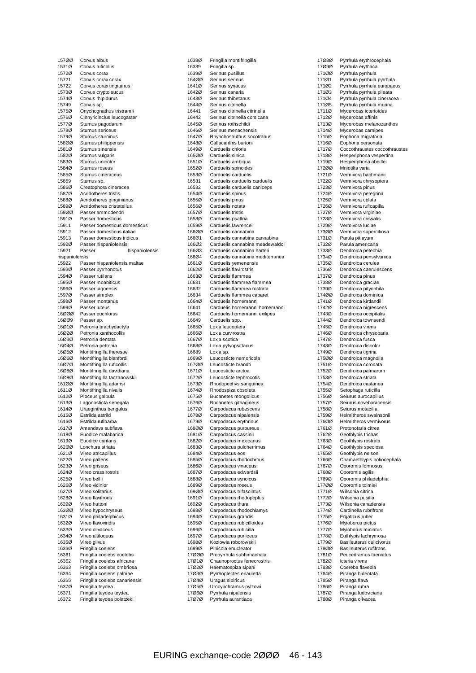|                | Corvus albus                                          |
|----------------|-------------------------------------------------------|
| 1571Ø          | Corvus ruficollis                                     |
| 1572Ø          | Corvus corax                                          |
| 15721          | Corvus corax corax                                    |
| 15722          | Corvus corax tingitanus                               |
| 1573Ø          | Corvus cryptoleucus                                   |
| 1574Ø          | Corvus rhipidurus                                     |
| 15749          | Corvus sp.                                            |
| 1575Ø          | Onychognathus tristramii                              |
| 1576Ø          | Cinnyricinclus leucogaster                            |
| 1577Ø          | Sturnus pagodarum                                     |
| 1578Ø          | Sturnus sericeus                                      |
| 1579Ø          | Sturnus sturninus                                     |
| 158ØØ          | Sturnus philippensis                                  |
| 1581Ø          | Sturnus sinensis                                      |
| 1582Ø          | Sturnus vulgaris                                      |
| 1583Ø          | Sturnus unicolor                                      |
|                |                                                       |
| 1584Ø          | Sturnus roseus                                        |
| 1585Ø          | Sturnus cineraceus                                    |
| 15859          | Sturnus sp.                                           |
| 1586Ø          | Creatophora cineracea                                 |
| 1587Ø          | Acridotheres tristis                                  |
| 1588Ø          | Acridotheres ginginianus                              |
| 1589Ø          | Acridotheres cristatellus                             |
| 159ØØ          | Passer ammodendri                                     |
| 1591Ø          | Passer domesticus                                     |
| 15911          | Passer domesticus domesticus                          |
| 15912          | Passer domesticus italiae                             |
| 15913          | Passer domesticus indicus                             |
| 1592Ø          | Passer hispaniolensis                                 |
| 15921          | Passer<br>hispaniolensis                              |
| hispaniolensis |                                                       |
| 15922          | Passer hispaniolensis maltae                          |
| 1593Ø          | Passer pyrrhonotus                                    |
| 1594Ø          | Passer rutilans                                       |
| 1595Ø          |                                                       |
| 1596Ø          | Passer moabiticus                                     |
|                | Passer iagoensis                                      |
| 1597Ø          | Passer simplex                                        |
| 1598Ø          | Passer montanus                                       |
| 1599Ø          | Passer luteus                                         |
| 16ØØØ          | Passer euchlorus                                      |
| 16ØØ9          | Passer sp.                                            |
| 16Ø1Ø          | Petronia brachydactyla                                |
| 16Ø2Ø          | Petronia xanthocollis                                 |
| 16Ø3Ø          | Petronia dentata                                      |
|                |                                                       |
| 16Ø4Ø          | Petronia petronia                                     |
| 16Ø5Ø          | Montifringilla theresae                               |
| 16Ø6Ø          | Montifringilla blanfordi                              |
| 16Ø7Ø          |                                                       |
| 16Ø8Ø          | Montifringilla ruficollis                             |
|                | Montifringilla davidiana                              |
| 16Ø9Ø          | Montifringilla taczanowskii                           |
| 161ØØ          | Montifringilla adamsi                                 |
| 1611Ø          | Montifringilla nivalis                                |
| 1612Ø          | Ploceus galbula                                       |
| 1613Ø          | Lagonosticta senegala                                 |
| 1614Ø          | Uraeginthus bengalus                                  |
| 1615Ø          | Estrilda astrild                                      |
| 1616Ø          | Estrilda rufibarba                                    |
| 1617Ø          | Amandava subflava                                     |
| 1618Ø          | Euodice malabarica                                    |
| 1619Ø          | Euodice cantans                                       |
| 162ØØ          | Lonchura striata                                      |
| 1621Ø          | Vireo atricapillus                                    |
| 1622Ø          | Vireo pallens                                         |
| 1623Ø          | Vireo griseus                                         |
| 1624Ø          | Vireo crassirostris                                   |
| 1625Ø          | Vireo bellii                                          |
| 1626Ø          | Vireo vicinior                                        |
| 1627Ø          | Vireo solitarius                                      |
| 1628Ø          | Vireo flavifrons                                      |
| 1629Ø          | Vireo huttoni                                         |
| 163ØØ          | Vireo hypochryseus                                    |
| 1631Ø          | Vireo philadelphicus                                  |
| 1632Ø          | Vireo flavoviridis                                    |
| 1633Ø          | Vireo olivaceus                                       |
| 1634Ø          |                                                       |
|                | Vireo altiloquus                                      |
| 1635Ø          | Vireo gilvus                                          |
| 1636Ø          | Fringilla coelebs                                     |
| 16361          | Fringilla coelebs coelebs                             |
| 16362          | Fringilla coelebs africana                            |
| 16363          | Fringilla coelebs ombriosa                            |
| 16364          | Fringilla coelebs palmae                              |
| 16365          | Fringilla coelebs canariensis                         |
| 1637Ø          | Fringilla teydea                                      |
| 16371<br>16372 | Fringilla teydea teydea<br>Fringilla teydea polatzeki |

| 1638Ø          |                                            |
|----------------|--------------------------------------------|
|                | Fringilla montifringilla                   |
| 16389          | Fringilla sp.                              |
| 1639Ø          | Serinus pusillus                           |
| 164ØØ          | Serinus serinus                            |
| 1641Ø          | Serinus syriacus                           |
| 1642Ø          | Serinus canaria                            |
| 1643Ø          | Serinus thibetanus                         |
| 1644Ø          | Serinus citrinella                         |
| 16441          | Serinus citrinella citrinella              |
| 16442          | Serinus citrinella corsicana               |
| 1645Ø          | Serinus rothschildi                        |
|                | Serinus menachensis                        |
| 1646Ø          |                                            |
| 1647Ø          | Rhynchostruthus socotranus                 |
| 1648Ø          | Callacanthis burtoni                       |
| 1649Ø          | Carduelis chloris                          |
| 165ØØ          | Carduelis sinica                           |
| 1651Ø          | Carduelis ambigua                          |
| 1652Ø          | Carduelis spinoides                        |
| 1653Ø          | Carduelis carduelis                        |
| 16531          | Carduelis carduelis carduelis              |
| 16532          | Carduelis carduelis caniceps               |
| 1654Ø          | Carduelis spinus                           |
| 1655Ø          | Carduelis pinus                            |
| 1656Ø          | Carduelis notata                           |
| 1657Ø          | Carduelis tristis                          |
|                |                                            |
| 1658Ø          | Carduelis psaltria                         |
| 1659Ø          | Carduelis lawrencei                        |
| 166ØØ          | Carduelis cannabina                        |
| 166Ø1          | Carduelis cannabina cannabina              |
| 166Ø2          | Carduelis cannabina meadewaldoi            |
| 166Ø3          | Carduelis cannabina harteri                |
| 166Ø4          | Carduelis cannabina mediterranea           |
| 1661Ø          | Carduelis yemenensis                       |
| 1662Ø          | Carduelis flavirostris                     |
| 1663Ø          | Carduelis flammea                          |
| 16631          | Carduelis flammea flammea                  |
| 16632          | Carduelis flammea rostrata                 |
| 16634          | Carduelis flammea cabaret                  |
| 1664Ø          | Carduelis hornemanni                       |
| 16641          | Carduelis hornemanni hornemanni            |
| 16642          | Carduelis hornemanni exilipes              |
| 16649          | Carduelis spp.                             |
| 1665Ø          | Loxia leucoptera                           |
| 1666Ø          | Loxia curvirostra                          |
| 1667Ø          | Loxia scotica                              |
| 1668Ø          | Loxia pytyopsittacus                       |
| 16689          | Loxia sp.                                  |
| 1669Ø          | Leucosticte nemoricola                     |
| 167ØØ          | Leucosticte brandti                        |
| 1671Ø          | Leucosticte arctoa                         |
| 1672Ø          | Leucosticte tephrocotis                    |
| 1673Ø          | Rhodopechys sanguinea                      |
| 1674Ø          | Rhodospiza obsoleta                        |
| 1675Ø          |                                            |
| 1676Ø          |                                            |
|                | Bucanetes mongolicus                       |
| 1677Ø          | Bucanetes githagineus                      |
|                | Carpodacus rubescens                       |
| 1678Ø          | Carpodacus nipalensis                      |
| 1679Ø          | Carpodacus erythrinus                      |
| 168ØØ          | Carpodacus purpureus                       |
| 1681Ø<br>1682Ø | Carpodacus cassinii                        |
|                | Carpodacus mexicanus                       |
| 1683Ø          | Carpodacus pulcherrimus                    |
| 1684Ø          | Carpodacus eos                             |
| 1685Ø          | Carpodacus rhodochrous                     |
| 1686Ø          | Carpodacus vinaceus                        |
| 1687Ø          | Carpodacus edwardsii                       |
| 1688Ø          | Carpodacus synoicus                        |
| 1689Ø          | Carpodacus roseus                          |
| 169ØØ          | Carpodacus trifasciatus                    |
| 1691Ø          | Carpodacus rhodopeplus                     |
| 1692Ø          | Carpodacus thura                           |
| 1693Ø          | Carpodacus rhodochlamys                    |
| 1694Ø          | Carpodacus grandis                         |
| 1695Ø          | Carpodacus rubicilloides                   |
| 1696Ø          | Carpodacus rubicilla                       |
| 1697Ø          | Carpodacus puniceus                        |
| 1698Ø          | Kozlowia roborowskii                       |
| 1699Ø          | Pinicola enucleator                        |
| 17ØØØ          | Propyrrhula subhimachala                   |
| 17Ø1Ø          | Chaunoproctus ferreorostris                |
| 17Ø2Ø          | Haematospiza sipahi                        |
| 17Ø3Ø          | Pyrrhoplectes epauletta                    |
| 17Ø4Ø          | Uragus sibiricus                           |
| 17Ø5Ø          | Urocynchramus pylzowi                      |
| 17Ø6Ø<br>17Ø7Ø | Pyrrhula nipalensis<br>Pyrrhula aurantiaca |

| 17Ø8Ø          | Pyrrhula erythrocephala                                  |
|----------------|----------------------------------------------------------|
| 17Ø9Ø          | Pyrrhula erythaca                                        |
| 171ØØ          | Pyrrhula pyrrhula                                        |
| 171Ø1          | Pyrrhula pyrrhula pyrrhula                               |
| 171Ø2<br>171Ø3 | Pyrrhula pyrrhula europaeus                              |
| 171Ø4          | Pyrrhula pyrrhula pileata<br>Pyrrhula pyrrhula cineracea |
| 171Ø5          | Pyrrhula pyrrhula murina                                 |
| 1711Ø          | Mycerobas icterioides                                    |
| 1712Ø          | Mycerobas affinis                                        |
| 1713Ø          | Mycerobas melanozanthos                                  |
| 1714Ø          | Mycerobas carnipes                                       |
| 1715Ø          | Eophona migratoria                                       |
| 1716Ø          | Eophona personata<br>Coccothraustes coccothraustes       |
| 1717Ø<br>1718Ø | Hesperiphona vespertina                                  |
| 1719Ø          | Hesperiphona abeillei                                    |
| 17200          | Mniotilta varia                                          |
| 1721Ø          | Vermivora bachmanii                                      |
| 1722Ø          | Vermivora chrysoptera                                    |
| 1723Ø          | Vermivora pinus                                          |
| 1724Ø          | Vermivora peregrina                                      |
| 1725Ø<br>1726Ø | Vermivora celata<br>Vermivora ruficapilla                |
| 1727Ø          | Vermivora virginiae                                      |
| 1728Ø          | Vermivora crissalis                                      |
| 1729Ø          | Vermivora luciae                                         |
| 173ØØ          | Vermivora superciliosa                                   |
| 1731Ø          | Parula pitiayumi                                         |
| 1732Ø          | Parula americana                                         |
| 1733Ø          | Dendroica petechia                                       |
| 1734Ø<br>1735Ø | Dendroica pensylvanica<br>Dendroica cerulea              |
| 1736Ø          | Dendroica caerulescens                                   |
| 1737Ø          | Dendroica pinus                                          |
| 1738Ø          | Dendroica graciae                                        |
| 1739Ø          | Dendroica pityophila                                     |
| 174ØØ          | Dendroica dominica                                       |
| 1741Ø          | Dendroica kirtlandii                                     |
| 1742Ø          | Dendroica nigrescens                                     |
| 1743Ø<br>1744Ø | Dendroica occipitalis<br>Dendroica townsendi             |
| 1745Ø          | Dendroica virens                                         |
| 1746Ø          | Dendroica chrysoparia                                    |
| 1747Ø          | Dendroica fusca                                          |
| 1748Ø          | Dendroica discolor                                       |
| 1749Ø          | Dendroica tigrina                                        |
| 175ØØ          | Dendroica magnolia                                       |
| 1751Ø<br>1752Ø | Dendroica coronata<br>Dendroica palmarum                 |
| 1753Ø          | Dendroica striata                                        |
| 1754Ø          | Dendroica castanea                                       |
| 1755Ø          | Setophaga ruticilla                                      |
| 1756Ø          | Seiurus aurocapillus                                     |
| 1757Ø          | Seiurus noveboracensis                                   |
| 1758Ø          | Seiurus motacilla                                        |
| 1759Ø          | Helmitheros swainsonii<br>Helmitheros vermivorus         |
| 176ØØ<br>1761Ø | Protonotaria citrea                                      |
| 1762Ø          | Geothlypis trichas                                       |
| 1763Ø          | Geothlypis rostrata                                      |
| 1764Ø          | Geothlypis speciosa                                      |
| 1765Ø          | Geothlypis nelsoni                                       |
| 1766Ø          | Chamaethlypis poliocephala                               |
| 1767Ø          | Oporornis formosus                                       |
| 1768Ø<br>1769Ø | Oporomis agilis<br>Oporornis philadelphia                |
| 177ØØ          | Oporornis tolmiei                                        |
| 1771Ø          | Wilsonia citrina                                         |
| 1772Ø          | Wilsonia pusilla                                         |
| 1773Ø          | Wilsonia canadensis                                      |
| 1774Ø          | Cardinella rubrifrons                                    |
| 1775Ø          | Ergaticus ruber                                          |
| 1776Ø          | Myioborus pictus                                         |
| 1777Ø<br>1778Ø | Myioborus miniatus<br>Euthlypis lachrymosa               |
| 1779Ø          | Basileuterus culicivorus                                 |
| 178ØØ          | <b>Basileuterus rufifrons</b>                            |
| 1781Ø          | Peucedramus taeniatus                                    |
| 1782Ø          | Icteria virens                                           |
| 1783Ø          | Coereba flaveola                                         |
| 1784Ø          | Piranga bidentata                                        |
| 1785Ø          | Piranga flava                                            |
| 1786Ø<br>1787Ø | Piranga rubra<br>Piranga ludoviciana                     |
| 1788Ø          | Piranga olivacea                                         |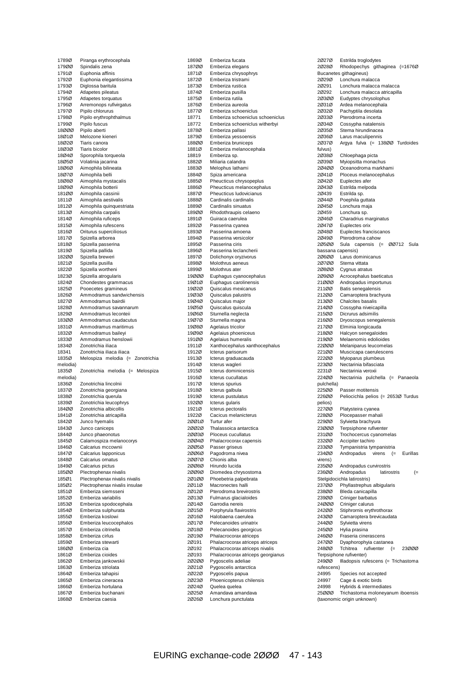| 1789Ø             | Piranga erythrocephala                              |
|-------------------|-----------------------------------------------------|
| 179ØØ             | Spindalis zena                                      |
| 1791Ø             | Euphonia affinis                                    |
| 1792Ø             | Euphonia elegantissima                              |
| 1793Ø             | Diglossa baritula                                   |
| 1794Ø             | Atlapetes pileatus                                  |
| 1795Ø             | Atlapetes torquatus                                 |
| 1796Ø             | Arremonops rufivirgatus                             |
| 1797Ø             | Pipilo chlorurus                                    |
| 1798Ø             | Pipilo erythrophthalmus                             |
| 1799Ø             | Pipilo fuscus                                       |
| 18000             | Pipilo aberti                                       |
| 18Ø1Ø             | Melozone kieneri                                    |
| 18Ø2Ø             | Tiaris canora                                       |
| 18Ø3Ø             | Tiaris bicolor                                      |
| 18Ø4Ø             | Sporophila torqueola                                |
| 18Ø5Ø<br>18Ø6Ø    | Volatinia jacarina<br>Aimophila bilineata           |
| 18Ø7Ø             | Aimophila belli                                     |
| 18Ø8Ø             | Aimophila mystacalis                                |
| 18Ø9Ø             | Aimophila botterii                                  |
| 181ØØ             | Aimophila cassinii                                  |
| 1811Ø             | Aimophila aestivalis                                |
| 1812Ø             | Aimophila quinquestriata                            |
| 1813Ø             | Aimophila carpalis                                  |
| 1814Ø             | Aimophila ruficeps                                  |
| 1815Ø             | Aimophila rufescens                                 |
| 1816Ø             | Oriturus superciliosus                              |
| 1817Ø             | Spizella arborea                                    |
| 1818Ø             | Spizella passerina                                  |
| 1819Ø             | Spizella pallida                                    |
| 182ØØ             | Spizella breweri                                    |
| 1821Ø             | Spizella pusilla                                    |
| 1822Ø             | Spizella wortheni                                   |
| 1823Ø             | Spizella atrogularis                                |
| 1824Ø             | Chondestes grammacus                                |
| 1825Ø             | Pooecetes gramineus                                 |
| 1826Ø             | Ammodramus sandwichensis                            |
| 1827Ø             | Ammodramus bairdii                                  |
| 1828Ø             | Ammodramus savannarum                               |
| 1829Ø             | Ammodramus leconteii                                |
| 183ØØ             | Ammodramus caudacutus<br>Ammodramus maritimus       |
|                   |                                                     |
| 1831Ø             |                                                     |
| 1832Ø             | Ammodramus baileyi                                  |
| 1833Ø             | Ammodramus henslowii                                |
| 1834Ø             | Zonotrichia iliaca                                  |
| 18341             | Zonotrichia iliaca iliaca                           |
| 1835Ø             | Melospiza melodia (= Zonotrichia                    |
| melodia)<br>1835Ø |                                                     |
| melodia)          | Zonotrichia melodia (= Melospiza                    |
| 1836Ø             | Zonotrichia lincolnii                               |
| 1837Ø             | Zonotrichia georgiana                               |
| 1838Ø             | Zonotrichia querula                                 |
| 1839Ø             | Zonotrichia leucophrys                              |
| 184ØØ             | Zonotrichia albicollis                              |
| 1841Ø             | Zonotrichia atricapilla                             |
| 1842Ø             | Junco hyemalis                                      |
| 1843Ø             | Junco caniceps                                      |
| 1844Ø             | Junco phaeonotus                                    |
| 1845Ø             | Calamospiza melanocorys                             |
| 1846Ø             | Calcarius mccownii                                  |
| 1847Ø             | Calcarius Iapponicus                                |
| 1848Ø             | Calcarius ornatus                                   |
| 1849Ø             | Calcarius pictus                                    |
| 185ØØ             | Plectrophenax nivalis                               |
| 185Ø1<br>185Ø2    | Plectrophenax nivalis nivalis                       |
| 1851Ø             | Plectrophenax nivalis insulae<br>Emberiza siemsseni |
| 1852Ø             | Emberiza variabilis                                 |
| 1853Ø             | Emberiza spodocephala                               |
| 1854Ø             | Emberiza sulphurata                                 |
| 1855Ø             | Emberiza koslowi                                    |
| 1856Ø             | Emberiza leucocephalos                              |
| 1857Ø             | Emberiza citrinella                                 |
| 1858Ø             | Emberiza cirlus                                     |
| 1859Ø             | Emberiza stewarti                                   |
| 186ØØ             | Emberiza cia                                        |
| 1861Ø             | Emberiza cioides                                    |
| 1862Ø             | Emberiza jankowskii                                 |
| 1863Ø             | Emberiza striolata                                  |
| 1864Ø             | Emberiza tahapisi                                   |
| 1865Ø             | Emberiza cineracea                                  |
| 1866Ø             | Emberiza hortulana                                  |
| 1867Ø<br>1868Ø    | Emberiza buchanani<br>Emberiza caesia               |

| 1869Ø          | Emberiza fucata                              |
|----------------|----------------------------------------------|
| 187ØØ          | Emberiza elegans                             |
|                | Emberiza chrysophrys                         |
| 1871Ø<br>1872Ø | Emberiza tristrami                           |
| 1873Ø          | Emberiza rustica                             |
| 1874Ø          | Emberiza pusilla                             |
| 1875Ø          | Emberiza rutila                              |
| 1876Ø          | Emberiza aureola                             |
| 1877Ø          | Emberiza schoeniclus                         |
| 18771          | Emberiza schoeniclus schoeniclus             |
| 18772          | Emberiza schoeniclus witherbyi               |
| 1878Ø          | Emberiza pallasi                             |
| 1879Ø          | Emberiza yessoensis                          |
| 188ØØ          | Emberiza bruniceps                           |
| 1881Ø          | Emberiza melanocephala                       |
| 18819          | Emberiza sp.                                 |
| 1882Ø          | Miliaria calandra                            |
| 1883Ø          | Melophus lathami                             |
| 1884Ø          | Spiza americana                              |
| 1885Ø          | Pheucticus chrysopeplus                      |
| 1886Ø          | Pheucticus melanocephalus                    |
| 1887Ø          | Pheucticus Iudovicianus                      |
| 1888Ø          | Cardinalis cardinalis                        |
| 1889Ø          | Cardinalis sinuatus                          |
| 189ØØ          | Rhodothraupis celaeno                        |
| 1891Ø          | Guiraca caerulea                             |
| 1892Ø          | Passerina cyanea                             |
| 1893Ø          | Passerina amoena                             |
| 1894Ø          | Passerina versicolor<br>Passerina ciris      |
| 1895Ø<br>1896Ø |                                              |
| 1897Ø          | Passerina leclancherii                       |
| 1898Ø          | Dolichonyx oryzivorus<br>Molothrus aeneus    |
| 1899Ø          | Molothrus ater                               |
| 19000          | Euphagus cyanocephalus                       |
| 19Ø1Ø          | Euphagus carolinensis                        |
| 19Ø2Ø          | Quiscalus mexicanus                          |
| 19Ø3Ø          | Quiscalus palustris                          |
| 19Ø4Ø          | Quiscalus major                              |
| 19Ø5Ø          | Quiscalus quiscula                           |
| 19Ø6Ø          | Sturnella neglecta                           |
| 19Ø7Ø          | Sturnella magna                              |
| 19Ø8Ø          | Agelaius tricolor                            |
| 19Ø9Ø          | Agelaius phoeniceus                          |
| 191ØØ          | Agelaius humeralis                           |
| 1911Ø          | Xanthocephalus xanthocephalus                |
| 1912Ø          | Icterus parisorum                            |
| 1913Ø          | Icterus graduacauda                          |
| 1914Ø          | Icterus wagleri                              |
| 1915Ø          | Icterus dominicensis                         |
| 1916Ø          | Icterus cucullatus                           |
| 1917Ø          | Icterus spurius                              |
| 1918Ø          | Icterus galbula                              |
| 1919Ø          | Icterus pustulatus                           |
| 19200          | Icterus gularis                              |
| 1921Ø          | Icterus pectoralis                           |
| 1922Ø          | Cacicus melanicterus                         |
| 20010          | Turtur afer                                  |
| 20020<br>20030 | Thalassoica antarctica<br>Ploceus cucullatus |
| 20040          | Phalacrocorax capensis                       |
| 20050          | Passer griseus                               |
| 20060          | Pagodroma nivea                              |
| 20070          | Chionis alba                                 |
| 20080          | Hirundo lucida                               |
| 20090          | Diomedea chrysostoma                         |
| 20100          | Phoebetria palpebrata                        |
| 20110          | Macronectes halli                            |
| 20120          | Pterodroma brevirostris                      |
| 20130          | Fulmarus glacialoides                        |
| 20140          | Garrodia nereis                              |
| 20150          | Porphyrula flavirostris                      |
| 20160          | Halobaena caerulea                           |
| 20170          | Pelecanoides urinatrix                       |
| 20180          | Pelecanoides georgicus                       |
| 20190          | Phalacrocorax atriceps                       |
| 20191          | Phalacrocorax atriceps atriceps              |
| 20192          | Phalacrocorax atriceps nivalis               |
| 20193          | Phalacrocorax atriceps georgianus            |
| 20200          | Pygoscelis adeliae                           |
| 20210          | Pygoscelis antarctica                        |
| 20220          | Pygoscelis papua                             |
| 20230          | Phoenicopterus chilensis                     |
| 20240          | Quelea quelea                                |
| 20250<br>20260 | Amandava amandava<br>Lonchura punctulata     |
|                |                                              |

| 20270             | Estrilda troglodytes                                           |
|-------------------|----------------------------------------------------------------|
| 20280             | Rhodopechys<br>githaginea (=1676Ø                              |
|                   | Bucanetes githagineus)                                         |
| 20290             | Lonchura malacca                                               |
| 2Ø291             | Lonchura malacca malacca                                       |
| 20292             | Lonchura malacca atricapilla                                   |
| 20300             | Eudyptes chrysolophus                                          |
| 20310             | Ardea melanocephala                                            |
| 20320             | Pachyptila desolata                                            |
| 20330             | Pterodroma incerta                                             |
| 20340             | Cossypha natalensis                                            |
| 20350             | Sterna hirundinacea                                            |
| 20360             | Larus maculipennis                                             |
| 20370             | Argya fulva (= 13800 Turdoides                                 |
| fulvus)           |                                                                |
| 20380             | Chloephaga picta                                               |
| 20390             |                                                                |
|                   | Myiopsitta monachus<br>Oceanodroma markhami                    |
| 20400             |                                                                |
| 20410             | Ploceus melanocephalus                                         |
| 20420             | Euplectes afer                                                 |
| 20430             | Estrilda melpoda                                               |
| 2Ø439             | Estrilda sp.                                                   |
| 20440             | Poephila guttata                                               |
| 20450             | Lonchura maja                                                  |
| 2Ø459             | Lonchura sp.                                                   |
| 20460             | Charadrius marginatus                                          |
| 2Ø47Ø             | Euplectes orix                                                 |
| 20480             | Euplectes franciscanos                                         |
| 20490             | Pterodroma cahow                                               |
| 20500             | 00712<br>Sula<br>capensis<br>(=<br>Sula                        |
| bassana capensis) |                                                                |
| 20600             | Larus dominicanus                                              |
| 20700             | Sterna vittata                                                 |
| 20800             | Cygnus atratus                                                 |
| 20900             | Acrocephalus baeticatus                                        |
| 21ØØØ             | Andropadus importunus                                          |
| 211ØØ             | Batis senegalensis                                             |
| 212ØØ             | Camaroptera brachyura                                          |
| 213ØØ             | Chalcites basalis                                              |
| 214ØØ             | Cossypha niveicapilla                                          |
| 215ØØ             | Dicrurus adsimilis                                             |
| 216ØØ             | Dryoscopus senegalensis                                        |
| 217ØØ             | Elminia longicauda                                             |
| 218ØØ             | Halcyon senegaloides                                           |
| 219ØØ             | Melaenomis edolioides                                          |
| 22000             | Melaniparus leucomelas                                         |
| 221ØØ             | Muscicapa caerulescens                                         |
| 222ØØ             | Myioparus plumbeus                                             |
| 223ØØ             | Nectarinia bifasciata                                          |
| 2231Ø             | Nectarinia veroxii                                             |
| 224ØØ             | Nectarinia<br>pulchella (= Panaeola                            |
| pulchella)        |                                                                |
| 225ØØ             | Passer motitensis                                              |
| 226ØØ             |                                                                |
|                   | Peliocichla pelios (= 2653Ø Turdus                             |
| pelios)           |                                                                |
| 227ØØ<br>2280101  | Platysteira cyanea                                             |
|                   | Plocepasser mahali                                             |
| 229ØØ             | Sylvietta brachyura                                            |
| 23000             | Terpsiphone rufiventer                                         |
| 231ØØ             | Trochocercus cyanomelas                                        |
| 232ØØ             | Accipiter tachiro                                              |
| 233ØØ             | Tympanistria tympanistria                                      |
| 234ØØ             | Andropadus<br>virens<br>$(=$<br>Eurillas                       |
| virens)           |                                                                |
| 235ØØ             | Andropadus curvirostris                                        |
| 236ØØ             | Andropadus<br>latirostris<br>(=                                |
|                   | Stelgidocichla latirostris)                                    |
| 237ØØ             | Phyllastrephus albigularis                                     |
| 238ØØ             | Bleda canicapilla                                              |
| 239ØØ             | Criniger barbatus                                              |
| 24000             | Criniger calurus                                               |
| 242ØØ             | Stiphrornis erythrothorax                                      |
| 243ØØ             | Camaroptera brevicaudata                                       |
| 244ØØ             | Sylvietta virens                                               |
| 245ØØ             | Hylia prasina                                                  |
| 246ØØ             | Fraseria cinerascens                                           |
| 247ØØ             | Dyaphorophyia castanea                                         |
| 248ØØ             | Tchitrea<br>rufiventer<br>(=<br>23000                          |
|                   | Terpsiphone rufiventer)                                        |
| 249ØØ             |                                                                |
|                   |                                                                |
|                   | Illadopsis rufescens (= Trichastoma                            |
| rufescens)        |                                                                |
| 24995             | Species not accepted                                           |
| 24997             | Cage & exotic birds                                            |
| 24998             | Hybrids & intermediates                                        |
| 25000             | Trichastoma moloneyanum iboensis<br>(taxonomic origin unknown) |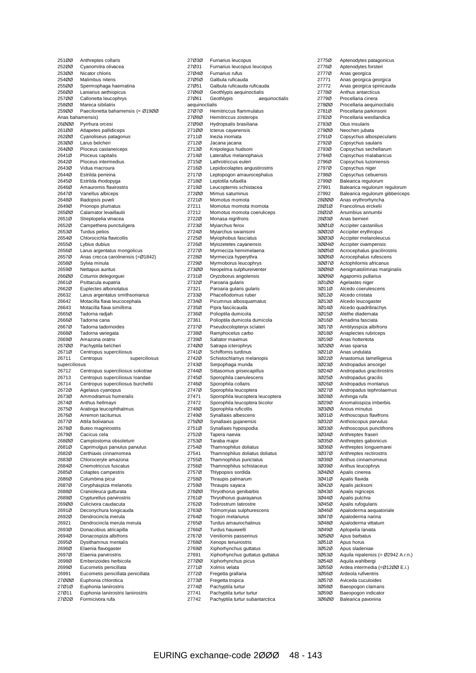| 251ØØ                     | Anthreptes collaris                                                 |
|---------------------------|---------------------------------------------------------------------|
| 252ØØ<br>253ØØ            | Cyanomitra olivacea<br>Nicator chloris                              |
| 254ØØ                     | Malimbus nitens                                                     |
| 255ØØ                     | Spermophaga haematina                                               |
| 256ØØ                     | Laniarius aethiopicus                                               |
| 257ØØ                     | Callonetta leucophrys                                               |
| 258ØØ                     | Mareca sibilatrix                                                   |
| 259ØØ                     | Paecilonetta bahamensis (= Ø19ØØ                                    |
| Anas bahamensis)<br>26000 | Pyrrhura orcesi                                                     |
| 261ØØ                     | Atlapetes pallidiceps                                               |
| 262ØØ                     | Cyanoliseus patagonus                                               |
| 263ØØ                     | Larus belcheri                                                      |
| 264ØØ                     | Ploceus castaneiceps                                                |
| 2641Ø                     | Ploceus capitalis<br>Ploceus intermedius                            |
| 2642Ø<br>2643Ø            | Vidua macroura                                                      |
| 2644Ø                     | Estrilda perreina                                                   |
| 2645Ø                     | Estrilda rhodopyga                                                  |
| 2646Ø                     | Amaurornis flavirostris                                             |
| 2647Ø                     | Vanellus albiceps                                                   |
| 2648Ø<br>2649Ø            | Illadopsis puveli<br>Prionops plumatus                              |
| 265ØØ                     | Calamator levaillautii                                              |
| 2651Ø                     | Streptopelia vinacea                                                |
| 2652Ø                     | Campethera punctuligera                                             |
| 2653Ø                     | <b>Turdus pelios</b>                                                |
| 2654Ø                     | Chlorocichla flavicollis                                            |
| 2655Ø<br>2656Ø            | Lybius dubius<br>Larus argentatus mongolicus                        |
| 2657Ø                     | Anas crecca carolinensis (=Ø1842)                                   |
| 2658Ø                     | Sylvia minula                                                       |
| 2659Ø                     | Nettapus auritus                                                    |
| 266ØØ                     | Coturnix delegorguei                                                |
| 2661Ø                     | Psittacula eupatria                                                 |
| 2662Ø<br>26632            | Euplectes albonotatus<br>Larus argentatus smithsonianus             |
| 26642                     | Motacilla flava leucocephala                                        |
| 26643                     | Motacilla flava simillima                                           |
| 2665Ø                     | Tadorna radjah                                                      |
| 2666Ø                     | Tadorna cana                                                        |
|                           |                                                                     |
| 2667Ø                     | Tadorna tadornoides                                                 |
| 2668Ø<br>2669Ø            | Tadorna variegata<br>Amazona oratrix                                |
| 267ØØ                     | Pachyptila belcheri                                                 |
| 2671Ø                     | Centropus superciliosus                                             |
| 26711                     | Centropus<br>superciliosus                                          |
| superciliosus<br>26712    |                                                                     |
| 26713                     | Centropus superciliosus sokotrae<br>Centropus superciliosus loandae |
| 26714                     | Centropus superciliosus burchellii                                  |
| 2672Ø                     | Agelaius cyanopus                                                   |
| 2673Ø                     | Ammodramus humeralis                                                |
| 2674Ø<br>2675Ø            | Anthus hellmayri<br>Aratinga leucophthalmus                         |
| 2676Ø                     | Arremon taciturnus                                                  |
| 2677Ø                     | Attila bolivianus                                                   |
| 2678Ø                     | Buteo magnirostris                                                  |
| 2679Ø                     | Cacicus cela                                                        |
| 268ØØ<br>2681Ø            | Camptostoma obsoletum                                               |
| 2682Ø                     | Caprimulgus parvulus parvulus<br>Certhiaxis cinnamomea              |
| 2683Ø                     | Chloroceryle amazona                                                |
| 2684Ø                     | Cnemotriccus fuscatus                                               |
| 2685Ø                     | Colaptes campestris                                                 |
| 2686Ø<br>2687Ø            | Columbina picui<br>Coryphaspiza melanotis                           |
| 2688Ø                     | Cranioleuca gutturata                                               |
| 2689Ø                     | Crypturellus parvirostris                                           |
| 269ØØ                     | Culicivora caudacuta                                                |
| 2691Ø<br>2692Ø            | Deconychura longicauda<br>Dendrocincla merula                       |
| 26921                     | Dendrocincla merula merula                                          |
| 2693Ø                     | Donacobius atricapilla                                              |
| 2694Ø                     | Donacospiza albifrons                                               |
| 2695Ø                     | Dysithamnus mentalis                                                |
| 2696Ø<br>2697Ø            | Elaenia flavogaster                                                 |
| 2698Ø                     | Elaenia parvirostris<br>Emberizoides herbicola                      |
| 2699Ø                     | Eucometis penicillata                                               |
| 26991                     | Eucometis penicillata penicillata                                   |
| 27000                     | Euphonia chlorotica                                                 |
| 27Ø1Ø<br>27Ø11            | Euphonia laniirostris<br>Euphonia laniirostris laniirostris         |

| 27Ø3Ø          | Furnarius leucopus               |
|----------------|----------------------------------|
| 27Ø31          | Furnarius leucopus leucopus      |
| 27Ø4Ø          | Furnarius rufus                  |
| 27Ø5Ø          | Galbula ruficauda                |
| 27Ø51          | Galbula ruficauda ruficauda      |
| 27Ø6Ø          | Geothlypis aequinoctialis        |
| 27Ø61          | Geothlypis                       |
|                | aequinoctialis                   |
| aequinoctialis |                                  |
| 27070          | Hemitriccus flammulatus          |
| 27Ø8Ø          | Hemitriccus zosterops            |
| 27Ø9Ø          | Hydropsalis brasiliana           |
| 271ØØ          | Icterus cayanensis               |
| 2711Ø          | Inezia inornata                  |
| 2712Ø          | Jacana jacana                    |
| 2713Ø          | Knipolegus hudsoni               |
| 2714Ø          | Laterallus melanophaius          |
|                |                                  |
| 2715Ø          | Lathrotriccus euleri             |
| 2716Ø          | Lepidocolaptes angustirostris    |
| 2717Ø          | Leptopogon amaurocephalus        |
| 2718Ø          | Leptotila rufaxilla              |
| 2719Ø          | Leucopternis schistacea          |
| 272ØØ          | Mimus saturninus                 |
| 2721Ø          | Momotus momota                   |
| 27211          | Momotus momota momota            |
| 27212          | Momotus momota coeruliceps       |
| 2722Ø          | Monasa nigrifrons                |
|                |                                  |
| 2723Ø          | Myiarchus ferox                  |
| 2724Ø          | Myiarchus swainsoni              |
| 2725Ø          | Myiophobus fasciatus             |
| 2726Ø          | Myiozetetes cayanensis           |
| 2727Ø          | Myrmeciza hemimelaena            |
| 2728Ø          | Myrmeciza hyperythra             |
| 2729Ø          | Myrmoborus leucophrys            |
| 273ØØ          | Neopelma sulphureiventer         |
| 2731Ø          | Oryzoborus angolensis            |
| 2732Ø          | Paroaria gularis                 |
| 27321          |                                  |
|                | Paroaria gularis gularis         |
| 2733Ø          | Phacellodomus ruber              |
| 2734Ø          | Picumnus albosquamatus           |
| 2735Ø          | Pipra fasciicauda                |
| 2736Ø          | Polioptila dumicola              |
| 27361          | Polioptila dumicola dumicola     |
| 2737Ø          | Pseudocolopteryx sclateri        |
| 2738Ø          | Ramphocelus carbo                |
| 2739Ø          | Saltator maximus                 |
| 274ØØ          | Satrapa icterophrys              |
| 2741Ø          | Schiffornis turdinus             |
| 2742Ø          | Schistochlamys melanopis         |
| 2743Ø          |                                  |
|                | Serpophaga munda                 |
| 2744Ø          | Sittasomus griseicapillus        |
| 2745Ø          | Sporophila caerulescens          |
| 2746Ø          | Sporophila collaris              |
| 2747Ø          | Sporophila leucoptera            |
| 27471          | Sporophila leucoptera leucoptera |
| 27472          | Sporophila leucoptera bicolor    |
| 2748Ø          | Sporophila ruficollis            |
| 2749Ø          | Synallaxis albescens             |
| 275ØØ          | Synallaxis gujanensis            |
| 2751Ø          | Synallaxis hypospodia            |
| 2752Ø          | Tapera naevia                    |
| 2753Ø          | Taraba major                     |
| 2754Ø          | Thamnophilus doliatus            |
|                |                                  |
| 27541          | Thamnophilus doliatus doliatus   |
| 2755Ø          | Thamnophilus punctatus           |
| 2756Ø          | Thamnophilus schistaceus         |
| 2757Ø          | Thlypopsis sordida               |
| 2758Ø          | Thraupis palmarum                |
| 2759Ø          | Thraupis sayaca                  |
| 276ØØ          | Thryothorus genibarbis           |
| 2761Ø          | Thryothorus guarayanus           |
| 2762Ø          | Todirostrum latirostre           |
| 2763Ø          | Tolmomyias sulphurescens         |
| 2764Ø          | Trogon melanurus                 |
| 2765Ø          | Turdus amaurochalinus            |
| 2766Ø          | Turdus hauxwelli                 |
| 2767Ø          | Veniliornis passerinus           |
|                |                                  |
| 2768Ø          | Xenops tenuirostris              |
| 2769Ø          | Xiphorhynchus guttatus           |
| 27691          | Xiphorhynchus guttatus guttatus  |
| 277ØØ          | Xiphorhynchus picus              |
| 2771Ø          | Xolmis velata                    |
| 2772Ø          | Fregetta grallaria               |
| 2773Ø          | Fregetta tropica                 |
| 2774Ø          | Pachyptila turtur                |
| 27741          | Pachyptila turtur turtur         |
| 27742          | Pachyptila turtur subantarctica  |
|                |                                  |

| 2775Ø          | Aptenodytes patagonicus                                |
|----------------|--------------------------------------------------------|
| 2776Ø          | Aptenodytes forsteri                                   |
| 2777Ø          | Anas georgica                                          |
| 27771          | Anas georgica georgica                                 |
| 27772<br>2778Ø | Anas georgica spinicauda<br>Anthus antarcticus         |
| 2779Ø          | Procellaria cinera                                     |
| 278ØØ          | Procellaria aequinoctialis                             |
| 2781Ø          | Procellaria parkinsoni                                 |
| 2782Ø          | Procellaria westlandica                                |
| 2783Ø          | Otus insularis                                         |
| 279ØØ          | Neochen jubata                                         |
| 2791Ø          | Copsychus albospecularis                               |
| 2792Ø<br>2793Ø | Copsychus saularis<br>Copsychus sechellarum            |
| 2794Ø          | Copsychus malabaricus                                  |
| 2796Ø          | Copsychus luzoniensis                                  |
| 2797Ø          | Copsychus niger                                        |
| 2798Ø          | Copsychus cebuensis                                    |
| 2799Ø          | Balearica regulorum                                    |
| 27991          | Balearica regulorum regulorum                          |
| 27992<br>28000 | Balearica regulorum gibbericeps<br>Anas erythrorhyncha |
| 28Ø1Ø          | Francolinus erckelii                                   |
| 28Ø2Ø          | Anumbius annumbi                                       |
| 28Ø3Ø          | Anas bernieri                                          |
| 30010          | Accipiter castanilius                                  |
| 30020          | Accipiter erythropus                                   |
| 30030          | Accipiter melanoleucus                                 |
| 30040<br>30050 | Accipiter ovampensis<br>Acrocephalus gracilirostris    |
| 30060          | Acrocephalus rufescens                                 |
| 30070          | Actophilornis africanus                                |
| 30080          | Aenigmatolimnas marginalis                             |
| 30090          | Agapornis pullarius                                    |
| 30100          | Agelastes niger                                        |
| 3Ø11Ø          | Alcedo coerulescens                                    |
| 30120<br>3Ø13Ø | Alcedo cristata<br>Alcedo leucogaster                  |
| 30140          | Alcedo quadribrachys                                   |
| 3Ø15Ø          | Alethe diademata                                       |
| 3Ø16Ø          | Amadina fasciata                                       |
| 30170          | Amblyospiza albifrons                                  |
| 3Ø18Ø          | Anaplectes rubriceps                                   |
| 3Ø19Ø          | Anas hottentota                                        |
| 30200<br>30210 | Anas sparsa                                            |
| 30220          | Anas undulata<br>Anastomus lamelligerus                |
| 30230          | Andropadus ansorgei                                    |
| 30240          | Andropadus gracilirostris                              |
| 30250          | Andropadus gracilis                                    |
| 30260          | Andropadus montanus                                    |
| 30270          | Andropadus tephrolaemus                                |
| 30280<br>3Ø29Ø | Anhinga rufa<br>Anomalospiza imberbis                  |
| 30300          | Anous minutus                                          |
| 30310          | Anthoscopus flavifrons                                 |
| 3Ø32Ø          | Anthoscopus parvulus                                   |
| 30330          | Anthoscopus punctifrons                                |
| 30340          | Anthreptes fraseri                                     |
| 30350          | Anthreptes gabonicus                                   |
| 30360<br>30370 | Anthreptes longuemarei<br>Anthreptes rectirostris      |
| 3Ø38Ø          | Anthus cinnamomeus                                     |
| 30390          | Anthus leucophrys                                      |
| 30400          | Apalis cinerea                                         |
| 30410          | Apalis flavida                                         |
| 30420          | Apalis jacksoni                                        |
| 30430          | Apalis nigriceps                                       |
| 3Ø44Ø<br>30450 | Apalis pulchra<br>Apalis rufogularis                   |
| 30460          | Apaloderma aequatoriale                                |
| 3Ø47Ø          | Apaloderma narina                                      |
| 3Ø48Ø          | Apaloderma vittatum                                    |
| 30490          | Aplopelia larvata                                      |
| 30500          | Apus barbatus                                          |
| 3Ø51Ø          | Apus horus                                             |
| 30520<br>30530 | Apus sladeniae<br>Aquila nipalensis (= Ø2942 A.r.n.)   |
| 3Ø54Ø          | Aquila wahlbergi                                       |
| 3Ø55Ø          | Ardea intermedia (=Ø12ØØ E.i.)                         |
| 30560          | Ardeola rufiventris                                    |
| 3Ø57Ø          | Aviceda cuculoides                                     |
| 30580          | Baeopogon clamans                                      |
| 30590          | Baeopogon indicator                                    |
| 30600          | Balearica pavonina                                     |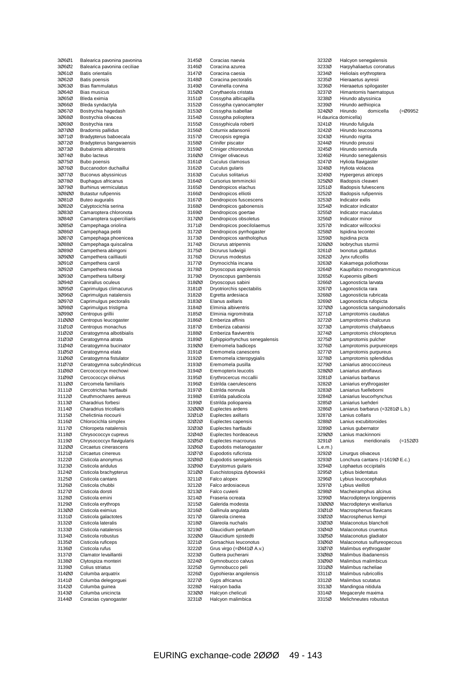| 30601          | Balearica pavonina pavonina                |
|----------------|--------------------------------------------|
| 30602          | Balearica pavonina ceciliae                |
| 30610          | <b>Batis orientalis</b>                    |
| 30620<br>30630 | Batis poensis<br><b>Bias flammulatus</b>   |
| 30640          | <b>Bias musicus</b>                        |
| 30650          | Bleda eximia                               |
| 30660          | Bleda syndactyla                           |
| 30670          | Bostrychia hagedash                        |
| 30680          | Bostrychia olivacea                        |
| 30690          | Bostrychia rara                            |
| 30700          | <b>Bradornis pallidus</b>                  |
| 30710          | Bradypterus baboecala                      |
| 30720          | Bradypterus bangwaensis                    |
| 30730          | <b>Bubalornis albirostris</b>              |
| 30740          | <b>Bubo lacteus</b>                        |
| 30750          | <b>Bubo poensis</b>                        |
| 30760          | Buccanodon duchaillui                      |
| 30770          | Bucorvus abyssinicus                       |
| 3Ø78Ø          | <b>Buphagus africanus</b>                  |
| 3Ø79Ø          | <b>Burhinus vermiculatus</b>               |
| 30800          | Butastur rufipennis                        |
| 30810          | Buteo auguralis                            |
| 30820          | Calyptocichla serina                       |
| 30830          | Camaroptera chloronota                     |
| 30840          | Camaroptera superciliaris                  |
| 30850          | Campephaga oriolina                        |
| 30860          | Campephaga petiti                          |
| 30870          | Campephaga phoenicea                       |
| 30880          | Campephaga quiscalina                      |
| 3Ø89Ø          | Campethera abingoni                        |
| 30900          | Campethera cailliautii                     |
| 30910          | Campethera caroli                          |
| 30920          | Campethera nivosa                          |
| 30930          | Campethera tullbergi                       |
| 3Ø94Ø          | Canirallus oculeus                         |
| 30950          | Caprimulgus climacurus                     |
| 30960          | Caprimulgus natalensis                     |
| 30970          | Caprimulgus pectoralis                     |
| 30980          | Caprimulgus tristigma                      |
| 30990          | Centropus grillii                          |
| 31ØØØ          | Centropus leucogaster                      |
| 31Ø1Ø          | Centropus monachus                         |
| 31Ø2Ø          | Ceratogymna albotibialis                   |
| 31Ø3Ø<br>31Ø4Ø | Ceratogymna atrata                         |
| 31Ø5Ø          | Ceratogymna bucinator<br>Ceratogymna elata |
| 31Ø6Ø          | Ceratogymna fistulator                     |
| 31Ø7Ø          | Ceratogymna subcylindricus                 |
| 31Ø8Ø          | Cercococcyx mechowi                        |
| 31Ø9Ø          | Cercococcyx olivinus                       |
| 311ØØ          | Cercomela familiaris                       |
| 3111Ø          | Cercotrichas hartlaubi                     |
| 3112Ø          | Ceuthmochares aereus                       |
| 3113Ø          | Charadrius forbesi                         |
| 3114Ø          | Charadrius tricollaris                     |
| 3115Ø          | Chelictinia riocourii                      |
| 3116Ø          | Chlorocichla simplex                       |
| 3117Ø          | Chloropeta natalensis                      |
| 3118Ø          | Chrysococcyx cupreus                       |
| 3119Ø          |                                            |
|                | Chrysococcyx flavigularis                  |
| 312ØØ          | Circaetus cinerascens                      |
| 3121Ø          | Circaetus cinereus                         |
| 3122Ø          | Cisticola anonymus                         |
| 3123Ø          | Cisticola aridulus                         |
| 3124Ø          | Cisticola brachypterus                     |
| 3125Ø          | Cisticola cantans                          |
| 3126Ø          | Cisticola chubbi                           |
| 3127Ø          | Cisticola dorsti                           |
| 3128Ø          | Cisticola emini                            |
| 3129Ø          | Cisticola erythrops                        |
| 313ØØ          | Cisticola eximius                          |
| 3131Ø          | Cisticola galactotes                       |
| 3132Ø          | Cisticola lateralis                        |
| 3133Ø          | Cisticola natalensis                       |
| 3134Ø          | Cisticola robustus                         |
| 3135Ø          | Cisticola ruficeps                         |
| 3136Ø          | Cisticola rufus                            |
| 3137Ø          | Clamator levaillantii                      |
| 3138Ø          | Clytospiza monteiri                        |
| 3139Ø          | Colius striatus                            |
| 314ØØ          | Columba arquatrix                          |
| 3141Ø          | Columba delegorguei                        |
| 3142Ø          | Columba guinea                             |
| 3143Ø<br>3144Ø | Columba unicincta<br>Coracias cyanogaster  |

| 3145Ø          | Coracias naevia                                  |
|----------------|--------------------------------------------------|
| 3146Ø          | Coracina azurea                                  |
| 3147Ø          | Coracina caesia                                  |
| 3148Ø          | Coracina pectoralis                              |
| 3149Ø          | Corvinella corvina                               |
| 315ØØ          | Corythaeola cristata                             |
| 3151Ø          | Cossypha albicapilla                             |
| 3152Ø          | Cossypha cyanocampter                            |
| 3153Ø          | Cossypha isabellae                               |
| 3154Ø          | Cossypha polioptera                              |
| 3155Ø          | Cossyphicula roberti                             |
| 3156Ø<br>3157Ø | Coturnix adansonii<br>Crecopsis egregia          |
| 3158Ø          | Crinifer piscator                                |
| 3159Ø          | Criniger chloronotus                             |
| 316ØØ          | Criniger olivaceus                               |
| 3161Ø          | Cuculus clamosus                                 |
| 3162Ø          | Cuculus gularis                                  |
| 3163Ø          | Cuculus solitarius                               |
| 3164Ø          | Cursorius temminckii                             |
| 3165Ø          | Dendropicos elachus                              |
| 3166Ø          | Dendropicos elliotii                             |
| 3167Ø<br>3168Ø | Dendropicos fuscescens<br>Dendropicos gabonensis |
| 3169Ø          | Dendropicos goertae                              |
| 317ØØ          | Dendropicos obsoletus                            |
| 3171Ø          | Dendropicos poecilolaemus                        |
| 3172Ø          | Dendropicos pyrrhogaster                         |
| 3173Ø          | Dendropicos xantholophus                         |
| 3174Ø          | Dicrurus atripennis                              |
| 3175Ø          | Dicrurus ludwigii                                |
| 3176Ø          | Dicrurus modestus                                |
| 3177Ø<br>3178Ø | Drymocichla incana<br>Dryoscopus angolensis      |
| 3179Ø          | Dryoscopus gambensis                             |
| 318ØØ          | Dryoscopus sabini                                |
| 3181Ø          | Dryotriorchis spectabilis                        |
| 3182Ø          | Egretta ardesiaca                                |
| 3183Ø          | Elanus axillaris                                 |
| 3184Ø<br>3185Ø | Elminia albiventris<br>Elminia nigromitrata      |
| 3186Ø          | Emberiza affinis                                 |
| 3187Ø          | Emberiza cabanisi                                |
|                |                                                  |
| 3188Ø          | Emberiza flaviventris                            |
| 3189Ø          | Ephippiorhynchus senegalensis                    |
| 319ØØ          | Eremomela badiceps                               |
| 3191Ø          | Eremomela canescens                              |
| 3192Ø          | Eremomela icteropygialis                         |
| 3193Ø          | Eremomela pusilla                                |
| 3194Ø<br>3195Ø | Eremopterix leucotis<br>Erythrocercus mccallii   |
| 3196Ø          | Estrilda caerulescens                            |
| 3197Ø          | Estrilda nonnula                                 |
| 3198Ø          | Estrilda paludicola                              |
| 3199Ø          | Estrilda poliopareia                             |
| 32000          | Euplectes ardens                                 |
| 32Ø1Ø          | Euplectes axillaris                              |
| 32Ø2Ø<br>32Ø3Ø | Euplectes capensis<br>Euplectes hartlaubi        |
| 32Ø4Ø          | Euplectes hordeaceus                             |
| 32Ø5Ø          | Euplectes macrourus                              |
| 32Ø6Ø          | Eupodotis melanogaster                           |
| 32Ø7Ø          | Eupodotis ruficrista                             |
| 32Ø8Ø          | Eupodotis senegalensis                           |
| 32Ø9Ø<br>321ØØ | Eurystomus gularis                               |
| 3211Ø          | Euschistospiza dybowskii<br>Falco alopex         |
| 3212Ø          | Falco ardosiaceus                                |
| 3213Ø          | Falco cuvierii                                   |
| 3214Ø          | Fraseria ocreata                                 |
| 3215Ø          | Galerida modesta                                 |
| 3216Ø          | Gallinula angulata                               |
| 3217Ø<br>3218Ø | Glareola cinerea<br>Glareola nuchalis            |
| 3219Ø          | Glaucidium perlatum                              |
| 322ØØ          | Glaucidium sjostedti                             |
| 3221Ø          | Gorsachius leuconotus                            |
| 3222Ø          | Grus virgo (=Ø441Ø A.v.)                         |
| 3223Ø          | Guttera pucherani                                |
| 3224Ø          | Gymnobucco calvus                                |
| 3225Ø<br>3226Ø | Gymnobucco peli<br>Gypohierax angolensis         |
| 3227Ø          | Gyps africanus                                   |
| 3228Ø          | Halcyon badia                                    |
| 323ØØ<br>3231Ø | Halcyon chelicuti<br>Halcyon malimbica           |

| 3232Ø            | Halcyon senegalensis                                 |
|------------------|------------------------------------------------------|
| 3233Ø            | Harpyhaliaetus coronatus                             |
| 3234Ø            | Heliolais erythroptera                               |
| 3235Ø            | Hieraaetus ayresii                                   |
| 3236Ø            | Hieraaetus spilogaster                               |
| 3237Ø<br>3238Ø   | Himantornis haematopus<br>Hirundo abyssinica         |
| 3239Ø            | Hirundo aethiopica                                   |
| 324ØØ            | Hirundo<br>domicella<br>(=Ø9952                      |
|                  | H.daurica domicella)                                 |
| 3241Ø            | Hirundo fuligula                                     |
| 3242Ø            | Hirundo leucosoma                                    |
| 3243Ø            | Hirundo nigrita                                      |
| 3244Ø            | Hirundo preussi                                      |
| 3245Ø            | Hirundo semirufa                                     |
| 3246Ø            | Hirundo senegalensis                                 |
| 3247Ø            | Hyliota flavigaster                                  |
| 3248Ø<br>3249Ø   | Hyliota violacea                                     |
| 325ØØ            | Hypergerus atriceps<br>Illadopsis cleaveri           |
| 3251Ø            | Illadopsis fulvescens                                |
| 3252Ø            | Illadopsis rufipennis                                |
| 3253Ø            | Indicator exilis                                     |
| 3254Ø            | Indicator indicator                                  |
| 3255Ø            | Indicator maculatus                                  |
| 3256Ø            | Indicator minor                                      |
| 3257Ø            | Indicator willcocksi                                 |
| 3258Ø            | Ispidina lecontei                                    |
| 3259Ø            | Ispidina picta                                       |
| 326ØØ            | Ixobrychus sturmii                                   |
| 3261Ø            | Ixonotus guttatus                                    |
| 3262Ø            | Jynx ruficollis                                      |
| 3263Ø            | Kakamega poliothorax                                 |
| 3264Ø<br>3265Ø   | Kaupifalco monogrammicus<br>Kupeornis gilberti       |
| 3266Ø            | Lagonosticta larvata                                 |
| 3267Ø            | Lagonosticta rara                                    |
| 3268Ø            | Lagonosticta rubricata                               |
| 3269Ø            | Lagonosticta rufopicta                               |
| 327ØØ            | Lagonosticta sanguinodorsalis                        |
| 3271Ø            | Lamprotornis caudatus                                |
| 3272Ø            | Lamprotornis chalcurus                               |
| 3273Ø            | Lamprotornis chalybaeus                              |
| 3274Ø            | Lamprotornis chloropterus                            |
| 3275Ø            | Lamprotornis pulcher                                 |
| 3276Ø            | Lamprotornis purpureiceps                            |
| 3277Ø            | Lamprotornis purpureus                               |
| 3278Ø<br>3279Ø   | Lamprotornis splendidus<br>Laniarius atrococcineus   |
| 328ØØ            | Laniarius atroflavus                                 |
| 3281Ø            | Laniarius barbarus                                   |
| 3282Ø            | Laniarius erythrogaster                              |
| 3283Ø            | Laniarius fuelleborni                                |
| 3284Ø            | Laniarius leucorhynchus                              |
| 3285Ø            | Laniarius luehderi                                   |
| 3286Ø            | Laniarus barbarus (=3281Ø L.b.)                      |
| 3287Ø            | Lanius collaris                                      |
| 3288Ø            | Lanius excubitoroides                                |
| 3289Ø            | Lanius gubernator                                    |
| 329ØØ            | Lanius mackinnoni                                    |
| 3291Ø            | Lanius<br>meridionalis<br>$(=15203)$                 |
| L.e.m.)<br>3292Ø |                                                      |
| 3293Ø            | Linurgus olivaceus<br>Lonchura cantans (=1619Ø E.c.) |
| 3294Ø            | Lophaetus occipitalis                                |
| 3295Ø            | Lybius bidentatus                                    |
| 3296Ø            | Lybius leucocephalus                                 |
| 3297Ø            | Lybius vieilloti                                     |
| 3298Ø            | Macheiramphus alcinus                                |
| 3299Ø            | Macrodipteryx longipennis                            |
| 33000            | Macrodipteryx vexillarius                            |
| 33Ø1Ø            | Macrosphenus flavicans                               |
| 33Ø2Ø            | Macrosphenus kempi                                   |
| 33Ø3Ø            | Malaconotus blanchoti                                |
| 33Ø4Ø            | Malaconotus cruentus                                 |
| 33Ø5Ø            | Malaconotus gladiator                                |
| 33Ø6Ø            | Malaconotus sulfureopecous                           |
| 33Ø7Ø<br>33Ø8Ø   | Malimbus erythrogaster<br>Malimbus ibadanensis       |
| 33Ø9Ø            | Malimbus malimbicus                                  |
| 331ØØ            | Malimbus racheliae                                   |
| 3311Ø            | Malimbus rubricollis                                 |
| 3312Ø            | Malimbus scutatus                                    |
| 3313Ø            | Mandingoa nitidula                                   |
| 3314Ø            | Megaceryle maxima                                    |
| 3315Ø            | Melichneutes robustus                                |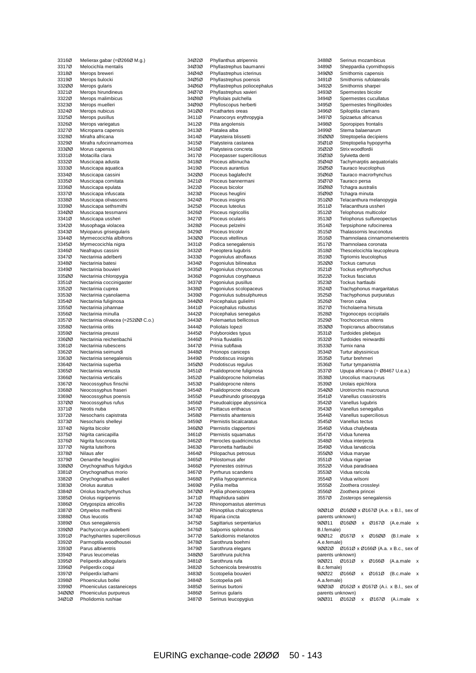|                | Melierax gabar (=Ø266Ø M.g.)                 |
|----------------|----------------------------------------------|
| 3316Ø<br>3317Ø | Melocichla mentalis                          |
| 3318Ø          | Merops breweri                               |
| 3319Ø          | Merops bulocki                               |
| 33200          | Merops gularis                               |
| 3321Ø          | Merops hirundineus                           |
| 3322Ø          | Merops malimbicus                            |
| 3323Ø          | Merops muelleri                              |
| 3324Ø          | Merops nubicus                               |
| 3325Ø          | Merops pusillus                              |
| 3326Ø          | Merops variegatus                            |
| 3327Ø          | Microparra capensis                          |
| 3328Ø          | Mirafra africana                             |
| 3329Ø          | Mirafra rufocinnamomea                       |
| 33300          | Morus capensis                               |
| 3331Ø          | Motacilla clara                              |
| 3332Ø          | Muscicapa adusta                             |
| 3333Ø          | Muscicapa aquatica                           |
| 3334Ø          | Muscicapa cassini                            |
| 3335Ø          | Muscicapa comitata                           |
| 3336Ø          | Muscicapa epulata                            |
| 3337Ø          | Muscicapa infuscata                          |
| 3338Ø          | Muscicapa olivascens                         |
| 3339Ø          | Muscicapa sethsmithi                         |
| 334ØØ          | Muscicapa tessmanni                          |
| 3341Ø          | Muscicapa ussheri                            |
| 3342Ø          | Musophaga violacea                           |
| 3343Ø          | Myioparus griseigularis                      |
| 3344Ø          | Myrmecocichla albifrons                      |
| 3345Ø          | Myrmecocichla nigra                          |
| 3346Ø          | Neafrapus cassini                            |
| 3347Ø          | Nectarinia adelberti                         |
| 3348Ø          | Nectarinia batesi                            |
| 3349Ø          | Nectarinia bouvieri                          |
| 335ØØ          | Nectarinia chloropygia                       |
| 3351Ø          | Nectarinia coccinigaster                     |
| 3352Ø          | Nectarinia cuprea                            |
| 3353Ø          | Nectarinia cyanolaema                        |
| 3354Ø          | Nectarinia fuliginosa                        |
| 3355Ø          | Nectarinia johannae                          |
| 3356Ø          | Nectarinia minulla                           |
| 3357Ø          | Nectarinia olivacea (=252ØØ C.o.)            |
| 3358Ø          | Nectarinia oritis                            |
| 3359Ø          | Nectarinia preussi                           |
| 336ØØ          | Nectarinia reichenbachii                     |
| 3361Ø          | Nectarinia rubescens                         |
| 3362Ø          | Nectarinia seimundi                          |
|                |                                              |
| 3363Ø          | Nectarinia senegalensis                      |
| 3364Ø          | Nectarinia superba                           |
| 3365Ø          | Nectarinia venusta                           |
| 3366Ø          | Nectarinia verticalis                        |
| 3367Ø          | Neocossyphus finschii                        |
| 3368Ø          | Neocossyphus fraseri                         |
| 3369Ø          | Neocossyphus poensis                         |
| 337ØØ          | Neocossyphus rufus                           |
| 3371Ø          | Neotis nuba                                  |
| 3372Ø          | Nesocharis capistrata                        |
| 3373Ø          | Nesocharis shelleyi                          |
| 3374Ø          | Nigrita bicolor                              |
| 3375Ø          | Nigrita canicapilla                          |
| 3376Ø          | Nigrita fusconota                            |
| 3377Ø          | Nigrita luteifrons                           |
| 3378Ø          | Nilaus afer                                  |
| 3379Ø          | Oenanthe heuglini                            |
| 338ØØ          | Onychognathus fulgidus                       |
| 3381Ø          | Onychognathus morio                          |
| 3382Ø          | Onychognathus walleri                        |
| 3383Ø          | Oriolus auratus                              |
| 3384Ø          | Oriolus brachyrhynchus                       |
| 3385Ø          | Oriolus nigripennis                          |
| 3386Ø          | Ortygospiza atricollis                       |
| 3387Ø<br>3388Ø | Ortyxelos meiffrenii<br>Otus leucotis        |
| 3389Ø          | Otus senegalensis                            |
| 339ØØ          | Pachycoccyx audeberti                        |
| 3391Ø          | Pachyphantes superciliosus                   |
| 3392Ø          | Parmoptila woodhousei                        |
| 3393Ø          | Parus albiventris                            |
| 3394Ø          | Parus leucomelas                             |
| 3395Ø          | Peliperdix albogularis                       |
| 3396Ø          | Peliperdix coqui                             |
| 3397Ø          | Peliperdix lathami                           |
| 3398Ø          | Phoeniculus bollei                           |
| 3399Ø          | Phoeniculus castaneiceps                     |
| 34ØØØ<br>34Ø1Ø | Phoeniculus purpureus<br>Pholidornis rushiae |

| 34Ø2Ø          | Phyllanthus atripennis                 |
|----------------|----------------------------------------|
| 34Ø3Ø          | Phyllastrephus baumanni                |
| 34Ø4Ø          | Phyllastrephus icterinus               |
| 34Ø5Ø          | Phyllastrephus poensis                 |
| 34Ø6Ø          | Phyllastrephus poliocephalus           |
| 34Ø7Ø          | Phyllastrephus xavieri                 |
|                |                                        |
| 34Ø8Ø          | Phyllolais pulchella                   |
| 34Ø9Ø          | Phylloscopus herberti                  |
| 341ØØ          | Picathartes oreas                      |
| 3411Ø          | Pinarocorys erythropygia               |
| 3412Ø          | Pitta angolensis                       |
|                |                                        |
| 3413Ø          | Platalea alba                          |
| 3414Ø          | Platysteira blissetti                  |
| 3415Ø          | Platysteira castanea                   |
| 3416Ø          | Platysteira concreta                   |
| 3417Ø          | Plocepasser superciliosus              |
| 3418Ø          | Ploceus albinucha                      |
|                |                                        |
| 3419Ø          | Ploceus aurantius                      |
| 342ØØ          | Ploceus baglafecht                     |
| 3421Ø          | Ploceus bannermani                     |
| 3422Ø          | Ploceus bicolor                        |
| 3423Ø          | Ploceus heuglini                       |
| 3424Ø          | Ploceus insignis                       |
|                |                                        |
| 3425Ø          | Ploceus luteolus                       |
| 3426Ø          | Ploceus nigricollis                    |
| 3427Ø          | Ploceus ocularis                       |
| 3428Ø          | Ploceus pelzelni                       |
| 3429Ø          | Ploceus tricolor                       |
|                |                                        |
| 343ØØ          | Ploceus vitellinus                     |
| 3431Ø          | Podica senegalensis                    |
| 3432Ø          | Poeoptera lugubris                     |
| 3433Ø          | Pogoniulus atroflavus                  |
| 3434Ø          | Pogoniulus bilineatus                  |
| 3435Ø          | Pogoniulus chrysoconus                 |
|                |                                        |
| 3436Ø          | Pogoniulus coryphaeus                  |
| 3437Ø          | Pogoniulus pusillus                    |
| 3438Ø          | Pogoniulus scolopaceus                 |
| 3439Ø          | Pogoniulus subsulphureus               |
| 344ØØ          | Poicephalus gulielmi                   |
| 3441Ø          |                                        |
|                | Poicephalus robustus                   |
| 3442Ø          | Poicephalus senegalus                  |
| 3443Ø          | Polemaetus bellicosus                  |
| 3444Ø          | Poliolais lopezi                       |
| 3445Ø          | Polyboroides typus                     |
| 3446Ø          | Prinia fluviatilis                     |
|                |                                        |
| 3447Ø          | Prinia subflava                        |
| 3448Ø          | Prionops caniceps                      |
| 3449Ø          | Prodotiscus insignis                   |
| 345ØØ          | Prodotiscus regulus                    |
| 3451Ø          | Psalidoprocne fuliginosa               |
| 3452Ø          | Psalidoprocne holomelas                |
|                |                                        |
| 3453Ø          | Psalidoprocne nitens                   |
| 3454Ø          | Psalidoprocne obscura                  |
| 3455Ø          | Pseudhirundo griseopyga                |
| 3456Ø          | Pseudoalcippe abyssinica               |
| 3457Ø          | Psittacus erithacus                    |
|                |                                        |
| 3458Ø          | ternistis ahantensi:                   |
| 3459Ø          | Pternistis bicalcaratus                |
| 346ØØ          | Pternistis clappertoni                 |
| 3461Ø          | Pternistis squamatus                   |
| 3462Ø          | Pterocles quadricinctus                |
| 3463Ø          | Pteronetta hartlaubii                  |
|                |                                        |
| 3464Ø          | Ptilopachus petrosus                   |
| 3465Ø          | Ptilostomus afer                       |
| 3466Ø          | Pyrenestes ostrinus                    |
| 3467Ø          | Pyrrhurus scandens                     |
| 3468Ø          | Pytilia hypogrammica                   |
|                | Pytilia melba                          |
| 3469Ø          |                                        |
| 347ØØ          | Pytilia phoenicoptera                  |
| 3471Ø          | Rhaphidura sabini                      |
| 3472Ø          | Rhinopomastus aterrimus                |
| 3473Ø          | Rhinoptilus chalcopterus               |
| 3474Ø          | Riparia cincta                         |
|                |                                        |
| 3475Ø          | Sagittarius serpentarius               |
| 3476Ø          | Salpornis spilonotus                   |
| 3477Ø          | Sarkidiornis melanotos                 |
| 3478Ø          | Sarothrura boehmi                      |
| 3479Ø          | Sarothrura elegans                     |
|                |                                        |
| 348ØØ          | Sarothrura pulchra                     |
| 3481Ø          | Sarothrura rufa                        |
| 3482Ø          | Schoenicola brevirostris               |
| 3483Ø          | Scotopelia bouvieri                    |
| 3484Ø          | Scotopelia peli                        |
| 3485Ø          | Serinus burtoni                        |
|                |                                        |
|                |                                        |
| 3486Ø<br>3487Ø | Serinus gularis<br>Serinus leucopygius |

| 3488Ø            | Serinus mozambicus                       |
|------------------|------------------------------------------|
| 3489Ø            | Sheppardia cyornithopsis                 |
| 349ØØ            | Smithornis capensis                      |
| 3491Ø            | Smithornis rufolateralis                 |
| 3492Ø            | Smithornis sharpei                       |
| 3493Ø            | Spermestes bicolor                       |
| 3494Ø            | Spermestes cucullatus                    |
| 3495Ø            | Spermestes fringilloides                 |
| 3496Ø            | Spiloptila clamans                       |
| 3497Ø            | Spizaetus africanus                      |
| 3498Ø            | Sporopipes frontalis                     |
| 3499Ø            | Sterna balaenarum                        |
| 35ØØØ            | Streptopelia decipiens                   |
| 35Ø1Ø            | Streptopelia hypopyrrha                  |
| 35Ø2Ø            | Strix woodfordii                         |
| 35Ø3Ø            | Sylvietta denti                          |
| 35Ø4Ø            | Tachymarptis aequatorialis               |
| 35Ø5Ø            | Tauraco leucolophus                      |
| 35Ø6Ø            | Tauraco macrorhynchus                    |
| 35Ø7Ø            | Tauraco persa                            |
| 35Ø8Ø            | Tchagra australis                        |
| 35Ø9Ø            | Tchagra minuta                           |
| 351ØØ            | Telacanthura melanopygia                 |
| 3511Ø            | Telacanthura ussheri                     |
| 3512Ø            | Telophorus multicolor                    |
| 3513Ø            | Telophorus sulfureopectus                |
| 3514Ø            | Terpsiphone rufocinerea                  |
| 3515Ø            | Thalassornis leuconotus                  |
| 3516Ø            | Thamnolaea cinnamomeiventris             |
| 3517Ø            | Thamnolaea coronata                      |
| 3518Ø            | Thescelocichla leucopleura               |
| 3519Ø            | Tigriornis leucolophus                   |
| 352ØØ            | Tockus camurus                           |
| 3521Ø            | Tockus erythrorhynchus                   |
| 3522Ø            | <b>Tockus fasciatus</b>                  |
| 3523Ø            | Tockus hartlaubi                         |
| 3524Ø            | Trachyphonus margaritatus                |
| 3525Ø            | Trachyphonus purpuratus                  |
| 3526Ø            | Treron calva                             |
| 3527Ø            | Tricholaema hirsuta                      |
| 3528Ø            | Trigonoceps occipitalis                  |
| 3529Ø            | Trochocercus nitens                      |
| 353ØØ            | Tropicranus albocristatus                |
| 3531Ø            | Turdoides plebejus                       |
| 3532Ø            | Turdoides reinwardtii                    |
| 3533Ø            | Turnix nana                              |
| 3534Ø            | Turtur abyssinicus                       |
| 3535Ø            | Turtur brehmeri<br>Turtur tympanistria   |
| 3536Ø            |                                          |
| 3537Ø            | Upupa africana (= Ø8467 U.e.a.)          |
| 3538Ø<br>3539Ø   | Urocolius macrourus<br>Urolais epichlora |
| 354ØØ            | Urotriorchis macrourus                   |
| 3541Ø            | Vanellus crassirostris                   |
| 3542Ø            | Vanellus lugubris                        |
| 3543Ø            | Vanellus senegallus                      |
| 3544Ø            | Vanellus superciliosus                   |
| 3545Ø            | Vanellus tectus                          |
| 3546Ø            | Vidua chalybeata                         |
| 3547Ø            | Vidua funerea                            |
| 3548Ø            | Vidua interjecta                         |
| 3549Ø            | Vidua larvaticola                        |
| 355ØØ            | Vidua maryae                             |
| 3551Ø            | Vidua nigeriae                           |
| 3552Ø            | Vidua paradisaea                         |
| 3553Ø            | Vidua raricola                           |
| 3554Ø            | Vidua wilsoni                            |
| 3555Ø            | Zoothera crossleyi                       |
| 3556Ø            | Zoothera princei                         |
| 3557Ø            | Zosterops senegalensis                   |
|                  |                                          |
| 90010            | Ø1600 x Ø1670 (A.e. x B.l., sex of       |
| parents unknown) |                                          |
| 9ØØ11            | Ø16ØØ x Ø167Ø (A.e.male x                |
| B.I.female)      |                                          |
| 9ØØ12            | Ø167Ø x Ø16ØØ (B.I.male x                |
| A.e.female)      |                                          |
| 90020            | Ø161Ø x Ø166Ø (A.a. x B.c., sex of       |
| parents unknown) |                                          |
| 9ØØ21            | Ø161Ø x Ø166Ø (A.a.male x                |
| B.c.female)      |                                          |
| 9ØØ22            |                                          |
| A.a.female)      | Ø166Ø x Ø161Ø (B.c.male x                |
|                  |                                          |
| 90030            | Ø1620 x Ø1670 (A.i. x B.l., sex of       |
| parents unknown) | 90031 01620 x 01670 (A.i.male x          |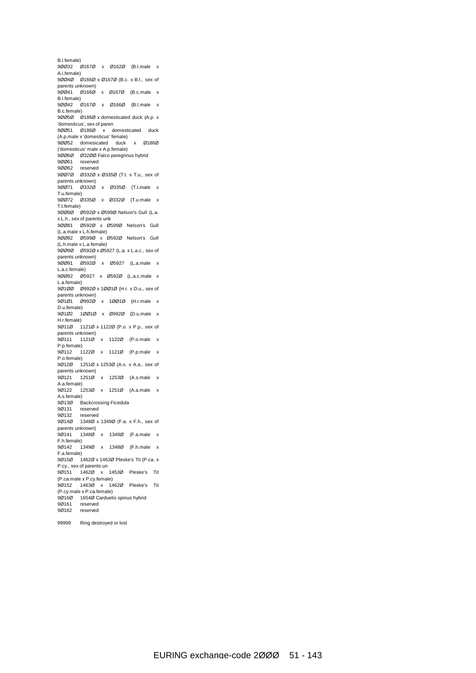B.l.female) 9ØØ32 Ø167Ø x Ø162Ø (B.l.male x A.i.female) 9ØØ4Ø Ø166Ø x Ø167Ø (B.c. x B.l., sex of parents unknown) 9ØØ41 Ø166Ø x Ø167Ø (B.c.male x B.l.female) 9ØØ42 Ø167Ø x Ø166Ø (B.l.male x B.c.female) 9ØØ5Ø Ø186Ø x domesticated duck (A.p. x 'domesticus', sex of paren 9ØØ51 Ø186Ø x domesticated duck (A.p.male x 'domesticus' female) 9ØØ52 domesicated duck x Ø186Ø ('domesticus' male x A.p.female) 9ØØ6Ø Ø32ØØ Falco peregrinus hybrid 9ØØ61 reserved 9ØØ62 reserved 9ØØ7Ø Ø332Ø x Ø335Ø (T.t. x T.u., sex of parents unknown) 9ØØ71 Ø332Ø x Ø335Ø (T.t.male x T.u.female) 9ØØ72 Ø335Ø x Ø332Ø (T.u.male x T.t.female) 9ØØ8Ø Ø592Ø x Ø599Ø Nelson's Gull (L.a. x L.h., sex of parents unk 9ØØ81 Ø592Ø x Ø599Ø Nelson's Gull (L.a.male x L.h.female) 9ØØ82 Ø599Ø x Ø592Ø Nelson's Gull (L.h.male x L.a.female) 9ØØ9Ø Ø592Ø x Ø5927 (L.a. x L.a.c., sex of parents unknown) 9ØØ91 Ø592Ø x Ø5927 (L.a.male x L.a.c.female) 9ØØ92 Ø5927 x Ø592Ø (L.a.c.male x L.a.female) 9Ø1ØØ Ø992Ø x 1ØØ1Ø (H.r. x D.u., sex of parents unknown) 9Ø1Ø1 Ø992Ø x 1ØØ1Ø (H.r.male x D.u.female) 9Ø1Ø2 1ØØ1Ø x Ø992Ø (D.u.male x H.r.female) 9Ø11Ø 1121Ø x 1122Ø (P.o. x P.p., sex of parents unknown) 9Ø111 1121Ø x 1122Ø (P.o.male x P.p.female) 9Ø112 1122Ø x 1121Ø (P.p.male x P.o.female) 9Ø12Ø 1251Ø x 1253Ø (A.s. x A.a., sex of parents unknown) 9Ø121 1251Ø x 1253Ø (A.s.male x A.a.female) 9Ø122 1253Ø x 1251Ø (A.a.male x A.s.female) 9Ø13Ø Backcrossing Ficedula 9Ø131 reserved 9Ø132 reserved 9Ø14Ø 1348Ø x 1349Ø (F.a. x F.h., sex of parents unknown) 9Ø141 1348Ø x 1349Ø (F.a.male x F.h.female) 9Ø142 1349Ø x 1348Ø (F.h.male x F.a.female) 9Ø15Ø 1462Ø x 1463Ø Pleske's Tit (P.ca. x P.cy., sex of parents un 9Ø151 1462Ø x 1453Ø Pleske's Tit (P.ca.male x P.cy.female) 9Ø152 1463Ø x 1462Ø Pleske's Tit (P.cy.male x P.ca.female) 9Ø16Ø 1654Ø Carduelis spinus hybrid reserved 9Ø162 reserved

99999 Ring destroyed or lost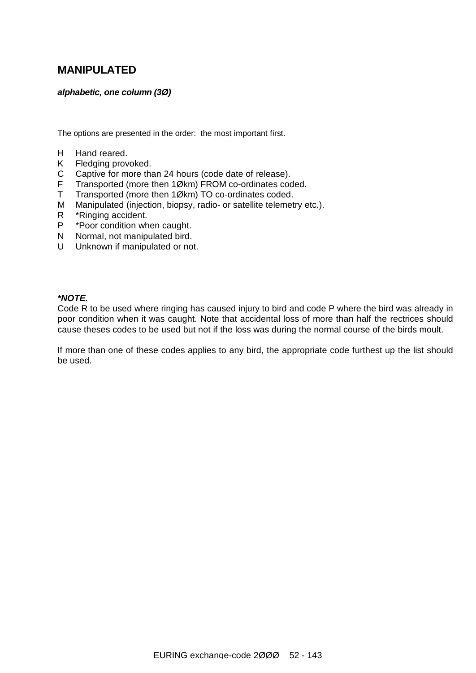# **MANIPULATED**

#### *alphabetic, one column (3Ø)*

The options are presented in the order: the most important first.

- H Hand reared.
- K Fledging provoked.
- C Captive for more than 24 hours (code date of release).
- F Transported (more then 1Økm) FROM co-ordinates coded.
- T Transported (more then 1Økm) TO co-ordinates coded.
- M Manipulated (injection, biopsy, radio- or satellite telemetry etc.).
- R \*Ringing accident.
- P \*Poor condition when caught.
- N Normal, not manipulated bird.
- U Unknown if manipulated or not.

#### *\*NOTE.*

Code R to be used where ringing has caused injury to bird and code P where the bird was already in poor condition when it was caught. Note that accidental loss of more than half the rectrices should cause theses codes to be used but not if the loss was during the normal course of the birds moult.

If more than one of these codes applies to any bird, the appropriate code furthest up the list should be used.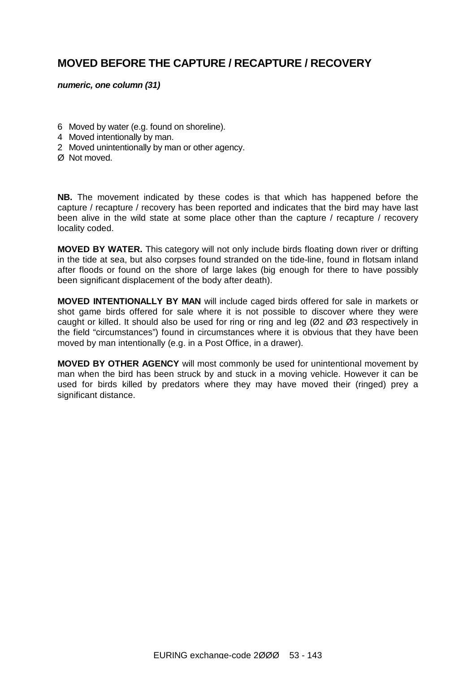# **MOVED BEFORE THE CAPTURE / RECAPTURE / RECOVERY**

#### *numeric, one column (31)*

- 6 Moved by water (e.g. found on shoreline).
- 4 Moved intentionally by man.
- 2 Moved unintentionally by man or other agency.
- Ø Not moved.

**NB.** The movement indicated by these codes is that which has happened before the capture / recapture / recovery has been reported and indicates that the bird may have last been alive in the wild state at some place other than the capture / recapture / recovery locality coded.

**MOVED BY WATER.** This category will not only include birds floating down river or drifting in the tide at sea, but also corpses found stranded on the tide-line, found in flotsam inland after floods or found on the shore of large lakes (big enough for there to have possibly been significant displacement of the body after death).

**MOVED INTENTIONALLY BY MAN** will include caged birds offered for sale in markets or shot game birds offered for sale where it is not possible to discover where they were caught or killed. It should also be used for ring or ring and leg (Ø2 and Ø3 respectively in the field "circumstances") found in circumstances where it is obvious that they have been moved by man intentionally (e.g. in a Post Office, in a drawer).

**MOVED BY OTHER AGENCY** will most commonly be used for unintentional movement by man when the bird has been struck by and stuck in a moving vehicle. However it can be used for birds killed by predators where they may have moved their (ringed) prey a significant distance.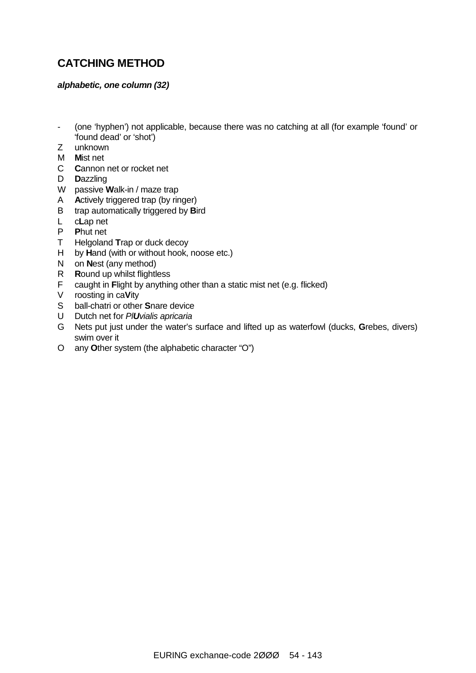# **CATCHING METHOD**

#### *alphabetic, one column (32)*

- (one 'hyphen') not applicable, because there was no catching at all (for example 'found' or 'found dead' or 'shot')
- Z unknown
- M **M**ist net
- C **C**annon net or rocket net
- D **D**azzling
- W passive **W**alk-in / maze trap
- A **A**ctively triggered trap (by ringer)
- B trap automatically triggered by **B**ird
- L c**L**ap net
- P **P**hut net
- T Helgoland **T**rap or duck decoy
- H by **H**and (with or without hook, noose etc.)
- N on **N**est (any method)
- R **R**ound up whilst flightless
- F caught in **F**light by anything other than a static mist net (e.g. flicked)
- V roosting in ca**V**ity
- S ball-chatri or other **S**nare device
- U Dutch net for *PlUvialis apricaria*
- G Nets put just under the water's surface and lifted up as waterfowl (ducks, **G**rebes, divers) swim over it
- O any **O**ther system (the alphabetic character "O")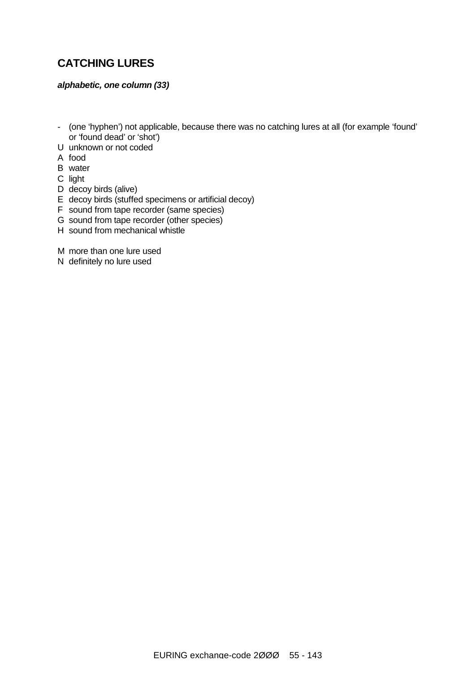# **CATCHING LURES**

#### *alphabetic, one column (33)*

- (one 'hyphen') not applicable, because there was no catching lures at all (for example 'found' or 'found dead' or 'shot')
- U unknown or not coded
- A food
- B water
- C light
- D decoy birds (alive)
- E decoy birds (stuffed specimens or artificial decoy)
- F sound from tape recorder (same species)
- G sound from tape recorder (other species)
- H sound from mechanical whistle
- M more than one lure used
- N definitely no lure used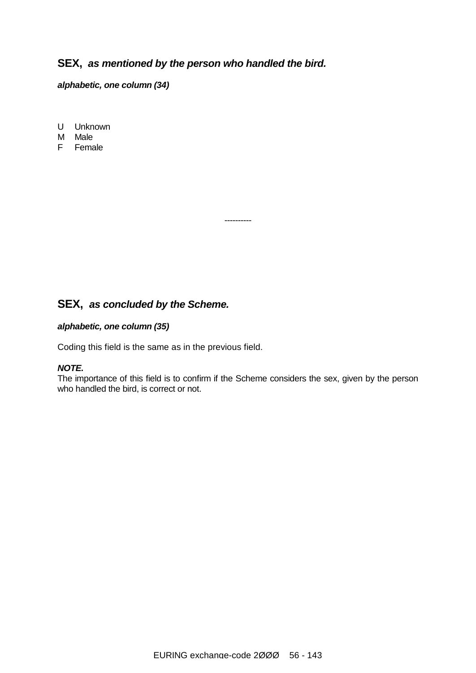## **SEX,** *as mentioned by the person who handled the bird.*

*alphabetic, one column (34)*

U Unknown

M Male

F Female

# **SEX,** *as concluded by the Scheme.*

#### *alphabetic, one column (35)*

Coding this field is the same as in the previous field.

#### *NOTE.*

The importance of this field is to confirm if the Scheme considers the sex, given by the person who handled the bird, is correct or not.

----------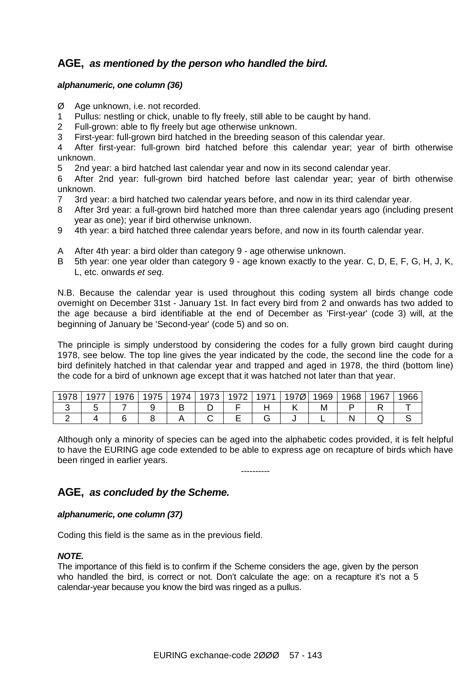## **AGE,** *as mentioned by the person who handled the bird.*

#### *alphanumeric, one column (36)*

- Ø Age unknown, i.e. not recorded.
- 1 Pullus: nestling or chick, unable to fly freely, still able to be caught by hand.
- 2 Full-grown: able to fly freely but age otherwise unknown.
- 3 First-year: full-grown bird hatched in the breeding season of this calendar year.

4 After first-year: full-grown bird hatched before this calendar year; year of birth otherwise unknown.

5 2nd year: a bird hatched last calendar year and now in its second calendar year.

6 After 2nd year: full-grown bird hatched before last calendar year; year of birth otherwise unknown.

- 7 3rd year: a bird hatched two calendar years before, and now in its third calendar year.
- 8 After 3rd year: a full-grown bird hatched more than three calendar years ago (including present year as one); year if bird otherwise unknown.
- 9 4th year: a bird hatched three calendar years before, and now in its fourth calendar year.
- A After 4th year: a bird older than category 9 age otherwise unknown.
- B 5th year: one year older than category 9 age known exactly to the year. C, D, E, F, G, H, J, K, L, etc. onwards *et seq*.

N.B. Because the calendar year is used throughout this coding system all birds change code overnight on December 31st - January 1st. In fact every bird from 2 and onwards has two added to the age because a bird identifiable at the end of December as 'First-year' (code 3) will, at the beginning of January be 'Second-year' (code 5) and so on.

The principle is simply understood by considering the codes for a fully grown bird caught during 1978, see below. The top line gives the year indicated by the code, the second line the code for a bird definitely hatched in that calendar year and trapped and aged in 1978, the third (bottom line) the code for a bird of unknown age except that it was hatched not later than that year.

| 19 L<br>∼ | __<br>-<br>~ | <b>76</b><br>⌒<br>u<br>╰<br>ັ | 75<br>ч<br>v | ٠<br>∽<br>◡<br>ັ | $\rightarrow$<br>∽<br>◡<br>◡<br>╰ | $\overline{\phantom{a}}$<br>$\overline{\phantom{0}}$<br>◡<br>ິ | $\sim$ $-$<br>◡<br>ັ | -<br>५।<br>ຶ | 1969 | 968 | 1967 | <b>QRF</b><br>.<br>. |
|-----------|--------------|-------------------------------|--------------|------------------|-----------------------------------|----------------------------------------------------------------|----------------------|--------------|------|-----|------|----------------------|
|           |              |                               |              | ◡                | ◡                                 |                                                                |                      |              | M    |     |      |                      |
|           |              |                               |              |                  |                                   | −                                                              |                      |              | -    |     | ت    |                      |

Although only a minority of species can be aged into the alphabetic codes provided, it is felt helpful to have the EURING age code extended to be able to express age on recapture of birds which have been ringed in earlier years.

----------

## **AGE,** *as concluded by the Scheme.*

#### *alphanumeric, one column (37)*

Coding this field is the same as in the previous field.

### *NOTE.*

The importance of this field is to confirm if the Scheme considers the age, given by the person who handled the bird, is correct or not. Don't calculate the age: on a recapture it's not a 5 calendar-year because you know the bird was ringed as a pullus.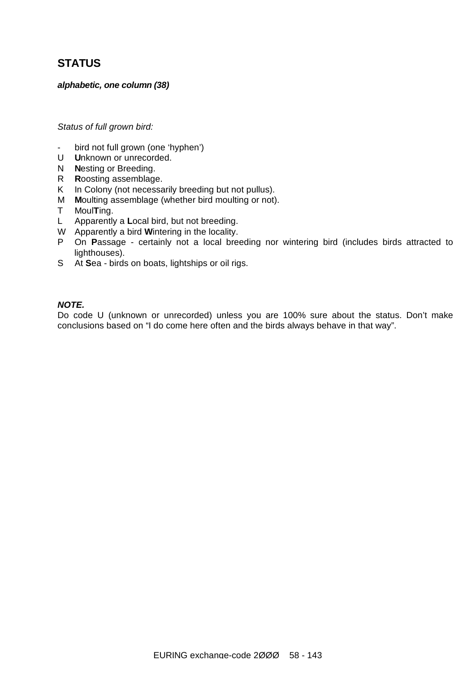# **STATUS**

#### *alphabetic, one column (38)*

#### *Status of full grown bird:*

- bird not full grown (one 'hyphen')
- U **U**nknown or unrecorded.
- N **N**esting or Breeding.
- R **R**oosting assemblage.
- K In Colony (not necessarily breeding but not pullus).
- M **M**oulting assemblage (whether bird moulting or not).
- T Moul**T**ing.
- L Apparently a **L**ocal bird, but not breeding.
- W Apparently a bird **W**intering in the locality.
- P On **P**assage certainly not a local breeding nor wintering bird (includes birds attracted to lighthouses).
- S At **S**ea birds on boats, lightships or oil rigs.

#### *NOTE.*

Do code U (unknown or unrecorded) unless you are 100% sure about the status. Don't make conclusions based on "I do come here often and the birds always behave in that way".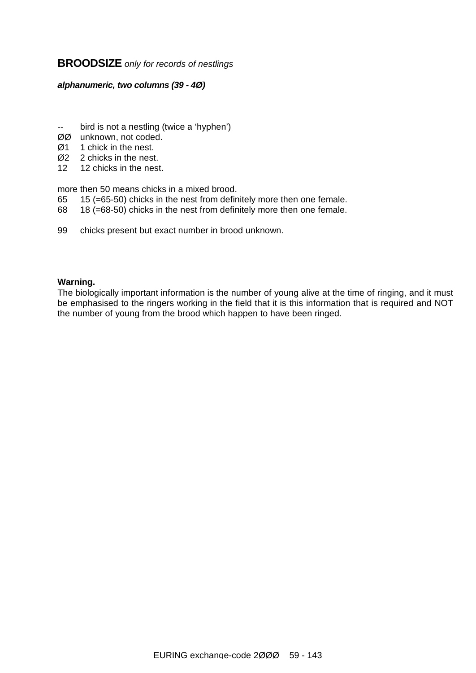### **BROODSIZE** *only for records of nestlings*

#### *alphanumeric, two columns (39 - 4Ø)*

- -- bird is not a nestling (twice a 'hyphen')
- ØØ unknown, not coded.
- Ø1 1 chick in the nest.
- Ø2 2 chicks in the nest.
- 12 12 chicks in the nest.

more then 50 means chicks in a mixed brood.

- 65 15 (=65-50) chicks in the nest from definitely more then one female.
- 68 18 (=68-50) chicks in the nest from definitely more then one female.
- 99 chicks present but exact number in brood unknown.

#### **Warning.**

The biologically important information is the number of young alive at the time of ringing, and it must be emphasised to the ringers working in the field that it is this information that is required and NOT the number of young from the brood which happen to have been ringed.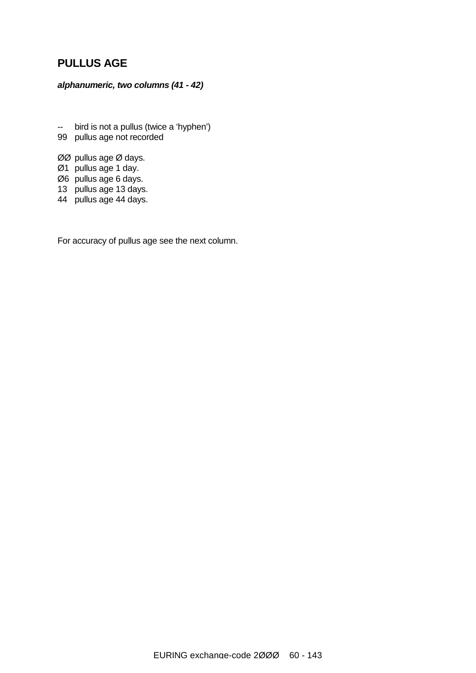# **PULLUS AGE**

### *alphanumeric, two columns (41 - 42)*

- -- bird is not a pullus (twice a 'hyphen')
- 99 pullus age not recorded
- ØØ pullus age Ø days.
- Ø1 pullus age 1 day.
- Ø6 pullus age 6 days.
- 13 pullus age 13 days.
- 44 pullus age 44 days.

For accuracy of pullus age see the next column.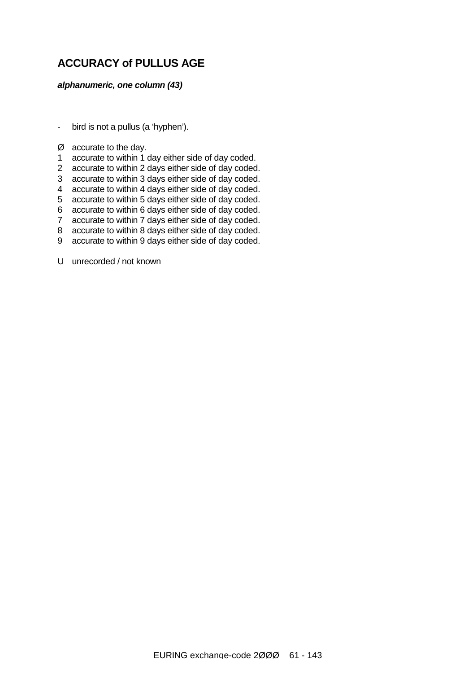# **ACCURACY of PULLUS AGE**

#### *alphanumeric, one column (43)*

- bird is not a pullus (a 'hyphen').
- Ø accurate to the day.
- 1 accurate to within 1 day either side of day coded.
- 2 accurate to within 2 days either side of day coded.
- 3 accurate to within 3 days either side of day coded.
- 4 accurate to within 4 days either side of day coded.
- 5 accurate to within 5 days either side of day coded.
- 6 accurate to within 6 days either side of day coded.
- 7 accurate to within 7 days either side of day coded.
- 8 accurate to within 8 days either side of day coded.
- 9 accurate to within 9 days either side of day coded.

U unrecorded / not known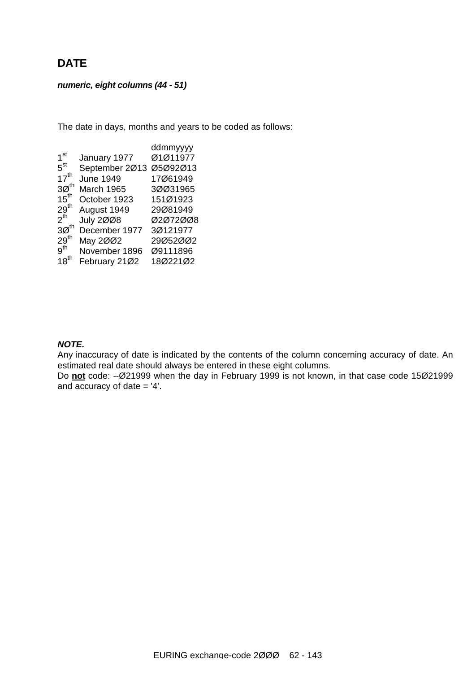# **DATE**

#### *numeric, eight columns (44 - 51)*

The date in days, months and years to be coded as follows:

|                  |                  | ddmmyyyy |
|------------------|------------------|----------|
| 1 <sup>st</sup>  | January 1977     | Ø1Ø11977 |
| $5^{\rm st}$     | September 2013   | Ø5Ø92Ø13 |
| $17^{th}$        | <b>June 1949</b> | 17Ø61949 |
| 30 <sup>th</sup> | March 1965       | 30031965 |
| $15^{th}$        | October 1923     | 151Ø1923 |
| $29^{\text{th}}$ | August 1949      | 29Ø81949 |
| $2^{\text{th}}$  | <b>July 2008</b> | 02072008 |
| 30 <sup>th</sup> | December 1977    | 3Ø121977 |
| $29^{\text{th}}$ | May 2002         | 29Ø52ØØ2 |
| 9 <sup>th</sup>  | November 1896    | Ø9111896 |
| $18^{th}$        | February 2102    | 18Ø221Ø2 |

#### *NOTE.*

Any inaccuracy of date is indicated by the contents of the column concerning accuracy of date. An estimated real date should always be entered in these eight columns.

Do **not** code: --Ø21999 when the day in February 1999 is not known, in that case code 15Ø21999 and accuracy of date  $=$  '4'.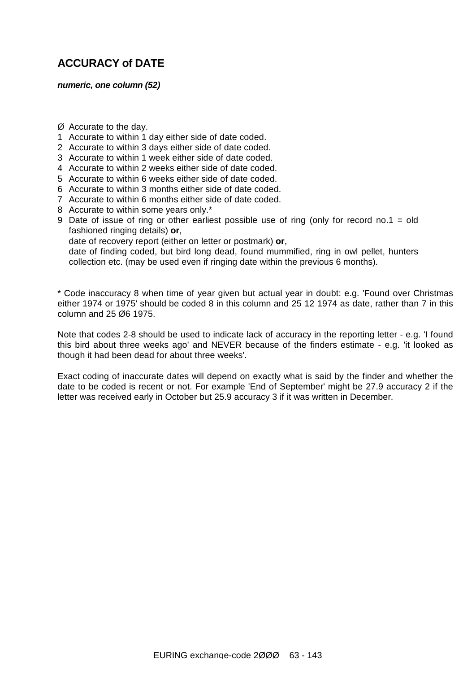# **ACCURACY of DATE**

#### *numeric, one column (52)*

- Ø Accurate to the day.
- 1 Accurate to within 1 day either side of date coded.
- 2 Accurate to within 3 days either side of date coded.
- 3 Accurate to within 1 week either side of date coded.
- 4 Accurate to within 2 weeks either side of date coded.
- 5 Accurate to within 6 weeks either side of date coded.
- 6 Accurate to within 3 months either side of date coded.
- 7 Accurate to within 6 months either side of date coded.
- 8 Accurate to within some years only.\*
- 9 Date of issue of ring or other earliest possible use of ring (only for record no.1 = old fashioned ringing details) **or**,

date of recovery report (either on letter or postmark) **or**,

date of finding coded, but bird long dead, found mummified, ring in owl pellet, hunters collection etc. (may be used even if ringing date within the previous 6 months).

\* Code inaccuracy 8 when time of year given but actual year in doubt: e.g. 'Found over Christmas either 1974 or 1975' should be coded 8 in this column and 25 12 1974 as date, rather than 7 in this column and 25 Ø6 1975.

Note that codes 2-8 should be used to indicate lack of accuracy in the reporting letter - e.g. 'I found this bird about three weeks ago' and NEVER because of the finders estimate - e.g. 'it looked as though it had been dead for about three weeks'.

Exact coding of inaccurate dates will depend on exactly what is said by the finder and whether the date to be coded is recent or not. For example 'End of September' might be 27.9 accuracy 2 if the letter was received early in October but 25.9 accuracy 3 if it was written in December.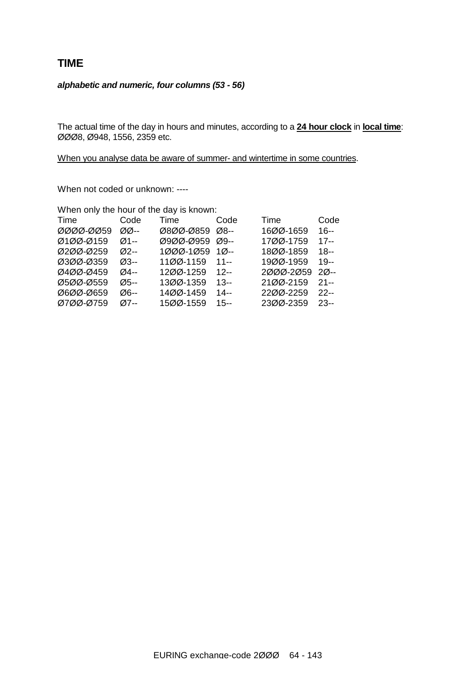### **TIME**

#### *alphabetic and numeric, four columns (53 - 56)*

The actual time of the day in hours and minutes, according to a **24 hour clock** in **local time**: ØØØ8, Ø948, 1556, 2359 etc.

When you analyse data be aware of summer- and wintertime in some countries.

When not coded or unknown: ----

| When only the hour of the day is known: |  |  |  |  |  |  |
|-----------------------------------------|--|--|--|--|--|--|
| Code                                    |  |  |  |  |  |  |
| $16 -$                                  |  |  |  |  |  |  |
| $17 -$                                  |  |  |  |  |  |  |
| $18 -$                                  |  |  |  |  |  |  |
| $19 -$                                  |  |  |  |  |  |  |
| $20 -$                                  |  |  |  |  |  |  |
| $21 -$                                  |  |  |  |  |  |  |
| 22--                                    |  |  |  |  |  |  |
| $23-$                                   |  |  |  |  |  |  |
|                                         |  |  |  |  |  |  |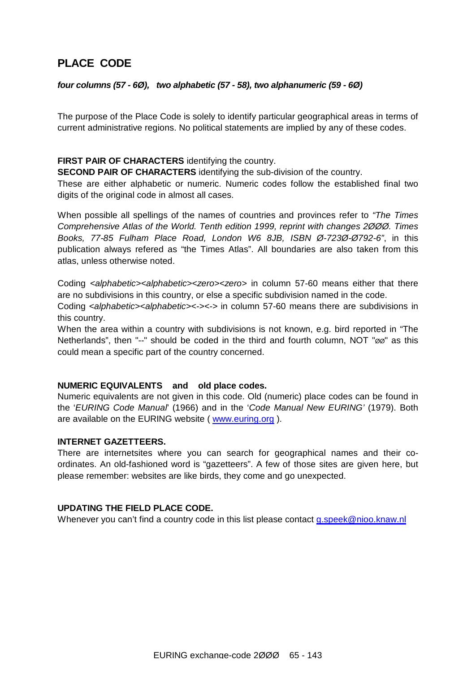# **PLACE CODE**

#### *four columns (57 - 6Ø), two alphabetic (57 - 58), two alphanumeric (59 - 6Ø)*

The purpose of the Place Code is solely to identify particular geographical areas in terms of current administrative regions. No political statements are implied by any of these codes.

#### **FIRST PAIR OF CHARACTERS** identifying the country.

**SECOND PAIR OF CHARACTERS** identifying the sub-division of the country.

These are either alphabetic or numeric. Numeric codes follow the established final two digits of the original code in almost all cases.

When possible all spellings of the names of countries and provinces refer to *"The Times Comprehensive Atlas of the World. Tenth edition 1999, reprint with changes 2ØØØ. Times Books, 77-85 Fulham Place Road, London W6 8JB, ISBN Ø-723Ø-Ø792-6"*, in this publication always refered as "the Times Atlas". All boundaries are also taken from this atlas, unless otherwise noted.

Coding *<alphabetic><alphabetic><zero><zero>* in column 57-60 means either that there are no subdivisions in this country, or else a specific subdivision named in the code.

Coding *<alphabetic><alphabetic><-><->* in column 57-60 means there are subdivisions in this country.

When the area within a country with subdivisions is not known, e.g. bird reported in "The Netherlands", then "--" should be coded in the third and fourth column, NOT "øø" as this could mean a specific part of the country concerned.

#### **NUMERIC EQUIVALENTS and old place codes.**

Numeric equivalents are not given in this code. Old (numeric) place codes can be found in the '*EURING Code Manual*' (1966) and in the '*Code Manual New EURING'* (1979). Both are available on the EURING website ( [www.euring.org](http://www.euring.org) ).

#### **INTERNET GAZETTEERS.**

There are internetsites where you can search for geographical names and their coordinates. An old-fashioned word is "gazetteers". A few of those sites are given here, but please remember: websites are like birds, they come and go unexpected.

#### **UPDATING THE FIELD PLACE CODE.**

Whenever you can't find a country code in this list please contact [g.speek@nioo.knaw.nl](mailto:g.speek@nioo.knaw.nl)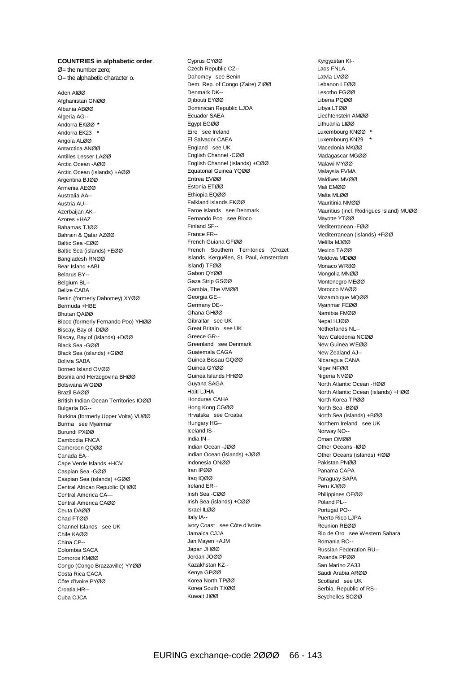#### **COUNTRIES in alphabetic order**.  $Ø$ = the number zero;

O= the alphabetic character o.

Aden AIØØ Afghanistan GNØØ Albania ABØØ Algeria AG-- Andorra EKØØ **\***  Andorra EK23 **\*** Angola ALØØ Antarctica ANØØ Antilles Lesser LAØØ Arctic Ocean -AØØ Arctic Ocean (islands) +AØØ Argentina BJØØ Armenia AEØØ Australia AA-- Austria AU-- Azerbaijan AK-- Azores +HAZ Bahamas TJØØ Bahrain & Qatar AZØØ Baltic Sea -EØØ Baltic Sea (islands) +EØØ Bangladesh RNØØ Bear Island +ABI Belarus BY-- Belgium BL-- Belize CABA Benin (formerly Dahomey) XYØØ Bermuda +HBE Bhutan QAØØ Bioco (formerly Fernando Poo) YHØØ Biscay, Bay of -DØØ Biscay, Bay of (islands) +DØØ Black Sea -GØØ Black Sea (islands) +GØØ Bolivia SABA Borneo Island OVØØ Bosnia and Herzegovina BHØØ Botswana WGØØ Brazil BAØØ British Indian Ocean Territories IOØØ Bulgaria BG-- Burkina (formerly Upper Volta) VUØØ Burma see Myanmar Burundi PXØØ Cambodia FNCA Cameroon QQØØ Canada EA-- Cape Verde Islands +HCV Caspian Sea -GØØ Caspian Sea (islands) +GØØ Central African Republic QHØØ Central America CA— Central America CAØØ Ceuta DAØØ Chad FTØØ Channel Islands see UK Chile KAØØ China CP-- Colombia SACA Comoros KMØØ Congo (Congo Brazzaville) YYØØ Costa Rica CACA Côte d'Ivoire PYØØ Croatia HR-- Cuba CJCA

Cyprus CYØØ Czech Republic CZ-- Dahomey see Benin Dem. Rep. of Congo (Zaire) ZIØØ Denmark DK-- Djibouti EYØØ Dominican Republic LJDA Ecuador SAEA Egypt EGØØ Eire see Ireland El Salvador CAEA England see UK English Channel -CØØ English Channel (islands) +CØØ Equatorial Guinea YQØØ Eritrea EVØØ Estonia ETØØ Ethiopia EQØØ Falkland Islands FKØØ Faroe Islands see Denmark Fernando Poo see Bioco Finland SF-- France FR-- French Guiana GFØØ French Southern Territories (Crozet Islands, Kerguélen, St. Paul, Amsterdam Island) TFØØ Gabon QYØØ Gaza Strip GSØØ Gambia, The VMØØ Georgia GE-- Germany DE-- Ghana GHØØ Gibraltar see UK Great Britain see UK Greece GR-- Greenland see Denmark Guatemala CAGA Guinea Bissau GQØØ Guinea GYØØ Guinea Islands HHØØ Guyana SAGA Haiti LJHA Honduras CAHA Hong Kong CGØØ Hrvatska see Croatia Hungary HG-- Iceland IS-- India IN-- Indian Ocean -JØØ Indian Ocean (islands) +JØØ Indonesia ONØØ Iran IPØØ Iraq IQØØ Ireland ER-- Irish Sea -CØØ Irish Sea (islands) +CØØ Israel ILØØ Italy IA-- Ivory Coast see Côte d'Ivoire Jamaica CJJA Jan Mayen +AJM Japan JHØØ Jordan JOØØ Kazakhstan KZ-- Kenya GPØØ Korea North TPØØ Korea South TXØØ Kuwait JIØØ

Kyrgyzstan KI-- Laos FNLA Latvia LVØØ Lebanon LEØØ Lesotho FGØØ Liberia PQØØ Libya LTØØ Liechtenstein AMØØ Lithuania LIØØ Luxembourg KNØØ **\*** Luxembourg KN29 **\*** Macedonia MKØØ Madagascar MGØØ Malawi MYØØ Malaysia FVMA Maldives MVØØ Mali EMØØ Malta MLØØ Mauritinia NMØØ Mauritius (incl. Rodrigues Island) MUØØ Mayotte YTØØ Mediterranean -FØØ Mediterranean (islands) +FØØ Melilla MJØØ Mexico TAØØ Moldova MDØØ Monaco WR8Ø Mongolia MNØØ Montenegro MEØØ Morocco MAØØ Mozambique MQØØ Myanmar FEØØ Namibia FMØØ Nepal HJØØ Netherlands NL-- New Caledonia NCØØ New Guinea WEØØ New Zealand AJ-- Nicaragua CANA Niger NEØØ Nigeria NVØØ North Atlantic Ocean -HØØ North Atlantic Ocean (islands) +HØØ North Korea TPØØ North Sea -BØØ North Sea (islands) +BØØ Northern Ireland see UK Norway NO-- Oman OMØØ Other Oceans -IØØ Other Oceans (islands) +IØØ Pakistan PNØØ Panama CAPA Paraguay SAPA Peru KJØØ Philippines OEØØ Poland PL-- Portugal PO-- Puerto Rico LJPA Reunion REØØ Rio de Oro see Western Sahara Romania RO-- Russian Federation RU-- Rwanda PPØØ San Marino ZA33 Saudi Arabia ARØØ Scotland see UK Serbia, Republic of RS-- Seychelles SCØØ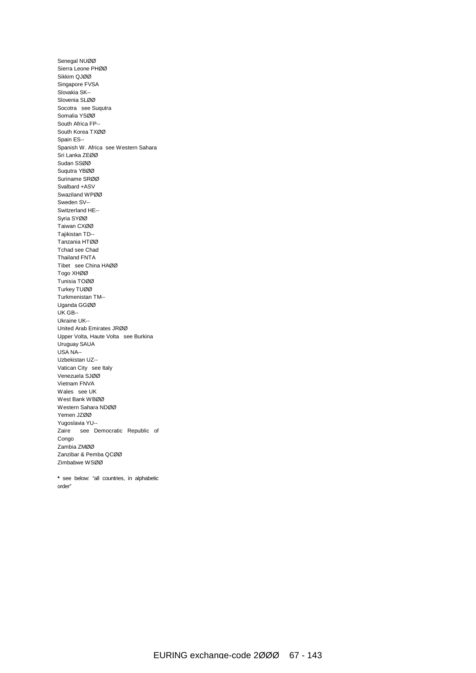Senegal NUØØ Sierra Leone PHØØ Sikkim QJØØ Singapore FVSA Slovakia SK-- Slovenia SLØØ Socotra see Suqutra Somalia YSØØ South Africa FP-- South Korea TXØØ Spain ES-- Spanish W. Africa see Western Sahara Sri Lanka ZEØØ Sudan SSØØ Suqutra YBØØ Suriname SRØØ Svalbard +ASV Swaziland WPØØ Sweden SV-- Switzerland HE-- Syria SYØØ Taiwan CXØØ Tajikistan TD-- Tanzania HTØØ Tchad see Chad Thailand FNTA Tibet see China HAØØ Togo XHØØ Tunisia TOØØ Turkey TUØØ Turkmenistan TM-- Uganda GGØØ UK GB-- Ukraine UK-- United Arab Emirates JRØØ Upper Volta, Haute Volta see Burkina Uruguay SAUA USA NA-- Uzbekistan UZ-- Vatican City see Italy Venezuela SJØØ Vietnam FNVA Wales see UK West Bank WBØØ Western Sahara NDØØ Yemen JZØØ Yugoslavia YU-- Zaire see Democratic Republic of Congo Zambia ZMØØ Zanzibar & Pemba QCØØ Zimbabwe WSØØ

**\*** see below: "all countries, in alphabetic order"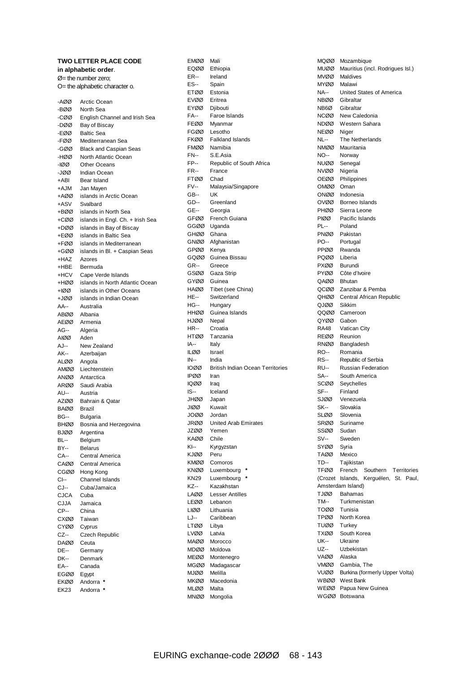| <b>TWO LETTER PLACE CODE</b> |                                                       |  |  |
|------------------------------|-------------------------------------------------------|--|--|
|                              | in alphabetic order.                                  |  |  |
|                              | $\varnothing$ = the number zero:                      |  |  |
|                              | O= the alphabetic character o.                        |  |  |
|                              |                                                       |  |  |
| -AØØ                         | Arctic Ocean                                          |  |  |
| -BØØ                         | North Sea                                             |  |  |
| -CØØ                         | English Channel and Irish Sea                         |  |  |
| -DØØ                         | Bay of Biscay                                         |  |  |
| -EØØ                         | <b>Baltic Sea</b>                                     |  |  |
| -FØØ<br>-GØØ                 | Mediterranean Sea                                     |  |  |
| -HØØ                         | <b>Black and Caspian Seas</b><br>North Atlantic Ocean |  |  |
| -100                         | <b>Other Oceans</b>                                   |  |  |
| -JØØ                         | <b>Indian Ocean</b>                                   |  |  |
| +ABI                         | Bear Island                                           |  |  |
| +AJM                         | Jan Mayen                                             |  |  |
| +AØØ                         | islands in Arctic Ocean                               |  |  |
| +ASV                         | Svalbard                                              |  |  |
| +BØØ                         | islands in North Sea                                  |  |  |
| +CØØ                         | islands in Engl. Ch. + Irish Sea                      |  |  |
| +DØØ                         | islands in Bay of Biscay                              |  |  |
| +EØØ                         | islands in Baltic Sea                                 |  |  |
| +FØØ                         | islands in Mediterranean                              |  |  |
| +GØØ                         | islands in Bl. + Caspian Seas                         |  |  |
| +HAZ                         | Azores                                                |  |  |
| +HBE                         | Bermuda                                               |  |  |
| +HCV                         | Cape Verde Islands                                    |  |  |
| +HØØ                         | islands in North Atlantic Ocean                       |  |  |
| +IØØ                         | islands in Other Oceans                               |  |  |
| +JØØ                         | islands in Indian Ocean                               |  |  |
| AA--                         | Australia                                             |  |  |
| ABØØ                         | Albania                                               |  |  |
| AEØØ                         | Armenia                                               |  |  |
| AG--                         | Algeria                                               |  |  |
| AIØØ                         | Aden                                                  |  |  |
| AJ--                         | New Zealand                                           |  |  |
| AK--                         | Azerbaijan                                            |  |  |
| ALØØ                         | Angola                                                |  |  |
| AMØØ                         | Liechtenstein                                         |  |  |
| ANØØ                         | Antarctica                                            |  |  |
|                              | ARØØ Saudi Arabia                                     |  |  |
| AU--                         | Austria                                               |  |  |
| AZØØ                         | Bahrain & Qatar                                       |  |  |
| <b>BAØØ</b>                  | <b>Brazil</b>                                         |  |  |
| BG--                         | Bulgaria                                              |  |  |
| <b>BHØØ</b>                  | Bosnia and Herzegovina                                |  |  |
| BJØØ<br>BL--                 | Argentina                                             |  |  |
| BY--                         | Belgium<br><b>Belarus</b>                             |  |  |
| CA--                         | Central America                                       |  |  |
| CAØØ                         | Central America                                       |  |  |
| CGØØ                         | Hong Kong                                             |  |  |
| CI--                         | Channel Islands                                       |  |  |
| CJ--                         | Cuba/Jamaica                                          |  |  |
| CJCA                         | Cuba                                                  |  |  |
| CJJA                         | Jamaica                                               |  |  |
| CP--                         | China                                                 |  |  |
| CXØØ                         | Taiwan                                                |  |  |
| CYØØ                         | Cyprus                                                |  |  |
| CZ--                         | <b>Czech Republic</b>                                 |  |  |
| DAØØ                         | Ceuta                                                 |  |  |
| <b>DE--</b>                  | Germany                                               |  |  |
| <b>DK--</b>                  | Denmark                                               |  |  |
| EA--                         | Canada                                                |  |  |
| EGØØ                         | Egypt                                                 |  |  |
| EKØØ                         | Andorra *                                             |  |  |
| <b>EK23</b>                  | Andorra                                               |  |  |
|                              |                                                       |  |  |

| <b>EMØØ</b>  | Mali                                    |
|--------------|-----------------------------------------|
| EQØØ         | Ethiopia                                |
| ER--         | Ireland                                 |
| ES--         | Spain                                   |
| ETØØ         | Estonia                                 |
| EVØØ         | Eritrea                                 |
| EYØØ<br>FA-- | Djibouti                                |
| FEØØ         | Faroe Islands<br>Myanmar                |
| FGØØ         | Lesotho                                 |
| FKØØ         | <b>Falkland Islands</b>                 |
| FMØØ         | Namibia                                 |
| <b>FN--</b>  | S.E.Asia                                |
| FP--         | Republic of South Africa                |
| FR--         | France                                  |
| FTØØ         | Chad                                    |
| FV--         | Malaysia/Singapore                      |
| GB--         | UK                                      |
| GD--         | Greenland                               |
| GE--         | Georgia                                 |
| GFØØ         | French Guiana                           |
| GGØØ         | Uganda                                  |
| GHØØ         | Ghana                                   |
| GNØØ         | Afghanistan                             |
| GPØØ         | Kenya                                   |
| GQØØ         | Guinea Bissau                           |
| <b>GR--</b>  | Greece<br>Gaza Strip                    |
| GSØØ<br>GYØØ | Guinea                                  |
| HAØØ         | Tibet (see China)                       |
| HE--         | Switzerland                             |
| HG--         | Hungary                                 |
| HHØØ         | Guinea Islands                          |
| HJØØ         | Nepal                                   |
| HR--         | Croatia                                 |
|              |                                         |
| HTØØ         | Tanzania                                |
| IA--         | Italy                                   |
| ILØØ         | Israel                                  |
| IN--         | India                                   |
| 10ØØ         | <b>British Indian Ocean Territories</b> |
| IPØØ         | Iran                                    |
| 1QØØ         | Iraq                                    |
| IS--         | Iceland                                 |
| JHØØ         | Japan                                   |
| JIØØ         | Kuwait                                  |
| JOØØ         | Jordan                                  |
| JRØØ         | <b>United Arab Emirates</b>             |
| JZØØ         | Yemen                                   |
| KAØØ<br>KI-- | Chile                                   |
| KJØØ         | Kyrgyzstan<br>Peru                      |
| KMØØ         | Comoros                                 |
| KNØØ         | Luxembourg                              |
| KN29         | Luxembourg                              |
| KZ--         | Kazakhstan                              |
| LAØØ         | <b>Lesser Antilles</b>                  |
| LEØØ         | Lebanon                                 |
| LIØØ         | Lithuania                               |
| LJ--         | Caribbean                               |
| LTØØ         | Libya                                   |
| LVØØ         | Latvia                                  |
| MAØØ         | Morocco                                 |
| MDØØ         | Moldova                                 |
| MEØØ         | Montenegro                              |
| MGØØ         | Madagascar                              |
| MJØØ         | Melilla                                 |
| MKØØ         | Macedonia<br>Malta                      |
| MLØØ<br>MNØØ | Mongolia                                |

| MQØØ                | Mozambique                            |
|---------------------|---------------------------------------|
| MUØØ                | Mauritius (incl. Rodrigues Isl.)      |
| MVØØ                | Maldives                              |
| MYØØ                | Malawi                                |
| NA--                | United States of America              |
| NBØØ                | Gibraltar                             |
| NB6Ø<br>NCØØ        | Gibraltar                             |
| NDØØ                | New Caledonia<br>Western Sahara       |
| NEØØ                | Niger                                 |
| NL--                | The Netherlands                       |
| NMØØ                | Mauritania                            |
| NO--                | Norway                                |
| NUØØ                | Senegal                               |
| NVØØ                | Nigeria                               |
| OEØØ                | Philippines                           |
| OMØØ                | Oman                                  |
| ONØØ                | Indonesia                             |
| OVØØ                | Borneo Islands                        |
| PHØØ<br>PIØØ        | Sierra Leone<br>Pacific Islands       |
| PL--                | Poland                                |
| PNØØ                | Pakistan                              |
| PO--                | Portugal                              |
| PPØØ                | Rwanda                                |
| PQØØ                | Liberia                               |
| PXØØ                | <b>Burundi</b>                        |
| PYØØ                | Côte d'Ivoire                         |
| QAØØ                | <b>Bhutan</b>                         |
| QCØØ                | Zanzibar & Pemba                      |
| QHØØ                | Central African Republic              |
| QJØØ                | Sikkim                                |
| QQØØ<br>QYØØ        | Cameroon<br>Gabon                     |
| <b>RA48</b>         | <b>Vatican City</b>                   |
| REØØ                | Reunion                               |
| RNØØ                | Bangladesh                            |
| RO--                | Romania                               |
| RS--                | Republic of Serbia                    |
| RU--                | <b>Russian Federation</b>             |
| SA--                | South America                         |
| scøø                | Seychelles                            |
| SF--                | Finland                               |
| SJØØ                | Venezuela                             |
| SK--<br>SLØØ        | Slovakia<br>Slovenia                  |
|                     | SRØØ Suriname                         |
| SSØØ                | Sudan                                 |
| <b>SV--</b>         | Sweden                                |
| SYØØ                | Syria                                 |
| TAØØ                | Mexico                                |
| TD--                | Tajikistan                            |
| TFØØ                | French<br>Southern Territories        |
|                     | (Crozet Islands, Kerguélen, St. Paul, |
|                     | Amsterdam Island)                     |
| <b>DOLT</b><br>TM-- | Bahamas<br>Turkmenistan               |
| TOØØ                | Tunisia                               |
| TPØØ                | North Korea                           |
| TUØØ                | Turkey                                |
|                     | TXØØ South Korea                      |
| UK--                | Ukraine                               |
| UZ--                | Uzbekistan                            |
| VAØØ                | Alaska                                |
| VMØØ                | Gambia, The                           |
|                     | VUØØ Burkina (formerly Upper Volta)   |
|                     | WBØØ West Bank                        |
| WEØØ                | Papua New Guinea<br>WGØØ Botswana     |
|                     |                                       |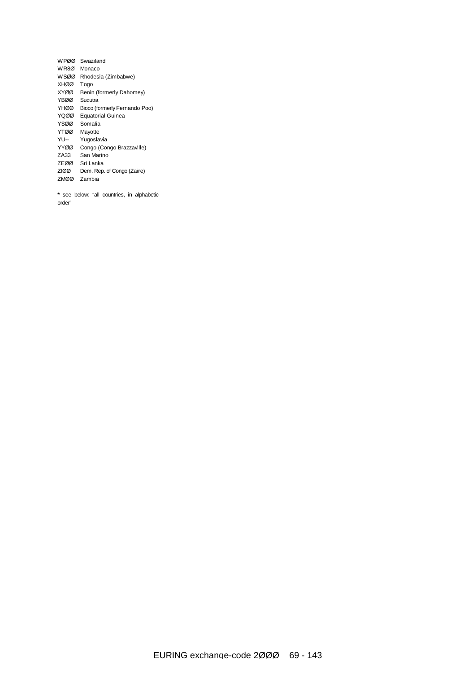| WPØØ        | Swaziland                     |
|-------------|-------------------------------|
| WR8Ø        | Monaco                        |
| <b>WSØØ</b> | Rhodesia (Zimbabwe)           |
| <b>XHØØ</b> | Togo                          |
| <b>XYØØ</b> | Benin (formerly Dahomey)      |
| <b>YBØØ</b> | Sugutra                       |
| YHØØ        | Bioco (formerly Fernando Poo) |
| YQØØ        | <b>Equatorial Guinea</b>      |
| YSØØ        | Somalia                       |
| <b>YTØØ</b> | Mayotte                       |
| YU--        | Yugoslavia                    |
| YYØØ        | Congo (Congo Brazzaville)     |
| ZA33        | San Marino                    |
| ZEØØ        | Sri Lanka                     |
| <b>ZIØØ</b> | Dem. Rep. of Congo (Zaire)    |
| <b>ZMØØ</b> | Zambia                        |
|             |                               |

**\*** see below: "all countries, in alphabetic order"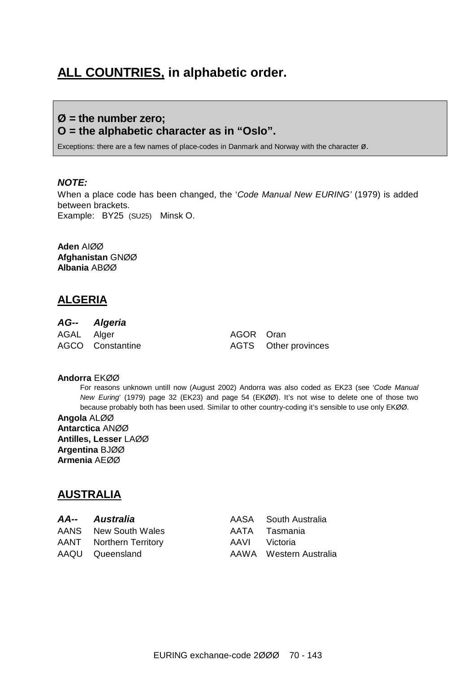# **ALL COUNTRIES, in alphabetic order.**

### **Ø = the number zero; O = the alphabetic character as in "Oslo".**

Exceptions: there are a few names of place-codes in Danmark and Norway with the character  $\varnothing$ .

#### *NOTE:*

When a place code has been changed, the '*Code Manual New EURING'* (1979) is added between brackets. Example: BY25 (SU25) Minsk O.

**Aden** AIØØ **Afghanistan** GNØØ **Albania** ABØØ

### **ALGERIA**

### *AG-- Algeria*

AGAL Alger AGOR Oran

AGCO Constantine AGTS Other provinces

#### **Andorra** EKØØ

For reasons unknown untill now (August 2002) Andorra was also coded as EK23 (see '*Code Manual New Euring*' (1979) page 32 (EK23) and page 54 (EKØØ). It's not wise to delete one of those two because probably both has been used. Similar to other country-coding it's sensible to use only EKØØ.

**Angola** ALØØ **Antarctica** ANØØ **Antilles, Lesser** LAØØ **Argentina** BJØØ **Armenia** AEØØ

### **AUSTRALIA**

| AA-- Australia                 | AASA South Australia   |
|--------------------------------|------------------------|
| AANS New South Wales           | AATA Tasmania          |
| <b>AANT</b> Northern Territory | AAVI Victoria          |
| AAQU Queensland                | AAWA Western Australia |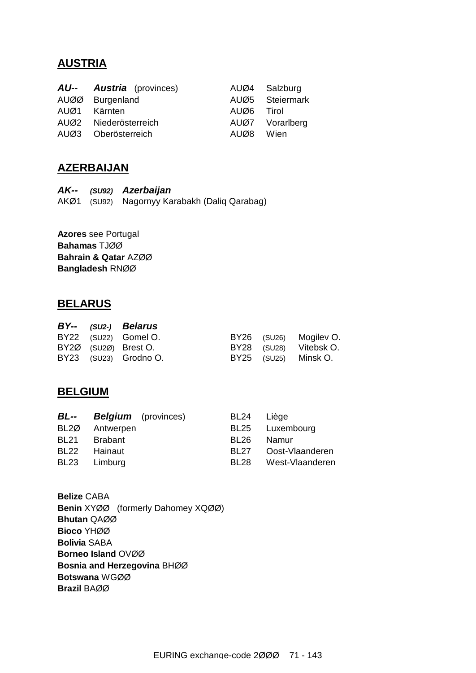# **AUSTRIA**

| <b>AU-- Austria</b> (provinces) |            | AUØ4 Salzburg   |
|---------------------------------|------------|-----------------|
| AUØØ Burgenland                 |            | AUØ5 Steiermark |
| AUØ1 Kärnten                    | AUØ6 Tirol |                 |
| AUØ2 Niederösterreich           |            | AUØ7 Vorarlberg |
| AUØ3 Oberösterreich             | AUØ8 Wien  |                 |

# **AZERBAIJAN**

*AK-- (SU92) Azerbaijan*  AKØ1 (SU92) Nagornyy Karabakh (Daliq Qarabag)

**Azores** see Portugal **Bahamas** TJØØ **Bahrain & Qatar** AZØØ **Bangladesh** RNØØ

### **BELARUS**

|  | BY-- (SU2-) Belarus   |  |                        |
|--|-----------------------|--|------------------------|
|  | BY22 (SU22) Gomel O.  |  | BY26 (SU26) Mogiley O. |
|  | BY2Ø (SU2Ø) Brest O.  |  | BY28 (SU28) Vitebsk O. |
|  | BY23 (SU23) Grodno O. |  | BY25 (SU25) Minsk O.   |

## **BELGIUM**

| <b>BL--</b> | <b>Belgium</b> (provinces) |                  | BL24 Liège      |
|-------------|----------------------------|------------------|-----------------|
| BL2Ø        | Antwerpen                  |                  | BL25 Luxembourg |
| <b>BL21</b> | <b>Brabant</b>             | BL <sub>26</sub> | Namur           |
| <b>BL22</b> | Hainaut                    | BL <sub>27</sub> | Oost-Vlaanderen |
|             | BL23 Limburg               | BL28             | West-Vlaanderen |
|             |                            |                  |                 |

**Belize** CABA **Benin** XYØØ (formerly Dahomey XQØØ) **Bhutan** QAØØ **Bioco** YHØØ **Bolivia** SABA **Borneo Island** OVØØ **Bosnia and Herzegovina** BHØØ **Botswana** WGØØ **Brazil** BAØØ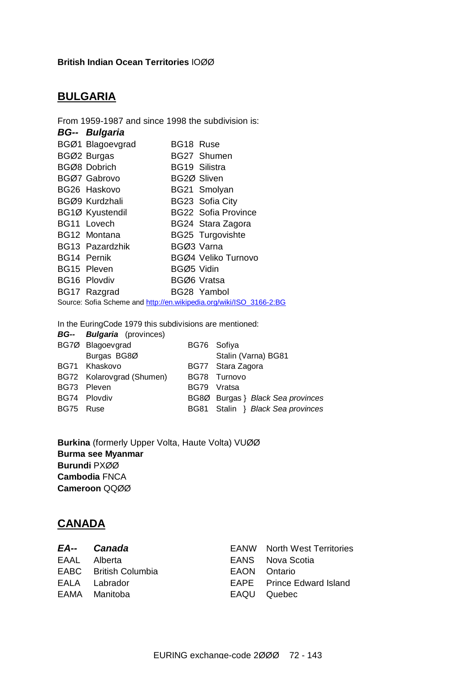### **British Indian Ocean Territories** IOØØ

# **BULGARIA**

| From 1959-1987 and since 1998 the subdivision is:                   |                        |             |                            |  |  |  |
|---------------------------------------------------------------------|------------------------|-------------|----------------------------|--|--|--|
|                                                                     | <b>BG-- Bulgaria</b>   |             |                            |  |  |  |
|                                                                     | BGØ1 Blagoevgrad       | BG18 Ruse   |                            |  |  |  |
|                                                                     | BGØ2 Burgas            |             | BG27 Shumen                |  |  |  |
|                                                                     | BGØ8 Dobrich           |             | BG19 Silistra              |  |  |  |
|                                                                     | BGØ7 Gabrovo           | BG2Ø Sliven |                            |  |  |  |
|                                                                     | BG26 Haskovo           |             | BG21 Smolyan               |  |  |  |
|                                                                     | BGØ9 Kurdzhali         |             | BG23 Sofia City            |  |  |  |
|                                                                     | BG1Ø Kyustendil        |             | <b>BG22 Sofia Province</b> |  |  |  |
|                                                                     | BG11 Lovech            |             | BG24 Stara Zagora          |  |  |  |
|                                                                     | BG12 Montana           |             | <b>BG25 Turgovishte</b>    |  |  |  |
|                                                                     | <b>BG13 Pazardzhik</b> | BGØ3 Varna  |                            |  |  |  |
|                                                                     | BG14 Pernik            |             | BGØ4 Veliko Turnovo        |  |  |  |
|                                                                     | BG15 Pleven            | BGØ5 Vidin  |                            |  |  |  |
|                                                                     | <b>BG16 Plovdiv</b>    |             | BGØ6 Vratsa                |  |  |  |
|                                                                     | BG17 Razgrad           |             | BG28 Yambol                |  |  |  |
| Source: Sofia Scheme and http://en.wikipedia.org/wiki/ISO 3166-2:BG |                        |             |                            |  |  |  |

In the EuringCode 1979 this subdivisions are mentioned:

|           | <b>BG-- Bulgaria</b> (provinces) |             |                                   |
|-----------|----------------------------------|-------------|-----------------------------------|
|           | BG7Ø Blagoevgrad                 |             | BG76 Sofiya                       |
|           | Burgas BG8Ø                      |             | Stalin (Varna) BG81               |
|           | BG71 Khaskovo                    |             | BG77 Stara Zagora                 |
|           | BG72 Kolarovgrad (Shumen)        |             | BG78 Turnovo                      |
|           | BG73 Pleven                      | <b>BG79</b> | Vratsa                            |
|           | BG74 Plovdiv                     |             | BG8Ø Burgas } Black Sea provinces |
| BG75 Ruse |                                  |             | BG81 Stalin } Black Sea provinces |

**Burkina** (formerly Upper Volta, Haute Volta) VUØØ **Burma see Myanmar Burundi** PXØØ **Cambodia** FNCA **Cameroon** QQØØ

# **CANADA**

| EA-- Canada           | <b>EANW</b> North West Territories |
|-----------------------|------------------------------------|
| EAAL Alberta          | EANS Nova Scotia                   |
| EABC British Columbia | EAON Ontario                       |
| EALA Labrador         | <b>EAPE</b> Prince Edward Island   |
| EAMA Manitoba         | EAQU Quebec                        |
|                       |                                    |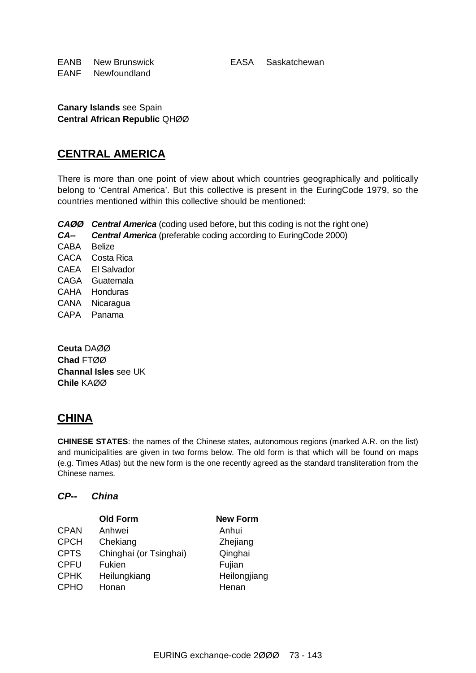EANB New Brunswick EASA Saskatchewan EANF Newfoundland

**Canary Islands** see Spain **Central African Republic** QHØØ

### **CENTRAL AMERICA**

There is more than one point of view about which countries geographically and politically belong to 'Central America'. But this collective is present in the EuringCode 1979, so the countries mentioned within this collective should be mentioned:

*CAØØ Central America* (coding used before, but this coding is not the right one)

*CA-- Central America* (preferable coding according to EuringCode 2000)

CABA Belize CACA Costa Rica CAEA El Salvador CAGA Guatemala CAHA Honduras CANA Nicaragua CAPA Panama

**Ceuta** DAØØ **Chad** FTØØ **Channal Isles** see UK **Chile** KAØØ

## **CHINA**

**CHINESE STATES**: the names of the Chinese states, autonomous regions (marked A.R. on the list) and municipalities are given in two forms below. The old form is that which will be found on maps (e.g. Times Atlas) but the new form is the one recently agreed as the standard transliteration from the Chinese names.

#### *CP-- China*

|             | <b>Old Form</b>        | <b>New Form</b> |
|-------------|------------------------|-----------------|
| <b>CPAN</b> | Anhwei                 | Anhui           |
| <b>CPCH</b> | Chekiang               | Zhejiang        |
| <b>CPTS</b> | Chinghai (or Tsinghai) | Qinghai         |
| <b>CPFU</b> | Fukien                 | Fujian          |
| <b>CPHK</b> | Heilungkiang           | Heilongjiang    |
| <b>CPHO</b> | Honan                  | Henan           |
|             |                        |                 |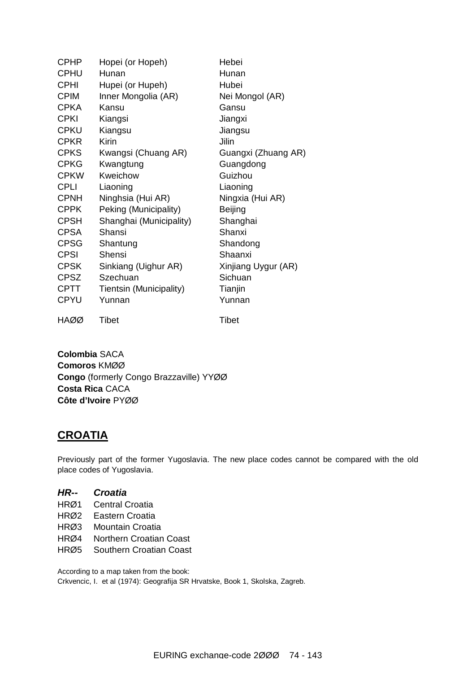| <b>CPHP</b> | Hopei (or Hopeh)        | Hebei               |
|-------------|-------------------------|---------------------|
| <b>CPHU</b> | Hunan                   | Hunan               |
| <b>CPHI</b> | Hupei (or Hupeh)        | Hubei               |
| <b>CPIM</b> | Inner Mongolia (AR)     | Nei Mongol (AR)     |
| <b>CPKA</b> | Kansu                   | Gansu               |
| <b>CPKI</b> | Kiangsi                 | Jiangxi             |
| <b>CPKU</b> | Kiangsu                 | Jiangsu             |
| <b>CPKR</b> | <b>Kirin</b>            | Jilin               |
| <b>CPKS</b> | Kwangsi (Chuang AR)     | Guangxi (Zhuang AR) |
| <b>CPKG</b> | Kwangtung               | Guangdong           |
| <b>CPKW</b> | Kweichow                | Guizhou             |
| <b>CPLI</b> | Liaoning                | Liaoning            |
| <b>CPNH</b> | Ninghsia (Hui AR)       | Ningxia (Hui AR)    |
| <b>CPPK</b> | Peking (Municipality)   | <b>Beijing</b>      |
| <b>CPSH</b> | Shanghai (Municipality) | Shanghai            |
| <b>CPSA</b> | Shansi                  | Shanxi              |
| <b>CPSG</b> | Shantung                | Shandong            |
| <b>CPSI</b> | Shensi                  | Shaanxi             |
| <b>CPSK</b> | Sinkiang (Uighur AR)    | Xinjiang Uygur (AR) |
| <b>CPSZ</b> | Szechuan                | Sichuan             |
| <b>CPTT</b> | Tientsin (Municipality) | Tianjin             |
| <b>CPYU</b> | Yunnan                  | Yunnan              |
| HAØØ        | Tibet                   | <b>Tibet</b>        |

**Colombia** SACA **Comoros** KMØØ **Congo** (formerly Congo Brazzaville) YYØØ **Costa Rica** CACA **Côte d'Ivoire** PYØØ

### **CROATIA**

Previously part of the former Yugoslavia. The new place codes cannot be compared with the old place codes of Yugoslavia.

#### *HR-- Croatia*

- HRØ1 Central Croatia
- HRØ2 Eastern Croatia
- HRØ3 Mountain Croatia
- HRØ4 Northern Croatian Coast
- HRØ5 Southern Croatian Coast

According to a map taken from the book:

Crkvencic, I. et al (1974): Geografija SR Hrvatske, Book 1, Skolska, Zagreb.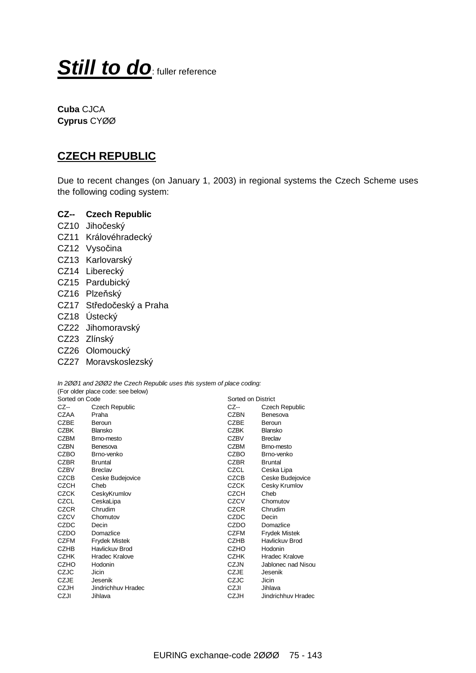# **Still to do**: fuller reference

**Cuba** CJCA **Cyprus** CYØØ

### **CZECH REPUBLIC**

Due to recent changes (on January 1, 2003) in regional systems the Czech Scheme uses the following coding system:

#### **CZ-- Czech Republic**

- CZ10 Jihočeský
- CZ11 Královéhradecký
- CZ12 Vysočina
- CZ13 Karlovarský
- CZ14 Liberecký
- CZ15 Pardubický
- CZ16 Plzeňský
- CZ17 Středočeský a Praha
- CZ18 Ústecký
- CZ22 Jihomoravský
- CZ23 Zlínský
- CZ26 Olomoucký
- CZ27 Moravskoslezský

*In 2ØØ1 and 2ØØ2 the Czech Republic uses this system of place coding:*  (For older place code: see below)

| Sorted on Code |                       | Sorted on District |                       |
|----------------|-----------------------|--------------------|-----------------------|
| CZ--           | <b>Czech Republic</b> | CZ--               | <b>Czech Republic</b> |
| CZAA           | Praha                 | <b>CZBN</b>        | Benesova              |
| <b>CZBE</b>    | Beroun                | <b>CZBE</b>        | Beroun                |
| <b>CZBK</b>    | Blansko               | CZBK               | Blansko               |
| <b>CZBM</b>    | Brno-mesto            | <b>CZBV</b>        | <b>Breclav</b>        |
| <b>CZBN</b>    | Benesova              | <b>CZBM</b>        | Brno-mesto            |
| CZBO           | Brno-venko            | CZBO               | Brno-venko            |
| <b>CZBR</b>    | <b>Bruntal</b>        | <b>CZBR</b>        | <b>Bruntal</b>        |
| <b>CZBV</b>    | <b>Breclav</b>        | CZCL               | Ceska Lipa            |
| CZCB           | Ceske Budejovice      | <b>CZCB</b>        | Ceske Budejovice      |
| <b>CZCH</b>    | Cheb                  | <b>CZCK</b>        | Cesky Krumlov         |
| <b>CZCK</b>    | CeskyKrumlov          | CZCH               | Cheb                  |
| CZCL           | CeskaLipa             | CZCV               | Chomutov              |
| <b>CZCR</b>    | Chrudim               | <b>CZCR</b>        | Chrudim               |
| CZCV           | Chomutov              | CZDC               | Decin                 |
| CZDC           | Decin                 | CZDO               | Domazlice             |
| CZDO           | Domazlice             | <b>CZFM</b>        | <b>Frydek Mistek</b>  |
| <b>CZFM</b>    | <b>Frydek Mistek</b>  | <b>CZHB</b>        | Havlickuv Brod        |
| <b>CZHB</b>    | Havlickuv Brod        | <b>CZHO</b>        | Hodonin               |
| <b>CZHK</b>    | <b>Hradec Kralove</b> | <b>CZHK</b>        | Hradec Kralove        |
| <b>CZHO</b>    | Hodonin               | CZJN               | Jablonec nad Nisou    |
| CZJC           | Jicin                 | CZJE               | Jesenik               |
| <b>CZJE</b>    | Jesenik               | CZJC               | Jicin                 |
| <b>CZJH</b>    | Jindrichhuv Hradec    | CZJI               | Jihlava               |
| CZJI           | Jihlava               | <b>CZJH</b>        | Jindrichhuv Hradec    |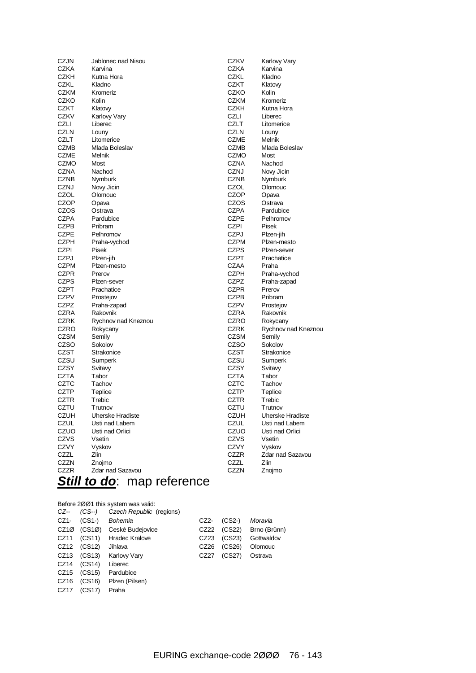| <b>CZJN</b> | Jablonec nad Nisou      | <b>CZKV</b> | Karlovy Vary            |
|-------------|-------------------------|-------------|-------------------------|
| <b>CZKA</b> | Karvina                 | CZKA        | Karvina                 |
| <b>CZKH</b> | Kutna Hora              | <b>CZKL</b> | Kladno                  |
| <b>CZKL</b> | Kladno                  | <b>CZKT</b> | Klatovy                 |
| <b>CZKM</b> | Kromeriz                | CZKO        | Kolin                   |
| CZKO        | Kolin                   | <b>CZKM</b> | Kromeriz                |
| <b>CZKT</b> | Klatovy                 | <b>CZKH</b> | Kutna Hora              |
| <b>CZKV</b> | Karlovy Vary            | <b>CZLI</b> | Liberec                 |
| CZLI        | Liberec                 | <b>CZLT</b> | Litomerice              |
| <b>CZLN</b> | Louny                   | <b>CZLN</b> | Louny                   |
| <b>CZLT</b> | Litomerice              | <b>CZME</b> | Melnik                  |
| <b>CZMB</b> | Mlada Boleslav          | CZMB        | Mlada Boleslav          |
| <b>CZME</b> | Melnik                  | <b>CZMO</b> | Most                    |
| <b>CZMO</b> | Most                    | <b>CZNA</b> | Nachod                  |
| <b>CZNA</b> | Nachod                  | CZNJ        | Novy Jicin              |
| <b>CZNB</b> | Nymburk                 | <b>CZNB</b> | Nymburk                 |
| CZNJ        | Novy Jicin              | CZOL        | Olomouc                 |
| CZOL        | Olomouc                 | <b>CZOP</b> | Opava                   |
| <b>CZOP</b> | Opava                   | CZOS        | Ostrava                 |
| CZOS        | Ostrava                 | <b>CZPA</b> | Pardubice               |
| <b>CZPA</b> | Pardubice               | <b>CZPE</b> | Pelhromov               |
| <b>CZPB</b> |                         | <b>CZPI</b> |                         |
|             | Pribram                 |             | Pisek                   |
| <b>CZPE</b> | Pelhromov               | <b>CZPJ</b> | Plzen-jih               |
| <b>CZPH</b> | Praha-vychod            | <b>CZPM</b> | Plzen-mesto             |
| <b>CZPI</b> | Pisek                   | <b>CZPS</b> | Plzen-sever             |
| <b>CZPJ</b> | Plzen-jih               | <b>CZPT</b> | Prachatice              |
| <b>CZPM</b> | Plzen-mesto             | <b>CZAA</b> | Praha                   |
| <b>CZPR</b> | Prerov                  | <b>CZPH</b> | Praha-vychod            |
| <b>CZPS</b> | Plzen-sever             | <b>CZPZ</b> | Praha-zapad             |
| <b>CZPT</b> | Prachatice              | <b>CZPR</b> | Prerov                  |
| <b>CZPV</b> | Prostejov               | <b>CZPB</b> | Pribram                 |
| CZPZ        | Praha-zapad             | <b>CZPV</b> | Prostejov               |
| <b>CZRA</b> | Rakovnik                | <b>CZRA</b> | Rakovnik                |
| <b>CZRK</b> | Rychnov nad Kneznou     | CZRO        | Rokycany                |
| <b>CZRO</b> | Rokycany                | <b>CZRK</b> | Rychnov nad Kneznou     |
| <b>CZSM</b> | Semily                  | <b>CZSM</b> | Semily                  |
| CZSO        | Sokolov                 | CZSO        | Sokolov                 |
| CZST        | Strakonice              | <b>CZST</b> | Strakonice              |
| CZSU        | Sumperk                 | CZSU        | Sumperk                 |
| CZSY        | Svitavy                 | CZSY        | Svitavy                 |
| <b>CZTA</b> | Tabor                   | <b>CZTA</b> | Tabor                   |
| CZTC        | Tachov                  | CZTC        | Tachov                  |
| <b>CZTP</b> | Teplice                 | <b>CZTP</b> | Teplice                 |
| CZTR        | Trebic                  | <b>CZTR</b> | Trebic                  |
| CZTU        | Trutnov                 | CZTU        | Trutnov                 |
| <b>CZUH</b> | Uherske Hradiste        | <b>CZUH</b> | <b>Uherske Hradiste</b> |
| CZUL        | Usti nad Labem          | CZUL        | Usti nad Labem          |
| CZUO        | Usti nad Orlici         | CZUO        | Usti nad Orlici         |
| CZVS        | Vsetin                  | CZVS        | Vsetin                  |
| <b>CZVY</b> | Vyskov                  | <b>CZVY</b> | Vyskov                  |
| CZZL        | Zlin                    | <b>CZZR</b> | <b>Zdar nad Sazavou</b> |
| <b>CZZN</b> | Znojmo                  | CZZL        | Zlin                    |
| CZZR        | <b>Zdar nad Sazavou</b> | CZZN        | Znojmo                  |
|             |                         |             |                         |

# *Still to do*: map reference

|        |          | Before 2001 this system was valid: |                   |          |              |
|--------|----------|------------------------------------|-------------------|----------|--------------|
| CZ--   | $(CS-)$  | Czech Republic (regions)           |                   |          |              |
| $CZ1-$ | $(CS1-)$ | Bohemia                            | CZ <sub>2</sub> - | $(CS2-)$ | Moravia      |
| CZ1Ø   | (CS1Ø)   | Ceské Budejovice                   | CZ22              | (CS22)   | Brno (Brünn) |
| CZ11   | (CS11)   | <b>Hradec Kralove</b>              | CZ23              | (CS23)   | Gottwaldov   |
| CZ12   | (CS12)   | Jihlava                            | CZ26              | (CS26)   | Olomouc      |
| CZ13   | (CS13)   | Karlow Vary                        | CZ27              | (CS27)   | Ostrava      |
| CZ14   | (CS14)   | Liberec                            |                   |          |              |
| CZ15   | (CS15)   | Pardubice                          |                   |          |              |
| CZ16   | (CS16)   | Plzen (Pilsen)                     |                   |          |              |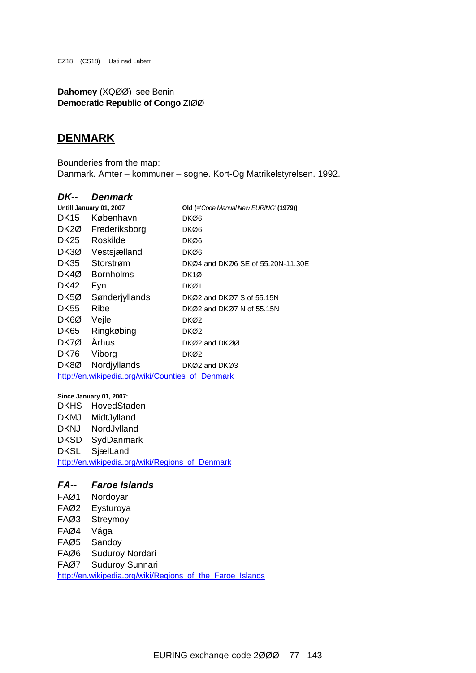CZ18 (CS18) Usti nad Labem

**Dahomey** (XQØØ) see Benin **Democratic Republic of Congo** ZIØØ

#### **DENMARK**

Bounderies from the map: Danmark. Amter – kommuner – sogne. Kort-Og Matrikelstyrelsen. 1992.

#### *DK-- Denmark*

| Untill January 01, 2007 |                                                  | Old (='Code Manual New EURING' (1979)) |  |  |
|-------------------------|--------------------------------------------------|----------------------------------------|--|--|
| DK15                    | København                                        | DKØ6                                   |  |  |
| DK <sub>2</sub> Ø       | Frederiksborg                                    | DKØ6                                   |  |  |
| <b>DK25</b>             | Roskilde                                         | DKØ6                                   |  |  |
| DK3Ø                    | Vestsjælland                                     | DKØ6                                   |  |  |
| <b>DK35</b>             | Storstrøm                                        | DKØ4 and DKØ6 SE of 55.20N-11.30E      |  |  |
| DK4Ø                    | <b>Bornholms</b>                                 | DK1Ø                                   |  |  |
| DK42                    | Fyn                                              | DKØ1                                   |  |  |
| DK <sub>5</sub> Ø       | Sønderjyllands                                   | DKØ2 and DKØ7 S of 55.15N              |  |  |
| DK55                    | Ribe                                             | DKØ2 and DKØ7 N of 55.15N              |  |  |
| DK6Ø                    | Vejle                                            | DKØ2                                   |  |  |
| <b>DK65</b>             | Ringkøbing                                       | DKØ2                                   |  |  |
| DK7Ø                    | Århus                                            | DKØ2 and DKØØ                          |  |  |
| <b>DK76</b>             | Viborg                                           | DKØ2                                   |  |  |
| DK8Ø                    | Nordjyllands                                     | DKØ2 and DKØ3                          |  |  |
|                         | http://en.wikipedia.org/wiki/Counties of Denmark |                                        |  |  |

#### **Since January 01, 2007:**

DKHS HovedStaden DKMJ MidtJylland DKNJ NordJylland DKSD SydDanmark DKSL SjælLand [http://en.wikipedia.org/wiki/Regions\\_of\\_Denmark](http://en.wikipedia.org/wiki/Regions_of_Denmark)

#### *FA-- Faroe Islands*

FAØ1 Nordoyar FAØ2 Eysturoya FAØ3 Streymoy FAØ4 Vága FAØ5 Sandoy FAØ6 Suduroy Nordari FAØ7 Suduroy Sunnari [http://en.wikipedia.org/wiki/Regions\\_of\\_the\\_Faroe\\_Islands](http://en.wikipedia.org/wiki/Regions_of_the_Faroe_Islands)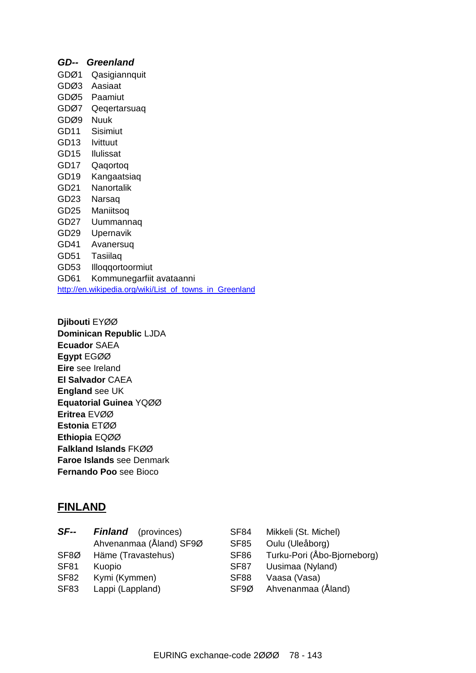### *GD-- Greenland*  GDØ1 Qasigiannquit GDØ3 Aasiaat GDØ5 Paamiut GDØ7 Qeqertarsuaq GDØ9 Nuuk GD11 Sisimiut GD13 Ivittuut GD15 Ilulissat GD17 Qaqortoq GD19 Kangaatsiaq GD21 Nanortalik GD23 Narsaq GD25 Maniitsoq GD27 Uummannaq GD29 Upernavik GD41 Avanersuq GD51 Tasiilaq GD53 Illoqqortoormiut GD61 Kommunegarfiit avataanni [http://en.wikipedia.org/wiki/List\\_of\\_towns\\_in\\_Greenland](http://en.wikipedia.org/wiki/List_of_towns_in_Greenland)

**Djibouti** EYØØ **Dominican Republic** LJDA **Ecuador** SAEA **Egypt** EGØØ **Eire** see Ireland **El Salvador** CAEA **England** see UK **Equatorial Guinea** YQØØ **Eritrea** EVØØ **Estonia** ETØØ **Ethiopia** EQØØ **Falkland Islands** FKØØ **Faroe Islands** see Denmark **Fernando Poo** see Bioco

### **FINLAND**

| $SF-$       | <b>Finland</b> (provinces) | SF <sub>84</sub> | Mikkeli (St. Michel)        |
|-------------|----------------------------|------------------|-----------------------------|
|             | Ahvenanmaa (Åland) SF9Ø    | <b>SF85</b>      | Oulu (Uleåborg)             |
| SF8Ø        | Häme (Travastehus)         | <b>SF86</b>      | Turku-Pori (Åbo-Bjorneborg) |
| <b>SF81</b> | Kuopio                     | SF <sub>87</sub> | Uusimaa (Nyland)            |
| <b>SF82</b> | Kymi (Kymmen)              | SF <sub>88</sub> | Vaasa (Vasa)                |
| <b>SF83</b> | Lappi (Lappland)           | SF <sub>9Ø</sub> | Ahvenanmaa (Åland)          |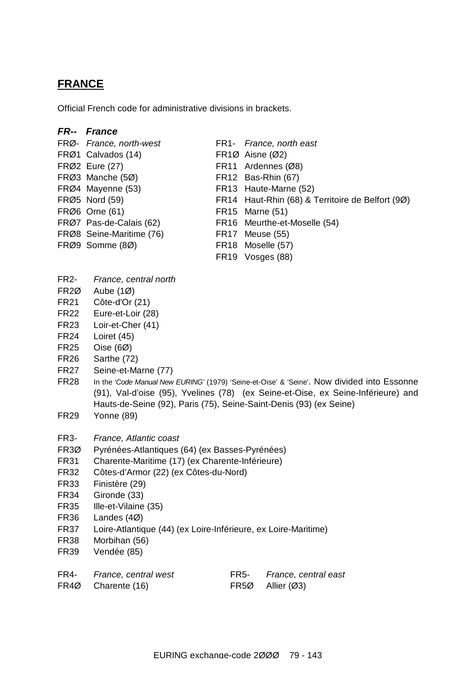### **FRANCE**

Official French code for administrative divisions in brackets.

#### *FR-- France*

- FRØ- *France, north-west* FR1- *France, north east* FRØ1 Calvados (14) FR1Ø Aisne (Ø2) FRØ2 Eure (27) FR11 Ardennes (Ø8) FRØ3 Manche (5Ø) FR12 Bas-Rhin (67) FRØ4 Mayenne (53) FR13 Haute-Marne (52) FRØ5 Nord (59) FR14 Haut-Rhin (68) & Territoire de Belfort (9Ø) FRØ6 Orne (61) FR15 Marne (51) FRØ7 Pas-de-Calais (62) FR16 Meurthe-et-Moselle (54) FRØ8 Seine-Maritime (76) FR17 Meuse (55) FRØ9 Somme (8Ø) FR18 Moselle (57) FR19 Vosges (88)
- FR2- *France, central north*
- FR2Ø Aube (1Ø)
- FR21 Côte-d'Or (21)
- FR22 Eure-et-Loir (28)
- FR23 Loir-et-Cher (41)
- FR24 Loiret (45)
- FR25 Oise (6Ø)
- FR26 Sarthe (72)
- FR27 Seine-et-Marne (77)
- FR28 In the '*Code Manual New EURING'* (1979) 'Seine-et-Oise' & 'Seine'. Now divided into Essonne (91), Val-d'oise (95), Yvelines (78) (ex Seine-et-Oise, ex Seine-Inférieure) and Hauts-de-Seine (92), Paris (75), Seine-Saint-Denis (93) (ex Seine)
- FR29 Yonne (89)
- FR3- *France, Atlantic coast*
- FR3Ø Pyrénées-Atlantiques (64) (ex Basses-Pyrénées)
- FR31 Charente-Maritime (17) (ex Charente-Inférieure)
- FR32 Côtes-d'Armor (22) (ex Côtes-du-Nord)
- FR33 Finistère (29)
- FR34 Gironde (33)
- FR35 Ille-et-Vilaine (35)
- FR36 Landes (4Ø)
- FR37 Loire-Atlantique (44) (ex Loire-Inférieure, ex Loire-Maritime)
- FR38 Morbihan (56)
- FR39 Vendée (85)
- FR4- *France, central west* FR5- *France, central east*
	-
- FR4Ø Charente (16) FR5Ø Allier (Ø3)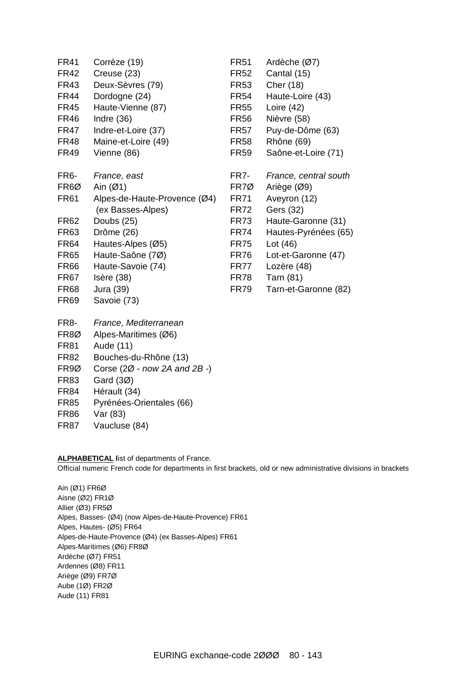| <b>FR41</b><br><b>FR42</b><br><b>FR43</b><br><b>FR44</b><br><b>FR45</b><br><b>FR46</b><br><b>FR47</b><br><b>FR48</b><br><b>FR49</b>                                           | Corrèze (19)<br>Creuse (23)<br>Deux-Sèvres (79)<br>Dordogne (24)<br>Haute-Vienne (87)<br>Indre $(36)$<br>Indre-et-Loire (37)<br>Maine-et-Loire (49)<br>Vienne (86)                                                  | <b>FR51</b><br><b>FR52</b><br><b>FR53</b><br><b>FR54</b><br><b>FR55</b><br><b>FR56</b><br><b>FR57</b><br><b>FR58</b><br><b>FR59</b>                 | Ardèche (Ø7)<br>Cantal (15)<br>Cher (18)<br>Haute-Loire (43)<br>Loire $(42)$<br>Nièvre (58)<br>Puy-de-Dôme (63)<br>Rhône (69)<br>Saône-et-Loire (71)                                                     |
|-------------------------------------------------------------------------------------------------------------------------------------------------------------------------------|---------------------------------------------------------------------------------------------------------------------------------------------------------------------------------------------------------------------|-----------------------------------------------------------------------------------------------------------------------------------------------------|----------------------------------------------------------------------------------------------------------------------------------------------------------------------------------------------------------|
| FR <sub>6</sub> -<br>FR <sub>6</sub> Ø<br><b>FR61</b><br><b>FR62</b><br><b>FR63</b><br><b>FR64</b><br><b>FR65</b><br><b>FR66</b><br><b>FR67</b><br><b>FR68</b><br><b>FR69</b> | France, east<br>Ain $(Ø1)$<br>Alpes-de-Haute-Provence (Ø4)<br>(ex Basses-Alpes)<br>Doubs (25)<br>Drôme (26)<br>Hautes-Alpes (Ø5)<br>Haute-Saône (7Ø)<br>Haute-Savoie (74)<br>Isère (38)<br>Jura (39)<br>Savoie (73) | FR7-<br>FR7Ø<br><b>FR71</b><br><b>FR72</b><br><b>FR73</b><br><b>FR74</b><br><b>FR75</b><br><b>FR76</b><br><b>FR77</b><br><b>FR78</b><br><b>FR79</b> | France, central south<br>Ariège (Ø9)<br>Aveyron (12)<br>Gers (32)<br>Haute-Garonne (31)<br>Hautes-Pyrénées (65)<br>Lot $(46)$<br>Lot-et-Garonne (47)<br>Lozère (48)<br>Tarn (81)<br>Tarn-et-Garonne (82) |
| FR <sub>8</sub> -<br>FR <sub>80</sub><br><b>FR81</b><br><b>FR82</b>                                                                                                           | France, Mediterranean<br>Alpes-Maritimes (Ø6)<br>Aude (11)<br>Bouches-du-Rhône (13)                                                                                                                                 |                                                                                                                                                     |                                                                                                                                                                                                          |

- FR9Ø Corse (2Ø *now 2A and 2B -*)
- FR83 Gard (3Ø)
- FR84 Hérault (34)
- FR85 Pyrénées-Orientales (66)
- FR86 Var (83)
- FR87 Vaucluse (84)

#### **ALPHABETICAL l**ist of departments of France.

Official numeric French code for departments in first brackets, old or new administrative divisions in brackets

Ain (Ø1) FR6Ø Aisne (Ø2) FR1Ø Allier (Ø3) FR5Ø Alpes, Basses- (Ø4) (now Alpes-de-Haute-Provence) FR61 Alpes, Hautes- (Ø5) FR64 Alpes-de-Haute-Provence (Ø4) (ex Basses-Alpes) FR61 Alpes-Maritimes (Ø6) FR8Ø Ardèche (Ø7) FR51 Ardennes (Ø8) FR11 Ariège (Ø9) FR7Ø Aube (1Ø) FR2Ø Aude (11) FR81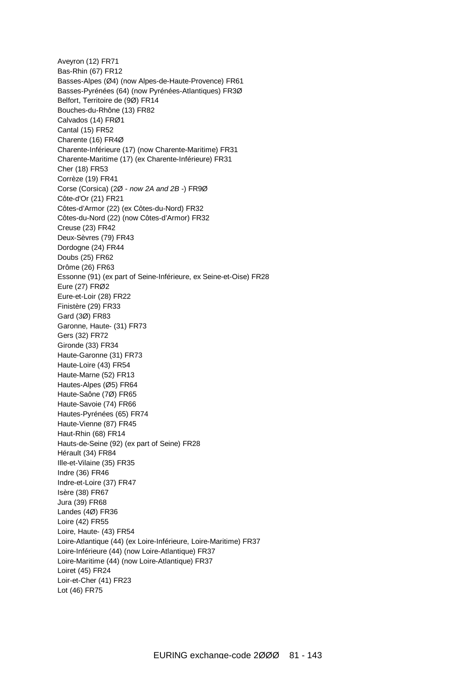Aveyron (12) FR71 Bas-Rhin (67) FR12 Basses-Alpes (Ø4) (now Alpes-de-Haute-Provence) FR61 Basses-Pyrénées (64) (now Pyrénées-Atlantiques) FR3Ø Belfort, Territoire de (9Ø) FR14 Bouches-du-Rhône (13) FR82 Calvados (14) FRØ1 Cantal (15) FR52 Charente (16) FR4Ø Charente-Inférieure (17) (now Charente-Maritime) FR31 Charente-Maritime (17) (ex Charente-Inférieure) FR31 Cher (18) FR53 Corrèze (19) FR41 Corse (Corsica) (2Ø - *now 2A and 2B -*) FR9Ø Côte-d'Or (21) FR21 Côtes-d'Armor (22) (ex Côtes-du-Nord) FR32 Côtes-du-Nord (22) (now Côtes-d'Armor) FR32 Creuse (23) FR42 Deux-Sèvres (79) FR43 Dordogne (24) FR44 Doubs (25) FR62 Drôme (26) FR63 Essonne (91) (ex part of Seine-Inférieure, ex Seine-et-Oise) FR28 Eure (27) FRØ2 Eure-et-Loir (28) FR22 Finistère (29) FR33 Gard (3Ø) FR83 Garonne, Haute- (31) FR73 Gers (32) FR72 Gironde (33) FR34 Haute-Garonne (31) FR73 Haute-Loire (43) FR54 Haute-Marne (52) FR13 Hautes-Alpes (Ø5) FR64 Haute-Saône (7Ø) FR65 Haute-Savoie (74) FR66 Hautes-Pyrénées (65) FR74 Haute-Vienne (87) FR45 Haut-Rhin (68) FR14 Hauts-de-Seine (92) (ex part of Seine) FR28 Hérault (34) FR84 Ille-et-Vilaine (35) FR35 Indre (36) FR46 Indre-et-Loire (37) FR47 Isère (38) FR67 Jura (39) FR68 Landes (4Ø) FR36 Loire (42) FR55 Loire, Haute- (43) FR54 Loire-Atlantique (44) (ex Loire-Inférieure, Loire-Maritime) FR37 Loire-Inférieure (44) (now Loire-Atlantique) FR37 Loire-Maritime (44) (now Loire-Atlantique) FR37 Loiret (45) FR24 Loir-et-Cher (41) FR23 Lot (46) FR75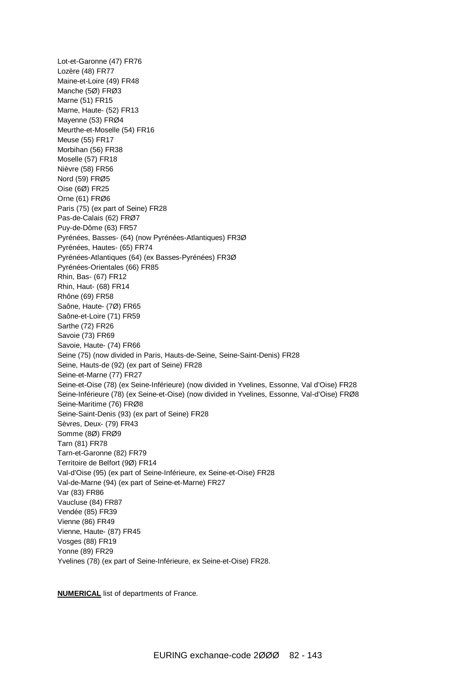Lot-et-Garonne (47) FR76 Lozère (48) FR77 Maine-et-Loire (49) FR48 Manche (5Ø) FRØ3 Marne (51) FR15 Marne, Haute- (52) FR13 Mayenne (53) FRØ4 Meurthe-et-Moselle (54) FR16 Meuse (55) FR17 Morbihan (56) FR38 Moselle (57) FR18 Nièvre (58) FR56 Nord (59) FRØ5 Oise (6Ø) FR25 Orne (61) FRØ6 Paris (75) (ex part of Seine) FR28 Pas-de-Calais (62) FRØ7 Puy-de-Dôme (63) FR57 Pyrénées, Basses- (64) (now Pyrénées-Atlantiques) FR3Ø Pyrénées, Hautes- (65) FR74 Pyrénées-Atlantiques (64) (ex Basses-Pyrénées) FR3Ø Pyrénées-Orientales (66) FR85 Rhin, Bas- (67) FR12 Rhin, Haut- (68) FR14 Rhône (69) FR58 Saône, Haute- (7Ø) FR65 Saône-et-Loire (71) FR59 Sarthe (72) FR26 Savoie (73) FR69 Savoie, Haute- (74) FR66 Seine (75) (now divided in Paris, Hauts-de-Seine, Seine-Saint-Denis) FR28 Seine, Hauts-de (92) (ex part of Seine) FR28 Seine-et-Marne (77) FR27 Seine-et-Oise (78) (ex Seine-Inférieure) (now divided in Yvelines, Essonne, Val d'Oise) FR28 Seine-Inférieure (78) (ex Seine-et-Oise) (now divided in Yvelines, Essonne, Val-d'Oise) FRØ8 Seine-Maritime (76) FRØ8 Seine-Saint-Denis (93) (ex part of Seine) FR28 Sèvres, Deux- (79) FR43 Somme (8Ø) FRØ9 Tarn (81) FR78 Tarn-et-Garonne (82) FR79 Territoire de Belfort (9Ø) FR14 Val-d'Oise (95) (ex part of Seine-Inférieure, ex Seine-et-Oise) FR28 Val-de-Marne (94) (ex part of Seine-et-Marne) FR27 Var (83) FR86 Vaucluse (84) FR87 Vendée (85) FR39 Vienne (86) FR49 Vienne, Haute- (87) FR45 Vosges (88) FR19 Yonne (89) FR29 Yvelines (78) (ex part of Seine-Inférieure, ex Seine-et-Oise) FR28.

**NUMERICAL** list of departments of France.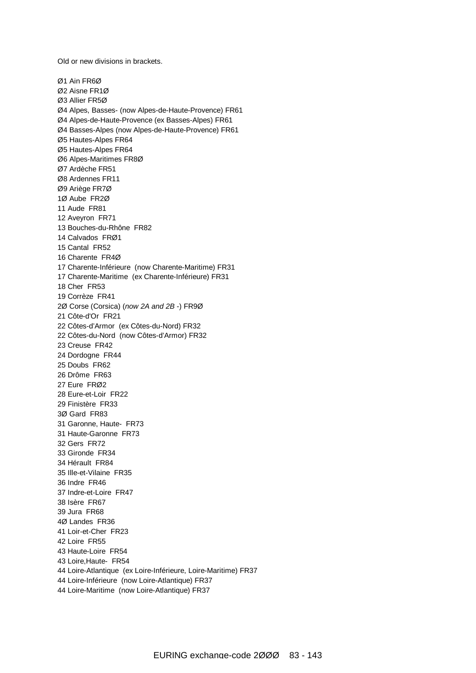Old or new divisions in brackets.

Ø1 Ain FR6Ø Ø2 Aisne FR1Ø Ø3 Allier FR5Ø Ø4 Alpes, Basses- (now Alpes-de-Haute-Provence) FR61 Ø4 Alpes-de-Haute-Provence (ex Basses-Alpes) FR61 Ø4 Basses-Alpes (now Alpes-de-Haute-Provence) FR61 Ø5 Hautes-Alpes FR64 Ø5 Hautes-Alpes FR64 Ø6 Alpes-Maritimes FR8Ø Ø7 Ardèche FR51 Ø8 Ardennes FR11 Ø9 Ariège FR7Ø 1Ø Aube FR2Ø 11 Aude FR81 12 Aveyron FR71 13 Bouches-du-Rhône FR82 14 Calvados FRØ1 15 Cantal FR52 16 Charente FR4Ø 17 Charente-Inférieure (now Charente-Maritime) FR31 17 Charente-Maritime (ex Charente-Inférieure) FR31 18 Cher FR53 19 Corrèze FR41 2Ø Corse (Corsica) (*now 2A and 2B -*) FR9Ø 21 Côte-d'Or FR21 22 Côtes-d'Armor (ex Côtes-du-Nord) FR32 22 Côtes-du-Nord (now Côtes-d'Armor) FR32 23 Creuse FR42 24 Dordogne FR44 25 Doubs FR62 26 Drôme FR63 27 Eure FRØ2 28 Eure-et-Loir FR22 29 Finistère FR33 3Ø Gard FR83 31 Garonne, Haute- FR73 31 Haute-Garonne FR73 32 Gers FR72 33 Gironde FR34 34 Hérault FR84 35 Ille-et-Vilaine FR35 36 Indre FR46 37 Indre-et-Loire FR47 38 Isère FR67 39 Jura FR68 4Ø Landes FR36 41 Loir-et-Cher FR23 42 Loire FR55 43 Haute-Loire FR54 43 Loire,Haute- FR54 44 Loire-Atlantique (ex Loire-Inférieure, Loire-Maritime) FR37 44 Loire-Inférieure (now Loire-Atlantique) FR37 44 Loire-Maritime (now Loire-Atlantique) FR37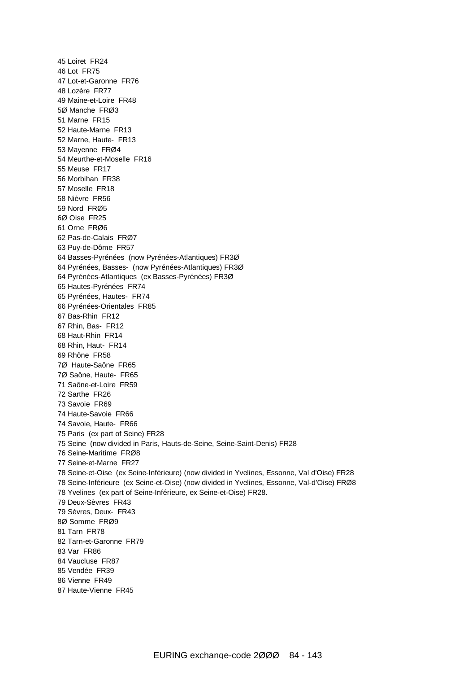Loiret FR24 Lot FR75 Lot-et-Garonne FR76 Lozère FR77 Maine-et-Loire FR48 5Ø Manche FRØ3 Marne FR15 Haute-Marne FR13 Marne, Haute- FR13 Mayenne FRØ4 Meurthe-et-Moselle FR16 Meuse FR17 Morbihan FR38 Moselle FR18 Nièvre FR56 Nord FRØ5 6Ø Oise FR25 61 Orne FRØ6 Pas-de-Calais FRØ7 Puy-de-Dôme FR57 Basses-Pyrénées (now Pyrénées-Atlantiques) FR3Ø Pyrénées, Basses- (now Pyrénées-Atlantiques) FR3Ø Pyrénées-Atlantiques (ex Basses-Pyrénées) FR3Ø Hautes-Pyrénées FR74 Pyrénées, Hautes- FR74 Pyrénées-Orientales FR85 Bas-Rhin FR12 Rhin, Bas- FR12 Haut-Rhin FR14 Rhin, Haut- FR14 Rhône FR58 7Ø Haute-Saône FR65 7Ø Saône, Haute- FR65 Saône-et-Loire FR59 Sarthe FR26 Savoie FR69 Haute-Savoie FR66 Savoie, Haute- FR66 Paris (ex part of Seine) FR28 Seine (now divided in Paris, Hauts-de-Seine, Seine-Saint-Denis) FR28 Seine-Maritime FRØ8 Seine-et-Marne FR27 Seine-et-Oise (ex Seine-Inférieure) (now divided in Yvelines, Essonne, Val d'Oise) FR28 Seine-Inférieure (ex Seine-et-Oise) (now divided in Yvelines, Essonne, Val-d'Oise) FRØ8 Yvelines (ex part of Seine-Inférieure, ex Seine-et-Oise) FR28. Deux-Sèvres FR43 Sèvres, Deux- FR43 8Ø Somme FRØ9 Tarn FR78 Tarn-et-Garonne FR79 Var FR86 Vaucluse FR87 Vendée FR39 Vienne FR49 Haute-Vienne FR45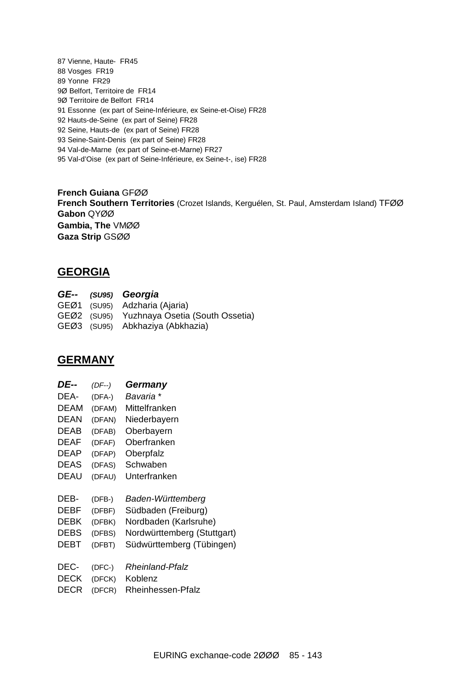Vienne, Haute- FR45 Vosges FR19 Yonne FR29 9Ø Belfort, Territoire de FR14 9Ø Territoire de Belfort FR14 Essonne (ex part of Seine-Inférieure, ex Seine-et-Oise) FR28 Hauts-de-Seine (ex part of Seine) FR28 Seine, Hauts-de (ex part of Seine) FR28 Seine-Saint-Denis (ex part of Seine) FR28 Val-de-Marne (ex part of Seine-et-Marne) FR27 Val-d'Oise (ex part of Seine-Inférieure, ex Seine-t-, ise) FR28

**French Guiana** GFØØ **French Southern Territories** (Crozet Islands, Kerguélen, St. Paul, Amsterdam Island) TFØØ **Gabon** QYØØ **Gambia, The** VMØØ **Gaza Strip** GSØØ

### **GEORGIA**

|  | GE-- (SU95) Georgia                         |
|--|---------------------------------------------|
|  | GEØ1 (SU95) Adzharia (Ajaria)               |
|  | GEØ2 (SU95) Yuzhnaya Osetia (South Ossetia) |
|  | GEØ3 (SU95) Abkhaziya (Abkhazia)            |

#### **GERMANY**

| DE--        | (DF--) | Germany                     |
|-------------|--------|-----------------------------|
| DEA-        | (DFA-) | Bavaria *                   |
| <b>DEAM</b> | (DFAM) | Mittelfranken               |
| DEAN        | (DFAN) | Niederbayern                |
| DEAB        | (DFAB) | Oberbayern                  |
| DEAF        | (DFAF) | Oberfranken                 |
| DEAP        | (DFAP) | Oberpfalz                   |
| <b>DEAS</b> | (DFAS) | Schwaben                    |
| DEAU        | (DFAU) | Unterfranken                |
|             |        |                             |
|             |        |                             |
| DEB-        | (DFB-) | Baden-Württemberg           |
| DEBF        | (DFBF) | Südbaden (Freiburg)         |
| DEBK        | (DFBK) | Nordbaden (Karlsruhe)       |
| <b>DEBS</b> | (DFBS) | Nordwürttemberg (Stuttgart) |
| DEBT        | (DFBT) | Südwürttemberg (Tübingen)   |
|             |        |                             |
| DEC-        | (DFC-) | Rheinland-Pfalz             |
| DECK        | (DFCK) | Koblenz                     |
| DECR        | (DFCR) | Rheinhessen-Pfalz           |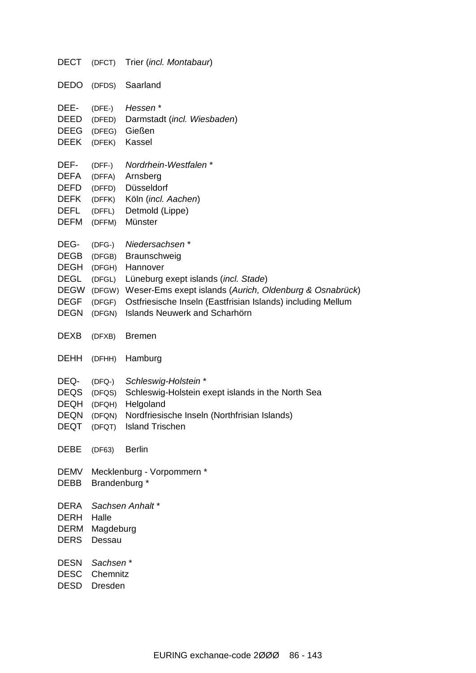| <b>DECT</b>                                                                                    |                                                            | (DFCT) Trier (incl. Montabaur)                                                                                                                                                                                                                              |
|------------------------------------------------------------------------------------------------|------------------------------------------------------------|-------------------------------------------------------------------------------------------------------------------------------------------------------------------------------------------------------------------------------------------------------------|
| <b>DEDO</b>                                                                                    | (DFDS)                                                     | Saarland                                                                                                                                                                                                                                                    |
| DEE-<br>DEED<br><b>DEEG</b><br><b>DEEK</b>                                                     | $(DFE-)$<br>(DFED)<br>(DFEG)<br>(DFEK)                     | Hessen*<br>Darmstadt (incl. Wiesbaden)<br>Gießen<br>Kassel                                                                                                                                                                                                  |
| DEF-<br><b>DEFA</b><br><b>DEFD</b><br><b>DEFK</b><br><b>DEFL</b><br><b>DEFM</b>                | $(DFF-)$<br>(DFFA)<br>(DFFD)<br>(DFFK)<br>(DFFL)<br>(DFFM) | Nordrhein-Westfalen*<br>Arnsberg<br>Düsseldorf<br>Köln (incl. Aachen)<br>Detmold (Lippe)<br>Münster                                                                                                                                                         |
| DEG-<br><b>DEGB</b><br><b>DEGH</b><br><b>DEGL</b><br><b>DEGW</b><br><b>DEGF</b><br><b>DEGN</b> | $(DFG-)$<br>(DFGB)<br>(DFGH)<br>(DFGL)<br>(DFGF)<br>(DFGN) | Niedersachsen*<br>Braunschweig<br>Hannover<br>Lüneburg exept islands (incl. Stade)<br>(DFGW) Weser-Ems exept islands (Aurich, Oldenburg & Osnabrück)<br>Ostfriesische Inseln (Eastfrisian Islands) including Mellum<br><b>Islands Neuwerk and Scharhörn</b> |
| <b>DEXB</b>                                                                                    | (DFXB)                                                     | <b>Bremen</b>                                                                                                                                                                                                                                               |
| <b>DEHH</b>                                                                                    | (DFHH)                                                     | Hamburg                                                                                                                                                                                                                                                     |
| DEQ-<br><b>DEQS</b><br><b>DEQH</b><br><b>DEQN</b>                                              | $(DFQ-)$<br>(DFQS)<br>(DFQH)<br>(DFQN)                     | Schleswig-Holstein*<br>Schleswig-Holstein exept islands in the North Sea<br>Helgoland<br>Nordfriesische Inseln (Northfrisian Islands)<br>DEQT (DFQT) Island Trischen                                                                                        |
| <b>DEBE</b>                                                                                    | (DF63)                                                     | Berlin                                                                                                                                                                                                                                                      |
| DEMV<br><b>DEBB</b>                                                                            | Brandenburg *                                              | Mecklenburg - Vorpommern *                                                                                                                                                                                                                                  |
| DERA<br><b>DERH</b><br><b>DERM</b><br><b>DERS</b>                                              | Halle<br>Magdeburg<br>Dessau                               | Sachsen Anhalt*                                                                                                                                                                                                                                             |
| <b>DESN</b><br><b>DESC</b>                                                                     | Sachsen*<br>Chemnitz<br>DESD Dresden                       |                                                                                                                                                                                                                                                             |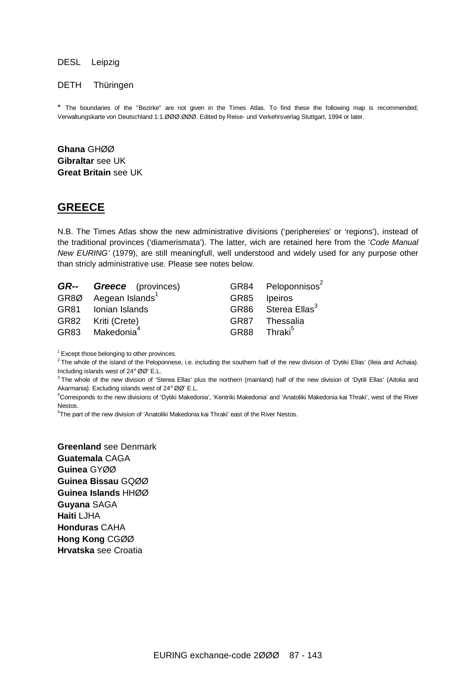#### DESL Leipzig

#### DETH Thüringen

\* The boundaries of the "Bezirke" are not given in the Times Atlas. To find these the following map is recommended; Verwaltungskarte von Deutschland 1:1.ØØØ.ØØØ. Edited by Reise- und Verkehrsverlag Stuttgart, 1994 or later.

**Ghana** GHØØ **Gibraltar** see UK **Great Britain** see UK

#### **GREECE**

N.B. The Times Atlas show the new administrative divisions ('periphereies' or 'regions'), instead of the traditional provinces ('diamerismata'). The latter, wich are retained here from the '*Code Manual New EURING'* (1979), are still meaningfull, well understood and widely used for any purpose other than stricly administrative use. Please see notes below.

| <b>GR-- Greece</b> (provinces)   |              | GR84 Peloponnisos <sup>2</sup> |
|----------------------------------|--------------|--------------------------------|
| GR8Ø Aegean Islands <sup>1</sup> | GR85 Ipeiros |                                |
| GR81 Ionian Islands              |              | GR86 Sterea Ellas <sup>3</sup> |
| GR82 Kriti (Crete)               |              | GR87 Thessalia                 |
| GR83 Makedonia <sup>4</sup>      |              | GR88 Thraki <sup>5</sup>       |

<sup>1</sup> Except those belonging to other provinces.

<sup>2</sup> The whole of the island of the Peloponnese, i.e. including the southern half of the new division of 'Dytiki Ellas' (Ileia and Achaia). Including islands west of 24° ØØ' E.L.

<sup>3</sup> The whole of the new division of 'Sterea Ellas' plus the northern (mainland) half of the new division of 'Dytili Ellas' (Aitolia and Akarmania). Excluding islands west of 24° ØØ' E.L.

<sup>4</sup>Corresponds to the new divisions of 'Dytiki Makedonia', 'Kentriki Makedonia' and 'Anatoliki Makedonia kai Thraki', west of the River Nestos.

<sup>5</sup>The part of the new division of 'Anatoliki Makedonia kai Thraki' east of the River Nestos.

**Greenland** see Denmark **Guatemala** CAGA **Guinea** GYØØ **Guinea Bissau** GQØØ **Guinea Islands** HHØØ **Guyana** SAGA **Haiti** LJHA **Honduras** CAHA **Hong Kong** CGØØ **Hrvatska** see Croatia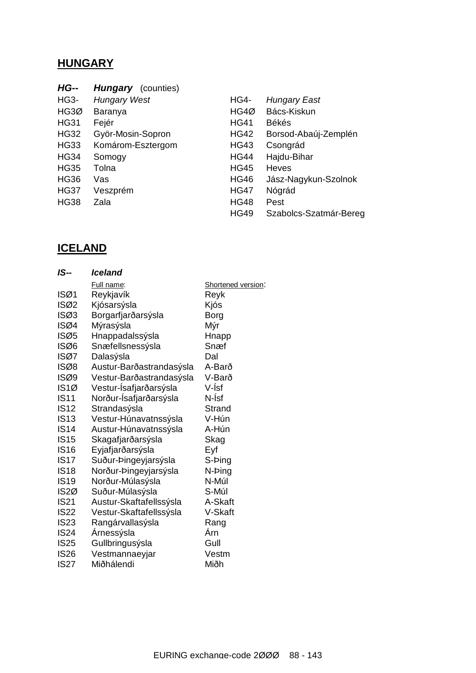# **HUNGARY**

| <b>HG--</b> | <b>Hungary</b> (counties) |             |                        |
|-------------|---------------------------|-------------|------------------------|
| <b>HG3-</b> | <b>Hungary West</b>       | <b>HG4-</b> | <b>Hungary East</b>    |
| HG3Ø        | Baranya                   | HG4Ø        | Bács-Kiskun            |
| <b>HG31</b> | Fejér                     | <b>HG41</b> | <b>Békés</b>           |
| <b>HG32</b> | Györ-Mosin-Sopron         | <b>HG42</b> | Borsod-Abaúj-Zemplén   |
| <b>HG33</b> | Komárom-Esztergom         | <b>HG43</b> | Csongrád               |
| <b>HG34</b> | Somogy                    | <b>HG44</b> | Hajdu-Bihar            |
| <b>HG35</b> | Tolna                     | <b>HG45</b> | <b>Heves</b>           |
| <b>HG36</b> | Vas                       | <b>HG46</b> | Jász-Nagykun-Szolnok   |
| <b>HG37</b> | Veszprém                  | <b>HG47</b> | Nógrád                 |
| <b>HG38</b> | Zala                      | <b>HG48</b> | Pest                   |
|             |                           | <b>HG49</b> | Szabolcs-Szatmár-Bereg |

# **ICELAND**

| IS--              | <b>Iceland</b>           |                    |
|-------------------|--------------------------|--------------------|
|                   | Full name:               | Shortened version: |
| ISØ1              | Reykjavík                | Reyk               |
| ISØ2              | Kjósarsýsla              | Kjós               |
| ISØ3              | Borgarfjarðarsýsla       | <b>Borg</b>        |
| ISØ4              | Mýrasýsla                | Mýr                |
| ISØ5              | Hnappadalssýsla          | Hnapp              |
| ISØ6              | Snæfellsnessýsla         | Snæf               |
| ISØ7              | Dalasýsla                | Dal                |
| ISØ8              | Austur-Barðastrandasýsla | A-Barð             |
| ISØ9              | Vestur-Barðastrandasýsla | V-Barð             |
| IS1Ø              | Vestur-İsafjarðarsýsla   | V-Ísf              |
| <b>IS11</b>       | Norður-Ísafjarðarsýsla   | N-Ísf              |
| IS12              | Strandasýsla             | Strand             |
| <b>IS13</b>       | Vestur-Húnavatnssýsla    | V-Hún              |
| <b>IS14</b>       | Austur-Húnavatnssýsla    | A-Hún              |
| <b>IS15</b>       | Skagafjarðarsýsla        | Skag               |
| <b>IS16</b>       | Eyjafjarðarsýsla         | Eyf                |
| <b>IS17</b>       | Suður-Þingeyjarsýsla     | S-Þing             |
| <b>IS18</b>       | Norður-Þingeyjarsýsla    | N-Ping             |
| <b>IS19</b>       | Norður-Múlasýsla         | N-Múl              |
| IS <sub>2</sub> Ø | Suður-Múlasýsla          | S-Múl              |
| <b>IS21</b>       | Austur-Skaftafellssýsla  | A-Skaft            |
| <b>IS22</b>       | Vestur-Skaftafellssýsla  | V-Skaft            |
| <b>IS23</b>       | Rangárvallasýsla         | Rang               |
| <b>IS24</b>       | Árnessýsla               | Árn                |
| <b>IS25</b>       | Gullbringusýsla          | Gull               |
| <b>IS26</b>       | Vestmannaeyjar           | Vestm              |
| IS <sub>27</sub>  | Miðhálendi               | Miðh               |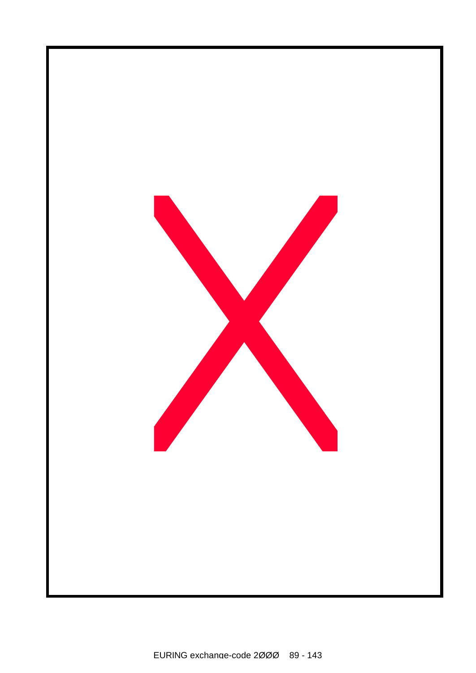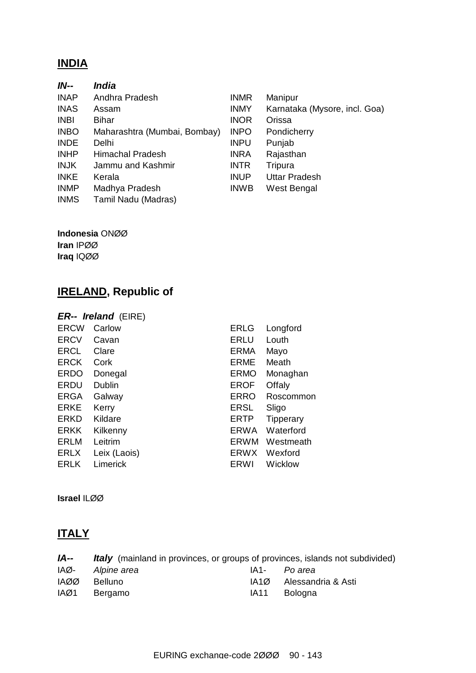### **INDIA**

| India                        |             |                               |
|------------------------------|-------------|-------------------------------|
| Andhra Pradesh               | <b>INMR</b> | Manipur                       |
| Assam                        | <b>INMY</b> | Karnataka (Mysore, incl. Goa) |
| <b>Bihar</b>                 | <b>INOR</b> | Orissa                        |
| Maharashtra (Mumbai, Bombay) | <b>INPO</b> | Pondicherry                   |
| Delhi                        | <b>INPU</b> | Punjab                        |
| <b>Himachal Pradesh</b>      | <b>INRA</b> | Rajasthan                     |
| Jammu and Kashmir            | <b>INTR</b> | Tripura                       |
| Kerala                       | <b>INUP</b> | <b>Uttar Pradesh</b>          |
| Madhya Pradesh               | <b>INWB</b> | West Bengal                   |
| Tamil Nadu (Madras)          |             |                               |
|                              |             |                               |

**Indonesia** ONØØ **Iran** IPØØ

**Iraq** IQØØ

# **IRELAND, Republic of**

### *ER-- Ireland* (EIRE)

| <b>ERCW</b> | Carlow        | <b>ERLG</b> | Longford         |
|-------------|---------------|-------------|------------------|
| <b>ERCV</b> | Cavan         | <b>ERLU</b> | Louth            |
| <b>ERCL</b> | Clare         | <b>ERMA</b> | Mayo             |
| <b>ERCK</b> | Cork          | <b>ERME</b> | Meath            |
| <b>ERDO</b> | Donegal       | <b>ERMO</b> | Monaghan         |
| <b>ERDU</b> | <b>Dublin</b> | <b>EROF</b> | Offaly           |
| <b>ERGA</b> | Galway        | <b>ERRO</b> | Roscommon        |
| <b>ERKE</b> | Kerry         | <b>ERSL</b> | Sligo            |
| <b>ERKD</b> | Kildare       | <b>ERTP</b> | <b>Tipperary</b> |
| <b>ERKK</b> | Kilkenny      | <b>ERWA</b> | Waterford        |
| ERLM        | Leitrim       | <b>ERWM</b> | Westmeath        |
| <b>ERLX</b> | Leix (Laois)  | ERWX        | Wexford          |
| <b>ERLK</b> | Limerick      | ERWI        | Wicklow          |
|             |               |             |                  |

**Israel** ILØØ

# **ITALY**

| IA-- | <i>Italy</i> (mainland in provinces, or groups of provinces, islands not subdivided) |      |                    |
|------|--------------------------------------------------------------------------------------|------|--------------------|
| IAØ- | Alpine area                                                                          |      | IA1- Po area       |
| IAØØ | <b>Belluno</b>                                                                       | IA1Ø | Alessandria & Asti |
| IAØ1 | Bergamo                                                                              | IA11 | Bologna            |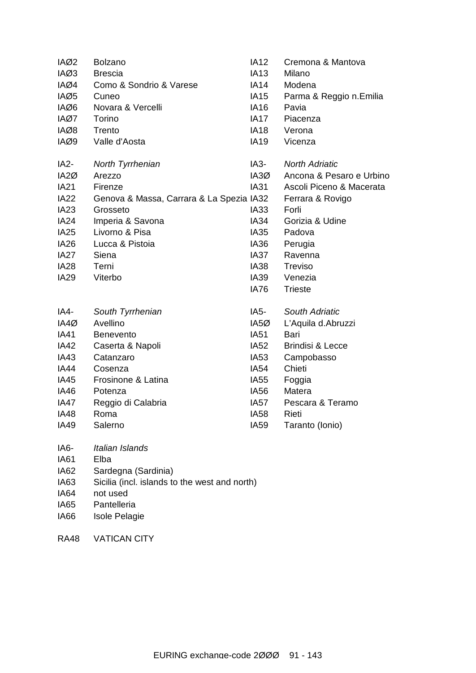| IAØ2              | <b>Bolzano</b>                                | <b>IA12</b>      | Cremona & Mantova           |
|-------------------|-----------------------------------------------|------------------|-----------------------------|
| IAØ3              | <b>Brescia</b>                                | <b>IA13</b>      | Milano                      |
| IAØ4              | Como & Sondrio & Varese                       | IA14             | Modena                      |
| IAØ5              | Cuneo                                         | <b>IA15</b>      | Parma & Reggio n.Emilia     |
| IAØ6              | Novara & Vercelli                             | <b>IA16</b>      | Pavia                       |
| IAØ7              | Torino                                        | IA17             | Piacenza                    |
| IAØ8              | Trento                                        | IA18             | Verona                      |
| IAØ9              | Valle d'Aosta                                 | <b>IA19</b>      | Vicenza                     |
| IA <sub>2</sub> - | North Tyrrhenian                              | IA3-             | <b>North Adriatic</b>       |
| IA <sub>2</sub> Ø | Arezzo                                        | IA3Ø             | Ancona & Pesaro e Urbino    |
| <b>IA21</b>       | Firenze                                       | IA31             | Ascoli Piceno & Macerata    |
| <b>IA22</b>       | Genova & Massa, Carrara & La Spezia IA32      |                  | Ferrara & Rovigo            |
| IA <sub>23</sub>  | Grosseto                                      | IA33             | Forli                       |
| <b>IA24</b>       | Imperia & Savona                              | IA34             | Gorizia & Udine             |
| IA <sub>25</sub>  | Livorno & Pisa                                | IA35             | Padova                      |
| IA <sub>26</sub>  | Lucca & Pistoia                               | IA36             | Perugia                     |
| IA <sub>27</sub>  | Siena                                         | IA37             | Ravenna                     |
| <b>IA28</b>       | Terni                                         | IA38             | Treviso                     |
| <b>IA29</b>       | Viterbo                                       | IA39             | Venezia                     |
|                   |                                               | IA76             | <b>Trieste</b>              |
| IA4-              | South Tyrrhenian                              | IA5-             | South Adriatic              |
| IA4Ø              | Avellino                                      | IA5Ø             | L'Aquila d.Abruzzi          |
| IA41              | <b>Benevento</b>                              | IA51             | Bari                        |
| <b>IA42</b>       | Caserta & Napoli                              | IA52             | <b>Brindisi &amp; Lecce</b> |
| IA43              | Catanzaro                                     | IA53             | Campobasso                  |
| IA44              | Cosenza                                       | IA54             | Chieti                      |
| IA45              | Frosinone & Latina                            | IA55             | Foggia                      |
| <b>IA46</b>       | Potenza                                       | IA56             | Matera                      |
| IA47              | Reggio di Calabria                            | IA57             | Pescara & Teramo            |
| <b>IA48</b>       | Roma                                          | IA <sub>58</sub> | Rieti                       |
| IA49              | Salerno                                       | IA <sub>59</sub> | Taranto (Ionio)             |
| IA6-              | Italian Islands                               |                  |                             |
| <b>IA61</b>       | Elba                                          |                  |                             |
| IA62              | Sardegna (Sardinia)                           |                  |                             |
| IA63              | Sicilia (incl. islands to the west and north) |                  |                             |
| <b>IA64</b>       | not used                                      |                  |                             |
| IA65              | Pantelleria                                   |                  |                             |

- IA66 Isole Pelagie
- RA48 VATICAN CITY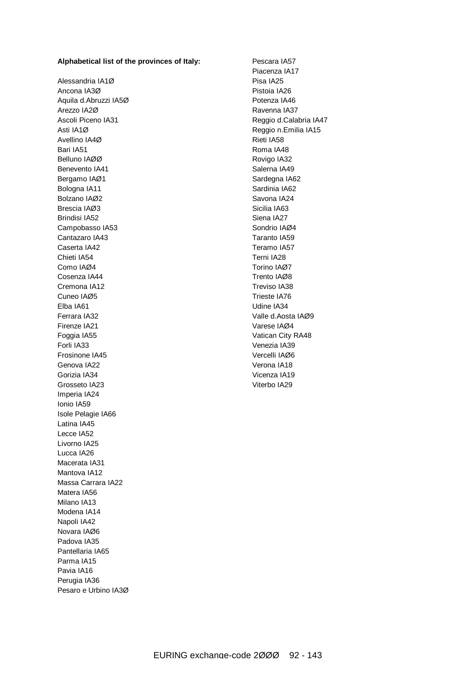#### **Alphabetical list of the provinces of Italy:**

Alessandria IA1Ø Ancona IA3Ø Aquila d.Abruzzi IA5Ø Arezzo IA2Ø Ascoli Piceno IA31 Asti IA1Ø Avellino IA4Ø Bari IA51 Belluno IAØØ Benevento IA41 Bergamo IAØ1 Bologna IA11 Bolzano IAØ2 Brescia IAØ3 Brindisi IA52 Campobasso IA53 Cantazaro IA43 Caserta IA42 Chieti IA54 Como IAØ4 Cosenza IA44 Cremona IA12 Cuneo IAØ5 Elba IA61 Ferrara IA32 Firenze IA21 Foggia IA55 Forli IA33 Frosinone IA45 Genova IA22 Gorizia IA34 Grosseto IA23 Imperia IA24 Ionio IA59 Isole Pelagie IA66 Latina IA45 Lecce IA52 Livorno IA25 Lucca IA26 Macerata IA31 Mantova IA12 Massa Carrara IA22 Matera IA56 Milano IA13 Modena IA14 Napoli IA42 Novara IAØ6 Padova IA35 Pantellaria IA65 Parma IA15 Pavia IA16 Perugia IA36 Pesaro e Urbino IA3Ø

Pescara IA57 Piacenza IA17 Pisa IA25 Pistoia IA26 Potenza IA46 Ravenna IA37 Reggio d.Calabria IA47 Reggio n.Emilia IA15 Rieti IA58 Roma IA48 Rovigo IA32 Salerna IA49 Sardegna IA62 Sardinia IA62 Savona IA24 Sicilia IA63 Siena IA27 Sondrio IAØ4 Taranto IA59 Teramo IA57 Terni IA28 Torino IAØ7 Trento IAØ8 Treviso IA38 Trieste IA76 Udine IA34 Valle d.Aosta IAØ9 Varese IAØ4 Vatican City RA48 Venezia IA39 Vercelli IAØ6 Verona IA18 Vicenza IA19 Viterbo IA29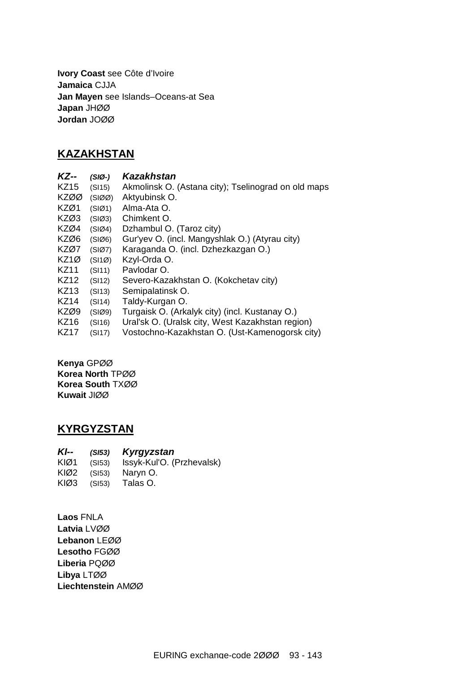**Ivory Coast** see Côte d'Ivoire **Jamaica** CJJA **Jan Mayen** see Islands–Oceans-at Sea **Japan** JHØØ **Jordan** JOØØ

### **KAZAKHSTAN**

| <b>KZ--</b> | $(SIO-)$ | Kazakhstan                                          |
|-------------|----------|-----------------------------------------------------|
| <b>KZ15</b> | (SI15)   | Akmolinsk O. (Astana city); Tselinograd on old maps |
| <b>KZØØ</b> | (SIØO)   | Aktyubinsk O.                                       |
| KZØ1        | (SIØ1)   | Alma-Ata O.                                         |
| KZØ3        | (SIØ3)   | Chimkent O.                                         |
| KZØ4        | (SIØ4)   | Dzhambul O. (Taroz city)                            |
| KZØ6        | (SIØ6)   | Gur'yev O. (incl. Mangyshlak O.) (Atyrau city)      |
| KZØ7        | (SIØ7)   | Karaganda O. (incl. Dzhezkazgan O.)                 |
| KZ1Ø        | (SI1Ø)   | Kzyl-Orda O.                                        |
| KZ11        | (SI11)   | Pavlodar O.                                         |
| KZ12        | (SI12)   | Severo-Kazakhstan O. (Kokchetav city)               |
| KZ13        | (SI13)   | Semipalatinsk O.                                    |
| <b>KZ14</b> | (SI14)   | Taldy-Kurgan O.                                     |
| KZØ9        | (SIØ9)   | Turgaisk O. (Arkalyk city) (incl. Kustanay O.)      |
| KZ16        | (SI16)   | Ural'sk O. (Uralsk city, West Kazakhstan region)    |
| <b>KZ17</b> | (SI17)   | Vostochno-Kazakhstan O. (Ust-Kamenogorsk city)      |

**Kenya** GPØØ **Korea North** TPØØ **Korea South** TXØØ **Kuwait** JIØØ

### **KYRGYZSTAN**

| $Kl-$ |        | $(S153)$ Kyrgyzstan       |
|-------|--------|---------------------------|
| KIØ1  | (SI53) | Issyk-Kul'O. (Przhevalsk) |
| KIØ2  | (SI53) | Naryn O.                  |
| KIØ3  | (SI53) | Talas O.                  |

**Laos** FNLA **Latvia** LVØØ **Lebanon** LEØØ **Lesotho** FGØØ **Liberia** PQØØ **Libya** LTØØ **Liechtenstein** AMØØ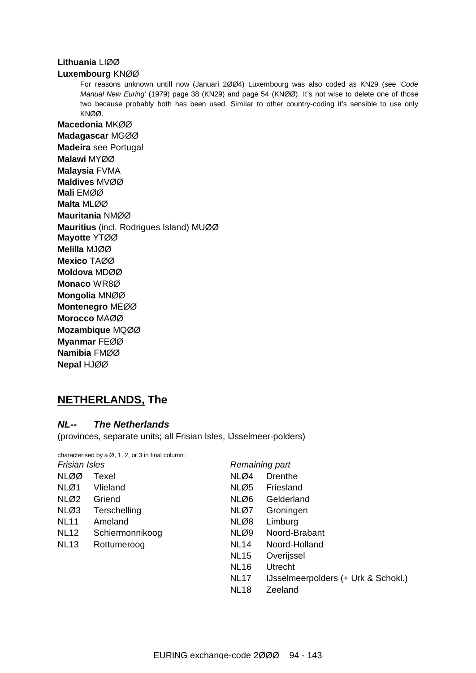#### **Lithuania** LIØØ

#### **Luxembourg** KNØØ

For reasons unknown untill now (Januari 2ØØ4) Luxembourg was also coded as KN29 (see '*Code Manual New Euring*' (1979) page 38 (KN29) and page 54 (KNØØ). It's not wise to delete one of those two because probably both has been used. Similar to other country-coding it's sensible to use only KNØØ.

**Macedonia** MKØØ **Madagascar** MGØØ **Madeira** see Portugal **Malawi** MYØØ **Malaysia** FVMA **Maldives** MVØØ **Mali** EMØØ **Malta** MLØØ **Mauritania** NMØØ **Mauritius** (incl. Rodrigues Island) MUØØ **Mayotte** YTØØ **Melilla** MJØØ **Mexico** TAØØ **Moldova** MDØØ **Monaco** WR8Ø **Mongolia** MNØØ **Montenegro** MEØØ **Morocco** MAØØ **Mozambique** MQØØ **Myanmar** FEØØ **Namibia** FMØØ **Nepal** HJØØ

### **NETHERLANDS, The**

#### *NL-- The Netherlands*

(provinces, separate units; all Frisian Isles, IJsselmeer-polders)

|                      | characterised by a $\varnothing$ , 1, 2, or 3 in final column: |             |                                     |  |  |
|----------------------|----------------------------------------------------------------|-------------|-------------------------------------|--|--|
| <b>Frisian Isles</b> |                                                                |             | Remaining part                      |  |  |
| NLØØ                 | Texel                                                          | NLØ4        | Drenthe                             |  |  |
| NLØ1                 | Vlieland                                                       | NLØ5        | Friesland                           |  |  |
| NLØ2                 | Griend                                                         | NLØ6        | Gelderland                          |  |  |
| NLØ3                 | Terschelling                                                   | NLØ7        | Groningen                           |  |  |
| <b>NL11</b>          | Ameland                                                        | NLØ8        | Limburg                             |  |  |
| <b>NL12</b>          | Schiermonnikoog                                                | NLØ9        | Noord-Brabant                       |  |  |
| <b>NL13</b>          | Rottumeroog                                                    | <b>NL14</b> | Noord-Holland                       |  |  |
|                      |                                                                | <b>NL15</b> | Overijssel                          |  |  |
|                      |                                                                | <b>NL16</b> | Utrecht                             |  |  |
|                      |                                                                | <b>NL17</b> | IJsselmeerpolders (+ Urk & Schokl.) |  |  |
|                      |                                                                | <b>NL18</b> | Zeeland                             |  |  |
|                      |                                                                |             |                                     |  |  |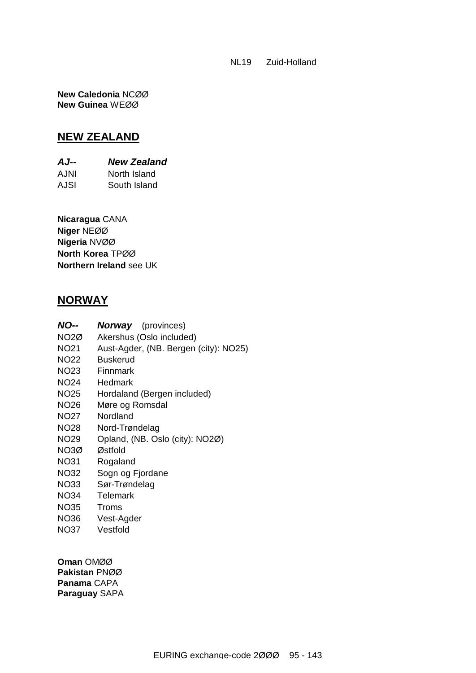NL19 Zuid-Holland

**New Caledonia** NCØØ **New Guinea** WEØØ

### **NEW ZEALAND**

*AJ-- New Zealand*  AJNI North Island AJSI South Island

**Nicaragua** CANA **Niger** NEØØ **Nigeria** NVØØ **North Korea** TPØØ **Northern Ireland** see UK

### **NORWAY**

| NO--             | <b>Norway</b> (provinces)             |
|------------------|---------------------------------------|
| NO2Ø             | Akershus (Oslo included)              |
| NO <sub>21</sub> | Aust-Agder, (NB. Bergen (city): NO25) |
| <b>NO22</b>      | <b>Buskerud</b>                       |
| NO23             | Finnmark                              |
| <b>NO24</b>      | Hedmark                               |
| <b>NO25</b>      | Hordaland (Bergen included)           |
| <b>NO26</b>      | Møre og Romsdal                       |
| NO27             | Nordland                              |
| <b>NO28</b>      | Nord-Trøndelag                        |
| <b>NO29</b>      | Opland, (NB. Oslo (city): NO2Ø)       |
| NO3Ø             | Østfold                               |
| <b>NO31</b>      | Rogaland                              |
| <b>NO32</b>      | Sogn og Fjordane                      |
| <b>NO33</b>      | Sør-Trøndelag                         |
| NO34             | Telemark                              |
|                  |                                       |

- NO35 Troms
- NO36 Vest-Agder
- NO37 Vestfold

**Oman** OMØØ **Pakistan** PNØØ **Panama** CAPA **Paraguay** SAPA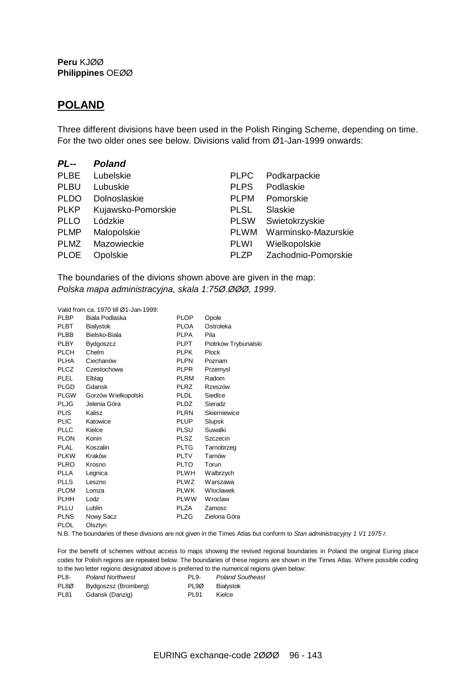**Peru** KJØØ **Philippines** OEØØ

### **POLAND**

Three different divisions have been used in the Polish Ringing Scheme, depending on time. For the two older ones see below. Divisions valid from Ø1-Jan-1999 onwards:

| $PL -$      | <b>Poland</b>      |             |                     |
|-------------|--------------------|-------------|---------------------|
| <b>PLBE</b> | Lubelskie          | <b>PLPC</b> | Podkarpackie        |
| <b>PLBU</b> | Lubuskie           | <b>PLPS</b> | Podlaskie           |
| <b>PLDO</b> | Dolnoslaskie       | <b>PLPM</b> | Pomorskie           |
| <b>PLKP</b> | Kujawsko-Pomorskie | <b>PLSL</b> | Slaskie             |
| <b>PLLO</b> | Lódzkie            | <b>PLSW</b> | Swietokrzyskie      |
| <b>PLMP</b> | Malopolskie        | <b>PLWM</b> | Warminsko-Mazurskie |
| <b>PLMZ</b> | Mazowieckie        | <b>PLWI</b> | Wielkopolskie       |
| <b>PLOE</b> | Opolskie           | PLZP        | Zachodnio-Pomorskie |

The boundaries of the divions shown above are given in the map: *Polska mapa administracyjna, skala 1:75Ø.ØØØ, 1999*.

Valid from ca. 1970 till Ø1-Jan-1999:

| <b>PLBP</b> | Biala Podlaska      | <b>PLOP</b> | Opole                |
|-------------|---------------------|-------------|----------------------|
| <b>PLBT</b> | <b>Bialystok</b>    | <b>PLOA</b> | Ostroleka            |
| PLBB        | Bielsko-Biala       | <b>PLPA</b> | Pila                 |
| PLBY        | <b>Bydgoszcz</b>    | PLPT        | Piotrków Trybunalski |
| <b>PLCH</b> | Chelm               | <b>PLPK</b> | Plock                |
| <b>PLHA</b> | Ciechanów           | <b>PLPN</b> | Poznam               |
| <b>PLCZ</b> | Czestochowa         | <b>PLPR</b> | Przemysl             |
| PLEL        | Elblag              | PLRM        | Radom                |
| <b>PLGD</b> | Gdansk              | <b>PLRZ</b> | Rzeszów              |
| <b>PLGW</b> | Gorzów Wielkopolski | <b>PLDL</b> | Siedlce              |
| <b>PLJG</b> | Jelenia Góra        | PLDZ        | Sieradz              |
| <b>PLIS</b> | Kalisz              | PLRN        | Skierniewice         |
| <b>PLIC</b> | Katowice            | <b>PLUP</b> | Slupsk               |
| <b>PLLC</b> | Kielce              | PLSU        | Suwalki              |
| <b>PLON</b> | Konin               | PLSZ        | Szczecin             |
| <b>PLAL</b> | Koszalin            | PLTG        | Tarnobrzeg           |
| <b>PLKW</b> | Kraków              | <b>PLTV</b> | Tarnów               |
| <b>PLRO</b> | Krosno              | PLTO        | Torun                |
| <b>PLLA</b> | Legnica             | <b>PLWH</b> | Walbrzych            |
| <b>PLLS</b> | Leszno              | PLWZ        | Warszawa             |
| <b>PLOM</b> | Lomza               | PLWK        | Wloclawek            |
| PLHH        | Lodz                | <b>PLWW</b> | Wroclaw              |
| PLLU        | Lublin              | PLZA        | Zamosc               |
| PLNS        | Nowy Sacz           | PLZG        | Zielona Góra         |
| PLOL        | Olsztvn             |             |                      |

N.B. The boundaries of these divisions are not given in the Times Atlas but conform to *Stan administracyjny 1 V1 1975 r.*

For the benefit of schemes without access to maps showing the revised regional boundaries in Poland the original Euring place codes for Polish regions are repeated below. The boundaries of these regions are shown in the Times Atlas. Where possible coding to the two letter regions designated above is preferred to the numerical regions given below:

| PL <sub>8</sub> - | <b>Poland Northwest</b> | PL <sub>9</sub> - | <b>Poland Southeast</b> |
|-------------------|-------------------------|-------------------|-------------------------|
| PL8Ø              | Bydgoszsz (Bromberg)    | PL9Ø              | Bialystok               |
| <b>PL81</b>       | Gdansk (Danzig)         | PL91              | Kielce                  |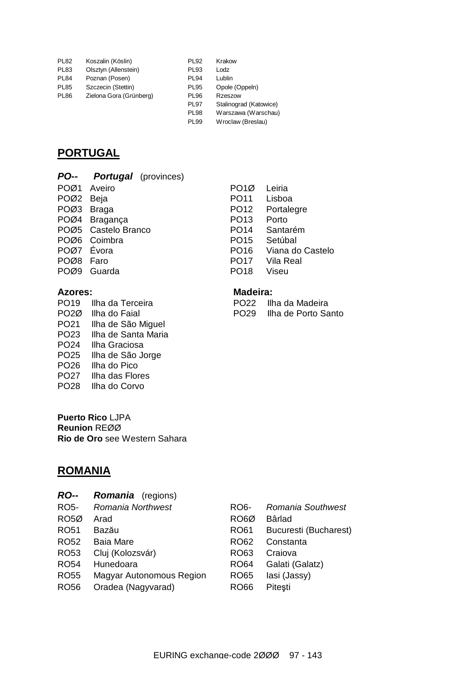| <b>PL82</b> | Koszalin (Köslin)       | <b>PL92</b> | Krakow                 |
|-------------|-------------------------|-------------|------------------------|
| PL83        | Olsztyn (Allenstein)    | <b>PL93</b> | Lodz                   |
| PL84        | Poznan (Posen)          | <b>PL94</b> | Lublin                 |
| PL85        | Szczecin (Stettin)      | <b>PL95</b> | Opole (Oppeln)         |
| PL86        | Zielona Gora (Grünberg) | <b>PL96</b> | Rzeszow                |
|             |                         | <b>PL97</b> | Stalinograd (Katowice) |
|             |                         | <b>PL98</b> | Warszawa (Warschau)    |
|             |                         | <b>PL99</b> | Wroclaw (Breslau)      |
|             |                         |             |                        |

### **PORTUGAL**

| <b>Portugal</b> (provinces) |
|-----------------------------|
|                             |

POØ1 Aveiro PO1Ø Leiria POØ2 Beja PO11 Lisboa POØ3 Braga PO12 Portalegre POØ4 Bragança PO13 Porto POØ5 Castelo Branco PO14 Santarém POØ6 Coimbra PO15 Setúbal POØ8 Faro **PO17** Vila Real POØ9 Guarda PO18 Viseu

### **Azores: Madeira:**

PO19 Ilha da Terceira<br>PO20 Ilha do Faial PO29 Ilha de Porto Sa PO21 Ilha de São Miguel PO23 Ilha de Santa Maria PO24 Ilha Graciosa PO25 Ilha de São Jorge PO26 Ilha do Pico PO27 Ilha das Flores PO28 Ilha do Corvo

**Puerto Rico** LJPA **Reunion** REØØ **Rio de Oro** see Western Sahara

### **ROMANIA**

*RO-- Romania* (regions)

| RO5-        | Romania Northwest        | RO6-              | Romania Southwest     |
|-------------|--------------------------|-------------------|-----------------------|
| RO5Ø        | Arad                     | RO <sub>6</sub> Ø | Bârlad                |
| RO51        | Bazău                    | <b>RO61</b>       | Bucuresti (Bucharest) |
| RO52        | <b>Baia Mare</b>         | <b>RO62</b>       | Constanta             |
| RO53        | Cluj (Kolozsvár)         | RO63              | Craiova               |
| <b>RO54</b> | Hunedoara                | <b>RO64</b>       | Galati (Galatz)       |
| <b>RO55</b> | Magyar Autonomous Region | <b>RO65</b>       | lasi (Jassy)          |
| <b>RO56</b> | Oradea (Nagyvarad)       | <b>RO66</b>       | Pitesti               |
|             |                          |                   |                       |

PO29 Ilha de Porto Santo

PO16 Viana do Castelo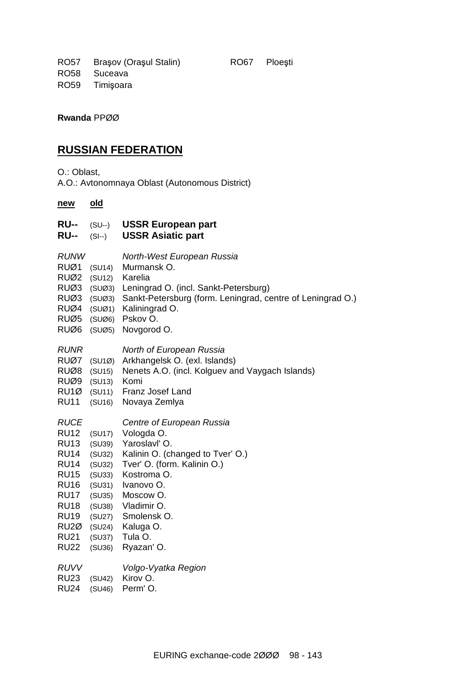RO57 Braşov (Oraşul Stalin) RO67 Ploeşti RO58 Suceava RO59 Timişoara

**Rwanda** PPØØ

### **RUSSIAN FEDERATION**

O.: Oblast,

A.O.: Avtonomnaya Oblast (Autonomous District)

#### **new old**

| <b>RU--</b><br><b>RU--</b>                                                                                                                                                                     | $(SU--)$<br>$(SI--)$                                                                                                 | <b>USSR European part</b><br><b>USSR Asiatic part</b>                                                                                                                                                                                     |
|------------------------------------------------------------------------------------------------------------------------------------------------------------------------------------------------|----------------------------------------------------------------------------------------------------------------------|-------------------------------------------------------------------------------------------------------------------------------------------------------------------------------------------------------------------------------------------|
| <b>RUNW</b><br>RUØ1<br>RUØ2<br>RUØ3<br>RUØ3<br>RUØ4<br>RUØ5<br>RUØ6                                                                                                                            | (SU14)<br>(SU12)<br>(SUØ3)<br>(SUØ1)<br>(SUØ6)<br>(SUØ5)                                                             | North-West European Russia<br>Murmansk O.<br>Karelia<br>(SUØ3) Leningrad O. (incl. Sankt-Petersburg)<br>Sankt-Petersburg (form. Leningrad, centre of Leningrad O.)<br>Kaliningrad O.<br>Pskov O.<br>Novgorod O.                           |
| <b>RUNR</b><br>RUØ7<br>RUØ8<br>RUØ9<br>RU1Ø<br><b>RU11</b>                                                                                                                                     | (SU1Ø)<br>(SU15)<br>(SU13)<br>(SU11)<br>(SU16)                                                                       | North of European Russia<br>Arkhangelsk O. (exl. Islands)<br>Nenets A.O. (incl. Kolguev and Vaygach Islands)<br>Komi<br><b>Franz Josef Land</b><br>Novaya Zemlya                                                                          |
| <b>RUCE</b><br><b>RU12</b><br><b>RU13</b><br><b>RU14</b><br><b>RU14</b><br><b>RU15</b><br><b>RU16</b><br>RU17<br><b>RU18</b><br><b>RU19</b><br>RU <sub>2</sub> Ø<br><b>RU21</b><br><b>RU22</b> | (SU17)<br>(SU39)<br>(SU32)<br>(SU32)<br>(SU33)<br>(SU31)<br>(SU35)<br>(SU38)<br>(SU27)<br>(SU24)<br>(SU37)<br>(SU36) | Centre of European Russia<br>Vologda O.<br>Yaroslavl' O.<br>Kalinin O. (changed to Tver' O.)<br>Tver' O. (form. Kalinin O.)<br>Kostroma O.<br>Ivanovo O.<br>Moscow O.<br>Vladimir O.<br>Smolensk O.<br>Kaluga O.<br>Tula O.<br>Ryazan' O. |
| <b>RUVV</b><br><b>RU23</b><br><b>RU24</b>                                                                                                                                                      | (SU42)<br>(SU46)                                                                                                     | Volgo-Vyatka Region<br>Kirov O.<br>Perm' O.                                                                                                                                                                                               |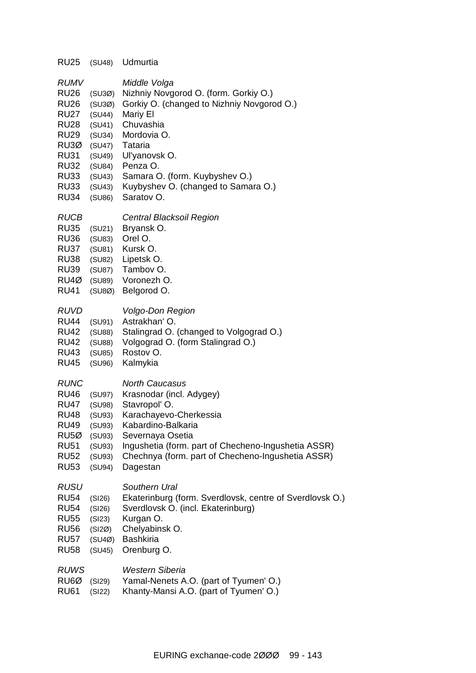| <b>RU25</b>                                                                                                                                                               | (SU48)                                                                                                     | Udmurtia                                                                                                                                                                                                                                                                   |
|---------------------------------------------------------------------------------------------------------------------------------------------------------------------------|------------------------------------------------------------------------------------------------------------|----------------------------------------------------------------------------------------------------------------------------------------------------------------------------------------------------------------------------------------------------------------------------|
| <b>RUMV</b><br><b>RU26</b><br><b>RU26</b><br><b>RU27</b><br><b>RU28</b><br><b>RU29</b><br>RU3Ø<br><b>RU31</b><br><b>RU32</b><br><b>RU33</b><br><b>RU33</b><br><b>RU34</b> | (SU3Ø)<br>(SU3Ø)<br>(SU44)<br>(SU41)<br>(SU34)<br>(SU47)<br>(SU49)<br>(SU84)<br>(SU43)<br>(SU43)<br>(SU86) | Middle Volga<br>Nizhniy Novgorod O. (form. Gorkiy O.)<br>Gorkiy O. (changed to Nizhniy Novgorod O.)<br>Mariy El<br>Chuvashia<br>Mordovia O.<br>Tataria<br>Ul'yanovsk O.<br>Penza O.<br>Samara O. (form. Kuybyshev O.)<br>Kuybyshev O. (changed to Samara O.)<br>Saratov O. |
| RUCB<br><b>RU35</b><br><b>RU36</b><br><b>RU37</b><br><b>RU38</b><br><b>RU39</b><br>RU4Ø<br><b>RU41</b>                                                                    | (SU21)<br>(SU83)<br>(SU81)<br>(SU82)<br>(SU87)<br>(SU89)<br>(SUBØ)                                         | Central Blacksoil Region<br>Bryansk O.<br>Orel O.<br>Kursk O.<br>Lipetsk O.<br>Tambov O.<br>Voronezh O.<br>Belgorod O.                                                                                                                                                     |
| <b>RUVD</b><br><b>RU44</b><br><b>RU42</b><br><b>RU42</b><br><b>RU43</b><br><b>RU45</b>                                                                                    | (SU91)<br>(SU88)<br>(SU88)<br>(SU85)<br>(SU96)                                                             | <b>Volgo-Don Region</b><br>Astrakhan' O.<br>Stalingrad O. (changed to Volgograd O.)<br>Volgograd O. (form Stalingrad O.)<br>Rostov O.<br>Kalmykia                                                                                                                          |
| <b>RUNC</b><br><b>RU46</b><br><b>RU47</b><br><b>RU48</b><br><b>RU49</b><br>RU <sub>5Ø</sub><br><b>RU51</b><br><b>RU52</b><br><b>RU53</b>                                  | (SU97)<br>(SU98)<br>(SU93)<br>(SU93)<br>(SU93)<br>(SU93)<br>(SU93)<br>(SU94)                               | <b>North Caucasus</b><br>Krasnodar (incl. Adygey)<br>Stavropol' O.<br>Karachayevo-Cherkessia<br>Kabardino-Balkaria<br>Severnaya Osetia<br>Ingushetia (form. part of Checheno-Ingushetia ASSR)<br>Chechnya (form. part of Checheno-Ingushetia ASSR)<br>Dagestan             |
| <b>RUSU</b><br><b>RU54</b><br><b>RU54</b><br><b>RU55</b><br><b>RU56</b><br><b>RU57</b><br><b>RU58</b>                                                                     | (SI26)<br>(SI26)<br>(SI23)<br>(SI2Ø)<br>(SU4Ø)<br>(SU45)                                                   | Southern Ural<br>Ekaterinburg (form. Sverdlovsk, centre of Sverdlovsk O.)<br>Sverdlovsk O. (incl. Ekaterinburg)<br>Kurgan O.<br>Chelyabinsk O.<br><b>Bashkiria</b><br>Orenburg O.                                                                                          |
| <b>RUWS</b><br>RU <sub>6</sub> Ø<br><b>RU61</b>                                                                                                                           | (SI29)<br>(SI22)                                                                                           | <b>Western Siberia</b><br>Yamal-Nenets A.O. (part of Tyumen' O.)<br>Khanty-Mansi A.O. (part of Tyumen' O.)                                                                                                                                                                 |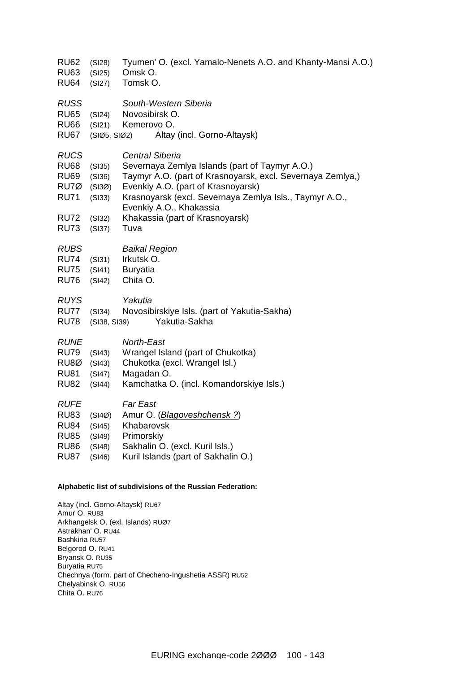- RU62 (SI28) Tyumen' O. (excl. Yamalo-Nenets A.O. and Khanty-Mansi A.O.)
- RU63 (SI25) Omsk O.
- RU64 (SI27) Tomsk O.
- *RUSS South-Western Siberia*
- RU65 (SI24) Novosibirsk O.
- RU66 (SI21) Kemerovo O.
- RU67 (SIØ5, SIØ2) Altay (incl. Gorno-Altaysk)
- *RUCS Central Siberia*
- RU68 (SI35) Severnaya Zemlya Islands (part of Taymyr A.O.)
- RU69 (SI36) Taymyr A.O. (part of Krasnoyarsk, excl. Severnaya Zemlya,)
- RU7Ø (SI3Ø) Evenkiy A.O. (part of Krasnoyarsk)
- RU71 (SI33) Krasnoyarsk (excl. Severnaya Zemlya Isls., Taymyr A.O., Evenkiy A.O., Khakassia
- RU72 (SI32) Khakassia (part of Krasnoyarsk)
- RU73 (SI37) Tuva

| <b>Baikal Region</b> |
|----------------------|
|                      |

- RU74 (SI31) Irkutsk O.
- RU75 (SI41) Buryatia
- RU76 (SI42) Chita O.

| <b>RUYS</b> |        | Yakutia                           |  |
|-------------|--------|-----------------------------------|--|
| <b>DUTT</b> | $\sim$ | Allance attributions to the first |  |

RU77 (SI34) Novosibirskiye Isls. (part of Yakutia-Sakha) RU78 (SI38, SI39) Yakutia-Sakha

| <b>RUNE</b> | North-East |
|-------------|------------|
|             |            |

- RU79 (SI43) Wrangel Island (part of Chukotka)
- RU8Ø (SI43) Chukotka (excl. Wrangel Isl.)
- RU81 (SI47) Magadan O.
- RU82 (SI44) Kamchatka O. (incl. Komandorskiye Isls.)
- *RUFE Far East*
- RU83 (SI4Ø) Amur O. (*Blagoveshchensk ?*)
- RU84 (SI45) Khabarovsk
- RU85 (SI49) Primorskiy
- RU86 (SI48) Sakhalin O. (excl. Kuril Isls.)
- RU87 (SI46) Kuril Islands (part of Sakhalin O.)

#### **Alphabetic list of subdivisions of the Russian Federation:**

Altay (incl. Gorno-Altaysk) RU67 Amur O. RU83 Arkhangelsk O. (exl. Islands) RUØ7 Astrakhan' O. RU44 Bashkiria RU57 Belgorod O. RU41 Bryansk O. RU35 Buryatia RU75 Chechnya (form. part of Checheno-Ingushetia ASSR) RU52 Chelyabinsk O. RU56 Chita O. RU76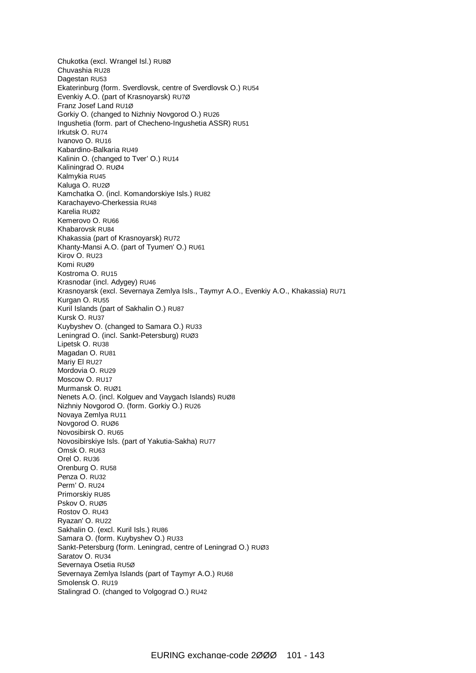Chukotka (excl. Wrangel Isl.) RU8Ø Chuvashia RU28 Dagestan RU53 Ekaterinburg (form. Sverdlovsk, centre of Sverdlovsk O.) RU54 Evenkiy A.O. (part of Krasnoyarsk) RU7Ø Franz Josef Land RU1Ø Gorkiy O. (changed to Nizhniy Novgorod O.) RU26 Ingushetia (form. part of Checheno-Ingushetia ASSR) RU51 Irkutsk O. RU74 Ivanovo O. RU16 Kabardino-Balkaria RU49 Kalinin O. (changed to Tver' O.) RU14 Kaliningrad O. RUØ4 Kalmykia RU45 Kaluga O. RU2Ø Kamchatka O. (incl. Komandorskiye Isls.) RU82 Karachayevo-Cherkessia RU48 Karelia RUØ2 Kemerovo O. RU66 Khabarovsk RU84 Khakassia (part of Krasnoyarsk) RU72 Khanty-Mansi A.O. (part of Tyumen' O.) RU61 Kirov O. RU23 Komi RUØ9 Kostroma O. RU15 Krasnodar (incl. Adygey) RU46 Krasnoyarsk (excl. Severnaya Zemlya Isls., Taymyr A.O., Evenkiy A.O., Khakassia) RU71 Kurgan O. RU55 Kuril Islands (part of Sakhalin O.) RU87 Kursk O. RU37 Kuybyshev O. (changed to Samara O.) RU33 Leningrad O. (incl. Sankt-Petersburg) RUØ3 Lipetsk O. RU38 Magadan O. RU81 Mariy El RU27 Mordovia O. RU29 Moscow O. RU17 Murmansk O. RUØ1 Nenets A.O. (incl. Kolguev and Vaygach Islands) RUØ8 Nizhniy Novgorod O. (form. Gorkiy O.) RU26 Novaya Zemlya RU11 Novgorod O. RUØ6 Novosibirsk O. RU65 Novosibirskiye Isls. (part of Yakutia-Sakha) RU77 Omsk O. RU63 Orel O. RU36 Orenburg O. RU58 Penza O. RU32 Perm' O. RU24 Primorskiy RU85 Pskov O. RUØ5 Rostov O. RU43 Ryazan' O. RU22 Sakhalin O. (excl. Kuril Isls.) RU86 Samara O. (form. Kuybyshev O.) RU33 Sankt-Petersburg (form. Leningrad, centre of Leningrad O.) RUØ3 Saratov O. RU34 Severnaya Osetia RU5Ø Severnaya Zemlya Islands (part of Taymyr A.O.) RU68 Smolensk O. RU19 Stalingrad O. (changed to Volgograd O.) RU42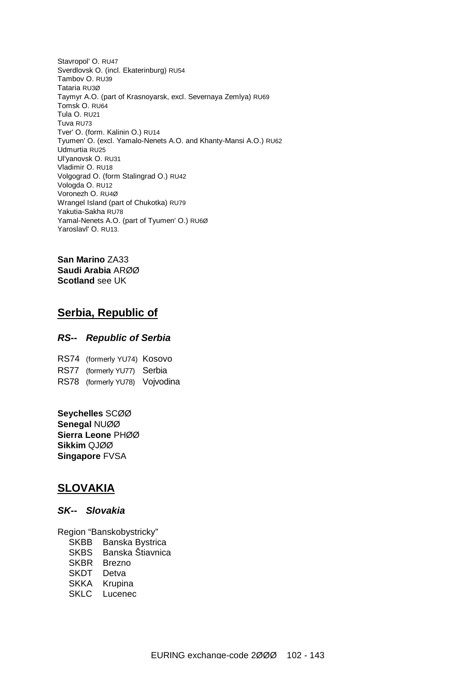Stavropol' O. RU47 Sverdlovsk O. (incl. Ekaterinburg) RU54 Tambov O. RU39 Tataria RU3Ø Taymyr A.O. (part of Krasnoyarsk, excl. Severnaya Zemlya) RU69 Tomsk O. RU64 Tula O. RU21 Tuva RU73 Tver' O. (form. Kalinin O.) RU14 Tyumen' O. (excl. Yamalo-Nenets A.O. and Khanty-Mansi A.O.) RU62 Udmurtia RU25 Ul'yanovsk O. RU31 Vladimir O. RU18 Volgograd O. (form Stalingrad O.) RU42 Vologda O. RU12 Voronezh O. RU4Ø Wrangel Island (part of Chukotka) RU79 Yakutia-Sakha RU78 Yamal-Nenets A.O. (part of Tyumen' O.) RU6Ø Yaroslavl' O. RU13.

**San Marino** ZA33 **Saudi Arabia** ARØØ **Scotland** see UK

### **Serbia, Republic of**

#### *RS-- Republic of Serbia*

RS74 (formerly YU74) Kosovo RS77 (formerly YU77) Serbia RS78 (formerly YU78) Vojvodina

**Seychelles** SCØØ **Senegal** NUØØ **Sierra Leone** PHØØ **Sikkim** QJØØ **Singapore** FVSA

### **SLOVAKIA**

#### *SK-- Slovakia*

Region "Banskobystricky"

- SKBB Banska Bystrica
- SKBS Banska Štiavnica
- SKBR Brezno
- SKDT Detva
- SKKA Krupina
- SKLC Lucenec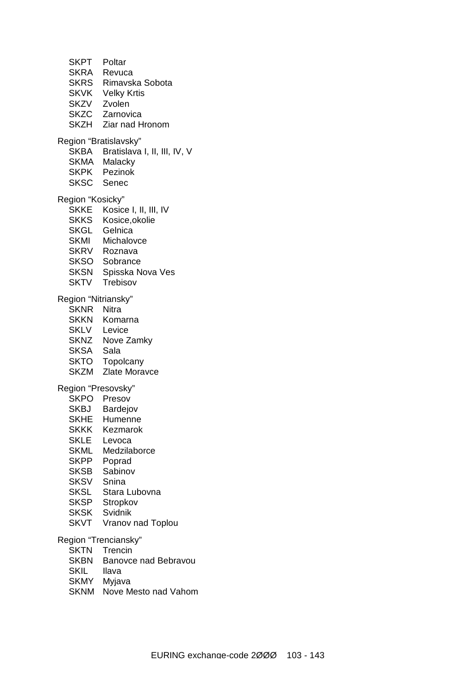SKPT Poltar SKRA Revuca SKRS Rimavska Sobota SKVK Velky Krtis SKZV Zvolen SKZC Zarnovica SKZH Ziar nad Hronom Region "Bratislavsky" SKBA Bratislava I, II, III, IV, V SKMA Malacky SKPK Pezinok SKSC Senec Region "Kosicky" SKKE Kosice I, II, III, IV SKKS Kosice,okolie SKGL Gelnica SKMI Michalovce SKRV Roznava SKSO Sobrance SKSN Spisska Nova Ves SKTV Trebisov Region "Nitriansky" SKNR Nitra SKKN Komarna SKLV Levice SKNZ Nove Zamky SKSA Sala SKTO Topolcany SKZM Zlate Moravce Region "Presovsky" SKPO Presov SKBJ Bardejov SKHE Humenne SKKK Kezmarok SKLE Levoca SKML Medzilaborce SKPP Poprad SKSB Sabinov SKSV Snina SKSL Stara Lubovna SKSP Stropkov SKSK Svidnik SKVT Vranov nad Toplou Region "Trenciansky" SKTN Trencin SKBN Banovce nad Bebravou

- SKIL llava
- SKMY Myjava
- SKNM Nove Mesto nad Vahom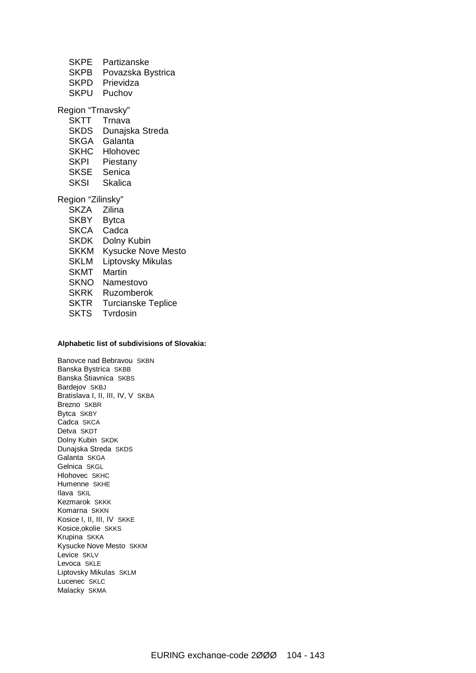- SKPE Partizanske
- SKPB Povazska Bystrica
- SKPD Prievidza
- SKPU Puchov

Region "Trnavsky"

- SKTT Trnava
- SKDS Dunajska Streda
- SKGA Galanta
- SKHC Hlohovec
- SKPI Piestany
- SKSE Senica
- SKSI Skalica

Region "Zilinsky"

SKZA Zilina SKBY Bytca SKCA Cadca SKDK Dolny Kubin SKKM Kysucke Nove Mesto SKLM Liptovsky Mikulas SKMT Martin SKNO Namestovo SKRK Ruzomberok SKTR Turcianske Teplice SKTS Tvrdosin

#### **Alphabetic list of subdivisions of Slovakia:**

Banovce nad Bebravou SKBN Banska Bystrica SKBB Banska Štiavnica SKBS Bardejov SKBJ Bratislava I, II, III, IV, V SKBA Brezno SKBR Bytca SKBY Cadca SKCA Detva SKDT Dolny Kubin SKDK Dunajska Streda SKDS Galanta SKGA Gelnica SKGL Hlohovec SKHC Humenne SKHE Ilava SKIL Kezmarok SKKK Komarna SKKN Kosice I, II, III, IV SKKE Kosice,okolie SKKS Krupina SKKA Kysucke Nove Mesto SKKM Levice SKLV Levoca SKLE Liptovsky Mikulas SKLM Lucenec SKLC Malacky SKMA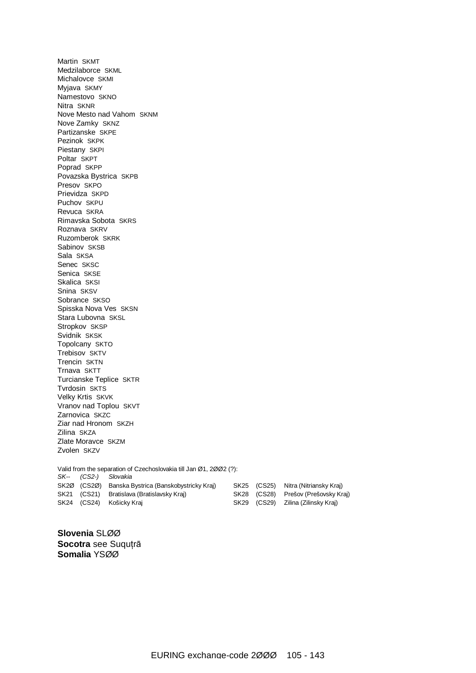Martin SKMT Medzilaborce SKML Michalovce SKMI Myjava SKMY Namestovo SKNO Nitra SKNR Nove Mesto nad Vahom SKNM Nove Zamky SKNZ Partizanske SKPE Pezinok SKPK Piestany SKPI Poltar SKPT Poprad SKPP Povazska Bystrica SKPB Presov SKPO Prievidza SKPD Puchov SKPU Revuca SKRA Rimavska Sobota SKRS Roznava SKRV Ruzomberok SKRK Sabinov SKSB Sala SKSA Senec SKSC Senica SKSE Skalica SKSI Snina SKSV Sobrance SKSO Spisska Nova Ves SKSN Stara Lubovna SKSL Stropkov SKSP Svidnik SKSK Topolcany SKTO Trebisov SKTV Trencin SKTN Trnava SKTT Turcianske Teplice SKTR Tvrdosin SKTS Velky Krtis SKVK Vranov nad Toplou SKVT Zarnovica SKZC Ziar nad Hronom SKZH Zilina SKZA Zlate Moravce SKZM Zvolen SKZV Valid from the separation of Czechoslovakia till Jan Ø1, 2ØØ2 (?): *SK-- (CS2-) Slovakia*  SK2Ø (CS2Ø) Banska Bystrica (Banskobystricky Kraj) SK25 (CS25) Nitra (Nitriansky Kraj) SK21 (CS21) Bratislava (Bratislavsky Kraj) SK28 (CS28) Prešov (Prešovsky Kraj) SK24 (CS24) Košicky Kraj SK29 (CS29) Zilina (Zilinsky Kraj)

**Slovenia** SLØØ **Socotra** see Suquţrā **Somalia** YSØØ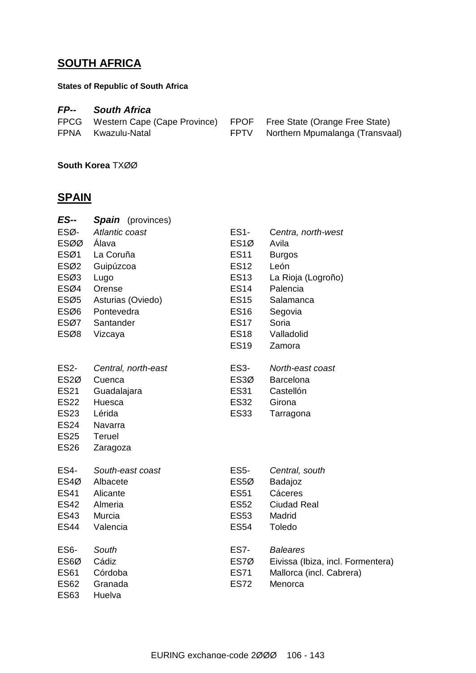# **SOUTH AFRICA**

### **States of Republic of South Africa**

### *FP-- South Africa*

| FPCG Western Cape (Cape Province) FPOF Free State (Orange Free State) |                                      |
|-----------------------------------------------------------------------|--------------------------------------|
| FPNA Kwazulu-Natal                                                    | FPTV Northern Mpumalanga (Transvaal) |

**South Korea** TXØØ

### **SPAIN**

| <b>ES--</b>       | <b>Spain</b> (provinces) |                  |                                   |
|-------------------|--------------------------|------------------|-----------------------------------|
| ESØ-              | Atlantic coast           | <b>ES1-</b>      | Centra, north-west                |
| <b>ESØØ</b>       | Álava                    | ES <sub>1Ø</sub> | Avila                             |
| ESØ1              | La Coruña                | <b>ES11</b>      | <b>Burgos</b>                     |
| ESØ2              | Guipúzcoa                | <b>ES12</b>      | León                              |
| ESØ3              | Lugo                     | <b>ES13</b>      | La Rioja (Logroño)                |
| ESØ4              | Orense                   | <b>ES14</b>      | Palencia                          |
| ESØ5              | Asturias (Oviedo)        | <b>ES15</b>      | Salamanca                         |
| ESØ6              | Pontevedra               | <b>ES16</b>      | Segovia                           |
| ESØ7              | Santander                | <b>ES17</b>      | Soria                             |
| ESØ8              | Vizcaya                  | <b>ES18</b>      | Valladolid                        |
|                   |                          | <b>ES19</b>      | Zamora                            |
| <b>ES2-</b>       | Central, north-east      | <b>ES3-</b>      | North-east coast                  |
| ES <sub>2</sub> Ø | Cuenca                   | ES3Ø             | <b>Barcelona</b>                  |
| <b>ES21</b>       | Guadalajara              | <b>ES31</b>      | Castellón                         |
| <b>ES22</b>       | Huesca                   | <b>ES32</b>      | Girona                            |
| <b>ES23</b>       | Lérida                   | <b>ES33</b>      | Tarragona                         |
| <b>ES24</b>       | Navarra                  |                  |                                   |
| <b>ES25</b>       | <b>Teruel</b>            |                  |                                   |
| <b>ES26</b>       | Zaragoza                 |                  |                                   |
| <b>ES4-</b>       | South-east coast         | <b>ES5-</b>      | Central, south                    |
| ES4Ø              | Albacete                 | ES <sub>50</sub> | Badajoz                           |
| <b>ES41</b>       | Alicante                 | <b>ES51</b>      | Cáceres                           |
| <b>ES42</b>       | Almeria                  | <b>ES52</b>      | <b>Ciudad Real</b>                |
| <b>ES43</b>       | Murcia                   | <b>ES53</b>      | Madrid                            |
| <b>ES44</b>       | Valencia                 | <b>ES54</b>      | Toledo                            |
| ES6-              | South                    | <b>ES7-</b>      | <b>Baleares</b>                   |
| ES6Ø              | Cádiz                    | ES7Ø             | Eivissa (Ibiza, incl. Formentera) |
| <b>ES61</b>       | Córdoba                  | <b>ES71</b>      | Mallorca (incl. Cabrera)          |
| <b>ES62</b>       | Granada                  | <b>ES72</b>      | Menorca                           |
| <b>ES63</b>       | Huelva                   |                  |                                   |
|                   |                          |                  |                                   |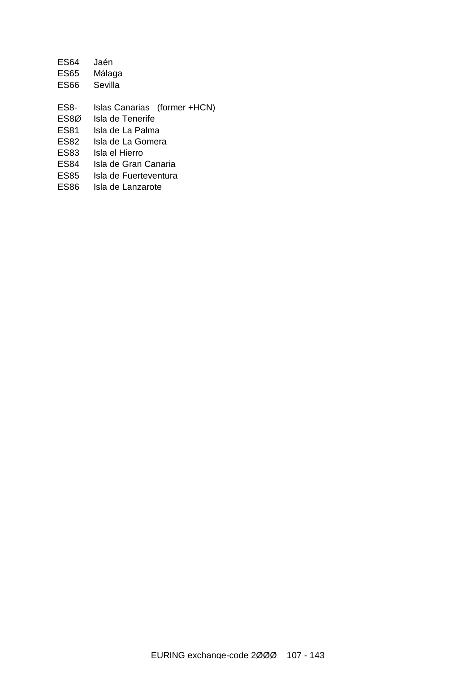| <b>ES64</b> | Jaén                         |
|-------------|------------------------------|
| ES65        | Málaga                       |
| ES66        | Sevilla                      |
|             |                              |
| ES8-        | Islas Canarias (former +HCN) |
| ES8Ø        | Isla de Tenerife             |
| ES81        | Isla de La Palma             |
| ES82        | Isla de La Gomera            |
| ES83        | Isla el Hierro               |
| ES84        | Isla de Gran Canaria         |
| <b>ES85</b> | Isla de Fuerteventura        |
| ES86        | Isla de Lanzarote            |
|             |                              |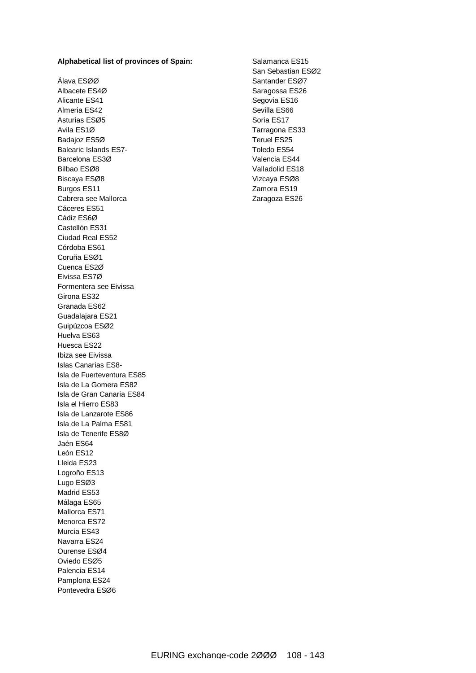#### **Alphabetical list of provinces of Spain:**

Álava ESØØ Albacete ES4Ø Alicante ES41 Almeria ES42 Asturias ESØ5 Avila ES1Ø Badajoz ES5Ø Balearic Islands ES7- Barcelona ES3Ø Bilbao ESØ8 Biscaya ESØ8 Burgos ES11 Cabrera see Mallorca Cáceres ES51 Cádiz ES6Ø Castellón ES31 Ciudad Real ES52 Córdoba ES61 Coruña ESØ1 Cuenca ES2Ø Eivissa ES7Ø Formentera see Eivissa Girona ES32 Granada ES62 Guadalajara ES21 Guipúzcoa ESØ2 Huelva ES63 Huesca ES22 Ibiza see Eivissa Islas Canarias ES8- Isla de Fuerteventura ES85 Isla de La Gomera ES82 Isla de Gran Canaria ES84 Isla el Hierro ES83 Isla de Lanzarote ES86 Isla de La Palma ES81 Isla de Tenerife ES8Ø Jaén ES64 León ES12 Lleida ES23 Logroño ES13 Lugo ESØ3 Madrid ES53 Málaga ES65 Mallorca ES71 Menorca ES72 Murcia ES43 Navarra ES24 Ourense ESØ4 Oviedo ESØ5 Palencia ES14 Pamplona ES24 Pontevedra ESØ6

Salamanca ES15 San Sebastian ESØ2 Santander ESØ7 Saragossa ES26 Segovia ES16 Sevilla ES66 Soria ES17 Tarragona ES33 Teruel ES25 Toledo ES54 Valencia ES44 Valladolid ES18 Vizcaya ESØ8 Zamora ES19 Zaragoza ES26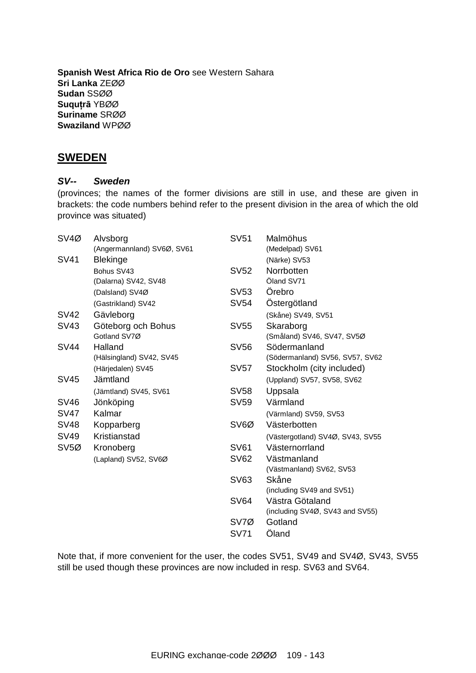**Spanish West Africa Rio de Oro** see Western Sahara **Sri Lanka** ZEØØ **Sudan** SSØØ **Suquţrā** YBØØ **Suriname** SRØØ **Swaziland** WPØØ

### **SWEDEN**

#### *SV-- Sweden*

(provinces; the names of the former divisions are still in use, and these are given in brackets: the code numbers behind refer to the present division in the area of which the old province was situated)

| SV <sub>4</sub> Ø | Alvsborg                   | <b>SV51</b> | Malmöhus                         |
|-------------------|----------------------------|-------------|----------------------------------|
|                   | (Angermannland) SV6Ø, SV61 |             | (Medelpad) SV61                  |
| <b>SV41</b>       | <b>Blekinge</b>            |             | (Närke) SV53                     |
|                   | Bohus SV43                 | SV52        | Norrbotten                       |
|                   | (Dalarna) SV42, SV48       |             | Öland SV71                       |
|                   | (Dalsland) SV4Ø            | SV53        | Örebro                           |
|                   | (Gastrikland) SV42         | <b>SV54</b> | Östergötland                     |
| <b>SV42</b>       | Gävleborg                  |             | (Skåne) SV49, SV51               |
| SV43              | Göteborg och Bohus         | SV55        | Skaraborg                        |
|                   | Gotland SV7Ø               |             | (Småland) SV46, SV47, SV5Ø       |
| <b>SV44</b>       | Halland                    | <b>SV56</b> | Södermanland                     |
|                   | (Hälsingland) SV42, SV45   |             | (Södermanland) SV56, SV57, SV62  |
|                   | (Härjedalen) SV45          | SV57        | Stockholm (city included)        |
| SV45              | Jämtland                   |             | (Uppland) SV57, SV58, SV62       |
|                   | (Jämtland) SV45, SV61      | <b>SV58</b> | Uppsala                          |
| <b>SV46</b>       | Jönköping                  | SV59        | Värmland                         |
| <b>SV47</b>       | Kalmar                     |             | (Värmland) SV59, SV53            |
| <b>SV48</b>       | Kopparberg                 | SV6Ø        | Västerbotten                     |
| SV49              | Kristianstad               |             | (Västergotland) SV4Ø, SV43, SV55 |
| SV <sub>5Ø</sub>  | Kronoberg                  | <b>SV61</b> | Västernorrland                   |
|                   | (Lapland) SV52, SV6Ø       | <b>SV62</b> | Västmanland                      |
|                   |                            |             | (Västmanland) SV62, SV53         |
|                   |                            | SV63        | Skåne                            |
|                   |                            |             | (including SV49 and SV51)        |
|                   |                            | SV64        | Västra Götaland                  |
|                   |                            |             | (including SV4Ø, SV43 and SV55)  |
|                   |                            | SV7Ø        | Gotland                          |
|                   |                            | <b>SV71</b> | Öland                            |

Note that, if more convenient for the user, the codes SV51, SV49 and SV4Ø, SV43, SV55 still be used though these provinces are now included in resp. SV63 and SV64.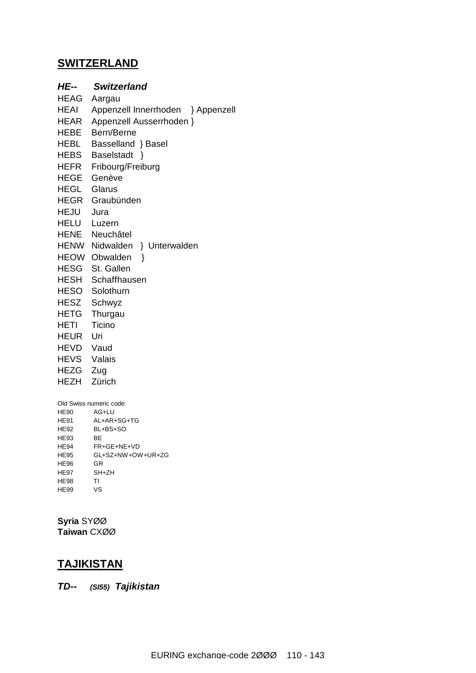### **SWITZERLAND**

*HE-- Switzerland*  HEAG Aargau HEAI Appenzell Innerrhoden } Appenzell HEAR Appenzell Ausserrhoden } HEBE Bern/Berne HEBL Basselland } Basel HEBS Baselstadt } HEFR Fribourg/Freiburg HEGE Genève HEGL Glarus HEGR Graubünden HEJU Jura HELU Luzern HENE Neuchâtel HENW Nidwalden } Unterwalden HEOW Obwalden } HESG St. Gallen HESH Schaffhausen HESO Solothurn HESZ Schwyz HETG Thurgau HETI Ticino HEUR Uri HEVD Vaud HEVS Valais HEZG Zug HEZH Zürich Old Swiss numeric code: HE90 AG+LU HE91 AL+AR+SG+TG

HE92 BL+BS+SO HE93 BE HE94 FR+GE+NE+VD HE95 GL+SZ+NW+OW+UR+ZG HE96 GR HE97 SH+ZH HE98 TI HE99 VS

**Syria** SYØØ **Taiwan** CXØØ

## **TAJIKISTAN**

*TD-- (SI55) Tajikistan*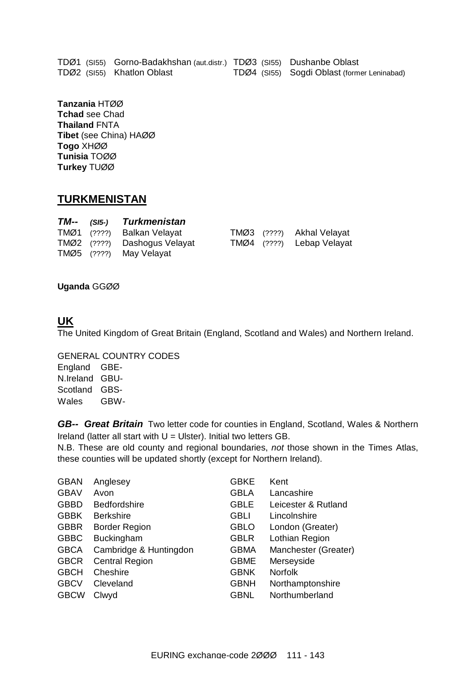|  | TDØ1 (SI55) Gorno-Badakhshan (aut.distr.) TDØ3 (SI55) Dushanbe Oblast |                                             |
|--|-----------------------------------------------------------------------|---------------------------------------------|
|  | TDØ2 (SI55) Khatlon Oblast                                            | TDØ4 (SI55) Sogdi Oblast (former Leninabad) |

**Tanzania** HTØØ **Tchad** see Chad **Thailand** FNTA **Tibet** (see China) HAØØ **Togo** XHØØ **Tunisia** TOØØ **Turkey** TUØØ

### **TURKMENISTAN**

|  | TM-- (SI5-) Turkmenistan     |  |                           |
|--|------------------------------|--|---------------------------|
|  | TMØ1 (????) Balkan Velayat   |  | TMØ3 (????) Akhal Velayat |
|  | TMØ2 (????) Dashogus Velayat |  | TMØ4 (????) Lebap Velayat |
|  | TMØ5 (????) May Velayat      |  |                           |

**Uganda** GGØØ

### **UK**

The United Kingdom of Great Britain (England, Scotland and Wales) and Northern Ireland.

GENERAL COUNTRY CODES England GBE-

N.Ireland GBU-Scotland GBS-Wales GBW-

*GB-- Great Britain* Two letter code for counties in England, Scotland, Wales & Northern Ireland (latter all start with  $U = U$ lster). Initial two letters GB.

N.B. These are old county and regional boundaries, *not* those shown in the Times Atlas, these counties will be updated shortly (except for Northern Ireland).

| <b>GBAN</b> | Anglesey               | <b>GBKE</b> | Kent                 |
|-------------|------------------------|-------------|----------------------|
|             |                        |             |                      |
| <b>GBAV</b> | Avon                   | <b>GBLA</b> | Lancashire           |
| <b>GBBD</b> | <b>Bedfordshire</b>    | <b>GBLE</b> | Leicester & Rutland  |
| <b>GBBK</b> | <b>Berkshire</b>       | <b>GBLI</b> | Lincolnshire         |
| <b>GBBR</b> | <b>Border Region</b>   | <b>GBLO</b> | London (Greater)     |
| <b>GBBC</b> | Buckingham             | <b>GBLR</b> | Lothian Region       |
| <b>GBCA</b> | Cambridge & Huntingdon | <b>GBMA</b> | Manchester (Greater) |
| <b>GBCR</b> | <b>Central Region</b>  | <b>GBME</b> | Merseyside           |
| <b>GBCH</b> | Cheshire               | <b>GBNK</b> | <b>Norfolk</b>       |
| <b>GBCV</b> | Cleveland              | <b>GBNH</b> | Northamptonshire     |
| <b>GBCW</b> | Clwyd                  | <b>GBNL</b> | Northumberland       |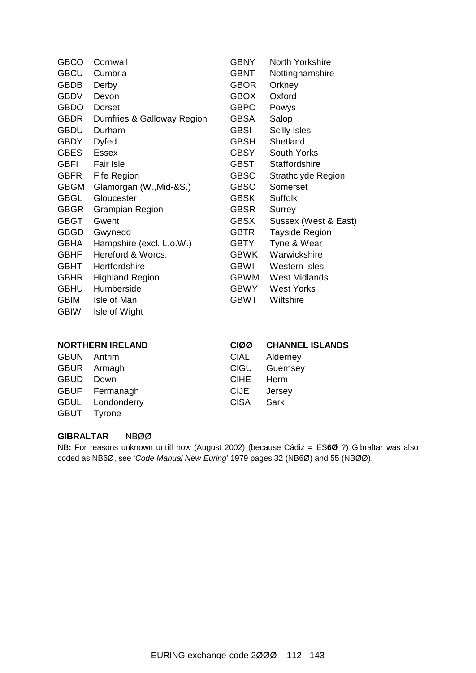| <b>GBCO</b> | Cornwall                   | <b>GBNY</b> | North Yorkshire           |
|-------------|----------------------------|-------------|---------------------------|
| <b>GBCU</b> | Cumbria                    | <b>GBNT</b> | Nottinghamshire           |
| <b>GBDB</b> | Derby                      | <b>GBOR</b> | Orkney                    |
| <b>GBDV</b> | Devon                      | <b>GBOX</b> | Oxford                    |
| <b>GBDO</b> | <b>Dorset</b>              | <b>GBPO</b> | Powys                     |
| <b>GBDR</b> | Dumfries & Galloway Region | <b>GBSA</b> | Salop                     |
| <b>GBDU</b> | Durham                     | <b>GBSI</b> | <b>Scilly Isles</b>       |
| <b>GBDY</b> | <b>Dyfed</b>               | <b>GBSH</b> | Shetland                  |
| <b>GBES</b> | <b>Essex</b>               | <b>GBSY</b> | <b>South Yorks</b>        |
| <b>GBFI</b> | <b>Fair Isle</b>           | GBST        | Staffordshire             |
| <b>GBFR</b> | <b>Fife Region</b>         | <b>GBSC</b> | <b>Strathclyde Region</b> |
| <b>GBGM</b> | Glamorgan (W., Mid-&S.)    | <b>GBSO</b> | Somerset                  |
| <b>GBGL</b> | Gloucester                 | <b>GBSK</b> | <b>Suffolk</b>            |
| <b>GBGR</b> | <b>Grampian Region</b>     | <b>GBSR</b> | Surrey                    |
| <b>GBGT</b> | Gwent                      | <b>GBSX</b> | Sussex (West & East)      |
| <b>GBGD</b> | Gwynedd                    | <b>GBTR</b> | <b>Tayside Region</b>     |
| <b>GBHA</b> | Hampshire (excl. L.o.W.)   | <b>GBTY</b> | Tyne & Wear               |
| <b>GBHF</b> | Hereford & Worcs.          | <b>GBWK</b> | Warwickshire              |
| <b>GBHT</b> | Hertfordshire              | <b>GBWI</b> | Western Isles             |
| <b>GBHR</b> | <b>Highland Region</b>     | <b>GBWM</b> | <b>West Midlands</b>      |
| <b>GBHU</b> | Humberside                 | <b>GBWY</b> | <b>West Yorks</b>         |
| <b>GBIM</b> | Isle of Man                | <b>GBWT</b> | Wiltshire                 |
| <b>GBIW</b> | Isle of Wight              |             |                           |
|             |                            |             |                           |
|             | NADTUEDN IDEL AND          | $\alpha$    | CUANNEL ICLANDO           |

| <b>NORTHERN IRELAND</b> |             | CIØØ CHANNEL ISLANDS |
|-------------------------|-------------|----------------------|
| Antrim                  | CIAL        | Alderney             |
| GBUR Armagh             |             | CIGU Guernsey        |
| GBUD Down               | CIHE Herm   |                      |
| GBUF Fermanagh          | CIJE Jersey |                      |
| GBUL Londonderry        | <b>CISA</b> | Sark                 |
| GBUT Tyrone             |             |                      |
|                         |             |                      |

#### **GIBRALTAR** NBØØ

NB**:** For reasons unknown untill now (August 2002) (because Cádiz = ES**6Ø** ?) Gibraltar was also coded as NB6Ø, see '*Code Manual New Euring*' 1979 pages 32 (NB6Ø) and 55 (NBØØ).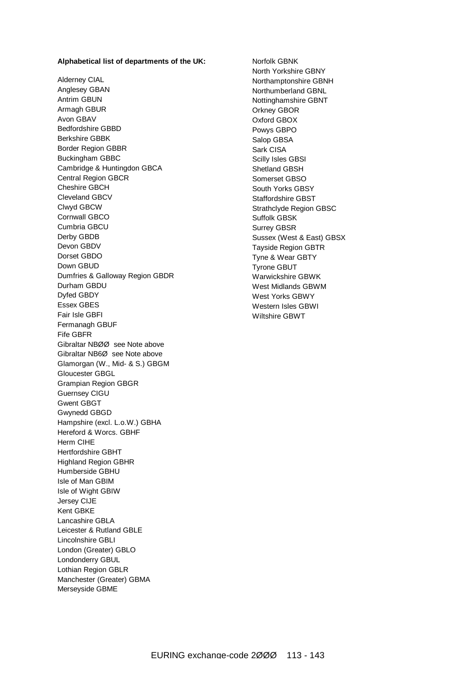#### **Alphabetical list of departments of the UK:**

Alderney CIAL Anglesey GBAN Antrim GBUN Armagh GBUR Avon GBAV Bedfordshire GBBD Berkshire GBBK Border Region GBBR Buckingham GBBC Cambridge & Huntingdon GBCA Central Region GBCR Cheshire GBCH Cleveland GBCV Clwyd GBCW Cornwall GBCO Cumbria GBCU Derby GBDB Devon GBDV Dorset GBDO Down GBUD Dumfries & Galloway Region GBDR Durham GBDU Dyfed GBDY Essex GBES Fair Isle GBFI Fermanagh GBUF Fife GBFR Gibraltar NBØØ see Note above Gibraltar NB6Ø see Note above Glamorgan (W., Mid- & S.) GBGM Gloucester GBGL Grampian Region GBGR Guernsey CIGU Gwent GBGT Gwynedd GBGD Hampshire (excl. L.o.W.) GBHA Hereford & Worcs. GBHF Herm CIHE Hertfordshire GBHT Highland Region GBHR Humberside GBHU Isle of Man GBIM Isle of Wight GBIW Jersey CIJE Kent GBKE Lancashire GBLA Leicester & Rutland GBLE Lincolnshire GBLI London (Greater) GBLO Londonderry GBUL Lothian Region GBLR Manchester (Greater) GBMA Merseyside GBME

Norfolk GBNK North Yorkshire GBNY Northamptonshire GBNH Northumberland GBNL Nottinghamshire GBNT Orkney GBOR Oxford GBOX Powys GBPO Salop GBSA Sark CISA Scilly Isles GBSI Shetland GBSH Somerset GBSO South Yorks GBSY Staffordshire GBST Strathclyde Region GBSC Suffolk GBSK Surrey GBSR Sussex (West & East) GBSX Tayside Region GBTR Tyne & Wear GBTY Tyrone GBUT Warwickshire GBWK West Midlands GBWM West Yorks GBWY Western Isles GBWI Wiltshire GBWT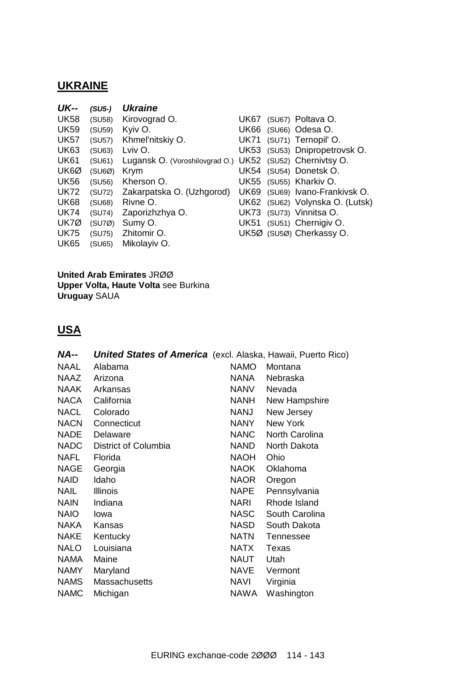## **UKRAINE**

| <b>UK--</b><br><b>UK58</b><br><b>UK59</b><br><b>UK57</b><br><b>UK63</b><br><b>UK61</b><br><b>UK6Ø</b><br><b>UK56</b><br><b>UK72</b><br><b>UK68</b><br><b>UK74</b> | $(SU5-)$<br>(SU58)<br>(SU59)<br>(SU57)<br>(SU63)<br>(SU61)<br>(SUBØ)<br>(SU56)<br>(SU72)<br>(SU68)<br>(SU74) | <b>Ukraine</b><br>Kirovograd O.<br>Kyiv O.<br>Khmel'nitskiy O.<br>Lviv O.<br>Lugansk O. (Voroshilovgrad O.)<br>Krym<br>Kherson O.<br>Zakarpatska O. (Uzhgorod)<br>Rivne O.<br>Zaporizhzhya O. | UK67<br><b>UK66</b><br>UK71<br>UK54<br>UK55<br><b>UK69</b><br>UK73 | (SU67) Poltava O.<br>(SU66) Odesa O.<br>(SU71) Ternopil' O.<br>UK53 (SU53) Dnipropetrovsk O.<br>UK52 (SU52) Chernivtsy O.<br>(SU54) Donetsk O.<br>(SU55) Kharkiv O.<br>(SU69) Ivano-Frankivsk O.<br>UK62 (SU62) Volynska O. (Lutsk) |
|-------------------------------------------------------------------------------------------------------------------------------------------------------------------|--------------------------------------------------------------------------------------------------------------|-----------------------------------------------------------------------------------------------------------------------------------------------------------------------------------------------|--------------------------------------------------------------------|-------------------------------------------------------------------------------------------------------------------------------------------------------------------------------------------------------------------------------------|
| <b>UK7Ø</b><br><b>UK75</b><br><b>UK65</b>                                                                                                                         | (SU7Ø)<br>(SU75)<br>(SU65)                                                                                   | Sumy O.<br>Zhitomir O.<br>Mikolayiv O.                                                                                                                                                        | <b>UK51</b>                                                        | (SU73) Vinnitsa O.<br>(SU51) Chernigiv O.<br>UK5Ø (SU5Ø) Cherkassy O.                                                                                                                                                               |

**United Arab Emirates** JRØØ **Upper Volta, Haute Volta** see Burkina **Uruguay** SAUA

## **USA**

| <b>NA--</b> | <b>United States of America</b> (excl. Alaska, Hawaii, Puerto Rico) |             |                  |
|-------------|---------------------------------------------------------------------|-------------|------------------|
| <b>NAAL</b> | Alabama                                                             | <b>NAMO</b> | Montana          |
| <b>NAAZ</b> | Arizona                                                             | NANA        | Nebraska         |
| <b>NAAK</b> | Arkansas                                                            | <b>NANV</b> | Nevada           |
| <b>NACA</b> | California                                                          | NANH        | New Hampshire    |
| <b>NACL</b> | Colorado                                                            | NANJ        | New Jersey       |
| <b>NACN</b> | Connecticut                                                         | <b>NANY</b> | New York         |
| <b>NADE</b> | Delaware                                                            | <b>NANC</b> | North Carolina   |
| <b>NADC</b> | District of Columbia                                                | <b>NAND</b> | North Dakota     |
| <b>NAFL</b> | Florida                                                             | <b>NAOH</b> | Ohio             |
| <b>NAGE</b> | Georgia                                                             | <b>NAOK</b> | Oklahoma         |
| <b>NAID</b> | Idaho                                                               | <b>NAOR</b> | Oregon           |
| <b>NAIL</b> | <b>Illinois</b>                                                     | <b>NAPE</b> | Pennsylvania     |
| <b>NAIN</b> | Indiana                                                             | NARI        | Rhode Island     |
| <b>NAIO</b> | lowa                                                                | <b>NASC</b> | South Carolina   |
| <b>NAKA</b> | Kansas                                                              | <b>NASD</b> | South Dakota     |
| <b>NAKE</b> | Kentucky                                                            | <b>NATN</b> | <b>Tennessee</b> |
| <b>NALO</b> | Louisiana                                                           | <b>NATX</b> | Texas            |
| <b>NAMA</b> | Maine                                                               | <b>NAUT</b> | Utah             |
| <b>NAMY</b> | Maryland                                                            | <b>NAVE</b> | Vermont          |
| <b>NAMS</b> | <b>Massachusetts</b>                                                | <b>NAVI</b> | Virginia         |
| <b>NAMC</b> | Michigan                                                            | NAWA        | Washington       |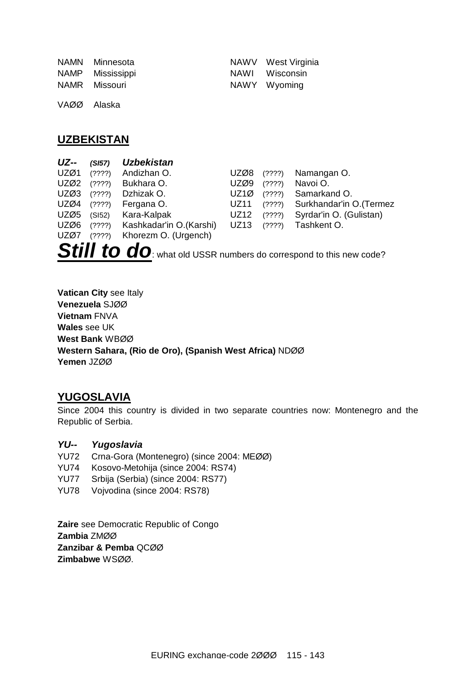| NAMN Minnesota   | NAWV West Virginia |
|------------------|--------------------|
| NAMP Mississippi | NAWI Wisconsin     |
| NAMR Missouri    | NAWY Wyoming       |

VAØØ Alaska

## **UZBEKISTAN**

| <b>UZ--</b> | (SI57) | <b>Uzbekistan</b>       |             |            |                          |
|-------------|--------|-------------------------|-------------|------------|--------------------------|
| UZØ1        | (?)?)  | Andizhan O.             | UZØ8        | (????)     | Namangan O.              |
| UZØ2        | (?)?)  | Bukhara O.              | UZØ9        | (????)     | Navoi O.                 |
| UZØ3        | (????) | Dzhizak O.              | UZ1Ø        | (?)??      | Samarkand O.             |
| UZØ4        | (????) | Fergana O.              | <b>UZ11</b> | (????)     | Surkhandar'in O. (Termez |
| UZØ5        | (SI52) | Kara-Kalpak             | UZ12        | $(?)$ ???) | Syrdar'in O. (Gulistan)  |
| UZØ6        | (?)?)  | Kashkadar'in O.(Karshi) | <b>UZ13</b> | (?)??      | Tashkent O.              |
| UZØ7        | (?)3?  | Khorezm O. (Urgench)    |             |            |                          |
|             |        |                         |             |            |                          |

**Still to do**: what old USSR numbers do correspond to this new code?

**Vatican City** see Italy **Venezuela** SJØØ **Vietnam** FNVA **Wales** see UK **West Bank** WBØØ **Western Sahara, (Rio de Oro), (Spanish West Africa)** NDØØ **Yemen** JZØØ

## **YUGOSLAVIA**

Since 2004 this country is divided in two separate countries now: Montenegro and the Republic of Serbia.

### *YU-- Yugoslavia*

- YU72 Crna-Gora (Montenegro) (since 2004: MEØØ)
- YU74 Kosovo-Metohija (since 2004: RS74)
- YU77 Srbija (Serbia) (since 2004: RS77)
- YU78 Vojvodina (since 2004: RS78)

**Zaire** see Democratic Republic of Congo **Zambia** ZMØØ **Zanzibar & Pemba** QCØØ **Zimbabwe** WSØØ.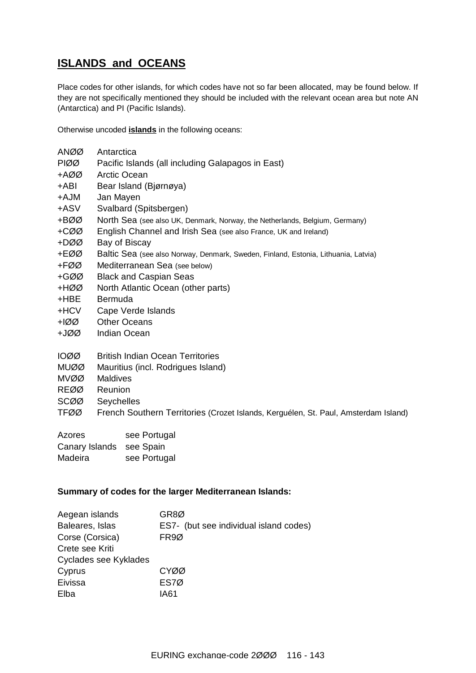## **ISLANDS and OCEANS**

Place codes for other islands, for which codes have not so far been allocated, may be found below. If they are not specifically mentioned they should be included with the relevant ocean area but note AN (Antarctica) and PI (Pacific Islands).

Otherwise uncoded **islands** in the following oceans:

| <b>ANØØ</b> | Antarctica                                                                         |
|-------------|------------------------------------------------------------------------------------|
| <b>PIØØ</b> | Pacific Islands (all including Galapagos in East)                                  |
| +AØØ        | <b>Arctic Ocean</b>                                                                |
| +ABI        | Bear Island (Bjørnøya)                                                             |
| HAJM        | Jan Mayen                                                                          |
| +ASV        | Svalbard (Spitsbergen)                                                             |
| +BØØ        | North Sea (see also UK, Denmark, Norway, the Netherlands, Belgium, Germany)        |
| +CØØ        | English Channel and Irish Sea (see also France, UK and Ireland)                    |
| +DØØ        | Bay of Biscay                                                                      |
| +EØØ        | Baltic Sea (see also Norway, Denmark, Sweden, Finland, Estonia, Lithuania, Latvia) |
| +FØØ        | Mediterranean Sea (see below)                                                      |
| +GØØ        | <b>Black and Caspian Seas</b>                                                      |
| +HØØ I      | North Atlantic Ocean (other parts)                                                 |
| +HBE        | Bermuda                                                                            |
| +HCV        | Cape Verde Islands                                                                 |
| +lØØ        | <b>Other Oceans</b>                                                                |
| +JØØ        | <b>Indian Ocean</b>                                                                |
|             |                                                                                    |
| 1000        | <b>British Indian Ocean Territories</b>                                            |
| <b>MUØØ</b> | Mauritius (incl. Rodrigues Island)                                                 |
| MVØØ.       | <b>Maldives</b>                                                                    |
| <b>REØØ</b> | Reunion                                                                            |
| SCØØ        | Seychelles                                                                         |

TFØØ French Southern Territories (Crozet Islands, Kerguélen, St. Paul, Amsterdam Island)

| Azores                   | see Portugal |
|--------------------------|--------------|
| Canary Islands see Spain |              |
| Madeira                  | see Portugal |

#### **Summary of codes for the larger Mediterranean Islands:**

| Aegean islands        | GR8Ø                                   |
|-----------------------|----------------------------------------|
| Baleares, Islas       | ES7- (but see individual island codes) |
| Corse (Corsica)       | FR <sub>9</sub> Ø                      |
| Crete see Kriti       |                                        |
| Cyclades see Kyklades |                                        |
| Cyprus                | CYØØ                                   |
| Eivissa               | ES7Ø                                   |
| Elba                  | IA61                                   |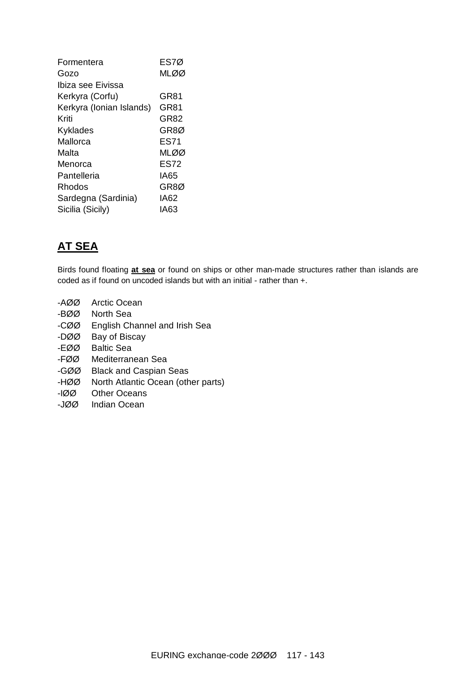| Formentera               | ES7Ø  |
|--------------------------|-------|
| Gozo                     | MI ØØ |
| Ibiza see Eivissa        |       |
| Kerkyra (Corfu)          | GR81  |
| Kerkyra (Ionian Islands) | GR81  |
| Kriti                    | GR82  |
| Kyklades                 | GR8Ø  |
| Mallorca                 | ES71  |
| Malta                    | MLØØ  |
| Menorca                  | ES72  |
| Pantelleria              | IA65  |
| Rhodos                   | GR8Ø  |
| Sardegna (Sardinia)      | IA62  |
| Sicilia (Sicily)         | IA63  |
|                          |       |

## **AT SEA**

Birds found floating **at sea** or found on ships or other man-made structures rather than islands are coded as if found on uncoded islands but with an initial - rather than +.

- -AØØ Arctic Ocean
- -BØØ North Sea
- -CØØ English Channel and Irish Sea
- -DØØ Bay of Biscay
- -EØØ Baltic Sea
- -FØØ Mediterranean Sea
- -GØØ Black and Caspian Seas
- -HØØ North Atlantic Ocean (other parts)
- -IØØ Other Oceans
- -JØØ Indian Ocean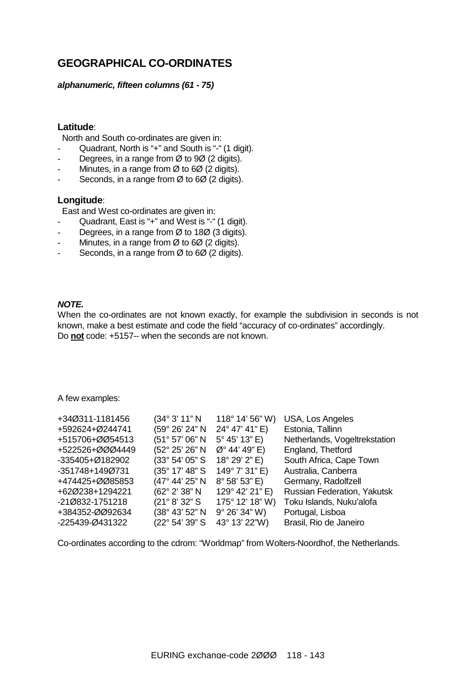## **GEOGRAPHICAL CO-ORDINATES**

#### *alphanumeric, fifteen columns (61 - 75)*

#### **Latitude**:

North and South co-ordinates are given in:

- Quadrant, North is "+" and South is "-" (1 digit).
- Degrees, in a range from  $\varnothing$  to 9 $\varnothing$  (2 digits).
- Minutes, in a range from  $\emptyset$  to 6 $\emptyset$  (2 digits).
- Seconds, in a range from  $\varnothing$  to 6 $\varnothing$  (2 digits).

#### **Longitude**:

East and West co-ordinates are given in:

- Quadrant, East is "+" and West is "-" (1 digit).
- Degrees, in a range from  $\varnothing$  to 18 $\varnothing$  (3 digits).
- Minutes, in a range from  $\varnothing$  to 6 $\varnothing$  (2 digits).
- Seconds, in a range from  $\varnothing$  to 6 $\varnothing$  (2 digits).

#### *NOTE.*

When the co-ordinates are not known exactly, for example the subdivision in seconds is not known, make a best estimate and code the field "accuracy of co-ordinates" accordingly. Do **not** code: +5157-- when the seconds are not known.

A few examples:

| +34Ø311-1181456 | (34° 3' 11" N            | $118^{\circ}$ 14' 56" W) | USA, Los Angeles                   |
|-----------------|--------------------------|--------------------------|------------------------------------|
| +592624+Ø244741 | (59° 26' 24" N           | 24° 47' 41" E)           | Estonia, Tallinn                   |
| +515706+ØØ54513 | (51° 57' 06" N           | 5° 45' 13" E)            | Netherlands, Vogeltrekstation      |
| +522526+ØØØ4449 | (52° 25' 26" N           | $\emptyset$ ° 44' 49" E) | England, Thetford                  |
| -335405+Ø182902 | (33° 54' 05" S)          | 18° 29' 2" E)            | South Africa, Cape Town            |
| -351748+149Ø731 | $(35^{\circ} 17' 48" S)$ | 149° 7' 31" E)           | Australia, Canberra                |
| +474425+ØØ85853 | (47° 44' 25" N           | 8° 58' 53" E)            | Germany, Radolfzell                |
| +62Ø238+1294221 | (62° 2' 38" N            | 129° 42' 21" E)          | <b>Russian Federation, Yakutsk</b> |
| -21Ø832-1751218 | (21° 8' 32" S)           | $175^{\circ}$ 12' 18" W) | Toku Islands, Nuku'alofa           |
| +384352-ØØ92634 | (38° 43' 52" N           | $9^{\circ}$ 26' 34" W)   | Portugal, Lisboa                   |
| -225439-Ø431322 | (22° 54' 39" S           | 43° 13' 22"W)            | Brasil, Rio de Janeiro             |

Co-ordinates according to the cdrom: "Worldmap" from Wolters-Noordhof, the Netherlands.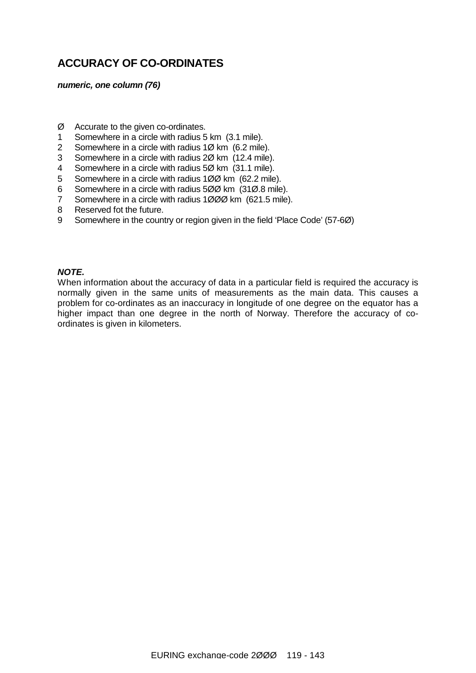## **ACCURACY OF CO-ORDINATES**

#### *numeric, one column (76)*

- Ø Accurate to the given co-ordinates.
- 1 Somewhere in a circle with radius 5 km (3.1 mile).
- 2 Somewhere in a circle with radius 1Ø km (6.2 mile).
- 3 Somewhere in a circle with radius 2Ø km (12.4 mile).
- 4 Somewhere in a circle with radius 5Ø km (31.1 mile).
- 5 Somewhere in a circle with radius 1ØØ km (62.2 mile).
- 6 Somewhere in a circle with radius 5ØØ km (31Ø.8 mile).
- 7 Somewhere in a circle with radius 1ØØØ km (621.5 mile).
- 8 Reserved fot the future.
- 9 Somewhere in the country or region given in the field 'Place Code' (57-6Ø)

#### *NOTE.*

When information about the accuracy of data in a particular field is required the accuracy is normally given in the same units of measurements as the main data. This causes a problem for co-ordinates as an inaccuracy in longitude of one degree on the equator has a higher impact than one degree in the north of Norway. Therefore the accuracy of coordinates is given in kilometers.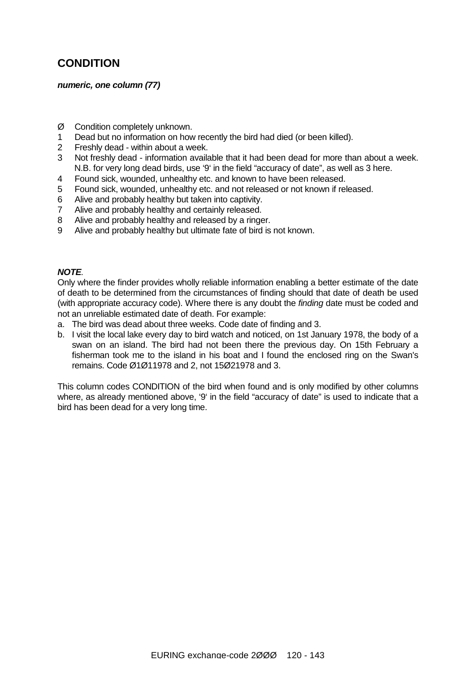## **CONDITION**

#### *numeric, one column (77)*

- Ø Condition completely unknown.
- 1 Dead but no information on how recently the bird had died (or been killed).
- 2 Freshly dead within about a week.
- 3 Not freshly dead information available that it had been dead for more than about a week. N.B. for very long dead birds, use '9' in the field "accuracy of date", as well as 3 here.
- 4 Found sick, wounded, unhealthy etc. and known to have been released.
- 5 Found sick, wounded, unhealthy etc. and not released or not known if released.
- 6 Alive and probably healthy but taken into captivity.
- 7 Alive and probably healthy and certainly released.
- 8 Alive and probably healthy and released by a ringer.
- 9 Alive and probably healthy but ultimate fate of bird is not known.

#### *NOTE.*

Only where the finder provides wholly reliable information enabling a better estimate of the date of death to be determined from the circumstances of finding should that date of death be used (with appropriate accuracy code). Where there is any doubt the *finding* date must be coded and not an unreliable estimated date of death. For example:

- a. The bird was dead about three weeks. Code date of finding and 3.
- b. I visit the local lake every day to bird watch and noticed, on 1st January 1978, the body of a swan on an island. The bird had not been there the previous day. On 15th February a fisherman took me to the island in his boat and I found the enclosed ring on the Swan's remains. Code Ø1Ø11978 and 2, not 15Ø21978 and 3.

This column codes CONDITION of the bird when found and is only modified by other columns where, as already mentioned above, '9' in the field "accuracy of date" is used to indicate that a bird has been dead for a very long time.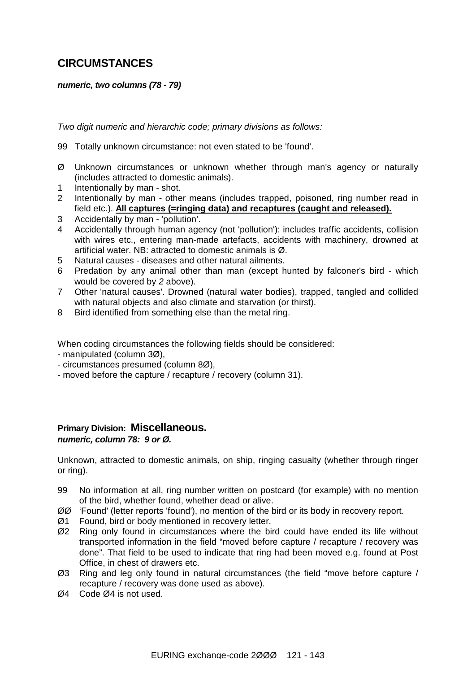## **CIRCUMSTANCES**

#### *numeric, two columns (78 - 79)*

*Two digit numeric and hierarchic code; primary divisions as follows:*

- 99 Totally unknown circumstance: not even stated to be 'found'.
- Ø Unknown circumstances or unknown whether through man's agency or naturally (includes attracted to domestic animals).
- 1 Intentionally by man shot.
- 2 Intentionally by man other means (includes trapped, poisoned, ring number read in field etc.). **All captures (=ringing data) and recaptures (caught and released).**
- 3 Accidentally by man 'pollution'.
- 4 Accidentally through human agency (not 'pollution'): includes traffic accidents, collision with wires etc., entering man-made artefacts, accidents with machinery, drowned at artificial water. NB: attracted to domestic animals is Ø.
- 5 Natural causes diseases and other natural ailments.
- 6 Predation by any animal other than man (except hunted by falconer's bird which would be covered by *2* above).
- 7 Other 'natural causes'. Drowned (natural water bodies), trapped, tangled and collided with natural objects and also climate and starvation (or thirst).
- 8 Bird identified from something else than the metal ring.

When coding circumstances the following fields should be considered:

- manipulated (column 3Ø),
- circumstances presumed (column 8Ø),
- moved before the capture / recapture / recovery (column 31).

# **Primary Division: Miscellaneous.**

### *numeric, column 78: 9 or Ø.*

Unknown, attracted to domestic animals, on ship, ringing casualty (whether through ringer or ring).

- 99 No information at all, ring number written on postcard (for example) with no mention of the bird, whether found, whether dead or alive.
- ØØ 'Found' (letter reports 'found'), no mention of the bird or its body in recovery report.
- Ø1 Found, bird or body mentioned in recovery letter.
- Ø2 Ring only found in circumstances where the bird could have ended its life without transported information in the field "moved before capture / recapture / recovery was done". That field to be used to indicate that ring had been moved e.g. found at Post Office, in chest of drawers etc.
- Ø3 Ring and leg only found in natural circumstances (the field "move before capture / recapture / recovery was done used as above).
- Ø4 Code Ø4 is not used.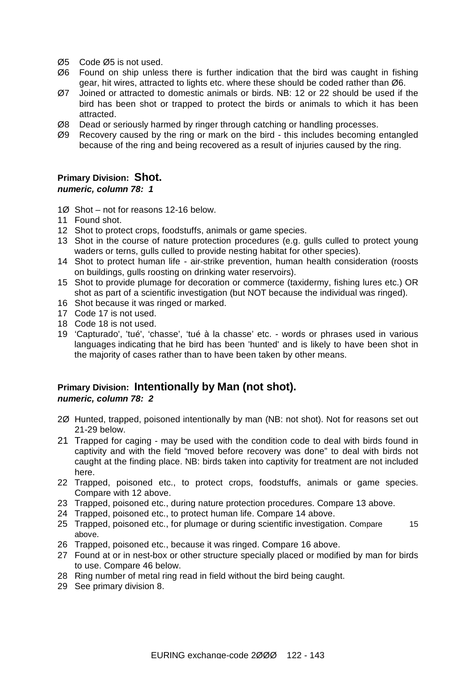- Ø5 Code Ø5 is not used.
- Ø6 Found on ship unless there is further indication that the bird was caught in fishing gear, hit wires, attracted to lights etc. where these should be coded rather than Ø6.
- Ø7 Joined or attracted to domestic animals or birds. NB: 12 or 22 should be used if the bird has been shot or trapped to protect the birds or animals to which it has been attracted.
- Ø8 Dead or seriously harmed by ringer through catching or handling processes.
- Ø9 Recovery caused by the ring or mark on the bird this includes becoming entangled because of the ring and being recovered as a result of injuries caused by the ring.

### **Primary Division: Shot.**

#### *numeric, column 78: 1*

- 1Ø Shot not for reasons 12-16 below.
- 11 Found shot.
- 12 Shot to protect crops, foodstuffs, animals or game species.
- 13 Shot in the course of nature protection procedures (e.g. gulls culled to protect young waders or terns, gulls culled to provide nesting habitat for other species).
- 14 Shot to protect human life air-strike prevention, human health consideration (roosts on buildings, gulls roosting on drinking water reservoirs).
- 15 Shot to provide plumage for decoration or commerce (taxidermy, fishing lures etc.) OR shot as part of a scientific investigation (but NOT because the individual was ringed).
- 16 Shot because it was ringed or marked.
- 17 Code 17 is not used.
- 18 Code 18 is not used.
- 19 'Capturado', 'tué', 'chasse', 'tué à la chasse' etc. words or phrases used in various languages indicating that he bird has been 'hunted' and is likely to have been shot in the majority of cases rather than to have been taken by other means.

### **Primary Division: Intentionally by Man (not shot).**  *numeric, column 78: 2*

- 2Ø Hunted, trapped, poisoned intentionally by man (NB: not shot). Not for reasons set out 21-29 below.
- 21 Trapped for caging may be used with the condition code to deal with birds found in captivity and with the field "moved before recovery was done" to deal with birds not caught at the finding place. NB: birds taken into captivity for treatment are not included here.
- 22 Trapped, poisoned etc., to protect crops, foodstuffs, animals or game species. Compare with 12 above.
- 23 Trapped, poisoned etc., during nature protection procedures. Compare 13 above.
- 24 Trapped, poisoned etc., to protect human life. Compare 14 above.
- 25 Trapped, poisoned etc., for plumage or during scientific investigation. Compare 15 above.
- 26 Trapped, poisoned etc., because it was ringed. Compare 16 above.
- 27 Found at or in nest-box or other structure specially placed or modified by man for birds to use. Compare 46 below.
- 28 Ring number of metal ring read in field without the bird being caught.
- 29 See primary division 8.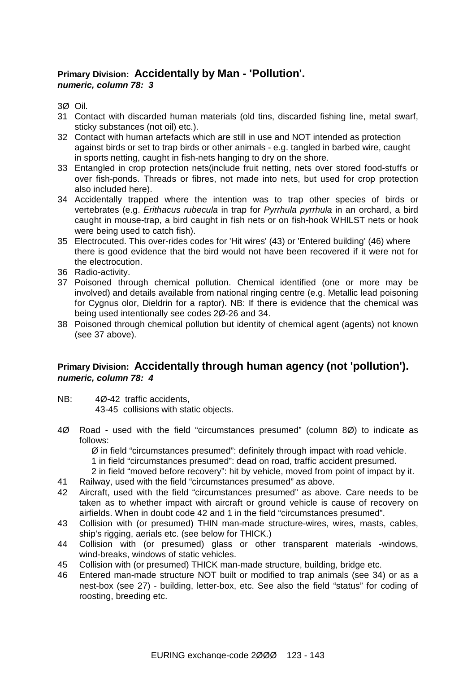### **Primary Division: Accidentally by Man - 'Pollution'.**  *numeric, column 78: 3*

3Ø Oil.

- 31 Contact with discarded human materials (old tins, discarded fishing line, metal swarf, sticky substances (not oil) etc.).
- 32 Contact with human artefacts which are still in use and NOT intended as protection against birds or set to trap birds or other animals - e.g. tangled in barbed wire, caught in sports netting, caught in fish-nets hanging to dry on the shore.
- 33 Entangled in crop protection nets(include fruit netting, nets over stored food-stuffs or over fish-ponds. Threads or fibres, not made into nets, but used for crop protection also included here).
- 34 Accidentally trapped where the intention was to trap other species of birds or vertebrates (e.g. *Erithacus rubecula* in trap for *Pyrrhula pyrrhula* in an orchard, a bird caught in mouse-trap, a bird caught in fish nets or on fish-hook WHILST nets or hook were being used to catch fish).
- 35 Electrocuted. This over-rides codes for 'Hit wires' (43) or 'Entered building' (46) where there is good evidence that the bird would not have been recovered if it were not for the electrocution.
- 36 Radio-activity.
- 37 Poisoned through chemical pollution. Chemical identified (one or more may be involved) and details available from national ringing centre (e.g. Metallic lead poisoning for Cygnus olor, Dieldrin for a raptor). NB: If there is evidence that the chemical was being used intentionally see codes 2Ø-26 and 34.
- 38 Poisoned through chemical pollution but identity of chemical agent (agents) not known (see 37 above).

### **Primary Division: Accidentally through human agency (not 'pollution').**  *numeric, column 78: 4*

- NB: 4Ø-42 traffic accidents. 43-45 collisions with static objects.
- 4Ø Road used with the field "circumstances presumed" (column 8Ø) to indicate as follows:

Ø in field "circumstances presumed": definitely through impact with road vehicle.

1 in field "circumstances presumed": dead on road, traffic accident presumed.

2 in field "moved before recovery": hit by vehicle, moved from point of impact by it.

- 41 Railway, used with the field "circumstances presumed" as above.
- 42 Aircraft, used with the field "circumstances presumed" as above. Care needs to be taken as to whether impact with aircraft or ground vehicle is cause of recovery on airfields. When in doubt code 42 and 1 in the field "circumstances presumed".
- 43 Collision with (or presumed) THIN man-made structure-wires, wires, masts, cables, ship's rigging, aerials etc. (see below for THICK.)
- 44 Collision with (or presumed) glass or other transparent materials -windows, wind-breaks, windows of static vehicles.
- 45 Collision with (or presumed) THICK man-made structure, building, bridge etc.
- 46 Entered man-made structure NOT built or modified to trap animals (see 34) or as a nest-box (see 27) - building, letter-box, etc. See also the field "status" for coding of roosting, breeding etc.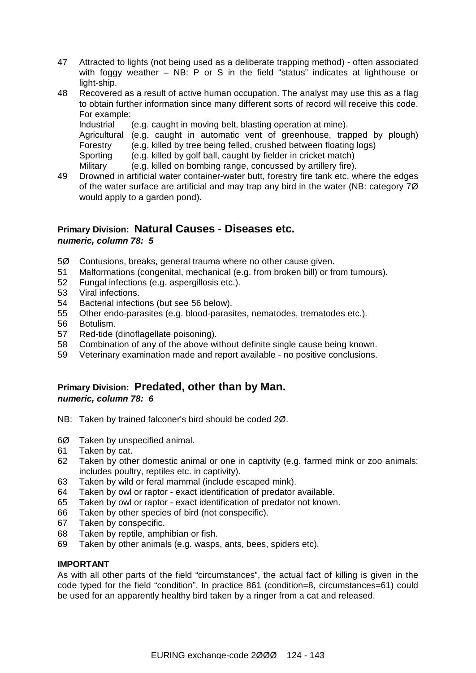- 47 Attracted to lights (not being used as a deliberate trapping method) often associated with foggy weather – NB: P or S in the field "status" indicates at lighthouse or light-ship.
- 48 Recovered as a result of active human occupation. The analyst may use this as a flag to obtain further information since many different sorts of record will receive this code. For example:

lndustrial (e.g. caught in moving belt, blasting operation at mine).

Agricultural (e.g. caught in automatic vent of greenhouse, trapped by plough) Forestry (e.g. killed by tree being felled, crushed between floating logs)

Sporting (e.g. killed by golf ball, caught by fielder in cricket match)

Military (e.g. killed on bombing range, concussed by artillery fire).

49 Drowned in artificial water container-water butt, forestry fire tank etc. where the edges of the water surface are artificial and may trap any bird in the water (NB: category 7Ø would apply to a garden pond).

### **Primary Division: Natural Causes - Diseases etc.**  *numeric, column 78: 5*

- 5Ø Contusions, breaks, general trauma where no other cause given.
- 51 Malformations (congenital, mechanical (e.g. from broken bill) or from tumours).
- 52 Fungal infections (e.g. aspergillosis etc.).
- 53 Viral infections.
- 54 Bacterial infections (but see 56 below).
- 55 Other endo-parasites (e.g. blood-parasites, nematodes, trematodes etc.).
- 56 Botulism.
- 57 Red-tide (dinoflagellate poisoning).
- 58 Combination of any of the above without definite single cause being known.
- 59 Veterinary examination made and report available no positive conclusions.

### **Primary Division: Predated, other than by Man.**  *numeric, column 78: 6*

- NB: Taken by trained falconer's bird should be coded 2Ø.
- 6Ø Taken by unspecified animal.
- 61 Taken by cat.
- 62 Taken by other domestic animal or one in captivity (e.g. farmed mink or zoo animals: includes poultry, reptiles etc. in captivity).
- 63 Taken by wild or feral mammal (include escaped mink).
- 64 Taken by owl or raptor exact identification of predator available.
- 65 Taken by owl or raptor exact identification of predator not known.
- 66 Taken by other species of bird (not conspecific).
- 67 Taken by conspecific.
- 68 Taken by reptile, amphibian or fish.
- 69 Taken by other animals (e.g. wasps, ants, bees, spiders etc).

#### **IMPORTANT**

As with all other parts of the field "circumstances", the actual fact of killing is given in the code typed for the field "condition". In practice 861 (condition=8, circumstances=61) could be used for an apparently healthy bird taken by a ringer from a cat and released.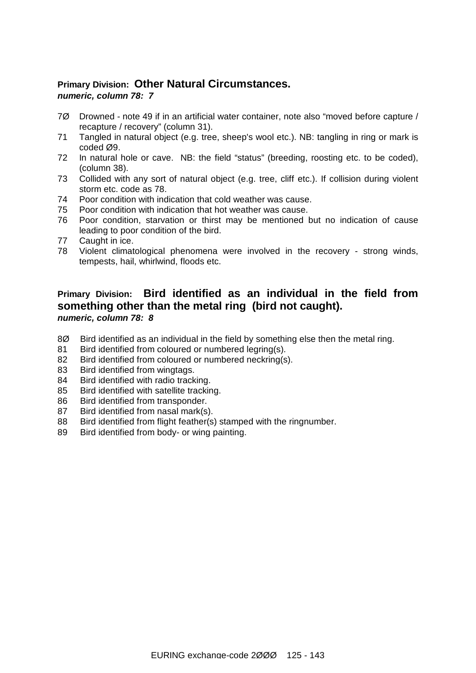### **Primary Division: Other Natural Circumstances.**  *numeric, column 78: 7*

- 7Ø Drowned note 49 if in an artificial water container, note also "moved before capture / recapture / recovery" (column 31).
- 71 Tangled in natural object (e.g. tree, sheep's wool etc.). NB: tangling in ring or mark is coded Ø9.
- 72 In natural hole or cave. NB: the field "status" (breeding, roosting etc. to be coded), (column 38).
- 73 Collided with any sort of natural object (e.g. tree, cliff etc.). If collision during violent storm etc. code as 78.
- 74 Poor condition with indication that cold weather was cause.
- 75 Poor condition with indication that hot weather was cause.
- 76 Poor condition, starvation or thirst may be mentioned but no indication of cause leading to poor condition of the bird.
- 77 Caught in ice.
- 78 Violent climatological phenomena were involved in the recovery strong winds, tempests, hail, whirlwind, floods etc.

### **Primary Division: Bird identified as an individual in the field from something other than the metal ring (bird not caught).**  *numeric, column 78: 8*

- 8Ø Bird identified as an individual in the field by something else then the metal ring.
- 81 Bird identified from coloured or numbered legring(s).
- 82 Bird identified from coloured or numbered neckring(s).
- 83 Bird identified from wingtags.
- 84 Bird identified with radio tracking.
- 85 Bird identified with satellite tracking.
- 86 Bird identified from transponder.
- 87 Bird identified from nasal mark(s).
- 88 Bird identified from flight feather(s) stamped with the ringnumber.
- 89 Bird identified from body- or wing painting.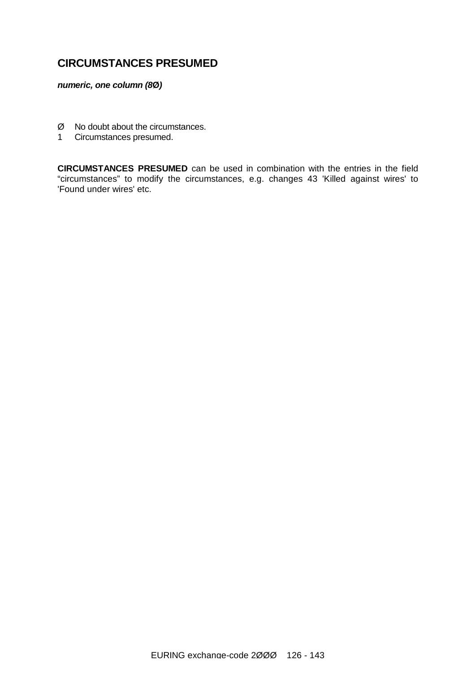## **CIRCUMSTANCES PRESUMED**

*numeric, one column (8***Ø***)*

- $\emptyset$  No doubt about the circumstances.
- 1 Circumstances presumed.

**CIRCUMSTANCES PRESUMED** can be used in combination with the entries in the field "circumstances" to modify the circumstances, e.g. changes 43 'Killed against wires' to 'Found under wires' etc.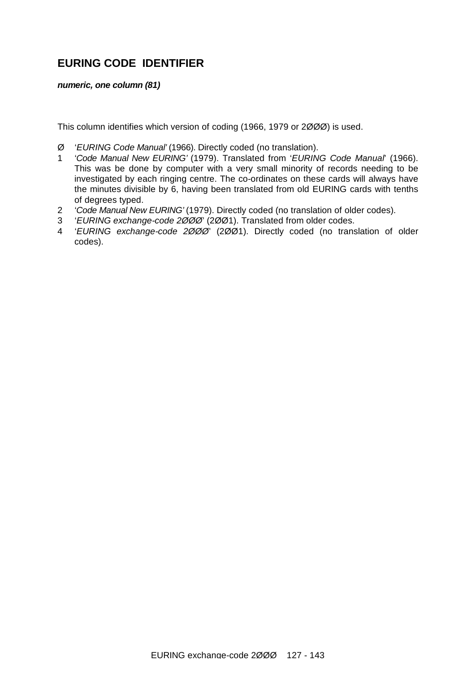## **EURING CODE IDENTIFIER**

*numeric, one column (81)*

This column identifies which version of coding (1966, 1979 or 2ØØØ) is used.

- Ø '*EURING Code Manual'* (1966). Directly coded (no translation).
- 1 '*Code Manual New EURING'* (1979). Translated from '*EURING Code Manual*' (1966). This was be done by computer with a very small minority of records needing to be investigated by each ringing centre. The co-ordinates on these cards will always have the minutes divisible by 6, having been translated from old EURING cards with tenths of degrees typed.
- 2 '*Code Manual New EURING'* (1979). Directly coded (no translation of older codes).
- 3 '*EURING exchange-code 2ØØØ*' (2ØØ1). Translated from older codes.
- 4 '*EURING exchange-code 2ØØØ*' (2ØØ1). Directly coded (no translation of older codes).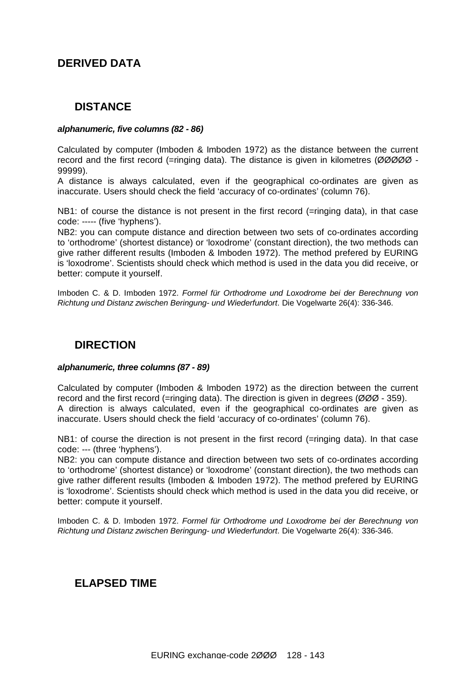## **DERIVED DATA**

## **DISTANCE**

#### *alphanumeric, five columns (82 - 86)*

Calculated by computer (Imboden & Imboden 1972) as the distance between the current record and the first record (=ringing data). The distance is given in kilometres (ØØØØØ - 99999).

A distance is always calculated, even if the geographical co-ordinates are given as inaccurate. Users should check the field 'accuracy of co-ordinates' (column 76).

NB1: of course the distance is not present in the first record (=ringing data), in that case code: ----- (five 'hyphens').

NB2: you can compute distance and direction between two sets of co-ordinates according to 'orthodrome' (shortest distance) or 'loxodrome' (constant direction), the two methods can give rather different results (Imboden & Imboden 1972). The method prefered by EURING is 'loxodrome'. Scientists should check which method is used in the data you did receive, or better: compute it yourself.

Imboden C. & D. Imboden 1972. *Formel für Orthodrome und Loxodrome bei der Berechnung von Richtung und Distanz zwischen Beringung- und Wiederfundort*. Die Vogelwarte 26(4): 336-346.

## **DIRECTION**

#### *alphanumeric, three columns (87 - 89)*

Calculated by computer (Imboden & Imboden 1972) as the direction between the current record and the first record (=ringing data). The direction is given in degrees (ØØØ - 359). A direction is always calculated, even if the geographical co-ordinates are given as inaccurate. Users should check the field 'accuracy of co-ordinates' (column 76).

NB1: of course the direction is not present in the first record (=ringing data). In that case code: --- (three 'hyphens').

NB2: you can compute distance and direction between two sets of co-ordinates according to 'orthodrome' (shortest distance) or 'loxodrome' (constant direction), the two methods can give rather different results (Imboden & Imboden 1972). The method prefered by EURING is 'loxodrome'. Scientists should check which method is used in the data you did receive, or better: compute it yourself.

Imboden C. & D. Imboden 1972. *Formel für Orthodrome und Loxodrome bei der Berechnung von Richtung und Distanz zwischen Beringung- und Wiederfundort*. Die Vogelwarte 26(4): 336-346.

### **ELAPSED TIME**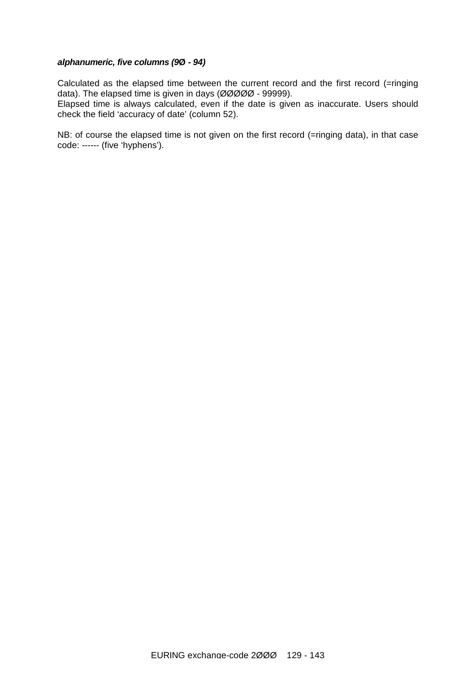#### *alphanumeric, five columns (9***Ø** *- 94)*

Calculated as the elapsed time between the current record and the first record (=ringing data). The elapsed time is given in days (ØØØØØ - 99999).

Elapsed time is always calculated, even if the date is given as inaccurate. Users should check the field 'accuracy of date' (column 52).

NB: of course the elapsed time is not given on the first record (=ringing data), in that case code: ------ (five 'hyphens').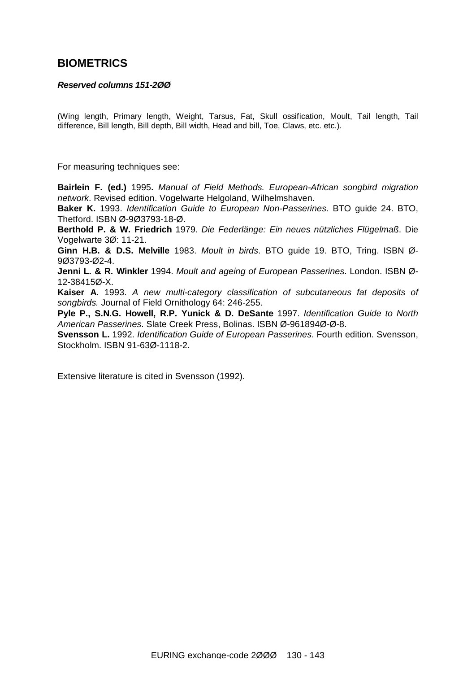### **BIOMETRICS**

#### *Reserved columns 151-2ØØ*

(Wing length, Primary length, Weight, Tarsus, Fat, Skull ossification, Moult, Tail length, Tail difference, Bill length, Bill depth, Bill width, Head and bill, Toe, Claws, etc. etc.).

For measuring techniques see:

**Bairlein F. (ed.)** 1995**.** *Manual of Field Methods. European-African songbird migration network*. Revised edition. Vogelwarte Helgoland, Wilhelmshaven.

**Baker K.** 1993. *Identification Guide to European Non-Passerines*. BTO guide 24. BTO, Thetford. ISBN Ø-9Ø3793-18-Ø.

**Berthold P. & W. Friedrich** 1979. *Die Federlänge: Ein neues nützliches Flügelmaß*. Die Vogelwarte 3Ø: 11-21.

**Ginn H.B. & D.S. Melville** 1983. *Moult in birds*. BTO guide 19. BTO, Tring. ISBN Ø-9Ø3793-Ø2-4.

**Jenni L. & R. Winkler** 1994. *Moult and ageing of European Passerines*. London. ISBN Ø-12-38415Ø-X.

**Kaiser A.** 1993. *A new multi-category classification of subcutaneous fat deposits of songbirds.* Journal of Field Ornithology 64: 246-255.

**Pyle P., S.N.G. Howell, R.P. Yunick & D. DeSante** 1997. *Identification Guide to North American Passerines*. Slate Creek Press, Bolinas. ISBN Ø-961894Ø-Ø-8.

**Svensson L.** 1992. *Identification Guide of European Passerines*. Fourth edition. Svensson, Stockholm. ISBN 91-63Ø-1118-2.

Extensive literature is cited in Svensson (1992).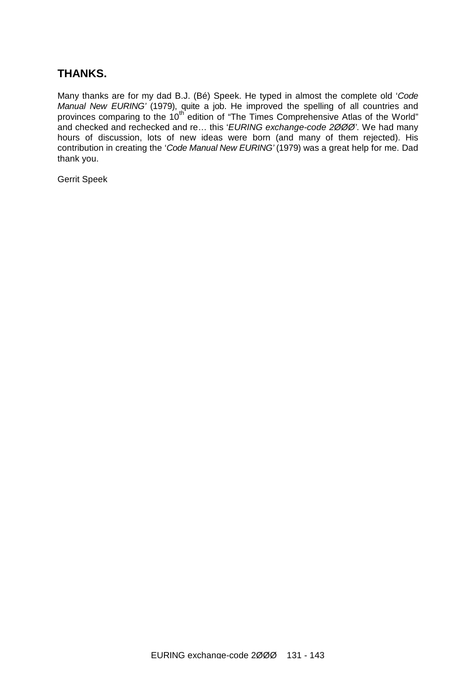## **THANKS.**

Many thanks are for my dad B.J. (Bé) Speek. He typed in almost the complete old '*Code Manual New EURING'* (1979), quite a job. He improved the spelling of all countries and provinces comparing to the 10th edition of "The Times Comprehensive Atlas of the World" and checked and rechecked and re… this '*EURING exchange-code 2ØØØ'*. We had many hours of discussion, lots of new ideas were born (and many of them rejected). His contribution in creating the '*Code Manual New EURING'* (1979) was a great help for me. Dad thank you.

Gerrit Speek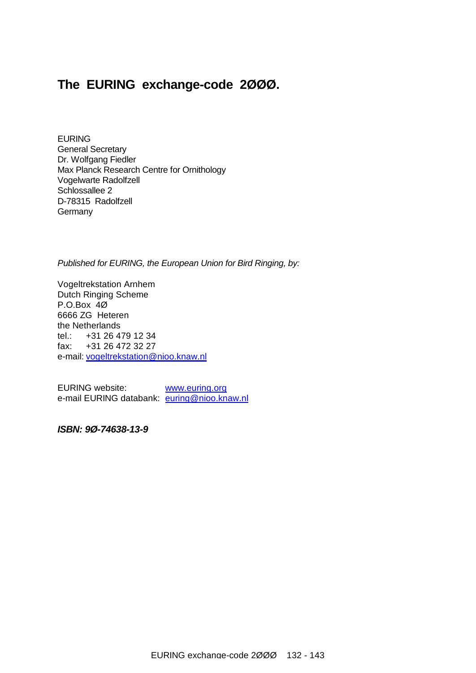## **The EURING exchange-code 2ØØØ.**

EURING General Secretary Dr. Wolfgang Fiedler Max Planck Research Centre for Ornithology Vogelwarte Radolfzell Schlossallee 2 D-78315 Radolfzell **Germany** 

*Published for EURING, the European Union for Bird Ringing, by:* 

Vogeltrekstation Arnhem Dutch Ringing Scheme P.O.Box 4Ø 6666 ZG Heteren the Netherlands tel.: +31 26 479 12 34 fax: +31 26 472 32 27 e-mail: [vogeltrekstation@nioo.knaw.nl](mailto:vogeltrekstation@nioo.knaw.nl)

EURING website: [www.euring.org](http://www.euring.org) e-mail EURING databank: [euring@nioo.knaw.nl](mailto:euring@nioo.knaw.nl)

*ISBN: 9Ø-74638-13-9*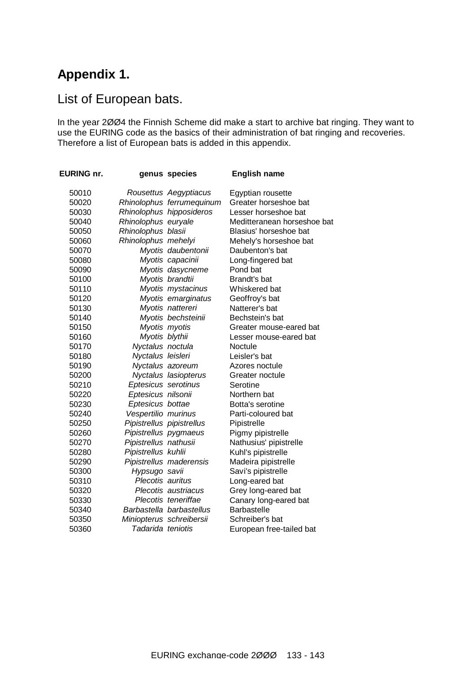# **Appendix 1.**

## List of European bats.

In the year 2ØØ4 the Finnish Scheme did make a start to archive bat ringing. They want to use the EURING code as the basics of their administration of bat ringing and recoveries. Therefore a list of European bats is added in this appendix.

| EURING nr. |                       | genus species             | <b>English name</b>         |
|------------|-----------------------|---------------------------|-----------------------------|
| 50010      |                       | Rousettus Aegyptiacus     | Egyptian rousette           |
| 50020      |                       | Rhinolophus ferrumequinum | Greater horseshoe bat       |
| 50030      |                       | Rhinolophus hipposideros  | Lesser horseshoe bat        |
| 50040      | Rhinolophus euryale   |                           | Meditteranean horseshoe bat |
| 50050      | Rhinolophus blasii    |                           | Blasius' horseshoe bat      |
| 50060      | Rhinolophus mehelyi   |                           | Mehely's horseshoe bat      |
| 50070      |                       | Myotis daubentonii        | Daubenton's bat             |
| 50080      |                       | Myotis capacinii          | Long-fingered bat           |
| 50090      |                       | Myotis dasycneme          | Pond bat                    |
| 50100      |                       | Myotis brandtii           | Brandt's bat                |
| 50110      |                       | Myotis mystacinus         | Whiskered bat               |
| 50120      |                       | Myotis emarginatus        | Geoffroy's bat              |
| 50130      |                       | Myotis nattereri          | Natterer's bat              |
| 50140      |                       | Myotis bechsteinii        | Bechstein's bat             |
| 50150      |                       | Myotis myotis             | Greater mouse-eared bat     |
| 50160      | Myotis blythii        |                           | Lesser mouse-eared bat      |
| 50170      | Nyctalus noctula      |                           | Noctule                     |
| 50180      | Nyctalus leisleri     |                           | Leisler's bat               |
| 50190      |                       | Nyctalus azoreum          | Azores noctule              |
| 50200      |                       | Nyctalus lasiopterus      | Greater noctule             |
| 50210      | Eptesicus serotinus   |                           | Serotine                    |
| 50220      | Eptesicus nilsonii    |                           | Northern bat                |
| 50230      | Eptesicus bottae      |                           | Botta's serotine            |
| 50240      | Vespertilio murinus   |                           | Parti-coloured bat          |
| 50250      |                       | Pipistrellus pipistrellus | Pipistrelle                 |
| 50260      | Pipistrellus pygmaeus |                           | Pigmy pipistrelle           |
| 50270      | Pipistrellus nathusii |                           | Nathusius' pipistrelle      |
| 50280      | Pipistrellus kuhlii   |                           | Kuhl's pipistrelle          |
| 50290      |                       | Pipistrellus maderensis   | Madeira pipistrelle         |
| 50300      | Hypsugo savii         |                           | Savi's pipistrelle          |
| 50310      | Plecotis auritus      |                           | Long-eared bat              |
| 50320      |                       | Plecotis austriacus       | Grey long-eared bat         |
| 50330      |                       | Plecotis teneriffae       | Canary long-eared bat       |
| 50340      |                       | Barbastella barbastellus  | Barbastelle                 |
| 50350      |                       | Miniopterus schreibersii  | Schreiber's bat             |
| 50360      | Tadarida teniotis     |                           | European free-tailed bat    |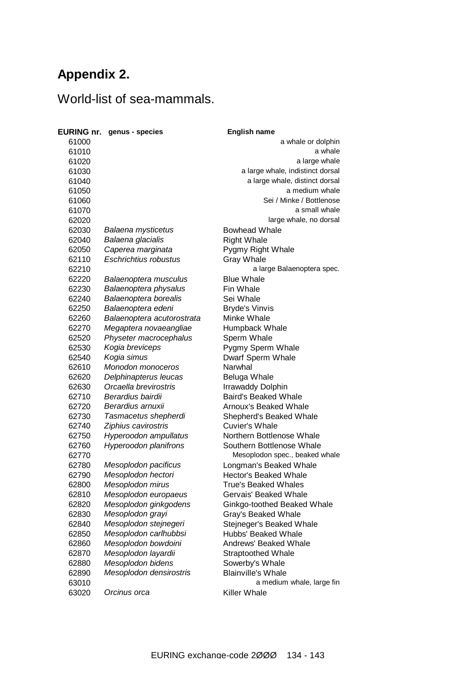# **Appendix 2.**

# World-list of sea-mammals.

|                | <b>EURING nr.</b> genus - species | <b>English name</b>                              |
|----------------|-----------------------------------|--------------------------------------------------|
| 61000          |                                   | a whale or dolphin                               |
| 61010          |                                   | a whale                                          |
| 61020          |                                   | a large whale                                    |
| 61030          |                                   | a large whale, indistinct dorsal                 |
| 61040          |                                   | a large whale, distinct dorsal                   |
| 61050          |                                   | a medium whale                                   |
| 61060          |                                   | Sei / Minke / Bottlenose                         |
| 61070          |                                   | a small whale                                    |
| 62020          |                                   | large whale, no dorsal                           |
| 62030          | Balaena mysticetus                | <b>Bowhead Whale</b>                             |
| 62040          | Balaena glacialis                 | <b>Right Whale</b>                               |
| 62050          | Caperea marginata                 | Pygmy Right Whale                                |
| 62110          | <b>Eschrichtius robustus</b>      | <b>Gray Whale</b>                                |
| 62210          |                                   | a large Balaenoptera spec.                       |
| 62220          | Balaenoptera musculus             | <b>Blue Whale</b>                                |
| 62230          | Balaenoptera physalus             | Fin Whale                                        |
| 62240          | Balaenoptera borealis             | Sei Whale                                        |
| 62250          | Balaenoptera edeni                | <b>Bryde's Vinvis</b>                            |
| 62260          | Balaenoptera acutorostrata        | Minke Whale                                      |
| 62270          | Megaptera novaeangliae            | Humpback Whale                                   |
| 62520          | Physeter macrocephalus            | Sperm Whale                                      |
| 62530          | Kogia breviceps                   | Pygmy Sperm Whale                                |
| 62540          | Kogia simus                       | Dwarf Sperm Whale                                |
| 62610          | <b>Monodon monoceros</b>          | Narwhal                                          |
| 62620          | Delphinapterus leucas             | Beluga Whale                                     |
| 62630          | Orcaella brevirostris             | <b>Irrawaddy Dolphin</b>                         |
| 62710          | Berardius bairdii                 | <b>Baird's Beaked Whale</b>                      |
| 62720          | Berardius arnuxii                 | Arnoux's Beaked Whale                            |
|                |                                   |                                                  |
| 62730<br>62740 | Tasmacetus shepherdi              | Shepherd's Beaked Whale<br><b>Cuvier's Whale</b> |
|                | Ziphius cavirostris               |                                                  |
| 62750          | Hyperoodon ampullatus             | Northern Bottlenose Whale                        |
| 62760          | <b>Hyperoodon planifrons</b>      | Southern Bottlenose Whale                        |
| 62770          |                                   | Mesoplodon spec., beaked whale                   |
| 62780          | Mesoplodon pacificus              | Longman's Beaked Whale                           |
| 62790          | Mesoplodon hectori                | Hector's Beaked Whale                            |
| 62800          | Mesoplodon mirus                  | <b>True's Beaked Whales</b>                      |
| 62810          | Mesoplodon europaeus              | Gervais' Beaked Whale                            |
| 62820          | Mesoplodon ginkgodens             | Ginkgo-toothed Beaked Whale                      |
| 62830          | Mesoplodon grayi                  | Gray's Beaked Whale                              |
| 62840          | Mesoplodon stejnegeri             | Stejneger's Beaked Whale                         |
| 62850          | Mesoplodon carlhubbsi             | Hubbs' Beaked Whale                              |
| 62860          | Mesoplodon bowdoini               | Andrews' Beaked Whale                            |
| 62870          | Mesoplodon layardii               | <b>Straptoothed Whale</b>                        |
| 62880          | Mesoplodon bidens                 | Sowerby's Whale                                  |
| 62890          | Mesoplodon densirostris           | <b>Blainville's Whale</b>                        |
| 63010          |                                   | a medium whale, large fin                        |
| 63020          | Orcinus orca                      | Killer Whale                                     |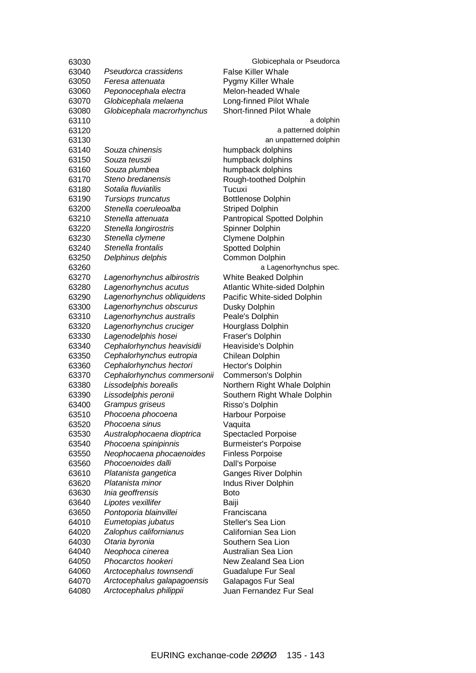| <b>False Killer Whale</b><br>63040<br>Pseudorca crassidens<br>63050<br>Feresa attenuata<br>Pygmy Killer Whale<br>Peponocephala electra<br>Melon-headed Whale<br>63060<br>Globicephala melaena<br>63070<br>Long-finned Pilot Whale<br>Globicephala macrorhynchus<br><b>Short-finned Pilot Whale</b><br>63080<br>63110<br>a dolphin<br>a patterned dolphin<br>63120<br>an unpatterned dolphin<br>63130<br>63140<br>Souza chinensis<br>humpback dolphins<br>humpback dolphins<br>63150<br>Souza teuszii<br>Souza plumbea<br>humpback dolphins<br>63160<br>Steno bredanensis<br>63170<br>Rough-toothed Dolphin<br>Sotalia fluviatilis<br>Tucuxi<br>63180<br>Tursiops truncatus<br>63190<br><b>Bottlenose Dolphin</b><br>Stenella coeruleoalba<br><b>Striped Dolphin</b><br>63200<br>Stenella attenuata<br>Pantropical Spotted Dolphin<br>63210<br>Stenella longirostris<br>Spinner Dolphin<br>63220<br>Clymene Dolphin<br>Stenella clymene<br>63230<br>Stenella frontalis<br><b>Spotted Dolphin</b><br>63240<br>Delphinus delphis<br>Common Dolphin<br>63250<br>a Lagenorhynchus spec.<br>63260<br>Lagenorhynchus albirostris<br>White Beaked Dolphin<br>63270<br>Lagenorhynchus acutus<br><b>Atlantic White-sided Dolphin</b><br>63280<br>Lagenorhynchus obliquidens<br>Pacific White-sided Dolphin<br>63290<br>Lagenorhynchus obscurus<br>Dusky Dolphin<br>63300<br>63310<br>Lagenorhynchus australis<br>Peale's Dolphin<br>Lagenorhynchus cruciger<br>Hourglass Dolphin<br>63320<br>Lagenodelphis hosei<br>Fraser's Dolphin<br>63330<br>Cephalorhynchus heavisidii<br>Heaviside's Dolphin<br>63340<br>Cephalorhynchus eutropia<br>Chilean Dolphin<br>63350<br>Cephalorhynchus hectori<br>Hector's Dolphin<br>63360<br>Commerson's Dolphin<br>63370<br>Cephalorhynchus commersonii<br>63380<br>Lissodelphis borealis<br>Northern Right Whale Dolphin<br>Lissodelphis peronii<br>63390<br>Southern Right Whale Dolphin<br>63400<br>Grampus griseus<br>Risso's Dolphin<br>Harbour Porpoise<br>63510<br>Phocoena phocoena<br>63520<br>Phocoena sinus<br>Vaquita<br><b>Spectacled Porpoise</b><br>63530<br>Australophocaena dioptrica<br>Phocoena spinipinnis<br>63540<br><b>Burmeister's Porpoise</b><br>Neophocaena phocaenoides<br><b>Finless Porpoise</b><br>63550<br>Phocoenoides dalli<br>63560<br>Dall's Porpoise<br>Platanista gangetica<br><b>Ganges River Dolphin</b><br>63610<br>Platanista minor<br>Indus River Dolphin<br>63620<br>Inia geoffrensis<br>63630<br><b>Boto</b><br>Lipotes vexillifer<br>63640<br>Baiji<br>Pontoporia blainvillei<br>63650<br>Franciscana<br>Eumetopias jubatus<br>Steller's Sea Lion<br>64010<br>Zalophus californianus<br>Californian Sea Lion<br>64020<br>Otaria byronia<br>Southern Sea Lion<br>64030<br>Neophoca cinerea<br>Australian Sea Lion<br>64040<br>64050<br>Phocarctos hookeri<br>New Zealand Sea Lion<br>64060<br>Arctocephalus townsendi<br><b>Guadalupe Fur Seal</b><br>64070<br>Arctocephalus galapagoensis<br>Galapagos Fur Seal<br>64080<br>Arctocephalus philippii<br>Juan Fernandez Fur Seal | 63030 | Globicephala or Pseudorca |
|-------------------------------------------------------------------------------------------------------------------------------------------------------------------------------------------------------------------------------------------------------------------------------------------------------------------------------------------------------------------------------------------------------------------------------------------------------------------------------------------------------------------------------------------------------------------------------------------------------------------------------------------------------------------------------------------------------------------------------------------------------------------------------------------------------------------------------------------------------------------------------------------------------------------------------------------------------------------------------------------------------------------------------------------------------------------------------------------------------------------------------------------------------------------------------------------------------------------------------------------------------------------------------------------------------------------------------------------------------------------------------------------------------------------------------------------------------------------------------------------------------------------------------------------------------------------------------------------------------------------------------------------------------------------------------------------------------------------------------------------------------------------------------------------------------------------------------------------------------------------------------------------------------------------------------------------------------------------------------------------------------------------------------------------------------------------------------------------------------------------------------------------------------------------------------------------------------------------------------------------------------------------------------------------------------------------------------------------------------------------------------------------------------------------------------------------------------------------------------------------------------------------------------------------------------------------------------------------------------------------------------------------------------------------------------------------------------------------------------------------------------------------------------------------------------------------------------------------------------------------------------------------------------------------------------------------------------------------------------------------------------------------------------------------------------|-------|---------------------------|
|                                                                                                                                                                                                                                                                                                                                                                                                                                                                                                                                                                                                                                                                                                                                                                                                                                                                                                                                                                                                                                                                                                                                                                                                                                                                                                                                                                                                                                                                                                                                                                                                                                                                                                                                                                                                                                                                                                                                                                                                                                                                                                                                                                                                                                                                                                                                                                                                                                                                                                                                                                                                                                                                                                                                                                                                                                                                                                                                                                                                                                                       |       |                           |
|                                                                                                                                                                                                                                                                                                                                                                                                                                                                                                                                                                                                                                                                                                                                                                                                                                                                                                                                                                                                                                                                                                                                                                                                                                                                                                                                                                                                                                                                                                                                                                                                                                                                                                                                                                                                                                                                                                                                                                                                                                                                                                                                                                                                                                                                                                                                                                                                                                                                                                                                                                                                                                                                                                                                                                                                                                                                                                                                                                                                                                                       |       |                           |
|                                                                                                                                                                                                                                                                                                                                                                                                                                                                                                                                                                                                                                                                                                                                                                                                                                                                                                                                                                                                                                                                                                                                                                                                                                                                                                                                                                                                                                                                                                                                                                                                                                                                                                                                                                                                                                                                                                                                                                                                                                                                                                                                                                                                                                                                                                                                                                                                                                                                                                                                                                                                                                                                                                                                                                                                                                                                                                                                                                                                                                                       |       |                           |
|                                                                                                                                                                                                                                                                                                                                                                                                                                                                                                                                                                                                                                                                                                                                                                                                                                                                                                                                                                                                                                                                                                                                                                                                                                                                                                                                                                                                                                                                                                                                                                                                                                                                                                                                                                                                                                                                                                                                                                                                                                                                                                                                                                                                                                                                                                                                                                                                                                                                                                                                                                                                                                                                                                                                                                                                                                                                                                                                                                                                                                                       |       |                           |
|                                                                                                                                                                                                                                                                                                                                                                                                                                                                                                                                                                                                                                                                                                                                                                                                                                                                                                                                                                                                                                                                                                                                                                                                                                                                                                                                                                                                                                                                                                                                                                                                                                                                                                                                                                                                                                                                                                                                                                                                                                                                                                                                                                                                                                                                                                                                                                                                                                                                                                                                                                                                                                                                                                                                                                                                                                                                                                                                                                                                                                                       |       |                           |
|                                                                                                                                                                                                                                                                                                                                                                                                                                                                                                                                                                                                                                                                                                                                                                                                                                                                                                                                                                                                                                                                                                                                                                                                                                                                                                                                                                                                                                                                                                                                                                                                                                                                                                                                                                                                                                                                                                                                                                                                                                                                                                                                                                                                                                                                                                                                                                                                                                                                                                                                                                                                                                                                                                                                                                                                                                                                                                                                                                                                                                                       |       |                           |
|                                                                                                                                                                                                                                                                                                                                                                                                                                                                                                                                                                                                                                                                                                                                                                                                                                                                                                                                                                                                                                                                                                                                                                                                                                                                                                                                                                                                                                                                                                                                                                                                                                                                                                                                                                                                                                                                                                                                                                                                                                                                                                                                                                                                                                                                                                                                                                                                                                                                                                                                                                                                                                                                                                                                                                                                                                                                                                                                                                                                                                                       |       |                           |
|                                                                                                                                                                                                                                                                                                                                                                                                                                                                                                                                                                                                                                                                                                                                                                                                                                                                                                                                                                                                                                                                                                                                                                                                                                                                                                                                                                                                                                                                                                                                                                                                                                                                                                                                                                                                                                                                                                                                                                                                                                                                                                                                                                                                                                                                                                                                                                                                                                                                                                                                                                                                                                                                                                                                                                                                                                                                                                                                                                                                                                                       |       |                           |
|                                                                                                                                                                                                                                                                                                                                                                                                                                                                                                                                                                                                                                                                                                                                                                                                                                                                                                                                                                                                                                                                                                                                                                                                                                                                                                                                                                                                                                                                                                                                                                                                                                                                                                                                                                                                                                                                                                                                                                                                                                                                                                                                                                                                                                                                                                                                                                                                                                                                                                                                                                                                                                                                                                                                                                                                                                                                                                                                                                                                                                                       |       |                           |
|                                                                                                                                                                                                                                                                                                                                                                                                                                                                                                                                                                                                                                                                                                                                                                                                                                                                                                                                                                                                                                                                                                                                                                                                                                                                                                                                                                                                                                                                                                                                                                                                                                                                                                                                                                                                                                                                                                                                                                                                                                                                                                                                                                                                                                                                                                                                                                                                                                                                                                                                                                                                                                                                                                                                                                                                                                                                                                                                                                                                                                                       |       |                           |
|                                                                                                                                                                                                                                                                                                                                                                                                                                                                                                                                                                                                                                                                                                                                                                                                                                                                                                                                                                                                                                                                                                                                                                                                                                                                                                                                                                                                                                                                                                                                                                                                                                                                                                                                                                                                                                                                                                                                                                                                                                                                                                                                                                                                                                                                                                                                                                                                                                                                                                                                                                                                                                                                                                                                                                                                                                                                                                                                                                                                                                                       |       |                           |
|                                                                                                                                                                                                                                                                                                                                                                                                                                                                                                                                                                                                                                                                                                                                                                                                                                                                                                                                                                                                                                                                                                                                                                                                                                                                                                                                                                                                                                                                                                                                                                                                                                                                                                                                                                                                                                                                                                                                                                                                                                                                                                                                                                                                                                                                                                                                                                                                                                                                                                                                                                                                                                                                                                                                                                                                                                                                                                                                                                                                                                                       |       |                           |
|                                                                                                                                                                                                                                                                                                                                                                                                                                                                                                                                                                                                                                                                                                                                                                                                                                                                                                                                                                                                                                                                                                                                                                                                                                                                                                                                                                                                                                                                                                                                                                                                                                                                                                                                                                                                                                                                                                                                                                                                                                                                                                                                                                                                                                                                                                                                                                                                                                                                                                                                                                                                                                                                                                                                                                                                                                                                                                                                                                                                                                                       |       |                           |
|                                                                                                                                                                                                                                                                                                                                                                                                                                                                                                                                                                                                                                                                                                                                                                                                                                                                                                                                                                                                                                                                                                                                                                                                                                                                                                                                                                                                                                                                                                                                                                                                                                                                                                                                                                                                                                                                                                                                                                                                                                                                                                                                                                                                                                                                                                                                                                                                                                                                                                                                                                                                                                                                                                                                                                                                                                                                                                                                                                                                                                                       |       |                           |
|                                                                                                                                                                                                                                                                                                                                                                                                                                                                                                                                                                                                                                                                                                                                                                                                                                                                                                                                                                                                                                                                                                                                                                                                                                                                                                                                                                                                                                                                                                                                                                                                                                                                                                                                                                                                                                                                                                                                                                                                                                                                                                                                                                                                                                                                                                                                                                                                                                                                                                                                                                                                                                                                                                                                                                                                                                                                                                                                                                                                                                                       |       |                           |
|                                                                                                                                                                                                                                                                                                                                                                                                                                                                                                                                                                                                                                                                                                                                                                                                                                                                                                                                                                                                                                                                                                                                                                                                                                                                                                                                                                                                                                                                                                                                                                                                                                                                                                                                                                                                                                                                                                                                                                                                                                                                                                                                                                                                                                                                                                                                                                                                                                                                                                                                                                                                                                                                                                                                                                                                                                                                                                                                                                                                                                                       |       |                           |
|                                                                                                                                                                                                                                                                                                                                                                                                                                                                                                                                                                                                                                                                                                                                                                                                                                                                                                                                                                                                                                                                                                                                                                                                                                                                                                                                                                                                                                                                                                                                                                                                                                                                                                                                                                                                                                                                                                                                                                                                                                                                                                                                                                                                                                                                                                                                                                                                                                                                                                                                                                                                                                                                                                                                                                                                                                                                                                                                                                                                                                                       |       |                           |
|                                                                                                                                                                                                                                                                                                                                                                                                                                                                                                                                                                                                                                                                                                                                                                                                                                                                                                                                                                                                                                                                                                                                                                                                                                                                                                                                                                                                                                                                                                                                                                                                                                                                                                                                                                                                                                                                                                                                                                                                                                                                                                                                                                                                                                                                                                                                                                                                                                                                                                                                                                                                                                                                                                                                                                                                                                                                                                                                                                                                                                                       |       |                           |
|                                                                                                                                                                                                                                                                                                                                                                                                                                                                                                                                                                                                                                                                                                                                                                                                                                                                                                                                                                                                                                                                                                                                                                                                                                                                                                                                                                                                                                                                                                                                                                                                                                                                                                                                                                                                                                                                                                                                                                                                                                                                                                                                                                                                                                                                                                                                                                                                                                                                                                                                                                                                                                                                                                                                                                                                                                                                                                                                                                                                                                                       |       |                           |
|                                                                                                                                                                                                                                                                                                                                                                                                                                                                                                                                                                                                                                                                                                                                                                                                                                                                                                                                                                                                                                                                                                                                                                                                                                                                                                                                                                                                                                                                                                                                                                                                                                                                                                                                                                                                                                                                                                                                                                                                                                                                                                                                                                                                                                                                                                                                                                                                                                                                                                                                                                                                                                                                                                                                                                                                                                                                                                                                                                                                                                                       |       |                           |
|                                                                                                                                                                                                                                                                                                                                                                                                                                                                                                                                                                                                                                                                                                                                                                                                                                                                                                                                                                                                                                                                                                                                                                                                                                                                                                                                                                                                                                                                                                                                                                                                                                                                                                                                                                                                                                                                                                                                                                                                                                                                                                                                                                                                                                                                                                                                                                                                                                                                                                                                                                                                                                                                                                                                                                                                                                                                                                                                                                                                                                                       |       |                           |
|                                                                                                                                                                                                                                                                                                                                                                                                                                                                                                                                                                                                                                                                                                                                                                                                                                                                                                                                                                                                                                                                                                                                                                                                                                                                                                                                                                                                                                                                                                                                                                                                                                                                                                                                                                                                                                                                                                                                                                                                                                                                                                                                                                                                                                                                                                                                                                                                                                                                                                                                                                                                                                                                                                                                                                                                                                                                                                                                                                                                                                                       |       |                           |
|                                                                                                                                                                                                                                                                                                                                                                                                                                                                                                                                                                                                                                                                                                                                                                                                                                                                                                                                                                                                                                                                                                                                                                                                                                                                                                                                                                                                                                                                                                                                                                                                                                                                                                                                                                                                                                                                                                                                                                                                                                                                                                                                                                                                                                                                                                                                                                                                                                                                                                                                                                                                                                                                                                                                                                                                                                                                                                                                                                                                                                                       |       |                           |
|                                                                                                                                                                                                                                                                                                                                                                                                                                                                                                                                                                                                                                                                                                                                                                                                                                                                                                                                                                                                                                                                                                                                                                                                                                                                                                                                                                                                                                                                                                                                                                                                                                                                                                                                                                                                                                                                                                                                                                                                                                                                                                                                                                                                                                                                                                                                                                                                                                                                                                                                                                                                                                                                                                                                                                                                                                                                                                                                                                                                                                                       |       |                           |
|                                                                                                                                                                                                                                                                                                                                                                                                                                                                                                                                                                                                                                                                                                                                                                                                                                                                                                                                                                                                                                                                                                                                                                                                                                                                                                                                                                                                                                                                                                                                                                                                                                                                                                                                                                                                                                                                                                                                                                                                                                                                                                                                                                                                                                                                                                                                                                                                                                                                                                                                                                                                                                                                                                                                                                                                                                                                                                                                                                                                                                                       |       |                           |
|                                                                                                                                                                                                                                                                                                                                                                                                                                                                                                                                                                                                                                                                                                                                                                                                                                                                                                                                                                                                                                                                                                                                                                                                                                                                                                                                                                                                                                                                                                                                                                                                                                                                                                                                                                                                                                                                                                                                                                                                                                                                                                                                                                                                                                                                                                                                                                                                                                                                                                                                                                                                                                                                                                                                                                                                                                                                                                                                                                                                                                                       |       |                           |
|                                                                                                                                                                                                                                                                                                                                                                                                                                                                                                                                                                                                                                                                                                                                                                                                                                                                                                                                                                                                                                                                                                                                                                                                                                                                                                                                                                                                                                                                                                                                                                                                                                                                                                                                                                                                                                                                                                                                                                                                                                                                                                                                                                                                                                                                                                                                                                                                                                                                                                                                                                                                                                                                                                                                                                                                                                                                                                                                                                                                                                                       |       |                           |
|                                                                                                                                                                                                                                                                                                                                                                                                                                                                                                                                                                                                                                                                                                                                                                                                                                                                                                                                                                                                                                                                                                                                                                                                                                                                                                                                                                                                                                                                                                                                                                                                                                                                                                                                                                                                                                                                                                                                                                                                                                                                                                                                                                                                                                                                                                                                                                                                                                                                                                                                                                                                                                                                                                                                                                                                                                                                                                                                                                                                                                                       |       |                           |
|                                                                                                                                                                                                                                                                                                                                                                                                                                                                                                                                                                                                                                                                                                                                                                                                                                                                                                                                                                                                                                                                                                                                                                                                                                                                                                                                                                                                                                                                                                                                                                                                                                                                                                                                                                                                                                                                                                                                                                                                                                                                                                                                                                                                                                                                                                                                                                                                                                                                                                                                                                                                                                                                                                                                                                                                                                                                                                                                                                                                                                                       |       |                           |
|                                                                                                                                                                                                                                                                                                                                                                                                                                                                                                                                                                                                                                                                                                                                                                                                                                                                                                                                                                                                                                                                                                                                                                                                                                                                                                                                                                                                                                                                                                                                                                                                                                                                                                                                                                                                                                                                                                                                                                                                                                                                                                                                                                                                                                                                                                                                                                                                                                                                                                                                                                                                                                                                                                                                                                                                                                                                                                                                                                                                                                                       |       |                           |
|                                                                                                                                                                                                                                                                                                                                                                                                                                                                                                                                                                                                                                                                                                                                                                                                                                                                                                                                                                                                                                                                                                                                                                                                                                                                                                                                                                                                                                                                                                                                                                                                                                                                                                                                                                                                                                                                                                                                                                                                                                                                                                                                                                                                                                                                                                                                                                                                                                                                                                                                                                                                                                                                                                                                                                                                                                                                                                                                                                                                                                                       |       |                           |
|                                                                                                                                                                                                                                                                                                                                                                                                                                                                                                                                                                                                                                                                                                                                                                                                                                                                                                                                                                                                                                                                                                                                                                                                                                                                                                                                                                                                                                                                                                                                                                                                                                                                                                                                                                                                                                                                                                                                                                                                                                                                                                                                                                                                                                                                                                                                                                                                                                                                                                                                                                                                                                                                                                                                                                                                                                                                                                                                                                                                                                                       |       |                           |
|                                                                                                                                                                                                                                                                                                                                                                                                                                                                                                                                                                                                                                                                                                                                                                                                                                                                                                                                                                                                                                                                                                                                                                                                                                                                                                                                                                                                                                                                                                                                                                                                                                                                                                                                                                                                                                                                                                                                                                                                                                                                                                                                                                                                                                                                                                                                                                                                                                                                                                                                                                                                                                                                                                                                                                                                                                                                                                                                                                                                                                                       |       |                           |
|                                                                                                                                                                                                                                                                                                                                                                                                                                                                                                                                                                                                                                                                                                                                                                                                                                                                                                                                                                                                                                                                                                                                                                                                                                                                                                                                                                                                                                                                                                                                                                                                                                                                                                                                                                                                                                                                                                                                                                                                                                                                                                                                                                                                                                                                                                                                                                                                                                                                                                                                                                                                                                                                                                                                                                                                                                                                                                                                                                                                                                                       |       |                           |
|                                                                                                                                                                                                                                                                                                                                                                                                                                                                                                                                                                                                                                                                                                                                                                                                                                                                                                                                                                                                                                                                                                                                                                                                                                                                                                                                                                                                                                                                                                                                                                                                                                                                                                                                                                                                                                                                                                                                                                                                                                                                                                                                                                                                                                                                                                                                                                                                                                                                                                                                                                                                                                                                                                                                                                                                                                                                                                                                                                                                                                                       |       |                           |
|                                                                                                                                                                                                                                                                                                                                                                                                                                                                                                                                                                                                                                                                                                                                                                                                                                                                                                                                                                                                                                                                                                                                                                                                                                                                                                                                                                                                                                                                                                                                                                                                                                                                                                                                                                                                                                                                                                                                                                                                                                                                                                                                                                                                                                                                                                                                                                                                                                                                                                                                                                                                                                                                                                                                                                                                                                                                                                                                                                                                                                                       |       |                           |
|                                                                                                                                                                                                                                                                                                                                                                                                                                                                                                                                                                                                                                                                                                                                                                                                                                                                                                                                                                                                                                                                                                                                                                                                                                                                                                                                                                                                                                                                                                                                                                                                                                                                                                                                                                                                                                                                                                                                                                                                                                                                                                                                                                                                                                                                                                                                                                                                                                                                                                                                                                                                                                                                                                                                                                                                                                                                                                                                                                                                                                                       |       |                           |
|                                                                                                                                                                                                                                                                                                                                                                                                                                                                                                                                                                                                                                                                                                                                                                                                                                                                                                                                                                                                                                                                                                                                                                                                                                                                                                                                                                                                                                                                                                                                                                                                                                                                                                                                                                                                                                                                                                                                                                                                                                                                                                                                                                                                                                                                                                                                                                                                                                                                                                                                                                                                                                                                                                                                                                                                                                                                                                                                                                                                                                                       |       |                           |
|                                                                                                                                                                                                                                                                                                                                                                                                                                                                                                                                                                                                                                                                                                                                                                                                                                                                                                                                                                                                                                                                                                                                                                                                                                                                                                                                                                                                                                                                                                                                                                                                                                                                                                                                                                                                                                                                                                                                                                                                                                                                                                                                                                                                                                                                                                                                                                                                                                                                                                                                                                                                                                                                                                                                                                                                                                                                                                                                                                                                                                                       |       |                           |
|                                                                                                                                                                                                                                                                                                                                                                                                                                                                                                                                                                                                                                                                                                                                                                                                                                                                                                                                                                                                                                                                                                                                                                                                                                                                                                                                                                                                                                                                                                                                                                                                                                                                                                                                                                                                                                                                                                                                                                                                                                                                                                                                                                                                                                                                                                                                                                                                                                                                                                                                                                                                                                                                                                                                                                                                                                                                                                                                                                                                                                                       |       |                           |
|                                                                                                                                                                                                                                                                                                                                                                                                                                                                                                                                                                                                                                                                                                                                                                                                                                                                                                                                                                                                                                                                                                                                                                                                                                                                                                                                                                                                                                                                                                                                                                                                                                                                                                                                                                                                                                                                                                                                                                                                                                                                                                                                                                                                                                                                                                                                                                                                                                                                                                                                                                                                                                                                                                                                                                                                                                                                                                                                                                                                                                                       |       |                           |
|                                                                                                                                                                                                                                                                                                                                                                                                                                                                                                                                                                                                                                                                                                                                                                                                                                                                                                                                                                                                                                                                                                                                                                                                                                                                                                                                                                                                                                                                                                                                                                                                                                                                                                                                                                                                                                                                                                                                                                                                                                                                                                                                                                                                                                                                                                                                                                                                                                                                                                                                                                                                                                                                                                                                                                                                                                                                                                                                                                                                                                                       |       |                           |
|                                                                                                                                                                                                                                                                                                                                                                                                                                                                                                                                                                                                                                                                                                                                                                                                                                                                                                                                                                                                                                                                                                                                                                                                                                                                                                                                                                                                                                                                                                                                                                                                                                                                                                                                                                                                                                                                                                                                                                                                                                                                                                                                                                                                                                                                                                                                                                                                                                                                                                                                                                                                                                                                                                                                                                                                                                                                                                                                                                                                                                                       |       |                           |
|                                                                                                                                                                                                                                                                                                                                                                                                                                                                                                                                                                                                                                                                                                                                                                                                                                                                                                                                                                                                                                                                                                                                                                                                                                                                                                                                                                                                                                                                                                                                                                                                                                                                                                                                                                                                                                                                                                                                                                                                                                                                                                                                                                                                                                                                                                                                                                                                                                                                                                                                                                                                                                                                                                                                                                                                                                                                                                                                                                                                                                                       |       |                           |
|                                                                                                                                                                                                                                                                                                                                                                                                                                                                                                                                                                                                                                                                                                                                                                                                                                                                                                                                                                                                                                                                                                                                                                                                                                                                                                                                                                                                                                                                                                                                                                                                                                                                                                                                                                                                                                                                                                                                                                                                                                                                                                                                                                                                                                                                                                                                                                                                                                                                                                                                                                                                                                                                                                                                                                                                                                                                                                                                                                                                                                                       |       |                           |
|                                                                                                                                                                                                                                                                                                                                                                                                                                                                                                                                                                                                                                                                                                                                                                                                                                                                                                                                                                                                                                                                                                                                                                                                                                                                                                                                                                                                                                                                                                                                                                                                                                                                                                                                                                                                                                                                                                                                                                                                                                                                                                                                                                                                                                                                                                                                                                                                                                                                                                                                                                                                                                                                                                                                                                                                                                                                                                                                                                                                                                                       |       |                           |
|                                                                                                                                                                                                                                                                                                                                                                                                                                                                                                                                                                                                                                                                                                                                                                                                                                                                                                                                                                                                                                                                                                                                                                                                                                                                                                                                                                                                                                                                                                                                                                                                                                                                                                                                                                                                                                                                                                                                                                                                                                                                                                                                                                                                                                                                                                                                                                                                                                                                                                                                                                                                                                                                                                                                                                                                                                                                                                                                                                                                                                                       |       |                           |
|                                                                                                                                                                                                                                                                                                                                                                                                                                                                                                                                                                                                                                                                                                                                                                                                                                                                                                                                                                                                                                                                                                                                                                                                                                                                                                                                                                                                                                                                                                                                                                                                                                                                                                                                                                                                                                                                                                                                                                                                                                                                                                                                                                                                                                                                                                                                                                                                                                                                                                                                                                                                                                                                                                                                                                                                                                                                                                                                                                                                                                                       |       |                           |
|                                                                                                                                                                                                                                                                                                                                                                                                                                                                                                                                                                                                                                                                                                                                                                                                                                                                                                                                                                                                                                                                                                                                                                                                                                                                                                                                                                                                                                                                                                                                                                                                                                                                                                                                                                                                                                                                                                                                                                                                                                                                                                                                                                                                                                                                                                                                                                                                                                                                                                                                                                                                                                                                                                                                                                                                                                                                                                                                                                                                                                                       |       |                           |
|                                                                                                                                                                                                                                                                                                                                                                                                                                                                                                                                                                                                                                                                                                                                                                                                                                                                                                                                                                                                                                                                                                                                                                                                                                                                                                                                                                                                                                                                                                                                                                                                                                                                                                                                                                                                                                                                                                                                                                                                                                                                                                                                                                                                                                                                                                                                                                                                                                                                                                                                                                                                                                                                                                                                                                                                                                                                                                                                                                                                                                                       |       |                           |
|                                                                                                                                                                                                                                                                                                                                                                                                                                                                                                                                                                                                                                                                                                                                                                                                                                                                                                                                                                                                                                                                                                                                                                                                                                                                                                                                                                                                                                                                                                                                                                                                                                                                                                                                                                                                                                                                                                                                                                                                                                                                                                                                                                                                                                                                                                                                                                                                                                                                                                                                                                                                                                                                                                                                                                                                                                                                                                                                                                                                                                                       |       |                           |
|                                                                                                                                                                                                                                                                                                                                                                                                                                                                                                                                                                                                                                                                                                                                                                                                                                                                                                                                                                                                                                                                                                                                                                                                                                                                                                                                                                                                                                                                                                                                                                                                                                                                                                                                                                                                                                                                                                                                                                                                                                                                                                                                                                                                                                                                                                                                                                                                                                                                                                                                                                                                                                                                                                                                                                                                                                                                                                                                                                                                                                                       |       |                           |
|                                                                                                                                                                                                                                                                                                                                                                                                                                                                                                                                                                                                                                                                                                                                                                                                                                                                                                                                                                                                                                                                                                                                                                                                                                                                                                                                                                                                                                                                                                                                                                                                                                                                                                                                                                                                                                                                                                                                                                                                                                                                                                                                                                                                                                                                                                                                                                                                                                                                                                                                                                                                                                                                                                                                                                                                                                                                                                                                                                                                                                                       |       |                           |
|                                                                                                                                                                                                                                                                                                                                                                                                                                                                                                                                                                                                                                                                                                                                                                                                                                                                                                                                                                                                                                                                                                                                                                                                                                                                                                                                                                                                                                                                                                                                                                                                                                                                                                                                                                                                                                                                                                                                                                                                                                                                                                                                                                                                                                                                                                                                                                                                                                                                                                                                                                                                                                                                                                                                                                                                                                                                                                                                                                                                                                                       |       |                           |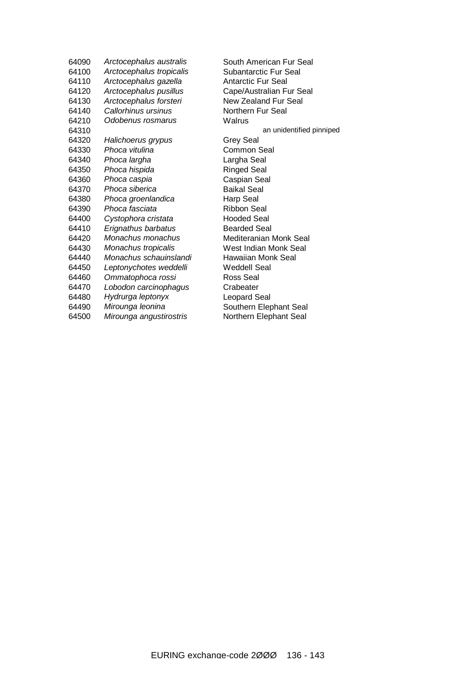*Arctocephalus australis* South American Fur Seal *Arctocephalus tropicalis* Subantarctic Fur Seal *Arctocephalus gazella* Antarctic Fur Seal *Arctocephalus pusillus* Cape/Australian Fur Seal *Arctocephalus forsteri* New Zealand Fur Seal *Callorhinus ursinus* Northern Fur Seal *Odobenus rosmarus* Walrus **64310 an** unidentified pinniped *Halichoerus grypus* Grey Seal *Phoca vitulina* Common Seal *Phoca largha* Largha Seal *Phoca hispida* Ringed Seal *Phoca caspia* Caspian Seal 64370 Phoca siberica *Phoca groenlandica* Harp Seal *Phoca fasciata* Ribbon Seal *Cystophora cristata* Hooded Seal *Erignathus barbatus* Bearded Seal *Monachus monachus* Mediteranian Monk Seal *Monachus tropicalis* West Indian Monk Seal *Monachus schauinslandi* Hawaiian Monk Seal *Leptonychotes weddelli* Weddell Seal *Ommatophoca rossi* Ross Seal *Lobodon carcinophagus* Crabeater *Hydrurga leptonyx* Leopard Seal *Mirounga leonina* Southern Elephant Seal *Mirounga angustirostris* Northern Elephant Seal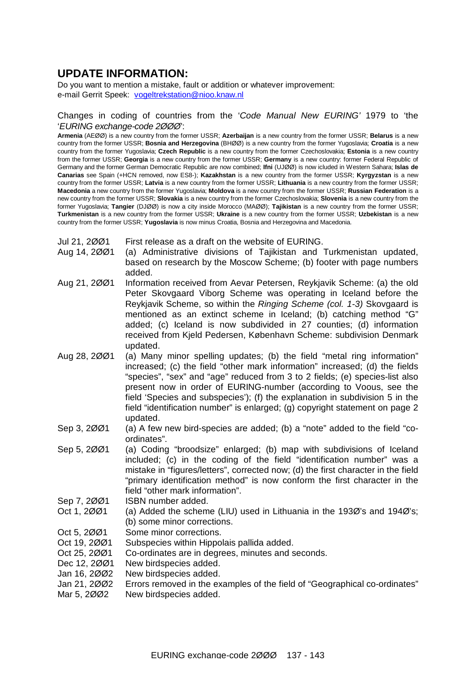## **UPDATE INFORMATION:**

Do you want to mention a mistake, fault or addition or whatever improvement: e-mail Gerrit Speek: [vogeltrekstation@nioo.knaw.nl](mailto:vogeltrekstation@nioo.knaw.nl)

#### Changes in coding of countries from the '*Code Manual New EURING'* 1979 to 'the '*EURING exchange-code 2ØØØ*':

**Armenia** (AEØØ) is a new country from the former USSR; **Azerbaijan** is a new country from the former USSR; **Belarus** is a new country from the former USSR; **Bosnia and Herzegovina** (BHØØ) is a new country from the former Yugoslavia; **Croatia** is a new country from the former Yugoslavia; **Czech Republic** is a new country from the former Czechoslovakia; **Estonia** is a new country from the former USSR; **Georgia** is a new country from the former USSR; **Germany** is a new country: former Federal Republic of Germany and the former German Democratic Republic are now combined; **Ifni** (UJØØ) is now icluded in Western Sahara; **Islas de Canarias** see Spain (+HCN removed, now ES8-); **Kazakhstan** is a new country from the former USSR; **Kyrgyzstan** is a new country from the former USSR; **Latvia** is a new country from the former USSR; **Lithuania** is a new country from the former USSR; **Macedonia** a new country from the former Yugoslavia; **Moldova** is a new country from the former USSR; **Russian Federation** is a new country from the former USSR; **Slovakia** is a new country from the former Czechoslovakia; **Slovenia** is a new country from the former Yugoslavia; **Tangier** (DJØØ) is now a city inside Morocco (MAØØ); **Tajikistan** is a new country from the former USSR; **Turkmenistan** is a new country from the former USSR; **Ukraine** is a new country from the former USSR; **Uzbekistan** is a new country from the former USSR; **Yugoslavia** is now minus Croatia, Bosnia and Herzegovina and Macedonia.

- Jul 21, 2ØØ1 First release as a draft on the website of EURING.
- Aug 14, 2ØØ1 (a) Administrative divisions of Tajikistan and Turkmenistan updated, based on research by the Moscow Scheme; (b) footer with page numbers added.
- Aug 21, 2ØØ1 Information received from Aevar Petersen, Reykjavik Scheme: (a) the old Peter Skovgaard Viborg Scheme was operating in Iceland before the Reykjavik Scheme, so within the *Ringing Scheme (col. 1-3)* Skovgaard is mentioned as an extinct scheme in Iceland; (b) catching method "G" added; (c) Iceland is now subdivided in 27 counties; (d) information received from Kjeld Pedersen, København Scheme: subdivision Denmark updated.
- Aug 28, 2001 (a) Many minor spelling updates; (b) the field "metal ring information" increased; (c) the field "other mark information" increased; (d) the fields "species", "sex" and "age" reduced from 3 to 2 fields; (e) species-list also present now in order of EURING-number (according to Voous, see the field 'Species and subspecies'); (f) the explanation in subdivision 5 in the field "identification number" is enlarged; (g) copyright statement on page 2 updated.
- Sep 3, 2ØØ1 (a) A few new bird-species are added; (b) a "note" added to the field "coordinates".
- Sep 5, 2ØØ1 (a) Coding "broodsize" enlarged; (b) map with subdivisions of Iceland included; (c) in the coding of the field "identification number" was a mistake in "figures/letters", corrected now; (d) the first character in the field "primary identification method" is now conform the first character in the field "other mark information".
- Sep 7, 2001 ISBN number added.
- Oct 1, 2ØØ1 (a) Added the scheme (LIU) used in Lithuania in the 193Ø's and 194Ø's; (b) some minor corrections.
- Oct 5, 2001 Some minor corrections.
- Oct 19, 2001 Subspecies within Hippolais pallida added.
- Oct 25, 2ØØ1 Co-ordinates are in degrees, minutes and seconds.
- Dec 12, 2001 New birdspecies added.
- Jan 16, 2ØØ2 New birdspecies added.
- Jan 21, 2ØØ2 Errors removed in the examples of the field of "Geographical co-ordinates"
- Mar 5, 2002 New birdspecies added.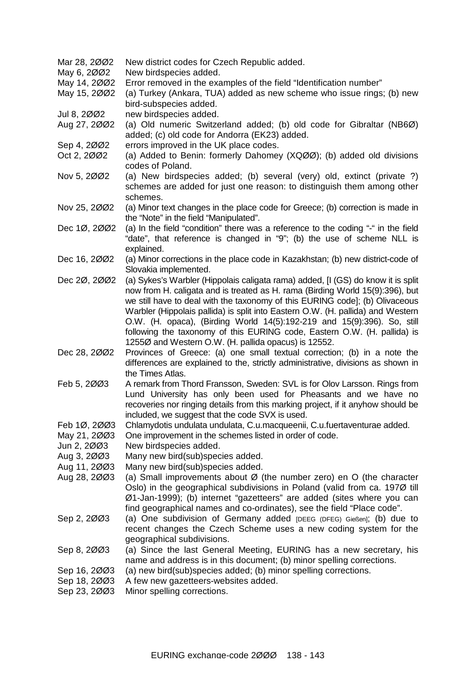Mar 28, 2002 New district codes for Czech Republic added. May 6, 2002 New birdspecies added. May 14, 2ØØ2 Error removed in the examples of the field "Identification number" May 15, 2ØØ2 (a) Turkey (Ankara, TUA) added as new scheme who issue rings; (b) new bird-subspecies added. Jul 8, 2ØØ2 new birdspecies added. Aug 27, 2ØØ2 (a) Old numeric Switzerland added; (b) old code for Gibraltar (NB6Ø) added; (c) old code for Andorra (EK23) added. Sep 4, 2002 errors improved in the UK place codes. Oct 2, 2002 (a) Added to Benin: formerly Dahomey (XQ00); (b) added old divisions codes of Poland. Nov 5, 2ØØ2 (a) New birdspecies added; (b) several (very) old, extinct (private ?) schemes are added for just one reason: to distinguish them among other schemes. Nov 25, 2ØØ2 (a) Minor text changes in the place code for Greece; (b) correction is made in the "Note" in the field "Manipulated". Dec 1Ø, 2ØØ2 (a) In the field "condition" there was a reference to the coding "-" in the field "date", that reference is changed in "9"; (b) the use of scheme NLL is explained. Dec 16, 2002 (a) Minor corrections in the place code in Kazakhstan; (b) new district-code of Slovakia implemented. Dec 2Ø, 2ØØ2 (a) Sykes's Warbler (Hippolais caligata rama) added, [I (GS) do know it is split now from H. caligata and is treated as H. rama (Birding World 15(9):396), but we still have to deal with the taxonomy of this EURING code]; (b) Olivaceous Warbler (Hippolais pallida) is split into Eastern O.W. (H. pallida) and Western O.W. (H. opaca), (Birding World 14(5):192-219 and 15(9):396). So, still following the taxonomy of this EURING code, Eastern O.W. (H. pallida) is 1255Ø and Western O.W. (H. pallida opacus) is 12552. Dec 28, 2ØØ2 Provinces of Greece: (a) one small textual correction; (b) in a note the differences are explained to the, strictly administrative, divisions as shown in the Times Atlas. Feb 5, 2003 A remark from Thord Fransson, Sweden: SVL is for Olov Larsson. Rings from Lund University has only been used for Pheasants and we have no recoveries nor ringing details from this marking project, if it anyhow should be included, we suggest that the code SVX is used. Feb 1Ø, 2ØØ3 Chlamydotis undulata undulata, C.u.macqueenii, C.u.fuertaventurae added. May 21, 2003 One improvement in the schemes listed in order of code. Jun 2, 2ØØ3 New birdspecies added. Aug 3, 2ØØ3 Many new bird(sub)species added. Aug 11, 2ØØ3 Many new bird(sub)species added. Aug 28, 2003 (a) Small improvements about  $\emptyset$  (the number zero) en O (the character Oslo) in the geographical subdivisions in Poland (valid from ca. 197Ø till Ø1-Jan-1999); (b) internet "gazetteers" are added (sites where you can find geographical names and co-ordinates), see the field "Place code". Sep 2, 2003 (a) One subdivision of Germany added [DEEG (DFEG) Gießen]; (b) due to recent changes the Czech Scheme uses a new coding system for the geographical subdivisions. Sep 8, 2ØØ3 (a) Since the last General Meeting, EURING has a new secretary, his name and address is in this document; (b) minor spelling corrections. Sep 16, 2ØØ3 (a) new bird(sub)species added; (b) minor spelling corrections. Sep 18, 2ØØ3 A few new gazetteers-websites added. Sep 23, 2ØØ3 Minor spelling corrections.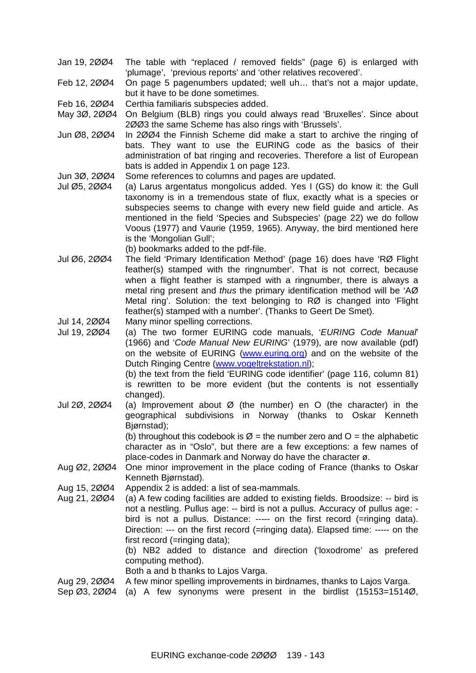- Jan 19, 2ØØ4 The table with "replaced / removed fields" (page 6) is enlarged with 'plumage', 'previous reports' and 'other relatives recovered'.
- Feb 12, 2ØØ4 On page 5 pagenumbers updated; well uh… that's not a major update, but it have to be done sometimes.
- Feb 16, 2ØØ4 Certhia familiaris subspecies added.
- May 3Ø, 2ØØ4 On Belgium (BLB) rings you could always read 'Bruxelles'. Since about 2ØØ3 the same Scheme has also rings with 'Brussels'.
- Jun Ø8, 2ØØ4 In 2ØØ4 the Finnish Scheme did make a start to archive the ringing of bats. They want to use the EURING code as the basics of their administration of bat ringing and recoveries. Therefore a list of European bats is added in Appendix 1 on page 123.
- Jun 3Ø, 2ØØ4 Some references to columns and pages are updated.
- Jul Ø5, 2ØØ4 (a) Larus argentatus mongolicus added. Yes I (GS) do know it: the Gull taxonomy is in a tremendous state of flux, exactly what is a species or subspecies seems to change with every new field guide and article. As mentioned in the field 'Species and Subspecies' (page 22) we do follow Voous (1977) and Vaurie (1959, 1965). Anyway, the bird mentioned here is the 'Mongolian Gull';
	- (b) bookmarks added to the pdf-file.
- Jul Ø6, 2ØØ4 The field 'Primary Identification Method' (page 16) does have 'RØ Flight feather(s) stamped with the ringnumber'. That is not correct, because when a flight feather is stamped with a ringnumber, there is always a metal ring present and *thus* the primary identification method will be 'AØ Metal ring'. Solution: the text belonging to RØ is changed into 'Flight feather(s) stamped with a number'. (Thanks to Geert De Smet).
- Jul 14, 2ØØ4 Many minor spelling corrections.
- Jul 19, 2ØØ4 (a) The two former EURING code manuals, '*EURING Code Manual*' (1966) and '*Code Manual New EURING*' (1979), are now available (pdf) on the website of EURING ([www.euring.org\)](http://www.euring.org) and on the website of the Dutch Ringing Centre ([www.vogeltrekstation.nl](http://www.vogeltrekstation.nl));

(b) the text from the field 'EURING code identifier' (page 116, column 81) is rewritten to be more evident (but the contents is not essentially changed).

Jul 2Ø, 2ØØ4 (a) Improvement about Ø (the number) en O (the character) in the geographical subdivisions in Norway (thanks to Oskar Kenneth Bjørnstad);

(b) throughout this codebook is  $\emptyset$  = the number zero and O = the alphabetic character as in "Oslo", but there are a few exceptions: a few names of place-codes in Danmark and Norway do have the character ø.

- Aug Ø2, 2ØØ4 One minor improvement in the place coding of France (thanks to Oskar Kenneth Bjørnstad).
- Aug 15, 2ØØ4 Appendix 2 is added: a list of sea-mammals.
- Aug 21, 2ØØ4 (a) A few coding facilities are added to existing fields. Broodsize: -- bird is not a nestling. Pullus age: -- bird is not a pullus. Accuracy of pullus age: bird is not a pullus. Distance: ----- on the first record (=ringing data). Direction: --- on the first record (=ringing data). Elapsed time: ----- on the first record (=ringing data);

(b) NB2 added to distance and direction ('loxodrome' as prefered computing method).

Both a and b thanks to Lajos Varga.

- Aug 29, 2ØØ4 A few minor spelling improvements in birdnames, thanks to Lajos Varga.
- Sep Ø3, 2ØØ4 (a) A few synonyms were present in the birdlist (15153=1514Ø,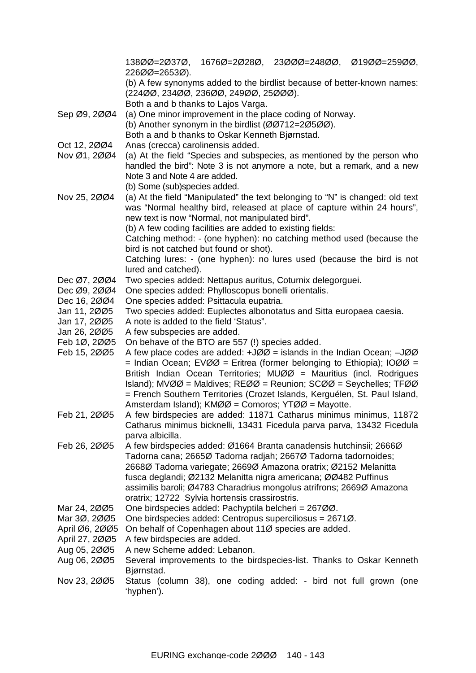|                              | 13800=20370,<br>226ØØ=2653Ø).                                                                                                                                |  | 16760=20280, 23000=24800, 01900=25900, |  |
|------------------------------|--------------------------------------------------------------------------------------------------------------------------------------------------------------|--|----------------------------------------|--|
|                              | (b) A few synonyms added to the birdlist because of better-known names:<br>(22400, 23400, 23600, 24900, 25000).                                              |  |                                        |  |
|                              | Both a and b thanks to Lajos Varga.                                                                                                                          |  |                                        |  |
| Sep Ø9, 2004                 | (a) One minor improvement in the place coding of Norway.                                                                                                     |  |                                        |  |
|                              | (b) Another synonym in the birdlist (00712=20500).                                                                                                           |  |                                        |  |
|                              | Both a and b thanks to Oskar Kenneth Bjørnstad.                                                                                                              |  |                                        |  |
| Oct 12, 2004                 | Anas (crecca) carolinensis added.                                                                                                                            |  |                                        |  |
| Nov Ø1, 2004                 | (a) At the field "Species and subspecies, as mentioned by the person who                                                                                     |  |                                        |  |
|                              | handled the bird": Note 3 is not anymore a note, but a remark, and a new                                                                                     |  |                                        |  |
|                              | Note 3 and Note 4 are added.                                                                                                                                 |  |                                        |  |
|                              | (b) Some (sub)species added.                                                                                                                                 |  |                                        |  |
| Nov 25, 2004                 | (a) At the field "Manipulated" the text belonging to "N" is changed: old text                                                                                |  |                                        |  |
|                              | was "Normal healthy bird, released at place of capture within 24 hours",                                                                                     |  |                                        |  |
|                              | new text is now "Normal, not manipulated bird".<br>(b) A few coding facilities are added to existing fields:                                                 |  |                                        |  |
|                              | Catching method: - (one hyphen): no catching method used (because the                                                                                        |  |                                        |  |
|                              | bird is not catched but found or shot).                                                                                                                      |  |                                        |  |
|                              | Catching lures: - (one hyphen): no lures used (because the bird is not                                                                                       |  |                                        |  |
|                              | lured and catched).                                                                                                                                          |  |                                        |  |
| Dec Ø7, 2004                 | Two species added: Nettapus auritus, Coturnix delegorguei.                                                                                                   |  |                                        |  |
| Dec Ø9, 2004                 | One species added: Phylloscopus bonelli orientalis.                                                                                                          |  |                                        |  |
| Dec 16, 2004                 | One species added: Psittacula eupatria.                                                                                                                      |  |                                        |  |
| Jan 11, 2005                 | Two species added: Euplectes albonotatus and Sitta europaea caesia.                                                                                          |  |                                        |  |
| Jan 17, 2005                 | A note is added to the field 'Status".                                                                                                                       |  |                                        |  |
| Jan 26, 2005                 | A few subspecies are added.                                                                                                                                  |  |                                        |  |
| Feb 1Ø, 2005<br>Feb 15, 2005 | On behave of the BTO are 557 (!) species added.<br>A few place codes are added: $+J\emptyset\emptyset$ = islands in the Indian Ocean; $-J\emptyset\emptyset$ |  |                                        |  |
|                              | = Indian Ocean; EVØØ = Eritrea (former belonging to Ethiopia); IOØØ =                                                                                        |  |                                        |  |
|                              | British Indian Ocean Territories; MUØØ = Mauritius (incl. Rodrigues                                                                                          |  |                                        |  |
|                              | Island); MVØØ = Maldives; REØØ = Reunion; SCØØ = Seychelles; TFØØ                                                                                            |  |                                        |  |
|                              | = French Southern Territories (Crozet Islands, Kerguélen, St. Paul Island,                                                                                   |  |                                        |  |
|                              | Amsterdam Island); KMØØ = Comoros; YTØØ = Mayotte.                                                                                                           |  |                                        |  |
| Feb 21, 2005                 | A few birdspecies are added: 11871 Catharus minimus minimus. 11872                                                                                           |  |                                        |  |
|                              | Catharus minimus bicknelli, 13431 Ficedula parva parva, 13432 Ficedula                                                                                       |  |                                        |  |
|                              | parva albicilla.                                                                                                                                             |  |                                        |  |
| Feb 26, 2005                 | A few birdspecies added: Ø1664 Branta canadensis hutchinsii; 2666Ø                                                                                           |  |                                        |  |
|                              | Tadorna cana; 2665Ø Tadorna radjah; 2667Ø Tadorna tadornoides;<br>2668Ø Tadorna variegate; 2669Ø Amazona oratrix; Ø2152 Melanitta                            |  |                                        |  |
|                              | fusca deglandi; Ø2132 Melanitta nigra americana; ØØ482 Puffinus                                                                                              |  |                                        |  |
|                              | assimilis baroli; Ø4783 Charadrius mongolus atrifrons; 2669Ø Amazona                                                                                         |  |                                        |  |
|                              | oratrix; 12722 Sylvia hortensis crassirostris.                                                                                                               |  |                                        |  |
| Mar 24, 2005                 | One birdspecies added: Pachyptila belcheri = 26700.                                                                                                          |  |                                        |  |
| Mar 3Ø, 2ØØ5                 | One birdspecies added: Centropus superciliosus = 2671Ø.                                                                                                      |  |                                        |  |
| April Ø6, 2005               | On behalf of Copenhagen about 110 species are added.                                                                                                         |  |                                        |  |
| April 27, 2005               | A few birdspecies are added.                                                                                                                                 |  |                                        |  |
| Aug 05, 2005                 | A new Scheme added: Lebanon.                                                                                                                                 |  |                                        |  |
| Aug 06, 2005                 | Several improvements to the birdspecies-list. Thanks to Oskar Kenneth<br>Bjørnstad.                                                                          |  |                                        |  |
| Nov 23, 2005                 | Status (column 38), one coding added: - bird not full grown (one                                                                                             |  |                                        |  |
|                              | 'hyphen').                                                                                                                                                   |  |                                        |  |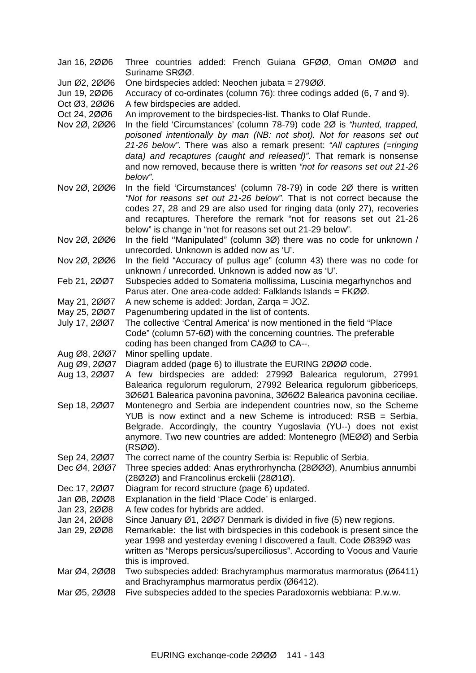- Jan 16, 2ØØ6 Three countries added: French Guiana GFØØ, Oman OMØØ and Suriname SRØØ.
- Jun Ø2, 2ØØ6 One birdspecies added: Neochen jubata = 279ØØ.
- Jun 19, 2ØØ6 Accuracy of co-ordinates (column 76): three codings added (6, 7 and 9).
- Oct Ø3, 2ØØ6 A few birdspecies are added.
- Oct 24, 2ØØ6 An improvement to the birdspecies-list. Thanks to Olaf Runde.
- Nov 2Ø, 2ØØ6 In the field 'Circumstances' (column 78-79) code 2Ø is *"hunted, trapped, poisoned intentionally by man (NB: not shot). Not for reasons set out 21-26 below"*. There was also a remark present: *"All captures (=ringing data) and recaptures (caught and released)"*. That remark is nonsense and now removed, because there is written *"not for reasons set out 21-26 below"*.
- Nov 2Ø, 2ØØ6 In the field 'Circumstances' (column 78-79) in code 2Ø there is written *"Not for reasons set out 21-26 below"*. That is not correct because the codes 27, 28 and 29 are also used for ringing data (only 27), recoveries and recaptures. Therefore the remark "not for reasons set out 21-26 below" is change in "not for reasons set out 21-29 below".
- Nov 2Ø, 2ØØ6 In the field ''Manipulated" (column 3Ø) there was no code for unknown / unrecorded. Unknown is added now as 'U'.
- Nov 2Ø, 2ØØ6 In the field "Accuracy of pullus age" (column 43) there was no code for unknown / unrecorded. Unknown is added now as 'U'.
- Feb 21, 2ØØ7 Subspecies added to Somateria mollissima, Luscinia megarhynchos and Parus ater. One area-code added: Falklands Islands = FKØØ.
- May 21, 2ØØ7 A new scheme is added: Jordan, Zarqa = JOZ.
- May 25, 2ØØ7 Pagenumbering updated in the list of contents.
- July 17, 2ØØ7 The collective 'Central America' is now mentioned in the field "Place Code" (column 57-6Ø) with the concerning countries. The preferable coding has been changed from CAØØ to CA--.
- Aug Ø8, 2ØØ7 Minor spelling update.
- Aug Ø9, 2ØØ7 Diagram added (page 6) to illustrate the EURING 2ØØØ code.
- Aug 13, 2ØØ7 A few birdspecies are added: 2799Ø Balearica regulorum, 27991 Balearica regulorum regulorum, 27992 Belearica regulorum gibbericeps, 3Ø6Ø1 Balearica pavonina pavonina, 3Ø6Ø2 Balearica pavonina ceciliae.
- Sep 18, 2ØØ7 Montenegro and Serbia are independent countries now, so the Scheme YUB is now extinct and a new Scheme is introduced: RSB = Serbia, Belgrade. Accordingly, the country Yugoslavia (YU--) does not exist anymore. Two new countries are added: Montenegro (MEØØ) and Serbia (RSØØ).
- Sep 24, 2ØØ7 The correct name of the country Serbia is: Republic of Serbia.
- Dec Ø4, 2ØØ7 Three species added: Anas erythrorhyncha (28ØØØ), Anumbius annumbi (28Ø2Ø) and Francolinus erckelii (28Ø1Ø).
- Dec 17, 2ØØ7 Diagram for record structure (page 6) updated.
- Jan Ø8, 2ØØ8 Explanation in the field 'Place Code' is enlarged.
- Jan 23, 2ØØ8 A few codes for hybrids are added.
- Jan 24, 2ØØ8 Since January Ø1, 2ØØ7 Denmark is divided in five (5) new regions.
- Jan 29, 2ØØ8 Remarkable: the list with birdspecies in this codebook is present since the year 1998 and yesterday evening I discovered a fault. Code Ø839Ø was written as "Merops persicus/superciliosus". According to Voous and Vaurie this is improved.
- Mar Ø4, 2ØØ8 Two subspecies added: Brachyramphus marmoratus marmoratus (Ø6411) and Brachyramphus marmoratus perdix (Ø6412).
- Mar Ø5, 2ØØ8 Five subspecies added to the species Paradoxornis webbiana: P.w.w.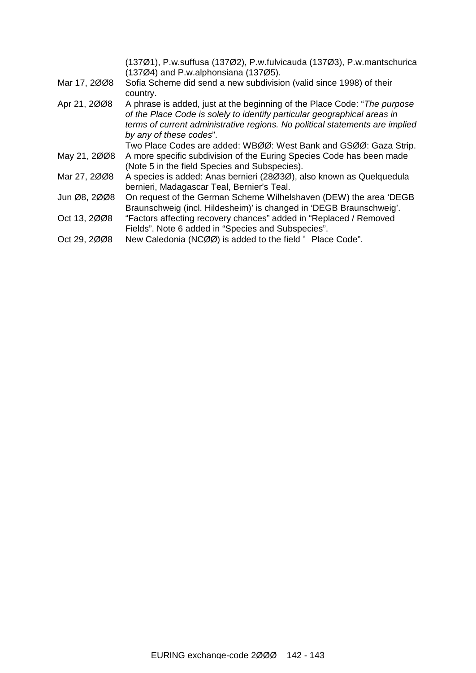|              | (137Ø1), P.w.suffusa (137Ø2), P.w.fulvicauda (137Ø3), P.w.mantschurica<br>$(137\emptyset4)$ and P.w.alphonsiana $(137\emptyset5)$ .                                                                                                                              |
|--------------|------------------------------------------------------------------------------------------------------------------------------------------------------------------------------------------------------------------------------------------------------------------|
| Mar 17, 2008 | Sofia Scheme did send a new subdivision (valid since 1998) of their<br>country.                                                                                                                                                                                  |
| Apr 21, 2008 | A phrase is added, just at the beginning of the Place Code: "The purpose"<br>of the Place Code is solely to identify particular geographical areas in<br>terms of current administrative regions. No political statements are implied<br>by any of these codes". |
|              | Two Place Codes are added: WBØØ: West Bank and GSØØ: Gaza Strip.                                                                                                                                                                                                 |
| May 21, 2008 | A more specific subdivision of the Euring Species Code has been made<br>(Note 5 in the field Species and Subspecies).                                                                                                                                            |
| Mar 27, 2008 | A species is added: Anas bernieri (28Ø3Ø), also known as Quelquedula<br>bernieri, Madagascar Teal, Bernier's Teal.                                                                                                                                               |
| Jun Ø8, 2008 | On request of the German Scheme Wilhelshaven (DEW) the area 'DEGB<br>Braunschweig (incl. Hildesheim)' is changed in 'DEGB Braunschweig'.                                                                                                                         |
| Oct 13, 2008 | "Factors affecting recovery chances" added in "Replaced / Removed<br>Fields". Note 6 added in "Species and Subspecies".                                                                                                                                          |
| Oct 29, 2008 | New Caledonia (NCØØ) is added to the field " Place Code".                                                                                                                                                                                                        |